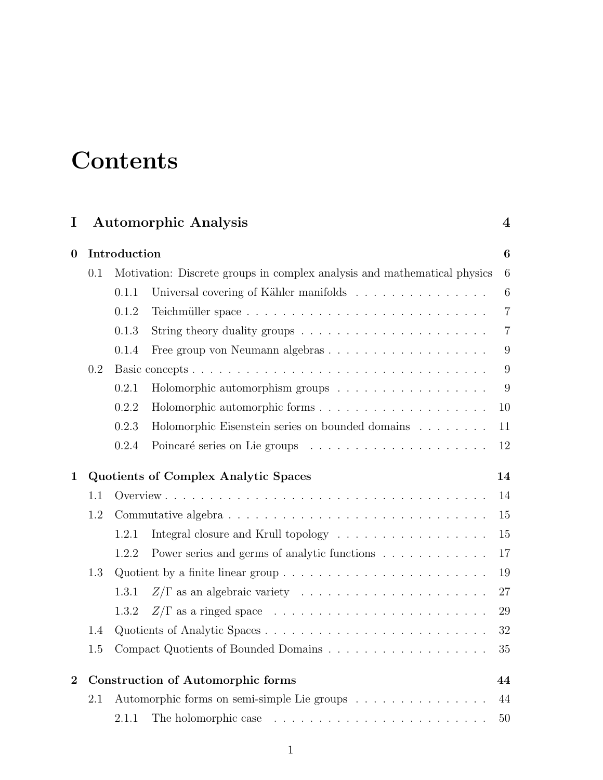# **Contents**

| <b>Automorphic Analysis</b><br>I |                                            |                                                                          |                                                                                           | $\boldsymbol{4}$ |  |  |
|----------------------------------|--------------------------------------------|--------------------------------------------------------------------------|-------------------------------------------------------------------------------------------|------------------|--|--|
| $\boldsymbol{0}$                 | Introduction                               |                                                                          |                                                                                           |                  |  |  |
|                                  | 0.1                                        | Motivation: Discrete groups in complex analysis and mathematical physics |                                                                                           |                  |  |  |
|                                  |                                            | 0.1.1                                                                    | Universal covering of Kähler manifolds                                                    | $6\phantom{.}6$  |  |  |
|                                  |                                            | 0.1.2                                                                    |                                                                                           | $\overline{7}$   |  |  |
|                                  |                                            | 0.1.3                                                                    |                                                                                           | $\overline{7}$   |  |  |
|                                  |                                            | 0.1.4                                                                    | Free group von Neumann algebras                                                           | 9                |  |  |
|                                  | 0.2                                        |                                                                          |                                                                                           | 9                |  |  |
|                                  |                                            | 0.2.1                                                                    | Holomorphic automorphism groups                                                           | 9                |  |  |
|                                  |                                            | 0.2.2                                                                    | Holomorphic automorphic forms                                                             | 10               |  |  |
|                                  |                                            | 0.2.3                                                                    | Holomorphic Eisenstein series on bounded domains                                          | 11               |  |  |
|                                  |                                            | 0.2.4                                                                    |                                                                                           | 12               |  |  |
| $\mathbf{1}$                     | Quotients of Complex Analytic Spaces<br>14 |                                                                          |                                                                                           |                  |  |  |
|                                  | 1.1                                        |                                                                          |                                                                                           | 14               |  |  |
|                                  | 1.2                                        |                                                                          |                                                                                           |                  |  |  |
|                                  |                                            | 1.2.1                                                                    | Integral closure and Krull topology                                                       | 15               |  |  |
|                                  |                                            | 1.2.2                                                                    | Power series and germs of analytic functions $\ldots \ldots \ldots \ldots$                | 17               |  |  |
|                                  | 1.3                                        |                                                                          | Quotient by a finite linear group $\dots \dots \dots \dots \dots \dots \dots \dots \dots$ | 19               |  |  |
|                                  |                                            | 1.3.1                                                                    |                                                                                           | 27               |  |  |
|                                  |                                            | 1.3.2                                                                    |                                                                                           | 29               |  |  |
|                                  | 1.4                                        |                                                                          |                                                                                           | 32               |  |  |
|                                  | 1.5                                        |                                                                          |                                                                                           | 35               |  |  |
| $\overline{2}$                   | Construction of Automorphic forms<br>44    |                                                                          |                                                                                           |                  |  |  |
|                                  | 2.1                                        | Automorphic forms on semi-simple Lie groups<br>44                        |                                                                                           |                  |  |  |
|                                  |                                            | 2.1.1                                                                    |                                                                                           | 50               |  |  |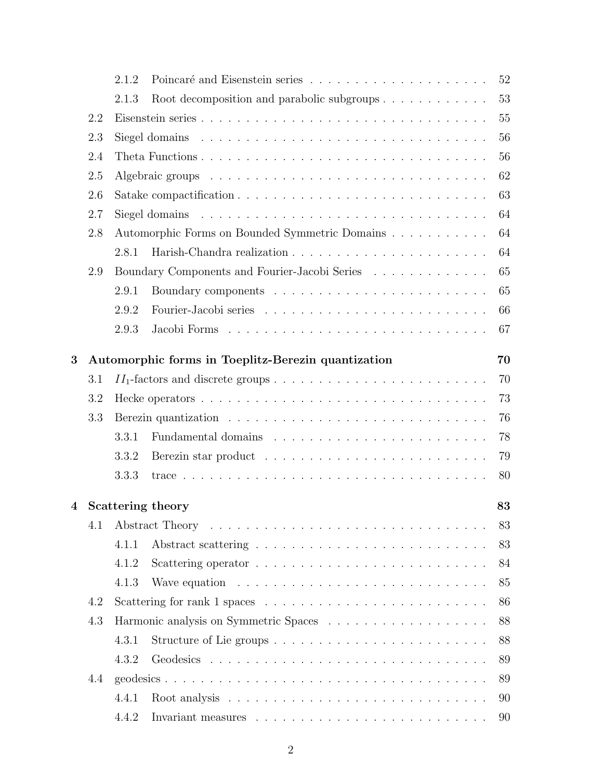|         |     | 2.1.2                                          |                                                                                | 52 |  |  |  |  |
|---------|-----|------------------------------------------------|--------------------------------------------------------------------------------|----|--|--|--|--|
|         |     | 2.1.3                                          | Root decomposition and parabolic subgroups                                     | 53 |  |  |  |  |
|         | 2.2 |                                                |                                                                                | 55 |  |  |  |  |
|         | 2.3 |                                                |                                                                                | 56 |  |  |  |  |
|         | 2.4 |                                                |                                                                                | 56 |  |  |  |  |
|         | 2.5 |                                                |                                                                                | 62 |  |  |  |  |
|         | 2.6 |                                                |                                                                                | 63 |  |  |  |  |
| 2.7     |     |                                                |                                                                                |    |  |  |  |  |
|         | 2.8 | Automorphic Forms on Bounded Symmetric Domains |                                                                                |    |  |  |  |  |
|         |     | 2.8.1                                          |                                                                                | 64 |  |  |  |  |
|         | 2.9 |                                                | Boundary Components and Fourier-Jacobi Series                                  | 65 |  |  |  |  |
|         |     | 2.9.1                                          |                                                                                | 65 |  |  |  |  |
|         |     | 2.9.2                                          |                                                                                | 66 |  |  |  |  |
|         |     | 2.9.3                                          |                                                                                | 67 |  |  |  |  |
| 3       |     |                                                | Automorphic forms in Toeplitz-Berezin quantization                             | 70 |  |  |  |  |
|         | 3.1 |                                                |                                                                                |    |  |  |  |  |
|         | 3.2 |                                                |                                                                                |    |  |  |  |  |
|         | 3.3 | 73<br>76                                       |                                                                                |    |  |  |  |  |
|         |     | 3.3.1                                          |                                                                                | 78 |  |  |  |  |
|         |     | 3.3.2                                          |                                                                                | 79 |  |  |  |  |
|         |     | 3.3.3                                          |                                                                                | 80 |  |  |  |  |
|         |     |                                                |                                                                                |    |  |  |  |  |
| $\bf 4$ |     | Scattering theory<br>83                        |                                                                                |    |  |  |  |  |
|         | 4.1 |                                                |                                                                                | 83 |  |  |  |  |
|         |     | 4.1.1                                          |                                                                                | 83 |  |  |  |  |
|         |     | 4.1.2                                          |                                                                                | 84 |  |  |  |  |
|         |     | 4.1.3                                          | Wave equation $\ldots \ldots \ldots \ldots \ldots \ldots \ldots \ldots \ldots$ | 85 |  |  |  |  |
| 4.2     |     |                                                |                                                                                | 86 |  |  |  |  |
|         | 4.3 |                                                |                                                                                | 88 |  |  |  |  |
|         |     | 4.3.1                                          | Structure of Lie groups                                                        | 88 |  |  |  |  |
|         |     | 4.3.2                                          |                                                                                | 89 |  |  |  |  |
|         | 4.4 |                                                |                                                                                | 89 |  |  |  |  |
|         |     | 4.4.1                                          |                                                                                | 90 |  |  |  |  |
|         |     | 4.4.2                                          |                                                                                | 90 |  |  |  |  |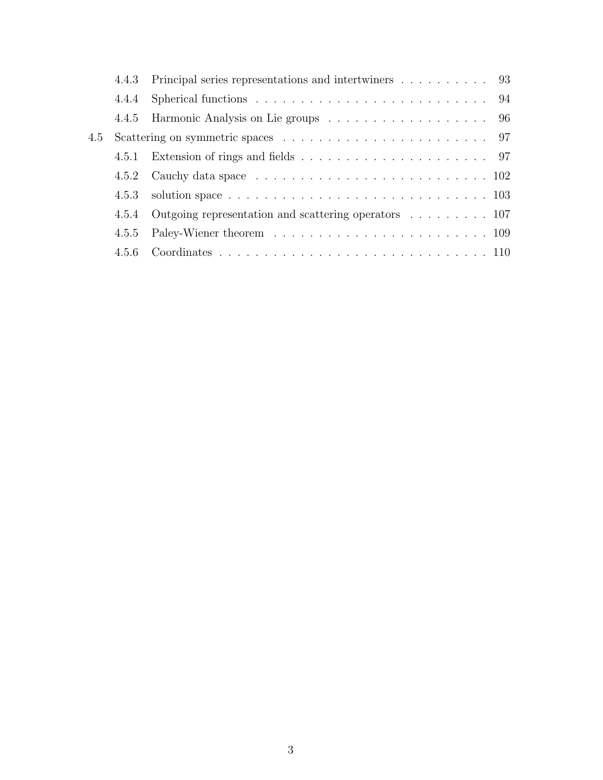|     |       | 4.4.3 Principal series representations and intertwiners 93 |
|-----|-------|------------------------------------------------------------|
|     |       |                                                            |
|     |       |                                                            |
| 4.5 |       |                                                            |
|     |       |                                                            |
|     | 4.5.2 |                                                            |
|     |       |                                                            |
|     |       | 4.5.4 Outgoing representation and scattering operators 107 |
|     | 4.5.5 |                                                            |
|     |       |                                                            |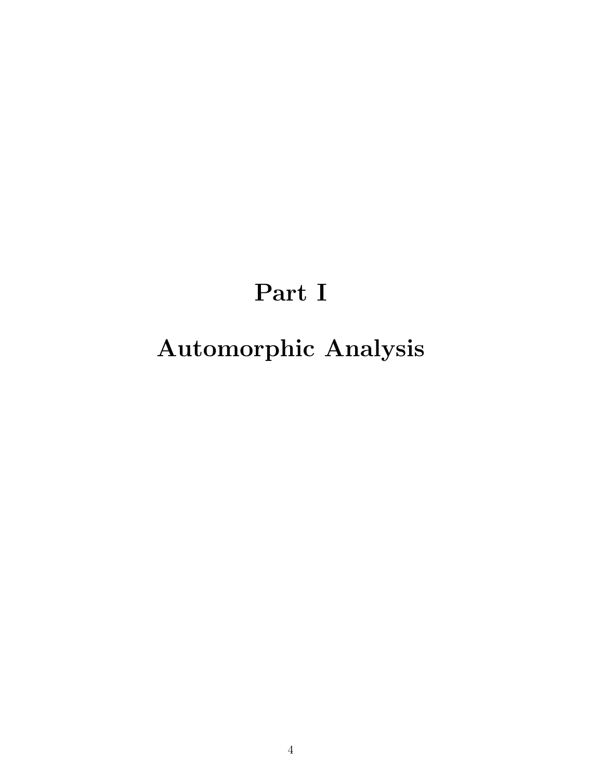# Part I

# Automorphic Analysis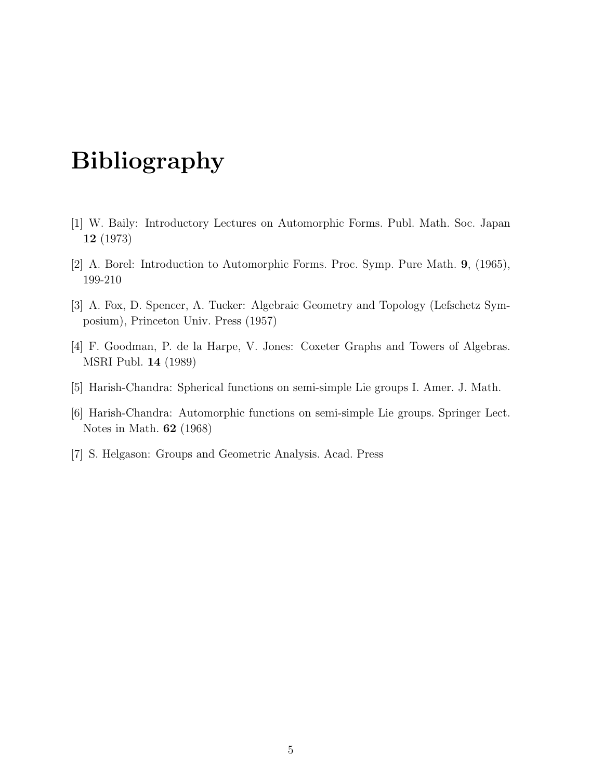## Bibliography

- [1] W. Baily: Introductory Lectures on Automorphic Forms. Publ. Math. Soc. Japan 12 (1973)
- [2] A. Borel: Introduction to Automorphic Forms. Proc. Symp. Pure Math. 9, (1965), 199-210
- [3] A. Fox, D. Spencer, A. Tucker: Algebraic Geometry and Topology (Lefschetz Symposium), Princeton Univ. Press (1957)
- [4] F. Goodman, P. de la Harpe, V. Jones: Coxeter Graphs and Towers of Algebras. MSRI Publ. 14 (1989)
- [5] Harish-Chandra: Spherical functions on semi-simple Lie groups I. Amer. J. Math.
- [6] Harish-Chandra: Automorphic functions on semi-simple Lie groups. Springer Lect. Notes in Math. 62 (1968)
- [7] S. Helgason: Groups and Geometric Analysis. Acad. Press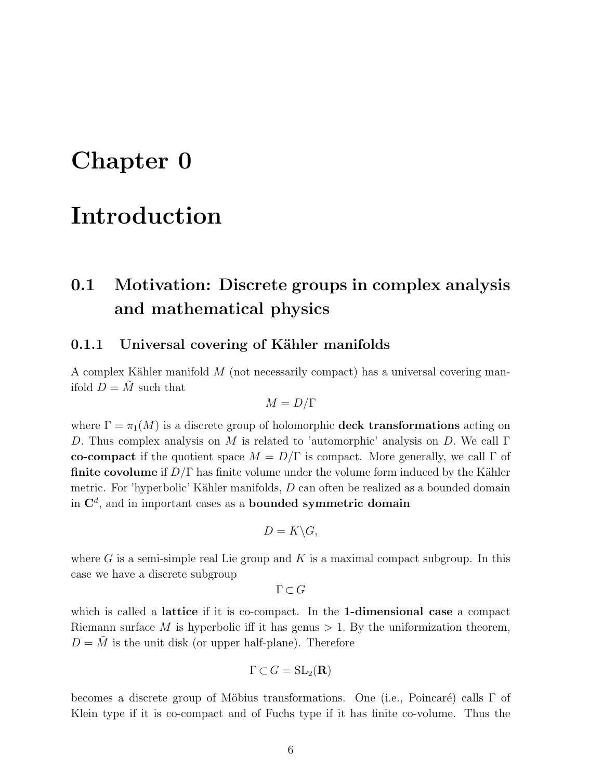## Chapter 0

## Introduction

## 0.1 Motivation: Discrete groups in complex analysis and mathematical physics

### 0.1.1 Universal covering of Kähler manifolds

A complex Kähler manifold  $M$  (not necessarily compact) has a universal covering manifold  $D = \tilde{M}$  such that

$$
M = D/\Gamma
$$

where  $\Gamma = \pi_1(M)$  is a discrete group of holomorphic **deck transformations** acting on D. Thus complex analysis on M is related to 'automorphic' analysis on D. We call  $\Gamma$ co-compact if the quotient space  $M = D/\Gamma$  is compact. More generally, we call  $\Gamma$  of **finite covolume** if  $D/\Gamma$  has finite volume under the volume form induced by the Kähler metric. For 'hyperbolic' Kähler manifolds,  $D$  can often be realized as a bounded domain in  $\mathbf{C}^d$ , and in important cases as a bounded symmetric domain

$$
D=K\backslash G,
$$

where G is a semi-simple real Lie group and K is a maximal compact subgroup. In this case we have a discrete subgroup

 $\Gamma \subset G$ 

which is called a lattice if it is co-compact. In the 1-dimensional case a compact Riemann surface M is hyperbolic iff it has genus  $> 1$ . By the uniformization theorem,  $D = \tilde{M}$  is the unit disk (or upper half-plane). Therefore

$$
\Gamma \subset G = {\rm SL}_2({\bf R})
$$

becomes a discrete group of Möbius transformations. One (i.e., Poincaré) calls  $\Gamma$  of Klein type if it is co-compact and of Fuchs type if it has finite co-volume. Thus the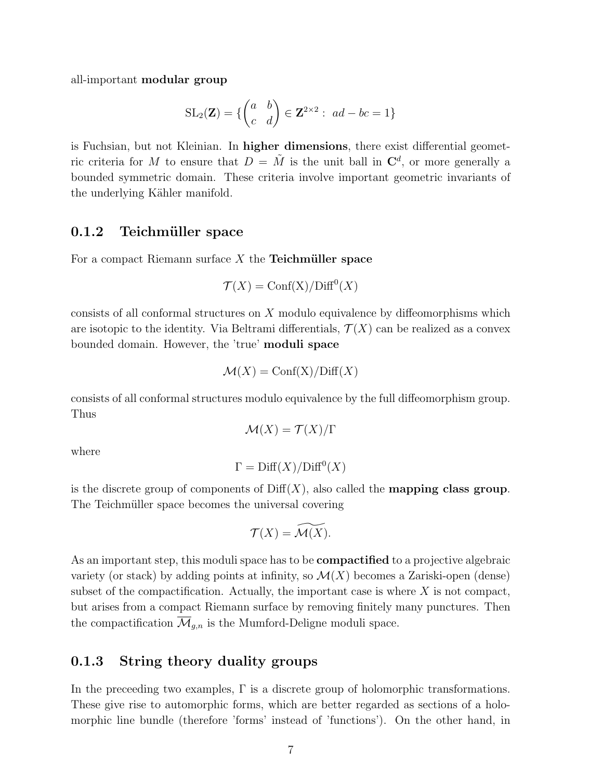all-important modular group

$$
SL_2(\mathbf{Z}) = \{ \begin{pmatrix} a & b \\ c & d \end{pmatrix} \in \mathbf{Z}^{2 \times 2} : \ ad - bc = 1 \}
$$

is Fuchsian, but not Kleinian. In higher dimensions, there exist differential geometric criteria for M to ensure that  $D = \tilde{M}$  is the unit ball in  $\mathbb{C}^d$ , or more generally a bounded symmetric domain. These criteria involve important geometric invariants of the underlying Kähler manifold.

### 0.1.2 Teichmüller space

For a compact Riemann surface  $X$  the **Teichmüller space** 

$$
\mathcal{T}(X) = \text{Conf}(X) / \text{Diff}^0(X)
$$

consists of all conformal structures on X modulo equivalence by diffeomorphisms which are isotopic to the identity. Via Beltrami differentials,  $\mathcal{T}(X)$  can be realized as a convex bounded domain. However, the 'true' moduli space

$$
\mathcal{M}(X) = \text{Conf}(X) / \text{Diff}(X)
$$

consists of all conformal structures modulo equivalence by the full diffeomorphism group. Thus

$$
\mathcal{M}(X) = \mathcal{T}(X)/\Gamma
$$

where

$$
\Gamma = \text{Diff}(X)/\text{Diff}^0(X)
$$

is the discrete group of components of  $\text{Diff}(X)$ , also called the **mapping class group**. The Teichmüller space becomes the universal covering

$$
\mathcal{T}(X) = \widetilde{\mathcal{M}(X)}.
$$

As an important step, this moduli space has to be **compactified** to a projective algebraic variety (or stack) by adding points at infinity, so  $\mathcal{M}(X)$  becomes a Zariski-open (dense) subset of the compactification. Actually, the important case is where  $X$  is not compact, but arises from a compact Riemann surface by removing finitely many punctures. Then the compactification  $\overline{\mathcal{M}}_{q,n}$  is the Mumford-Deligne moduli space.

### 0.1.3 String theory duality groups

In the preceeding two examples,  $\Gamma$  is a discrete group of holomorphic transformations. These give rise to automorphic forms, which are better regarded as sections of a holomorphic line bundle (therefore 'forms' instead of 'functions'). On the other hand, in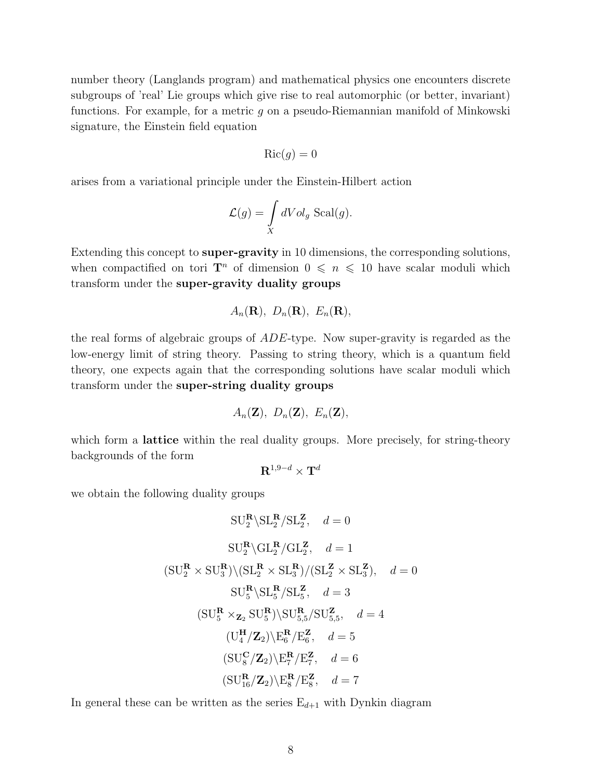number theory (Langlands program) and mathematical physics one encounters discrete subgroups of 'real' Lie groups which give rise to real automorphic (or better, invariant) functions. For example, for a metric  $g$  on a pseudo-Riemannian manifold of Minkowski signature, the Einstein field equation

$$
\operatorname{Ric}(g) = 0
$$

arises from a variational principle under the Einstein-Hilbert action

$$
\mathcal{L}(g) = \int\limits_X dVol_g \operatorname{Scal}(g).
$$

Extending this concept to super-gravity in 10 dimensions, the corresponding solutions, when compactified on tori  $\mathbf{T}^n$  of dimension  $0 \leq n \leq 10$  have scalar moduli which transform under the super-gravity duality groups

$$
A_n(\mathbf{R}), D_n(\mathbf{R}), E_n(\mathbf{R}),
$$

the real forms of algebraic groups of ADE-type. Now super-gravity is regarded as the low-energy limit of string theory. Passing to string theory, which is a quantum field theory, one expects again that the corresponding solutions have scalar moduli which transform under the super-string duality groups

$$
A_n(\mathbf{Z}), D_n(\mathbf{Z}), E_n(\mathbf{Z}),
$$

which form a **lattice** within the real duality groups. More precisely, for string-theory backgrounds of the form

$$
{\bf R}^{1,9-d}\times{\bf T}^d
$$

we obtain the following duality groups

$$
SU_2^R \setminus SL_2^R / SL_2^Z, \quad d = 0
$$
  
\n
$$
SU_2^R \setminus GL_2^R / GL_2^Z, \quad d = 1
$$
  
\n
$$
(SU_2^R \times SU_3^R) \setminus (SL_2^R \times SL_3^R) / (SL_2^Z \times SL_3^Z), \quad d = 0
$$
  
\n
$$
SU_5^R \setminus SL_5^R / SL_5^Z, \quad d = 3
$$
  
\n
$$
(SU_5^R \times_{\mathbf{Z}_2} SU_5^R) \setminus SU_{5,5}^R / SU_{5,5}^Z, \quad d = 4
$$
  
\n
$$
(U_4^H / \mathbf{Z}_2) \setminus E_6^R / E_6^Z, \quad d = 5
$$
  
\n
$$
(SU_8^C / \mathbf{Z}_2) \setminus E_7^R / E_7^Z, \quad d = 6
$$
  
\n
$$
(SU_{16}^R / \mathbf{Z}_2) \setminus E_8^R / E_8^Z, \quad d = 7
$$

In general these can be written as the series  $E_{d+1}$  with Dynkin diagram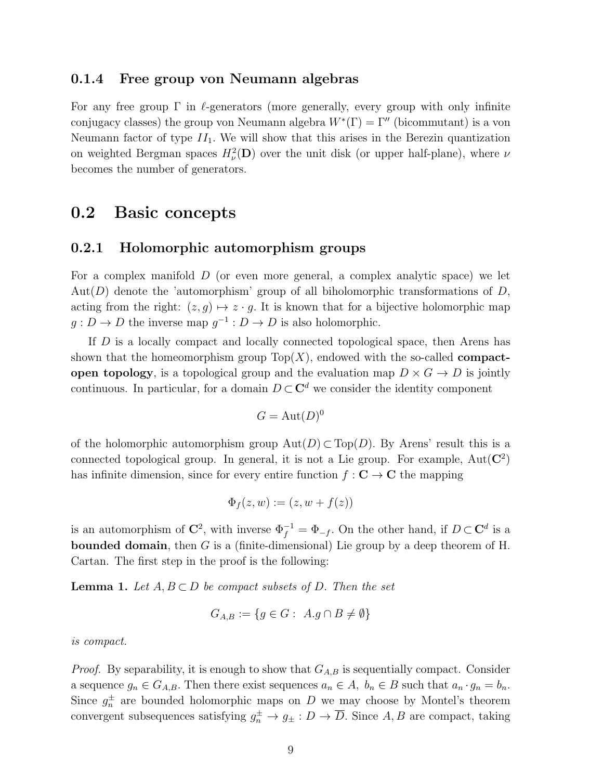#### 0.1.4 Free group von Neumann algebras

For any free group  $\Gamma$  in  $\ell$ -generators (more generally, every group with only infinite conjugacy classes) the group von Neumann algebra  $W^*(\Gamma) = \Gamma''$  (bicommutant) is a von Neumann factor of type  $II_1$ . We will show that this arises in the Berezin quantization on weighted Bergman spaces  $H^2_{\nu}(\mathbf{D})$  over the unit disk (or upper half-plane), where  $\nu$ becomes the number of generators.

### 0.2 Basic concepts

#### 0.2.1 Holomorphic automorphism groups

For a complex manifold D (or even more general, a complex analytic space) we let Aut $(D)$  denote the 'automorphism' group of all biholomorphic transformations of D, acting from the right:  $(z, g) \mapsto z \cdot g$ . It is known that for a bijective holomorphic map  $g: D \to D$  the inverse map  $g^{-1}: D \to D$  is also holomorphic.

If D is a locally compact and locally connected topological space, then Arens has shown that the homeomorphism group  $Top(X)$ , endowed with the so-called **compact**open topology, is a topological group and the evaluation map  $D \times G \to D$  is jointly continuous. In particular, for a domain  $D \subset \mathbb{C}^d$  we consider the identity component

$$
G = \mathrm{Aut}(D)^0
$$

of the holomorphic automorphism group  $Aut(D) \subset Top(D)$ . By Arens' result this is a connected topological group. In general, it is not a Lie group. For example,  $Aut(\mathbb{C}^2)$ has infinite dimension, since for every entire function  $f: \mathbf{C} \to \mathbf{C}$  the mapping

$$
\Phi_f(z, w) := (z, w + f(z))
$$

is an automorphism of  $\mathbb{C}^2$ , with inverse  $\Phi_f^{-1} = \Phi_{-f}$ . On the other hand, if  $D \subset \mathbb{C}^d$  is a **bounded domain**, then G is a (finite-dimensional) Lie group by a deep theorem of H. Cartan. The first step in the proof is the following:

**Lemma 1.** Let  $A, B \subset D$  be compact subsets of D. Then the set

$$
G_{A,B} := \{ g \in G : \ A.g \cap B \neq \emptyset \}
$$

is compact.

*Proof.* By separability, it is enough to show that  $G_{A,B}$  is sequentially compact. Consider a sequence  $g_n \in G_{A,B}$ . Then there exist sequences  $a_n \in A$ ,  $b_n \in B$  such that  $a_n \cdot g_n = b_n$ . Since  $g_n^{\pm}$  are bounded holomorphic maps on D we may choose by Montel's theorem convergent subsequences satisfying  $g_n^{\pm} \to g_{\pm} : D \to \overline{D}$ . Since A, B are compact, taking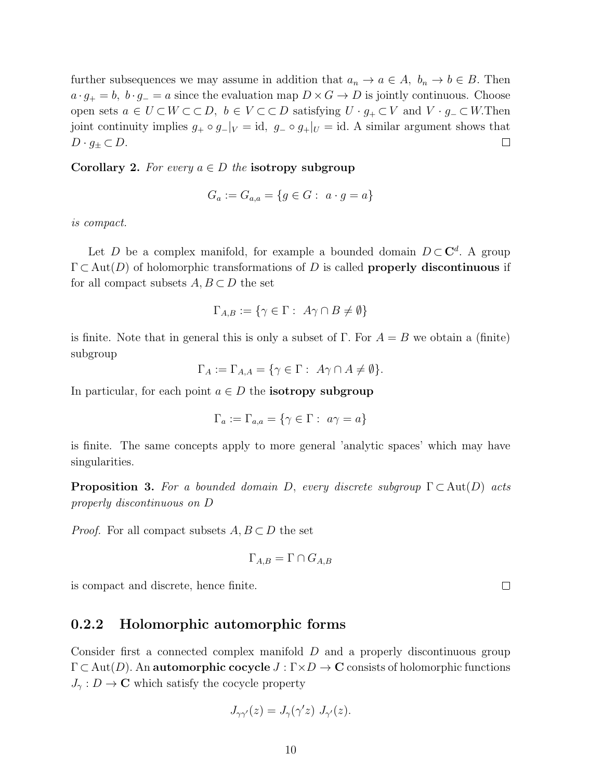further subsequences we may assume in addition that  $a_n \to a \in A$ ,  $b_n \to b \in B$ . Then  $a \cdot g_+ = b$ ,  $b \cdot g_- = a$  since the evaluation map  $D \times G \to D$  is jointly continuous. Choose open sets  $a \in U \subset W \subset \subset D$ ,  $b \in V \subset \subset D$  satisfying  $U \cdot g_+ \subset V$  and  $V \cdot g_- \subset W$ . Then joint continuity implies  $g_+ \circ g_-|_V = id$ ,  $g_- \circ g_+|_U = id$ . A similar argument shows that  $D \cdot g_{\pm} \subset D$ .  $\Box$ 

Corollary 2. For every  $a \in D$  the isotropy subgroup

$$
G_a := G_{a,a} = \{ g \in G : a \cdot g = a \}
$$

is compact.

Let D be a complex manifold, for example a bounded domain  $D \subset \mathbb{C}^d$ . A group  $\Gamma \subset \text{Aut}(D)$  of holomorphic transformations of D is called **properly discontinuous** if for all compact subsets  $A, B \subset D$  the set

$$
\Gamma_{A,B} := \{ \gamma \in \Gamma : \ A\gamma \cap B \neq \emptyset \}
$$

is finite. Note that in general this is only a subset of  $\Gamma$ . For  $A = B$  we obtain a (finite) subgroup

$$
\Gamma_A := \Gamma_{A,A} = \{ \gamma \in \Gamma : A\gamma \cap A \neq \emptyset \}.
$$

In particular, for each point  $a \in D$  the **isotropy subgroup** 

$$
\Gamma_a := \Gamma_{a,a} = \{ \gamma \in \Gamma : \ a\gamma = a \}
$$

is finite. The same concepts apply to more general 'analytic spaces' which may have singularities.

**Proposition 3.** For a bounded domain D, every discrete subgroup  $\Gamma \subset \text{Aut}(D)$  acts properly discontinuous on D

*Proof.* For all compact subsets  $A, B \subset D$  the set

$$
\Gamma_{A,B} = \Gamma \cap G_{A,B}
$$

is compact and discrete, hence finite.

### 0.2.2 Holomorphic automorphic forms

Consider first a connected complex manifold D and a properly discontinuous group  $\Gamma \subset \text{Aut}(D)$ . An automorphic cocycle  $J : \Gamma \times D \to \mathbb{C}$  consists of holomorphic functions  $J_{\gamma}: D \to \mathbb{C}$  which satisfy the cocycle property

$$
J_{\gamma\gamma'}(z) = J_{\gamma}(\gamma'z) J_{\gamma'}(z).
$$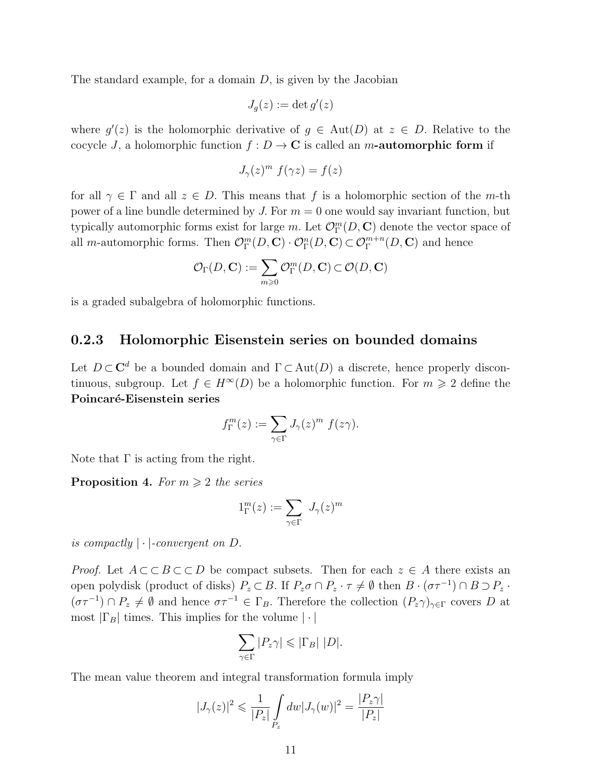The standard example, for a domain  $D$ , is given by the Jacobian

$$
J_g(z) := \det g'(z)
$$

where  $g'(z)$  is the holomorphic derivative of  $g \in Aut(D)$  at  $z \in D$ . Relative to the cocycle J, a holomorphic function  $f: D \to \mathbb{C}$  is called an m-automorphic form if

$$
J_{\gamma}(z)^m f(\gamma z) = f(z)
$$

for all  $\gamma \in \Gamma$  and all  $z \in D$ . This means that f is a holomorphic section of the m-th power of a line bundle determined by J. For  $m = 0$  one would say invariant function, but typically automorphic forms exist for large m. Let  $\mathcal{O}^m_\Gamma(D,\mathbf{C})$  denote the vector space of all *m*-automorphic forms. Then  $\mathcal{O}_{\Gamma}^m(D, \mathbf{C}) \cdot \mathcal{O}_{\Gamma}^n(D, \mathbf{C}) \subset \mathcal{O}_{\Gamma}^{m+n}(D, \mathbf{C})$  and hence

$$
\mathcal{O}_{\Gamma}(D,\mathbf{C}):=\sum_{m\geqslant 0}\mathcal{O}^m_{\Gamma}(D,\mathbf{C})\subset \mathcal{O}(D,\mathbf{C})
$$

is a graded subalgebra of holomorphic functions.

### 0.2.3 Holomorphic Eisenstein series on bounded domains

Let  $D \subset \mathbb{C}^d$  be a bounded domain and  $\Gamma \subset \text{Aut}(D)$  a discrete, hence properly discontinuous, subgroup. Let  $f \in H^{\infty}(D)$  be a holomorphic function. For  $m \geq 2$  define the Poincaré-Eisenstein series

$$
f_{\Gamma}^{m}(z) := \sum_{\gamma \in \Gamma} J_{\gamma}(z)^{m} f(z\gamma).
$$

Note that  $\Gamma$  is acting from the right.

**Proposition 4.** For  $m \geq 2$  the series

$$
1^m_\Gamma(z):=\sum_{\gamma\in\Gamma}\ J_\gamma(z)^m
$$

is compactly  $|\cdot|$ -convergent on D.

*Proof.* Let  $A \subset B \subset C$  be compact subsets. Then for each  $z \in A$  there exists an open polydisk (product of disks)  $P_z \subset B$ . If  $P_z \sigma \cap P_z \cdot \tau \neq \emptyset$  then  $B \cdot (\sigma \tau^{-1}) \cap B \supset P_z \cdot$  $(\sigma\tau^{-1}) \cap P_z \neq \emptyset$  and hence  $\sigma\tau^{-1} \in \Gamma_B$ . Therefore the collection  $(P_z\gamma)_{\gamma \in \Gamma}$  covers D at most  $|\Gamma_B|$  times. This implies for the volume  $|\cdot|$ 

$$
\sum_{\gamma \in \Gamma} |P_z \gamma| \leq |\Gamma_B| |D|.
$$

The mean value theorem and integral transformation formula imply

$$
|J_{\gamma}(z)|^2 \leqslant \frac{1}{|P_z|} \int_{P_z} dw |J_{\gamma}(w)|^2 = \frac{|P_z \gamma|}{|P_z|}
$$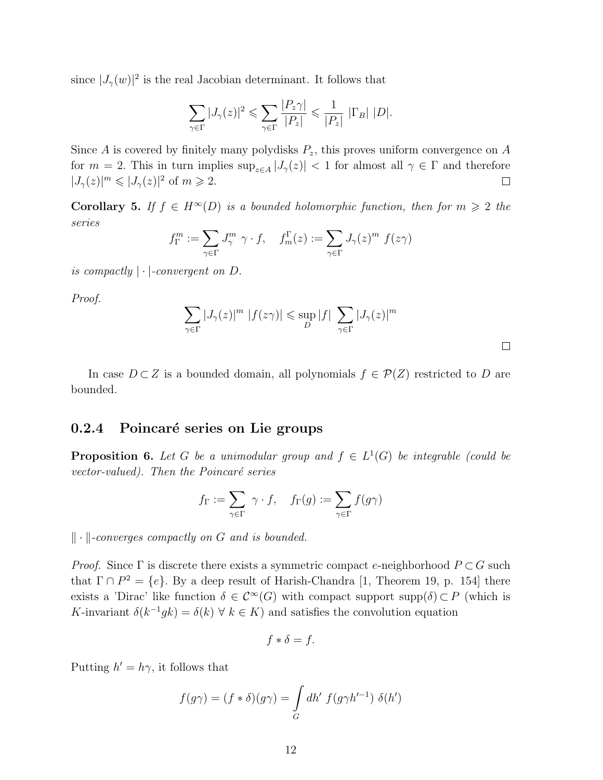since  $|J_{\gamma}(w)|^2$  is the real Jacobian determinant. It follows that

$$
\sum_{\gamma \in \Gamma} |J_{\gamma}(z)|^2 \leqslant \sum_{\gamma \in \Gamma} \frac{|P_z \gamma|}{|P_z|} \leqslant \frac{1}{|P_z|} |\Gamma_B| |D|.
$$

Since A is covered by finitely many polydisks  $P_z$ , this proves uniform convergence on A for  $m = 2$ . This in turn implies  $\sup_{z \in A} |J_{\gamma}(z)| < 1$  for almost all  $\gamma \in \Gamma$  and therefore  $|J_{\gamma}(z)|^{m} \leqslant |J_{\gamma}(z)|^{2}$  of  $m \geqslant 2$ .  $\Box$ 

Corollary 5. If  $f \in H^{\infty}(D)$  is a bounded holomorphic function, then for  $m \geq 2$  the series

$$
f_{\Gamma}^{m} := \sum_{\gamma \in \Gamma} J_{\gamma}^{m} \gamma \cdot f, \quad f_{m}^{\Gamma}(z) := \sum_{\gamma \in \Gamma} J_{\gamma}(z)^{m} f(z\gamma)
$$

is compactly  $|\cdot|$ -convergent on D.

Proof.

$$
\sum_{\gamma \in \Gamma} |J_{\gamma}(z)|^{m} |f(z\gamma)| \leq \sup_{D} |f| \sum_{\gamma \in \Gamma} |J_{\gamma}(z)|^{m}
$$

 $\Box$ 

In case  $D \subset Z$  is a bounded domain, all polynomials  $f \in \mathcal{P}(Z)$  restricted to D are bounded.

### 0.2.4 Poincaré series on Lie groups

**Proposition 6.** Let G be a unimodular group and  $f \in L^1(G)$  be integrable (could be vector-valued). Then the Poincaré series

$$
f_{\Gamma}:=\sum_{\gamma\in \Gamma} \ \gamma\cdot f, \quad f_{\Gamma}(g):=\sum_{\gamma\in \Gamma} f(g\gamma)
$$

 $\|\cdot\|$ -converges compactly on G and is bounded.

*Proof.* Since  $\Gamma$  is discrete there exists a symmetric compact e-neighborhood  $P \subset G$  such that  $\Gamma \cap P^2 = \{e\}$ . By a deep result of Harish-Chandra [1, Theorem 19, p. 154] there exists a 'Dirac' like function  $\delta \in C^{\infty}(G)$  with compact support supp $(\delta) \subset P$  (which is K-invariant  $\delta(k^{-1}gk) = \delta(k)$   $\forall$   $k \in K$ ) and satisfies the convolution equation

$$
f * \delta = f.
$$

Putting  $h' = h\gamma$ , it follows that

$$
f(g\gamma) = (f * \delta)(g\gamma) = \int_G dh' \ f(g\gamma h'^{-1}) \ \delta(h')
$$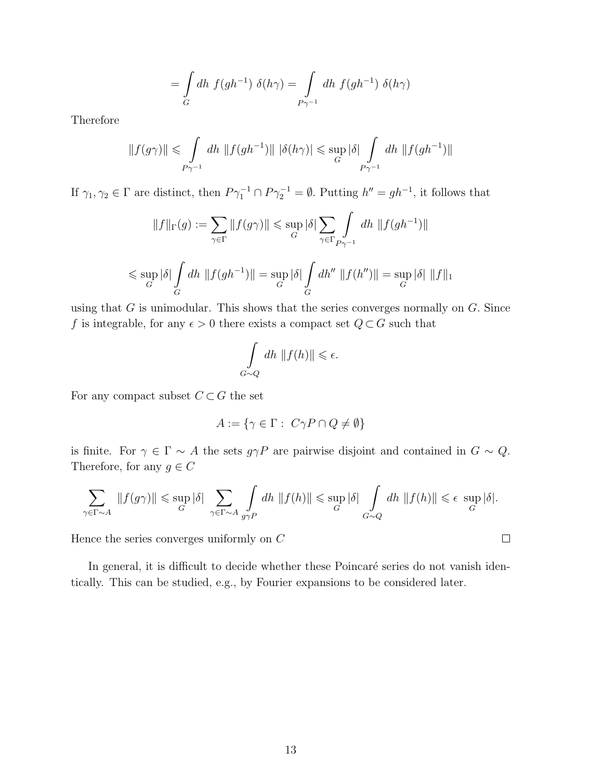$$
= \int\limits_G dh \ f(gh^{-1}) \ \delta(h\gamma) = \int\limits_{P\gamma^{-1}} dh \ f(gh^{-1}) \ \delta(h\gamma)
$$

Therefore

$$
||f(g\gamma)|| \leq \int_{P\gamma^{-1}} dh \, ||f(gh^{-1})|| \, |\delta(h\gamma)| \leq \sup_G |\delta| \int_{P\gamma^{-1}} dh \, ||f(gh^{-1})||
$$

If  $\gamma_1, \gamma_2 \in \Gamma$  are distinct, then  $P\gamma_1^{-1} \cap P\gamma_2^{-1} = \emptyset$ . Putting  $h'' = gh^{-1}$ , it follows that

$$
||f||_{\Gamma}(g) := \sum_{\gamma \in \Gamma} ||f(g\gamma)|| \le \sup_{G} |\delta| \sum_{\gamma \in \Gamma} \int_{P\gamma^{-1}} dh \, ||f(gh^{-1})||
$$
  

$$
\le \sup_{G} |\delta| \int_{G} dh \, ||f(gh^{-1})|| = \sup_{G} |\delta| \int_{G} dh'' \, ||f(h'')|| = \sup_{G} |\delta| \, ||f||_{1}
$$

using that  $G$  is unimodular. This shows that the series converges normally on  $G$ . Since f is integrable, for any  $\epsilon > 0$  there exists a compact set  $Q \subset G$  such that

$$
\int_{G\sim Q} dh \, \|f(h)\| \leq \epsilon.
$$

For any compact subset  $C \subset G$  the set

$$
A := \{ \gamma \in \Gamma : C\gamma P \cap Q \neq \emptyset \}
$$

is finite. For  $\gamma \in \Gamma \sim A$  the sets  $g\gamma P$  are pairwise disjoint and contained in  $G \sim Q$ . Therefore, for any  $g \in C$ 

$$
\sum_{\gamma \in \Gamma \sim A} ||f(g\gamma)|| \leq \sup_G |\delta| \sum_{\gamma \in \Gamma \sim A} \int_{g\gamma P} dh \, ||f(h)|| \leq \sup_G |\delta| \int_{G \sim Q} dh \, ||f(h)|| \leq \epsilon \, \sup_G |\delta|.
$$

 $\Box$ 

Hence the series converges uniformly on  $\mathcal C$ 

In general, it is difficult to decide whether these Poincaré series do not vanish identically. This can be studied, e.g., by Fourier expansions to be considered later.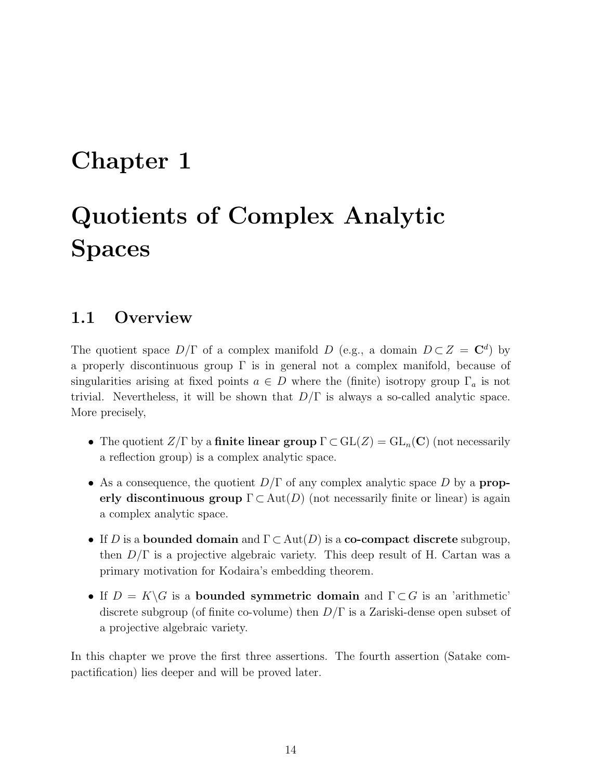## Chapter 1

# Quotients of Complex Analytic Spaces

### 1.1 Overview

The quotient space  $D/\Gamma$  of a complex manifold D (e.g., a domain  $D \subset Z = \mathbb{C}^d$ ) by a properly discontinuous group  $\Gamma$  is in general not a complex manifold, because of singularities arising at fixed points  $a \in D$  where the (finite) isotropy group  $\Gamma_a$  is not trivial. Nevertheless, it will be shown that  $D/\Gamma$  is always a so-called analytic space. More precisely,

- The quotient  $Z/\Gamma$  by a finite linear group  $\Gamma \subset GL(Z) = GL_n(\mathbb{C})$  (not necessarily a reflection group) is a complex analytic space.
- As a consequence, the quotient  $D/\Gamma$  of any complex analytic space D by a **prop**erly discontinuous group  $\Gamma \subset Aut(D)$  (not necessarily finite or linear) is again a complex analytic space.
- If D is a bounded domain and  $\Gamma \subset \text{Aut}(D)$  is a co-compact discrete subgroup, then  $D/\Gamma$  is a projective algebraic variety. This deep result of H. Cartan was a primary motivation for Kodaira's embedding theorem.
- If  $D = K\backslash G$  is a bounded symmetric domain and  $\Gamma \subset G$  is an 'arithmetic' discrete subgroup (of finite co-volume) then  $D/\Gamma$  is a Zariski-dense open subset of a projective algebraic variety.

In this chapter we prove the first three assertions. The fourth assertion (Satake compactification) lies deeper and will be proved later.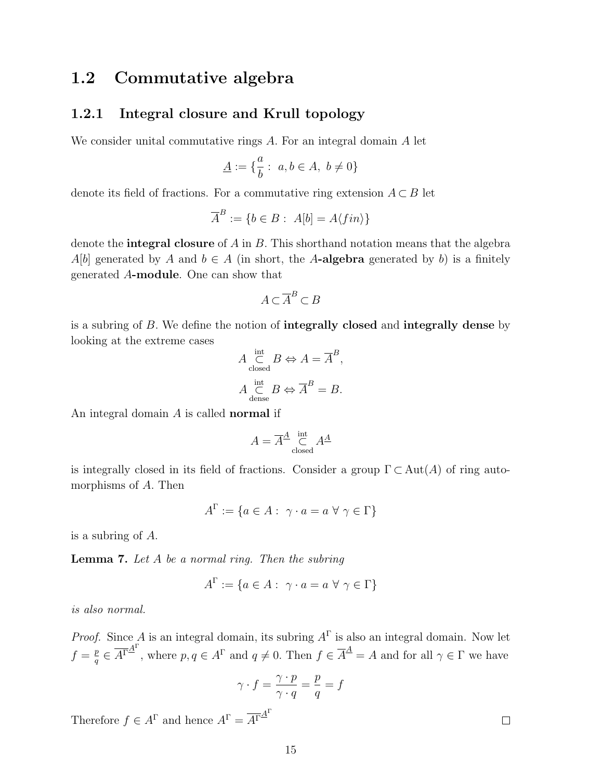## 1.2 Commutative algebra

### 1.2.1 Integral closure and Krull topology

 $\overline{D}$ 

We consider unital commutative rings A. For an integral domain A let

$$
\underline{A}:=\{\frac{a}{b}:\ a,b\in A,\ b\neq 0\}
$$

denote its field of fractions. For a commutative ring extension  $A \subset B$  let

$$
\overline{A}^B := \{ b \in B : A[b] = A \langle fin \rangle \}
$$

denote the **integral closure** of A in B. This shorthand notation means that the algebra A[b] generated by A and  $b \in A$  (in short, the A-algebra generated by b) is a finitely generated A-module. One can show that

$$
A \subset \overline{A}^B \subset B
$$

is a subring of B. We define the notion of integrally closed and integrally dense by looking at the extreme cases

$$
A\underset{\text{closed}}{\overset{\text{int}}{\subset}}B\Leftrightarrow A=\overline{A}^B,
$$
  

$$
A\underset{\text{dense}}{\overset{\text{int}}{\subset}}B\Leftrightarrow\overline{A}^B=B.
$$

An integral domain A is called normal if

$$
A = \overline{A}^{\underline{A}} \underset{\text{closed}}{\overset{\text{int}}{\subset}} A^{\underline{A}}
$$

is integrally closed in its field of fractions. Consider a group  $\Gamma \subset Aut(A)$  of ring automorphisms of A. Then

$$
A^{\Gamma} := \{ a \in A : \ \gamma \cdot a = a \ \forall \ \gamma \in \Gamma \}
$$

is a subring of A.

**Lemma 7.** Let  $A$  be a normal ring. Then the subring

$$
A^{\Gamma} := \{ a \in A : \ \gamma \cdot a = a \ \forall \ \gamma \in \Gamma \}
$$

is also normal.

*Proof.* Since A is an integral domain, its subring  $A^{\Gamma}$  is also an integral domain. Now let  $f=\frac{p}{a}$  $\frac{p}{q} \in \overline{A}^{\Gamma \Delta}$ <sup>r</sup>, where  $p, q \in A^{\Gamma}$  and  $q \neq 0$ . Then  $f \in \overline{A}^{\Delta} = A$  and for all  $\gamma \in \Gamma$  we have

$$
\gamma \cdot f = \frac{\gamma \cdot p}{\gamma \cdot q} = \frac{p}{q} = f
$$

Therefore  $f \in A^{\Gamma}$  and hence  $A^{\Gamma} = \overline{A^{\Gamma}}^{A^{\Gamma}}$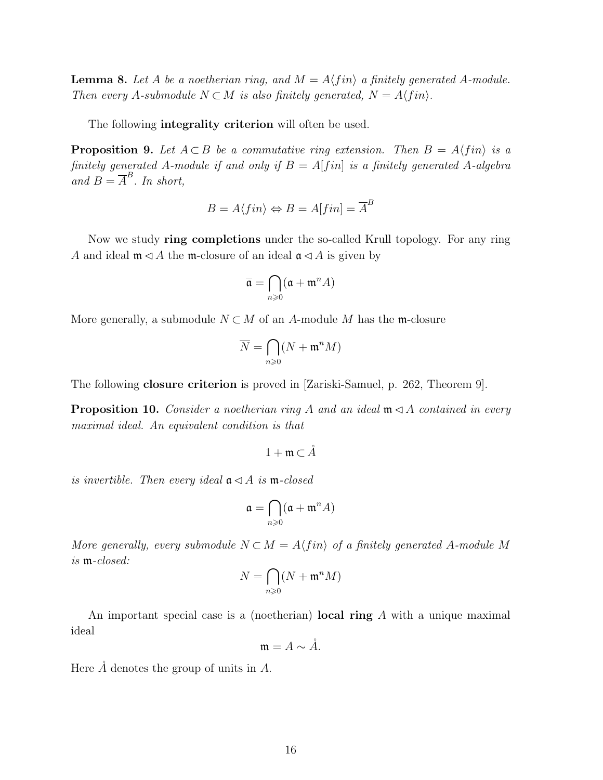**Lemma 8.** Let A be a noetherian ring, and  $M = A \langle fin \rangle$  a finitely generated A-module. Then every A-submodule  $N \subset M$  is also finitely generated,  $N = A \langle fin \rangle$ .

The following **integrality criterion** will often be used.

**Proposition 9.** Let  $A \subset B$  be a commutative ring extension. Then  $B = A \langle fin \rangle$  is a finitely generated A-module if and only if  $B = A[f\infty n]$  is a finitely generated A-algebra and  $B = \overline{A}^B$ . In short,

$$
B = A \langle fin \rangle \Leftrightarrow B = A[fin] = \overline{A}^B
$$

Now we study ring completions under the so-called Krull topology. For any ring A and ideal  $\mathfrak{m} \triangleleft A$  the  $\mathfrak{m}$ -closure of an ideal  $\mathfrak{a} \triangleleft A$  is given by

$$
\overline{\mathfrak{a}} = \bigcap_{n \geq 0} (\mathfrak{a} + \mathfrak{m}^n A)
$$

More generally, a submodule  $N \subset M$  of an A-module M has the m-closure

$$
\overline{N} = \bigcap_{n \geqslant 0} (N + \mathfrak{m}^n M)
$$

The following closure criterion is proved in [Zariski-Samuel, p. 262, Theorem 9].

**Proposition 10.** Consider a noetherian ring A and an ideal  $\mathfrak{m} \triangleleft A$  contained in every maximal ideal. An equivalent condition is that

$$
1+\mathfrak{m}\subset\AA
$$

is invertible. Then every ideal  $a \triangleleft A$  is m-closed

$$
\mathfrak{a}=\bigcap_{n\geqslant 0}(\mathfrak{a}+\mathfrak{m}^nA)
$$

More generally, every submodule  $N \subset M = A \langle fin \rangle$  of a finitely generated A-module M is m-closed:

$$
N = \bigcap_{n \geqslant 0} (N + \mathfrak{m}^n M)
$$

An important special case is a (noetherian) **local ring** A with a unique maximal ideal

$$
\mathfrak{m} = A \sim \mathring{A}.
$$

Here  $\AA$  denotes the group of units in  $A$ .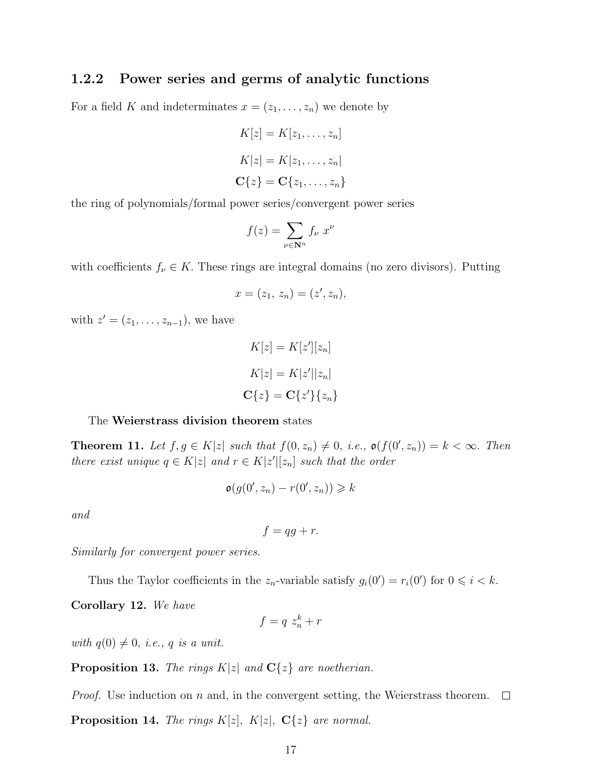### 1.2.2 Power series and germs of analytic functions

For a field K and indeterminates  $x = (z_1, \ldots, z_n)$  we denote by

$$
K[z] = K[z_1, \dots, z_n]
$$
  
\n
$$
K[z] = K[z_1, \dots, z_n]
$$
  
\n
$$
C\{z\} = C\{z_1, \dots, z_n\}
$$

the ring of polynomials/formal power series/convergent power series

$$
f(z) = \sum_{\nu \in \mathbf{N}^n} f_{\nu} \ x^{\nu}
$$

with coefficients  $f_{\nu} \in K$ . These rings are integral domains (no zero divisors). Putting

$$
x = (z_1, z_n) = (z', z_n),
$$

with  $z' = (z_1, ..., z_{n-1})$ , we have

$$
K[z] = K[z'][z_n]
$$

$$
K|z| = K|z'||z_n|
$$

$$
C\{z\} = C\{z'\}\{z_n\}
$$

#### The Weierstrass division theorem states

**Theorem 11.** Let  $f, g \in K[z]$  such that  $f(0, z_n) \neq 0$ , i.e.,  $\mathfrak{o}(f(0', z_n)) = k < \infty$ . Then there exist unique  $q \in K|z|$  and  $r \in K|z'|[z_n]$  such that the order

$$
\mathfrak{o}(g(0',z_n)-r(0',z_n))\geq k
$$

and

$$
f = qg + r.
$$

Similarly for convergent power series.

Thus the Taylor coefficients in the  $z_n$ -variable satisfy  $g_i(0') = r_i(0')$  for  $0 \leq i \leq k$ .

Corollary 12. We have

$$
f = q \ z_n^k + r
$$

with  $q(0) \neq 0$ , i.e., q is a unit.

**Proposition 13.** The rings  $K|z|$  and  $C\{z\}$  are noetherian.

*Proof.* Use induction on n and, in the convergent setting, the Weierstrass theorem.  $\Box$ **Proposition 14.** The rings  $K[z]$ ,  $K[z]$ ,  $C\{z\}$  are normal.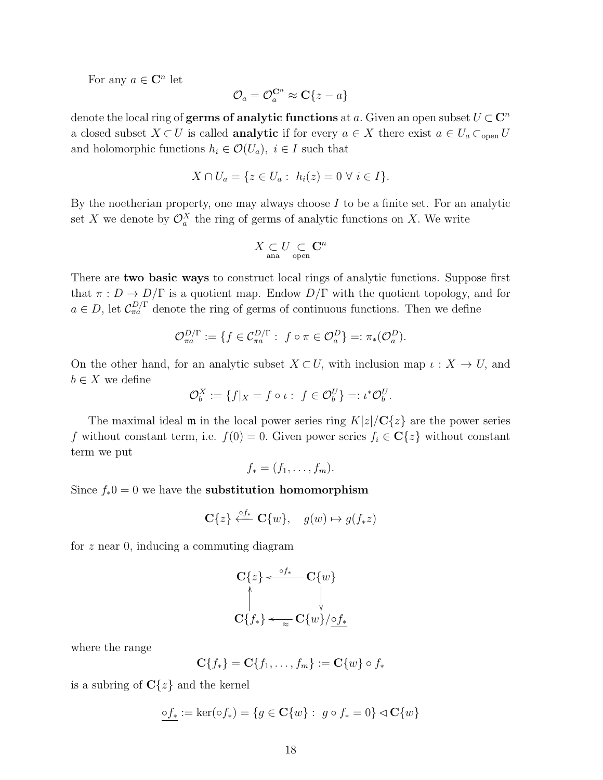For any  $a \in \mathbb{C}^n$  let

$$
\mathcal{O}_a = \mathcal{O}_a^{\mathbf{C}^n} \approx \mathbf{C} \{ z - a \}
$$

denote the local ring of **germs of analytic functions** at a. Given an open subset  $U \subset \mathbb{C}^n$ a closed subset  $X \subset U$  is called **analytic** if for every  $a \in X$  there exist  $a \in U_a \subset_{\text{open}} U$ and holomorphic functions  $h_i \in \mathcal{O}(U_a)$ ,  $i \in I$  such that

$$
X \cap U_a = \{ z \in U_a : h_i(z) = 0 \ \forall \ i \in I \}.
$$

By the noetherian property, one may always choose  $I$  to be a finite set. For an analytic set X we denote by  $\mathcal{O}_a^X$  the ring of germs of analytic functions on X. We write

$$
X\underset{\text{ana}}{\subset}U\underset{\text{open}}{\subset}\mathbf{C}^{n}
$$

There are **two basic ways** to construct local rings of analytic functions. Suppose first that  $\pi: D \to D/\Gamma$  is a quotient map. Endow  $D/\Gamma$  with the quotient topology, and for  $a \in D$ , let  $C_{\pi a}^{D/\Gamma}$  denote the ring of germs of continuous functions. Then we define

$$
\mathcal{O}_{\pi a}^{D/\Gamma} := \{ f \in \mathcal{C}_{\pi a}^{D/\Gamma} : f \circ \pi \in \mathcal{O}_{a}^{D} \} =: \pi_*(\mathcal{O}_{a}^{D}).
$$

On the other hand, for an analytic subset  $X \subset U$ , with inclusion map  $\iota : X \to U$ , and  $b \in X$  we define

$$
\mathcal{O}_b^X := \{ f|_X = f \circ \iota : f \in \mathcal{O}_b^U \} =: \iota^* \mathcal{O}_b^U.
$$

The maximal ideal  $\mathfrak m$  in the local power series ring  $K|z|/\mathbf{C}{z}$  are the power series f without constant term, i.e.  $f(0) = 0$ . Given power series  $f_i \in \mathbb{C}{z}$  without constant term we put

$$
f_*=(f_1,\ldots,f_m).
$$

Since  $f_*0 = 0$  we have the **substitution homomorphism** 

$$
\mathbf{C}\{z\} \stackrel{\circ f_*}{\longleftarrow} \mathbf{C}\{w\}, \quad g(w) \mapsto g(f_*z)
$$

for z near 0, inducing a commuting diagram

$$
\mathbf{C}\lbrace z \rbrace \leftarrow \begin{array}{c} \circ f_{*} & \mathbf{C}\lbrace w \rbrace \\ \uparrow & \downarrow \\ \mathbf{C}\lbrace f_{*} \rbrace \leftarrow \mathbf{C}\lbrace w \rbrace / \mathbf{O} f_{*} \end{array}
$$

where the range

$$
\mathbf{C}\lbrace f_*\rbrace = \mathbf{C}\lbrace f_1,\ldots,f_m\rbrace := \mathbf{C}\lbrace w\rbrace \circ f_*
$$

is a subring of  $C{z}$  and the kernel

$$
\underline{\circ f_*}:=\ker(\circ f_*)=\{g\in\mathbf{C}\{w\}:\ g\circ f_*=0\}\lhd\mathbf{C}\{w\}
$$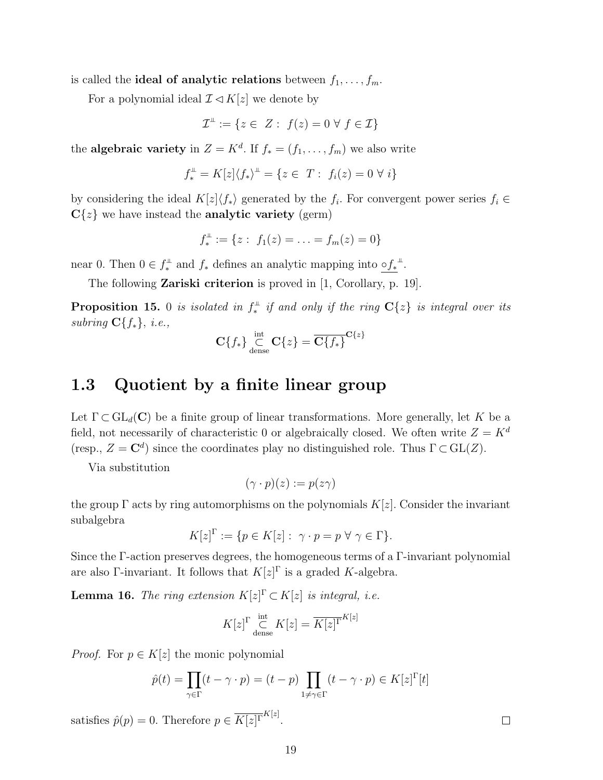is called the **ideal of analytic relations** between  $f_1, \ldots, f_m$ .

For a polynomial ideal  $\mathcal{I} \lhd K[z]$  we denote by

$$
\mathcal{I}^{\perp} := \{ z \in \ Z : \ f(z) = 0 \ \forall \ f \in \mathcal{I} \}
$$

the **algebraic variety** in  $Z = K^d$ . If  $f_* = (f_1, \ldots, f_m)$  we also write

$$
f_*^{\perp} = K[z] \langle f_* \rangle^{\perp} = \{ z \in T : f_i(z) = 0 \ \forall i \}
$$

by considering the ideal  $K[z]\langle f_*\rangle$  generated by the  $f_i$ . For convergent power series  $f_i \in$  $C\{z\}$  we have instead the **analytic variety** (germ)

$$
f_*^{\perp} := \{ z : f_1(z) = \ldots = f_m(z) = 0 \}
$$

near 0. Then  $0 \in f_*^{\perp}$  and  $f_*$  defines an analytic mapping into  $\circ f_*^{\perp}$ .

The following Zariski criterion is proved in [1, Corollary, p. 19].

**Proposition 15.** 0 is isolated in  $f^{\perp}_{*}$  if and only if the ring  $C\{z\}$  is integral over its subring  $C{f_*}, i.e.,$ 

$$
\mathbf{C}\lbrace f_* \rbrace \mathop{\subset} \limits_{\mathrm{dense}}^{\mathrm{int}} \mathbf{C}\lbrace z \rbrace = \overline{\mathbf{C}\lbrace f_* \rbrace}^{\mathbf{C}\lbrace z \rbrace}
$$

### 1.3 Quotient by a finite linear group

Let  $\Gamma \subset GL_d(\mathbf{C})$  be a finite group of linear transformations. More generally, let K be a field, not necessarily of characteristic 0 or algebraically closed. We often write  $Z = K^d$ (resp.,  $Z = \mathbb{C}^d$ ) since the coordinates play no distinguished role. Thus  $\Gamma \subset GL(Z)$ .

Via substitution

$$
(\gamma \cdot p)(z) := p(z\gamma)
$$

the group  $\Gamma$  acts by ring automorphisms on the polynomials  $K[z]$ . Consider the invariant subalgebra

$$
K[z]^{\Gamma} := \{ p \in K[z] : \ \gamma \cdot p = p \ \forall \ \gamma \in \Gamma \}.
$$

Since the Γ-action preserves degrees, the homogeneous terms of a Γ-invariant polynomial are also Γ-invariant. It follows that  $K[z]^{\Gamma}$  is a graded K-algebra.

**Lemma 16.** The ring extension  $K[z]^{\Gamma} \subset K[z]$  is integral, i.e.

$$
K[z]^{\Gamma} \underset{\text{dense}}{\overset{\text{int}}{\subset}} K[z] = \overline{K[z]^{\Gamma}}^{K[z]}
$$

*Proof.* For  $p \in K[z]$  the monic polynomial

$$
\hat{p}(t) = \prod_{\gamma \in \Gamma} (t - \gamma \cdot p) = (t - p) \prod_{1 \neq \gamma \in \Gamma} (t - \gamma \cdot p) \in K[z]^{\Gamma}[t]
$$

satisfies  $\hat{p}(p) = 0$ . Therefore  $p \in \overline{K[z]}^{\Gamma^{K[z]}}$ .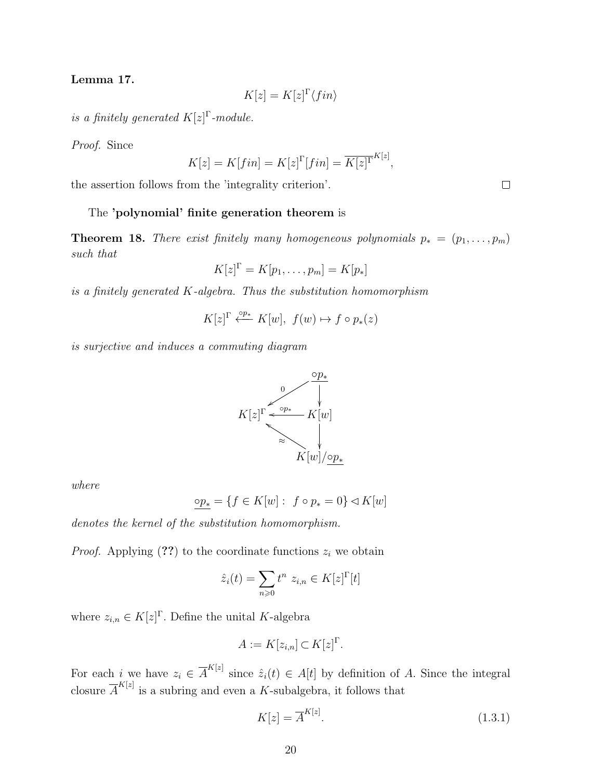#### Lemma 17.

$$
K[z] = K[z]^{\Gamma} \langle fin \rangle
$$

is a finitely generated  $K[z]^\Gamma$ -module.

Proof. Since

$$
K[z] = K[fin] = K[z]^{\Gamma}[fin] = \overline{K[z]^{\Gamma}}^{K[z]},
$$

the assertion follows from the 'integrality criterion'.

#### The 'polynomial' finite generation theorem is

**Theorem 18.** There exist finitely many homogeneous polynomials  $p_* = (p_1, \ldots, p_m)$ such that

$$
K[z]^{\Gamma} = K[p_1, \ldots, p_m] = K[p_*]
$$

is a finitely generated  $K$ -algebra. Thus the substitution homomorphism

$$
K[z]^\Gamma\stackrel{\circ p_*}{\longleftarrow} K[w],\ f(w)\mapsto f\circ p_*(z)
$$

is surjective and induces a commuting diagram



where

$$
\underline{\circ p_*} = \{ f \in K[w] : f \circ p_* = 0 \} \triangleleft K[w]
$$

denotes the kernel of the substitution homomorphism.

*Proof.* Applying  $(??)$  to the coordinate functions  $z_i$  we obtain

$$
\hat{z}_i(t) = \sum_{n\geq 0} t^n \ z_{i,n} \in K[z]^\Gamma[t]
$$

where  $z_{i,n} \in K[z]$ <sup> $\Gamma$ </sup>. Define the unital K-algebra

$$
A := K[z_{i,n}] \subset K[z]^{\Gamma}.
$$

For each *i* we have  $z_i \in \overline{A}^{K[z]}$  since  $\hat{z}_i(t) \in A[t]$  by definition of A. Since the integral closure  $\overline{A}^{K[z]}$  is a subring and even a K-subalgebra, it follows that

$$
K[z] = \overline{A}^{K[z]}.\tag{1.3.1}
$$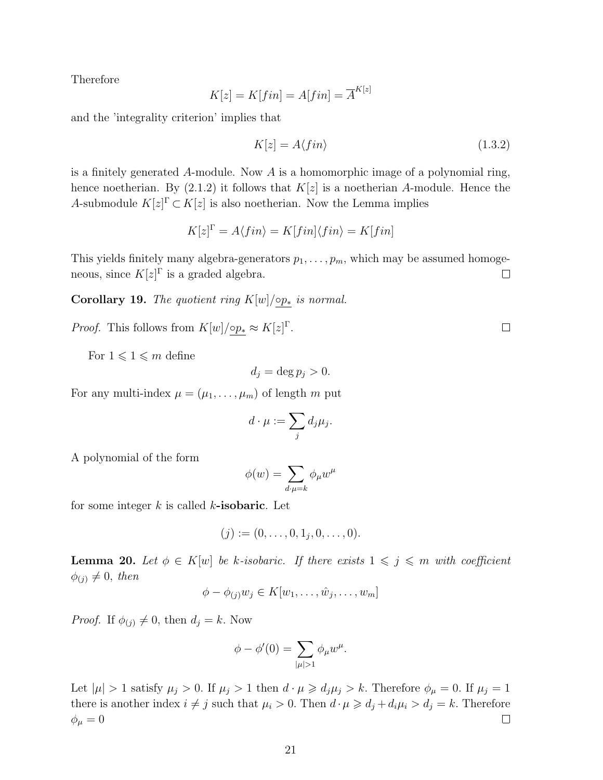Therefore

$$
K[z] = K[fin] = A[fin] = \overline{A}^{K[z]}
$$

and the 'integrality criterion' implies that

$$
K[z] = A \langle fin \rangle \tag{1.3.2}
$$

is a finitely generated A-module. Now A is a homomorphic image of a polynomial ring, hence noetherian. By  $(2.1.2)$  it follows that  $K[z]$  is a noetherian A-module. Hence the A-submodule  $K[z]^\Gamma \subset K[z]$  is also noetherian. Now the Lemma implies

$$
K[z]^{\Gamma} = A \langle fin \rangle = K[fin] \langle fin \rangle = K[fin]
$$

This yields finitely many algebra-generators  $p_1, \ldots, p_m$ , which may be assumed homogeneous, since  $K[z]^\Gamma$  is a graded algebra.  $\Box$ 

Corollary 19. The quotient ring  $K[w]/\circ p_*$  is normal.

*Proof.* This follows from  $K[w]/\varphi_{\mathcal{P}} \approx K[z]^{\Gamma}$ .

For  $1 \leqslant 1 \leqslant m$  define

$$
d_j = \deg p_j > 0.
$$

For any multi-index  $\mu = (\mu_1, \dots, \mu_m)$  of length m put

$$
d\cdot \mu := \sum_j d_j \mu_j.
$$

A polynomial of the form

$$
\phi(w) = \sum_{d\cdot\mu=k} \phi_{\mu} w^{\mu}
$$

for some integer  $k$  is called  $k$ -isobaric. Let

$$
(j) := (0, \ldots, 0, 1_j, 0, \ldots, 0).
$$

**Lemma 20.** Let  $\phi \in K[w]$  be k-isobaric. If there exists  $1 \leq j \leq m$  with coefficient  $\phi_{(j)} \neq 0$ , then

$$
\phi - \phi_{(j)}w_j \in K[w_1, \dots, \hat{w}_j, \dots, w_m]
$$

*Proof.* If  $\phi_{(j)} \neq 0$ , then  $d_j = k$ . Now

$$
\phi - \phi'(0) = \sum_{|\mu|>1} \phi_{\mu} w^{\mu}.
$$

Let  $|\mu| > 1$  satisfy  $\mu_j > 0$ . If  $\mu_j > 1$  then  $d \cdot \mu \geq d_j \mu_j > k$ . Therefore  $\phi_{\mu} = 0$ . If  $\mu_j = 1$ there is another index  $i \neq j$  such that  $\mu_i > 0$ . Then  $d \cdot \mu \geq d_j + d_i \mu_i > d_j = k$ . Therefore  $\Box$  $\phi_{\mu}=0$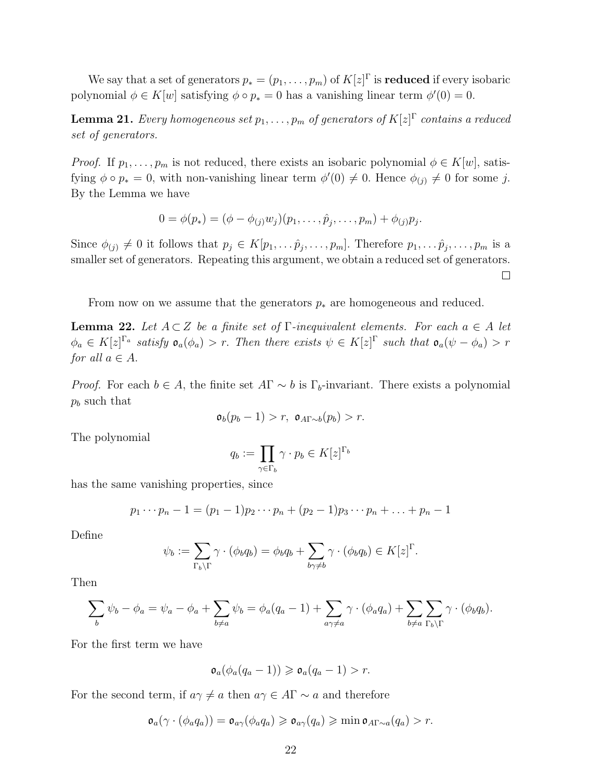We say that a set of generators  $p_* = (p_1, \ldots, p_m)$  of  $K[z]^\Gamma$  is **reduced** if every isobaric polynomial  $\phi \in K[w]$  satisfying  $\phi \circ p_* = 0$  has a vanishing linear term  $\phi'(0) = 0$ .

**Lemma 21.** Every homogeneous set  $p_1,\ldots,p_m$  of generators of  $K[z]^{\Gamma}$  contains a reduced set of generators.

*Proof.* If  $p_1, \ldots, p_m$  is not reduced, there exists an isobaric polynomial  $\phi \in K[w]$ , satisfying  $\phi \circ p_* = 0$ , with non-vanishing linear term  $\phi'(0) \neq 0$ . Hence  $\phi_{(j)} \neq 0$  for some j. By the Lemma we have

$$
0 = \phi(p_*) = (\phi - \phi_{(j)}w_j)(p_1, \ldots, \hat{p}_j, \ldots, p_m) + \phi_{(j)}p_j.
$$

Since  $\phi_{(j)} \neq 0$  it follows that  $p_j \in K[p_1, \ldots \hat{p}_j, \ldots, p_m]$ . Therefore  $p_1, \ldots \hat{p}_j, \ldots, p_m$  is a smaller set of generators. Repeating this argument, we obtain a reduced set of generators.  $\Box$ 

From now on we assume that the generators  $p_*$  are homogeneous and reduced.

**Lemma 22.** Let  $A \subset Z$  be a finite set of  $\Gamma$ -inequivalent elements. For each  $a \in A$  let  $\phi_a \in K[z]^{\Gamma_a}$  satisfy  $\mathfrak{o}_a(\phi_a) > r$ . Then there exists  $\psi \in K[z]^{\Gamma}$  such that  $\mathfrak{o}_a(\psi - \phi_a) > r$ for all  $a \in A$ .

*Proof.* For each  $b \in A$ , the finite set  $A\Gamma \sim b$  is  $\Gamma_b$ -invariant. There exists a polynomial  $p_b$  such that

$$
\mathfrak{o}_b(p_b-1) > r, \ \mathfrak{o}_{A\Gamma \sim b}(p_b) > r.
$$

The polynomial

$$
q_b := \prod_{\gamma \in \Gamma_b} \gamma \cdot p_b \in K[z]^{\Gamma_b}
$$

has the same vanishing properties, since

$$
p_1 \cdots p_n - 1 = (p_1 - 1)p_2 \cdots p_n + (p_2 - 1)p_3 \cdots p_n + \ldots + p_n - 1
$$

Define

$$
\psi_b := \sum_{\Gamma_b \backslash \Gamma} \gamma \cdot (\phi_b q_b) = \phi_b q_b + \sum_{b \gamma \neq b} \gamma \cdot (\phi_b q_b) \in K[z]^\Gamma.
$$

Then

$$
\sum_{b} \psi_b - \phi_a = \psi_a - \phi_a + \sum_{b \neq a} \psi_b = \phi_a(q_a - 1) + \sum_{a \gamma \neq a} \gamma \cdot (\phi_a q_a) + \sum_{b \neq a} \sum_{\Gamma_b \backslash \Gamma} \gamma \cdot (\phi_b q_b).
$$

For the first term we have

$$
\mathfrak{o}_a(\phi_a(q_a-1))\geq \mathfrak{o}_a(q_a-1)>r.
$$

For the second term, if  $a\gamma \neq a$  then  $a\gamma \in A\Gamma \sim a$  and therefore

$$
\mathfrak{o}_a(\gamma \cdot (\phi_a q_a)) = \mathfrak{o}_{a\gamma}(\phi_a q_a) \geq \mathfrak{o}_{a\gamma}(q_a) \geqslant \min \mathfrak{o}_{A\Gamma \sim a}(q_a) > r.
$$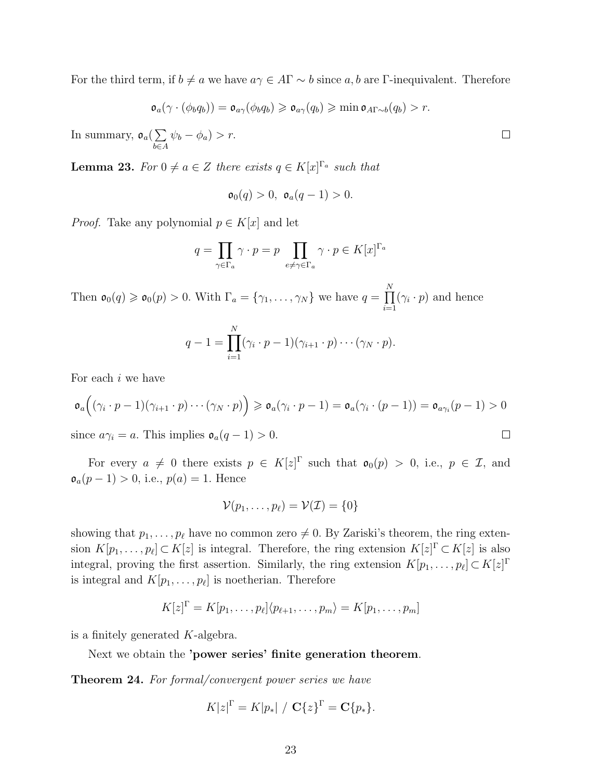For the third term, if  $b \neq a$  we have  $a\gamma \in A\Gamma \sim b$  since a, b are Γ-inequivalent. Therefore

$$
\mathfrak{o}_a(\gamma \cdot (\phi_b q_b)) = \mathfrak{o}_{a\gamma}(\phi_b q_b) \geqslant \mathfrak{o}_{a\gamma}(q_b) \geqslant \min \mathfrak{o}_{A\Gamma \sim b}(q_b) > r.
$$

In summary,  $\mathfrak{o}_a(\sum)$ b∈A  $\psi_b - \phi_a$ ) > r.

**Lemma 23.** For  $0 \neq a \in \mathbb{Z}$  there exists  $q \in K[x]^{n_a}$  such that

$$
\mathfrak{o}_0(q) > 0, \ \mathfrak{o}_a(q-1) > 0.
$$

*Proof.* Take any polynomial  $p \in K[x]$  and let

$$
q = \prod_{\gamma \in \Gamma_a} \gamma \cdot p = p \prod_{e \neq \gamma \in \Gamma_a} \gamma \cdot p \in K[x]^{\Gamma_a}
$$

Then  $\mathfrak{o}_0(q) \geqslant \mathfrak{o}_0(p) > 0$ . With  $\Gamma_a = \{\gamma_1, \ldots, \gamma_N\}$  we have  $q = \prod^N$  $i=1$  $(\gamma_i \cdot p)$  and hence

$$
q-1=\prod_{i=1}^N(\gamma_i\cdot p-1)(\gamma_{i+1}\cdot p)\cdots(\gamma_N\cdot p).
$$

For each i we have

$$
\mathfrak{o}_a((\gamma_i \cdot p-1)(\gamma_{i+1} \cdot p) \cdots (\gamma_N \cdot p)) \geq \mathfrak{o}_a(\gamma_i \cdot p-1) = \mathfrak{o}_a(\gamma_i \cdot (p-1)) = \mathfrak{o}_{a\gamma_i}(p-1) > 0
$$

since  $a\gamma_i = a$ . This implies  $\mathfrak{o}_a(q-1) > 0$ .

For every  $a \neq 0$  there exists  $p \in K[z]^{\Gamma}$  such that  $\mathfrak{o}_0(p) > 0$ , i.e.,  $p \in \mathcal{I}$ , and  $\mathfrak{o}_a(p-1) > 0$ , i.e.,  $p(a) = 1$ . Hence

$$
\mathcal{V}(p_1,\ldots,p_\ell)=\mathcal{V}(\mathcal{I})=\{0\}
$$

showing that  $p_1, \ldots, p_\ell$  have no common zero  $\neq 0$ . By Zariski's theorem, the ring extension  $K[p_1, \ldots, p_\ell] \subset K[z]$  is integral. Therefore, the ring extension  $K[z] \subset K[z]$  is also integral, proving the first assertion. Similarly, the ring extension  $K[p_1, \ldots, p_\ell] \subset K[z]$ <sup> $\Gamma$ </sup> is integral and  $K[p_1, \ldots, p_\ell]$  is noetherian. Therefore

$$
K[z]^{\Gamma} = K[p_1, \ldots, p_{\ell}]\langle p_{\ell+1}, \ldots, p_m \rangle = K[p_1, \ldots, p_m]
$$

is a finitely generated K-algebra.

Next we obtain the 'power series' finite generation theorem.

Theorem 24. For formal/convergent power series we have

$$
K|z|^{\Gamma} = K|p_*| / \mathbf{C}\{z\}^{\Gamma} = \mathbf{C}\{p_*\}.
$$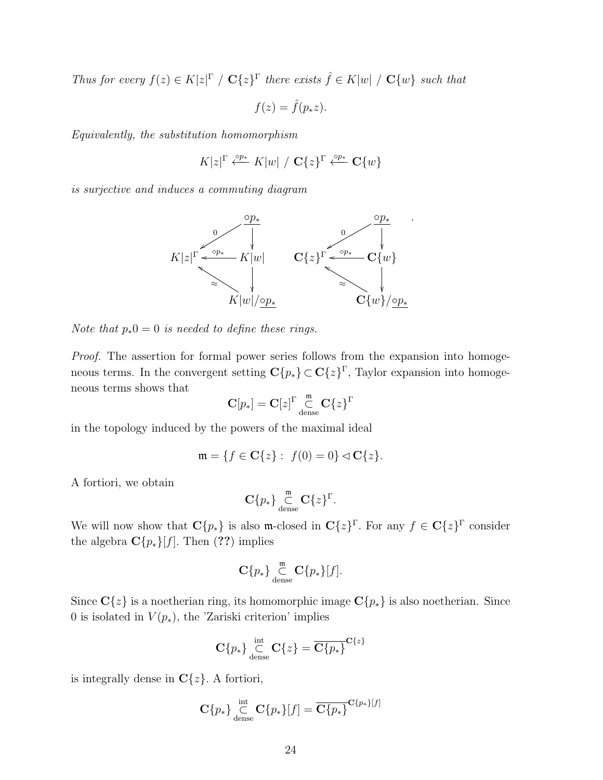Thus for every  $f(z) \in K|z|^{\Gamma}$  /  $\mathbf{C}{z}^{\Gamma}$  there exists  $\hat{f} \in K|w|$  /  $\mathbf{C}{w}$  such that

$$
f(z) = \hat{f}(p_* z).
$$

Equivalently, the substitution homomorphism

$$
K|z|^{\Gamma}\xleftarrow{\circ p*} K|w|\ / \mathbf{C}\{z\}^{\Gamma}\xleftarrow{\circ p*} \mathbf{C}\{w\}
$$

is surjective and induces a commuting diagram



Note that  $p_*0 = 0$  is needed to define these rings.

Proof. The assertion for formal power series follows from the expansion into homogeneous terms. In the convergent setting  $\mathbf{C}\{p_*\} \subset \mathbf{C}\{z\}^{\Gamma}$ , Taylor expansion into homogeneous terms shows that

$$
\mathbf{C}[p_*] = \mathbf{C}[z]^\Gamma \underset{\mathrm{dense}}{\overset{\mathfrak{m}}{\subset}} \mathbf{C}\{z\}^\Gamma
$$

in the topology induced by the powers of the maximal ideal

$$
\mathfrak{m} = \{ f \in \mathbf{C} \{ z \} : f(0) = 0 \} \triangleleft \mathbf{C} \{ z \}.
$$

A fortiori, we obtain

$$
\mathbf{C}\{p_*\}\underset{\text{dense}}{\overset{\mathfrak{m}}{\subset}}\mathbf{C}\{z\}^{\Gamma}.
$$

We will now show that  $\mathbf{C}\{p_*\}$  is also m-closed in  $\mathbf{C}\{z\}^{\Gamma}$ . For any  $f \in \mathbf{C}\{z\}^{\Gamma}$  consider the algebra  $\mathbf{C}\{p_*\}[f]$ . Then (??) implies

$$
\mathbf{C}\{p_*\}\underset{\text{dense}}{\overset{\mathfrak{m}}{\subset}}\mathbf{C}\{p_*\}[f].
$$

Since  $C\{z\}$  is a noetherian ring, its homomorphic image  $C\{p_*\}$  is also noetherian. Since 0 is isolated in  $V(p_*)$ , the 'Zariski criterion' implies

$$
\mathbf{C}\{p_*\}\bigcup_{\text{dense}}^{\text{int}} \mathbf{C}\{z\} = \overline{\mathbf{C}\{p_*\}}^{\mathbf{C}\{z\}}
$$

is integrally dense in  $C\{z\}$ . A fortiori,

$$
\mathbf{C}\{p_*\}\big\}_{\text{dense}}^{\text{int}} \mathbf{C}\{p_*\}[f] = \overline{\mathbf{C}\{p_*\}}^{\mathbf{C}\{p_*\}[f]}
$$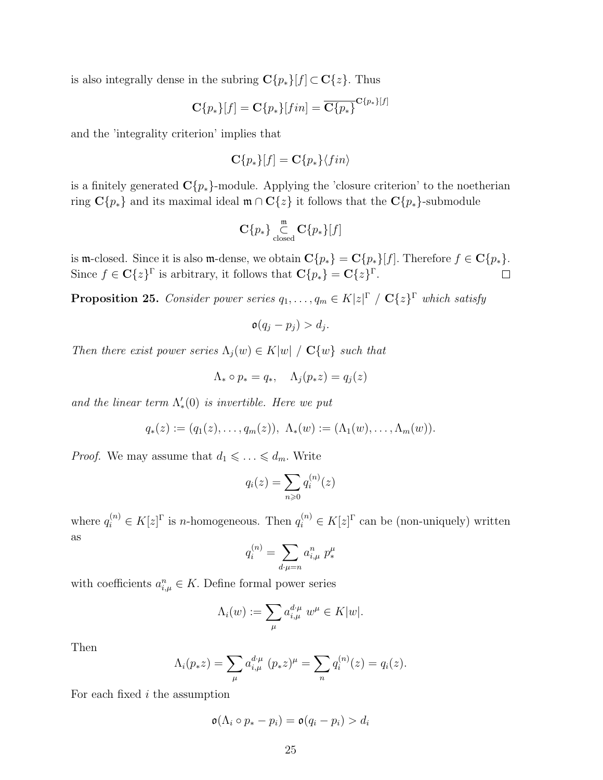is also integrally dense in the subring  $\mathbf{C}{p_*}[f] \subset \mathbf{C}{z}$ . Thus

$$
\mathbf{C}\{p_*\}[f] = \mathbf{C}\{p_*\}[fin] = \overline{\mathbf{C}\{p_*\}}^{\mathbf{C}\{p_*\}[f]}
$$

and the 'integrality criterion' implies that

$$
\mathbf{C}\{p_*\}[f] = \mathbf{C}\{p_*\}\langle fin \rangle
$$

is a finitely generated  $\mathbb{C}\{p_*\}$ -module. Applying the 'closure criterion' to the noetherian ring  $C{p_*}$  and its maximal ideal  $m \cap C{z}$  it follows that the  $C{p_*}$ -submodule

$$
\mathbf{C}\{p_*\}\underset{\text{closed}}{\overset{\mathfrak{m}}{\subset}}\mathbf{C}\{p_*\}[f]
$$

is m-closed. Since it is also m-dense, we obtain  $\mathbf{C}{p_*} = \mathbf{C}{p_*}[f]$ . Therefore  $f \in \mathbf{C}{p_*}$ . Since  $f \in \mathbf{C}\{z\}^{\Gamma}$  is arbitrary, it follows that  $\mathbf{C}\{p_*\} = \mathbf{C}\{z\}^{\Gamma}$ .  $\Box$ 

**Proposition 25.** Consider power series  $q_1, \ldots, q_m \in K[z]^{\Gamma} / \mathbf{C}\{z\}^{\Gamma}$  which satisfy

$$
\mathfrak{o}(q_j-p_j)>d_j.
$$

Then there exist power series  $\Lambda_j(w) \in K|w| / C\{w\}$  such that

$$
\Lambda_* \circ p_* = q_*, \quad \Lambda_j(p_* z) = q_j(z)
$$

and the linear term  $\Lambda'_*(0)$  is invertible. Here we put

$$
q_*(z) := (q_1(z), \ldots, q_m(z)), \ \Lambda_*(w) := (\Lambda_1(w), \ldots, \Lambda_m(w)).
$$

*Proof.* We may assume that  $d_1 \leq \ldots \leq d_m$ . Write

$$
q_i(z) = \sum_{n \geqslant 0} q_i^{(n)}(z)
$$

where  $q_i^{(n)} \in K[z]^{\Gamma}$  is *n*-homogeneous. Then  $q_i^{(n)} \in K[z]^{\Gamma}$  can be (non-uniquely) written as

$$
q_i^{(n)} = \sum_{d \cdot \mu = n} a_{i,\mu}^n p_*^{\mu}
$$

with coefficients  $a_{i,\mu}^n \in K$ . Define formal power series

$$
\Lambda_i(w) := \sum_{\mu} a_{i,\mu}^{d\,\mu} \; w^{\mu} \in K|w|.
$$

Then

$$
\Lambda_i(p_* z) = \sum_{\mu} a_{i,\mu}^{d \cdot \mu} (p_* z)^{\mu} = \sum_{n} q_i^{(n)}(z) = q_i(z).
$$

For each fixed  $i$  the assumption

$$
\mathfrak{o}(\Lambda_i \circ p_* - p_i) = \mathfrak{o}(q_i - p_i) > d_i
$$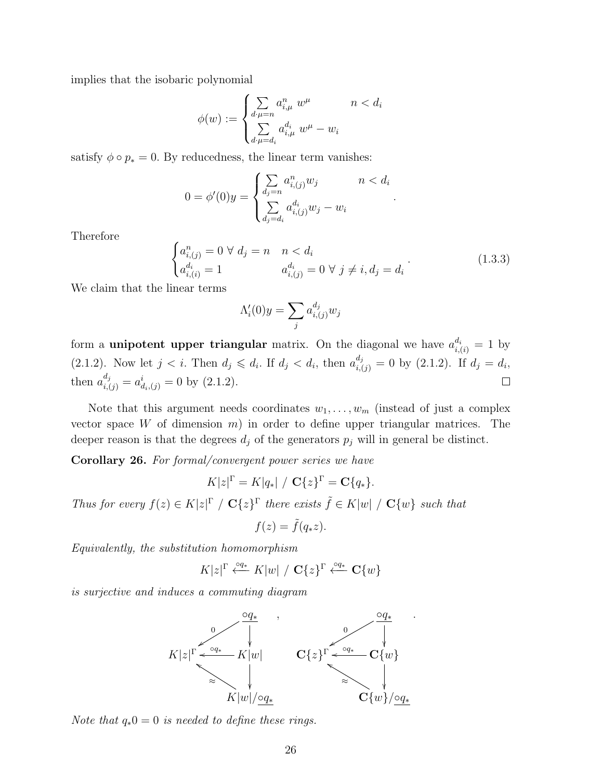implies that the isobaric polynomial

$$
\phi(w) := \begin{cases} \sum_{d:\mu=n} a_{i,\mu}^n \ w^{\mu} & n < d_i \\ \sum_{d:\mu=d_i} a_{i,\mu}^{d_i} \ w^{\mu} - w_i & \end{cases}
$$

satisfy  $\phi \circ p_* = 0$ . By reducedness, the linear term vanishes:

$$
0 = \phi'(0)y = \begin{cases} \sum_{d_j = n} a_{i,(j)}^n w_j & n < d_i \\ \sum_{d_j = d_i} a_{i,(j)}^{d_i} w_j - w_i & n \end{cases}
$$

Therefore

$$
\begin{cases}\na_{i,(j)}^n = 0 \ \forall \ d_j = n \quad n < d_i \\
a_{i,(i)}^d = 1 \qquad \qquad a_{i,(j)}^d = 0 \ \forall \ j \neq i, d_j = d_i\n\end{cases} \tag{1.3.3}
$$

.

We claim that the linear terms

$$
\Lambda_i'(0)y = \sum_j a_{i,(j)}^{d_j} w_j
$$

form a **unipotent upper triangular** matrix. On the diagonal we have  $a_{i,(i)}^{d_i} = 1$  by (2.1.2). Now let  $j < i$ . Then  $d_j \leq d_i$ . If  $d_j < d_i$ , then  $a_{i,(j)}^{d_j} = 0$  by (2.1.2). If  $d_j = d_i$ , then  $a_{i,(j)}^{a_j} = a_{d_i,(j)}^i = 0$  by  $(2.1.2)$ .  $\frac{d_j}{ } = a^i$ 

Note that this argument needs coordinates  $w_1, \ldots, w_m$  (instead of just a complex vector space W of dimension  $m$ ) in order to define upper triangular matrices. The deeper reason is that the degrees  $d_j$  of the generators  $p_j$  will in general be distinct.

Corollary 26. For formal/convergent power series we have

$$
K|z|^{\Gamma} = K|q_*| / \mathbf{C}\{z\}^{\Gamma} = \mathbf{C}\{q_*\}.
$$

Thus for every  $f(z) \in K|z|^{\Gamma}$  /  $\mathbf{C}{z}^{\Gamma}$  there exists  $\tilde{f} \in K|w|$  /  $\mathbf{C}{w}$  such that

$$
f(z) = \tilde{f}(q_* z).
$$

Equivalently, the substitution homomorphism

$$
K|z|^{\Gamma} \stackrel{\circ q_*}{\longleftarrow} K|w| / \mathbf{C}\{z\}^{\Gamma} \stackrel{\circ q_*}{\longleftarrow} \mathbf{C}\{w\}
$$

is surjective and induces a commuting diagram



Note that  $q_*0 = 0$  is needed to define these rings.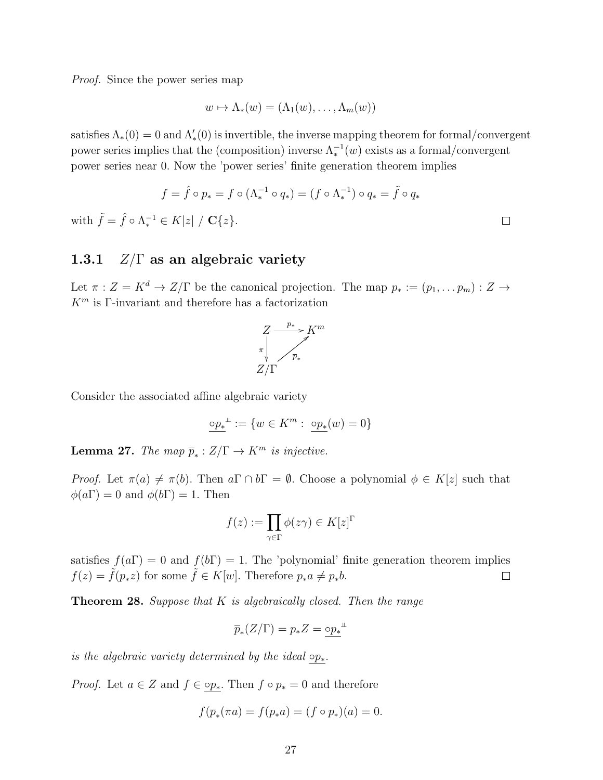Proof. Since the power series map

$$
w \mapsto \Lambda_*(w) = (\Lambda_1(w), \ldots, \Lambda_m(w))
$$

satisfies  $\Lambda_*(0) = 0$  and  $\Lambda'_*(0)$  is invertible, the inverse mapping theorem for formal/convergent power series implies that the (composition) inverse  $\Lambda_*^{-1}(w)$  exists as a formal/convergent power series near 0. Now the 'power series' finite generation theorem implies

$$
f = \hat{f} \circ p_* = f \circ (\Lambda_*^{-1} \circ q_*) = (f \circ \Lambda_*^{-1}) \circ q_* = \tilde{f} \circ q_*
$$
  

$$
f^{-1} \in K|z| / \mathbf{C}\{z\}
$$

 $\Box$ 

with  $\tilde{f} = \hat{f} \circ \Lambda_*^{-1} \in K[z] / \mathbf{C}\{z\}.$ 

### 1.3.1  $Z/\Gamma$  as an algebraic variety

Let  $\pi: Z = K^d \to Z/\Gamma$  be the canonical projection. The map  $p_* := (p_1, \ldots p_m) : Z \to Z$  $K<sup>m</sup>$  is Γ-invariant and therefore has a factorization



Consider the associated affine algebraic variety

$$
\underline{\mathrm{op}_*}^\perp:=\{w\in K^m:\ \underline{\mathrm{op}_*}(w)=0\}
$$

**Lemma 27.** The map  $\overline{p}_*$  :  $Z/\Gamma \rightarrow K^m$  is injective.

*Proof.* Let  $\pi(a) \neq \pi(b)$ . Then  $a \Gamma \cap b\Gamma = \emptyset$ . Choose a polynomial  $\phi \in K[z]$  such that  $\phi(a\Gamma) = 0$  and  $\phi(b\Gamma) = 1$ . Then

$$
f(z) := \prod_{\gamma \in \Gamma} \phi(z\gamma) \in K[z]^\Gamma
$$

satisfies  $f(a\Gamma) = 0$  and  $f(b\Gamma) = 1$ . The 'polynomial' finite generation theorem implies  $f(z) = \tilde{f}(p_*z)$  for some  $\tilde{f} \in K[w]$ . Therefore  $p_*a \neq p_*b$ .  $\Box$ 

**Theorem 28.** Suppose that  $K$  is algebraically closed. Then the range

$$
\overline{p}_*(Z/\Gamma)=p_*Z=\underline{\circ p_*}^{\perp}
$$

is the algebraic variety determined by the ideal  $\circ p_*$ .

*Proof.* Let  $a \in Z$  and  $f \in \underline{\circ p_*}$ . Then  $f \circ p_* = 0$  and therefore

$$
f(\overline{p}_*(\pi a) = f(p_* a) = (f \circ p_*)(a) = 0.
$$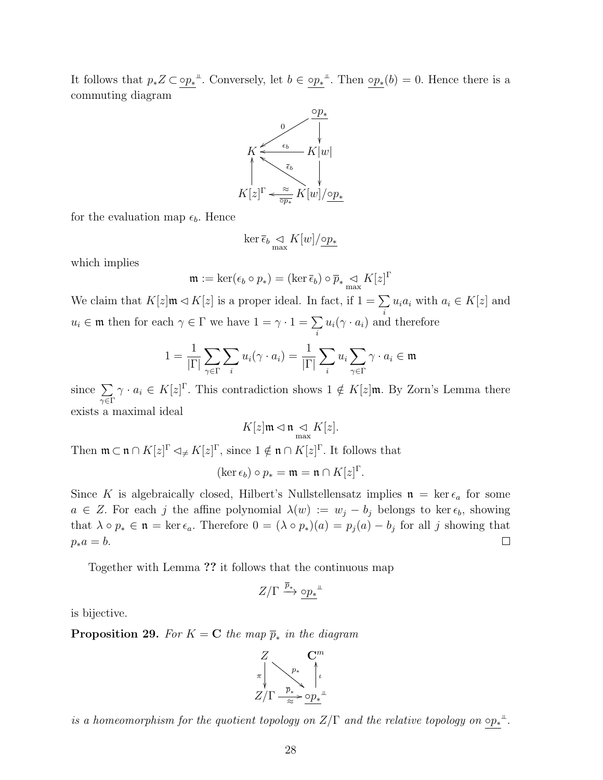It follows that  $p_*Z \subset \circ p_*^{\perp}$ . Conversely, let  $b \in \circ p_*^{\perp}$ . Then  $\circ p_*(b) = 0$ . Hence there is a commuting diagram



for the evaluation map  $\epsilon_b$ . Hence

$$
\ker \overline{\epsilon}_b \underset{\max}{\lhd} K[w]/\underline{\mathrm{op}}_*
$$

which implies

$$
\mathfrak{m} := \ker(\epsilon_b \circ p_*) = (\ker \overline{\epsilon}_b) \circ \overline{p}_* \mathop{\triangleleft}_{\text{max}} K[z]^\Gamma
$$

We claim that  $K[z] \mathfrak{m} \triangleleft K[z]$  is a proper ideal. In fact, if  $1 = \sum u_i a_i$  with  $a_i \in K[z]$  and  $u_i \in \mathfrak{m}$  then for each  $\gamma \in \Gamma$  we have  $1 = \gamma \cdot 1 = \sum u_i(\gamma \cdot a_i)$  and i  $u_i(\gamma \cdot a_i)$  and therefore

$$
1 = \frac{1}{|\Gamma|} \sum_{\gamma \in \Gamma} \sum_{i} u_i(\gamma \cdot a_i) = \frac{1}{|\Gamma|} \sum_{i} u_i \sum_{\gamma \in \Gamma} \gamma \cdot a_i \in \mathfrak{m}
$$

since  $\sum$  $\gamma {\in} \Gamma$  $\gamma \cdot a_i \in K[z]$ <sup>r</sup>. This contradiction shows  $1 \notin K[z]$ **m**. By Zorn's Lemma there exists a maximal ideal

$$
K[z] \mathfrak{m} \lhd \mathfrak{n} \underset{\text{max}}{\lhd} K[z].
$$

Then  $\mathfrak{m} \subset \mathfrak{n} \cap K[z]^{\Gamma} \triangleleft \neq K[z]^{\Gamma}$ , since  $1 \notin \mathfrak{n} \cap K[z]^{\Gamma}$ . It follows that

$$
(\ker \epsilon_b) \circ p_* = \mathfrak{m} = \mathfrak{n} \cap K[z]^\Gamma.
$$

Since K is algebraically closed, Hilbert's Nullstellensatz implies  $\mathfrak{n} = \ker \epsilon_a$  for some  $a \in Z$ . For each j the affine polynomial  $\lambda(w) := w_j - b_j$  belongs to ker $\epsilon_b$ , showing that  $\lambda \circ p_* \in \mathfrak{n} = \ker \epsilon_a$ . Therefore  $0 = (\lambda \circ p_*)(a) = p_j(a) - b_j$  for all j showing that  $\Box$  $p_*a = b.$ 

Together with Lemma ?? it follows that the continuous map

$$
Z/\Gamma \xrightarrow{\overline{p}_{*}} \underline{\mathrm{op}_{*}}^{\bot}
$$

is bijective.

**Proposition 29.** For  $K = \mathbf{C}$  the map  $\overline{p}_*$  in the diagram



is a homeomorphism for the quotient topology on  $Z/\Gamma$  and the relative topology on  $\circ p_*^{\perp}$ .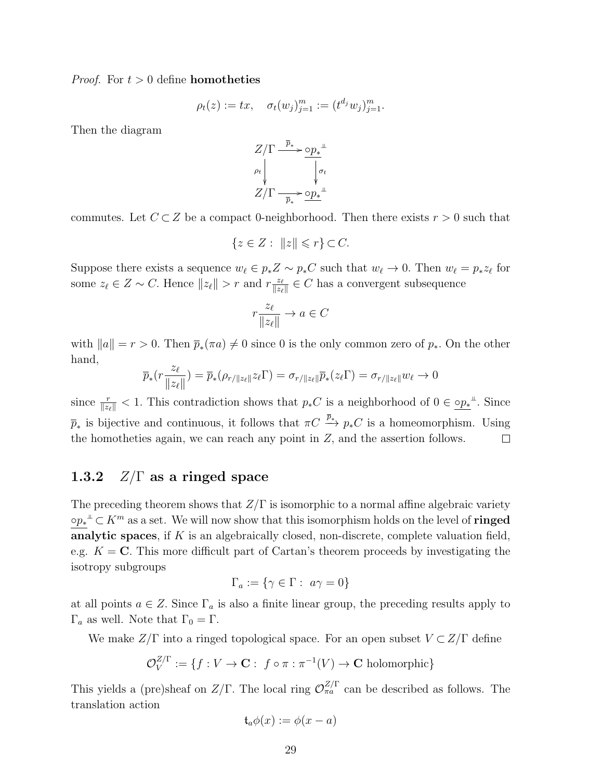*Proof.* For  $t > 0$  define **homotheties** 

$$
\rho_t(z) := tx, \quad \sigma_t(w_j)_{j=1}^m := (t^{d_j} w_j)_{j=1}^m.
$$

Then the diagram

$$
Z/\Gamma \xrightarrow{\overline{p}_*} \underline{\circ p_*}^{\perp}
$$
  
\n
$$
\rho_t \downarrow \qquad \qquad \downarrow \sigma_t
$$
  
\n
$$
Z/\Gamma \xrightarrow{\overline{p}_*} \underline{\circ p_*}^{\perp}
$$

commutes. Let  $C \subset Z$  be a compact 0-neighborhood. Then there exists  $r > 0$  such that

$$
\{z \in Z : ||z|| \leqslant r\} \subset C.
$$

Suppose there exists a sequence  $w_{\ell} \in p_* Z \sim p_* C$  such that  $w_{\ell} \to 0$ . Then  $w_{\ell} = p_* z_{\ell}$  for some  $z_{\ell} \in Z \sim C$ . Hence  $||z_{\ell}|| > r$  and  $r \frac{z_{\ell}}{||z_{\ell}||}$  $\frac{z_{\ell}}{\Vert z_{\ell} \Vert} \in C$  has a convergent subsequence

$$
r \frac{z_{\ell}}{\|z_{\ell}\|} \to a \in C
$$

with  $||a|| = r > 0$ . Then  $\bar{p}_*(\pi a) \neq 0$  since 0 is the only common zero of  $p_*$ . On the other hand,

$$
\overline{p}_*(r \frac{z_\ell}{\|z_\ell\|}) = \overline{p}_*(\rho_{r/\|z_\ell\|} z_\ell \Gamma) = \sigma_{r/\|z_\ell\|} \overline{p}_*(z_\ell \Gamma) = \sigma_{r/\|z_\ell\|} w_\ell \to 0
$$

since  $\frac{r}{\|z_\ell\|} < 1$ . This contradiction shows that  $p_*C$  is a neighborhood of  $0 \in \underline{\mathrm{op}}_*^{\perp}$ . Since  $\overline{p}_*$  is bijective and continuous, it follows that  $\pi C \stackrel{\overline{p}_*}{\longrightarrow} p_*C$  is a homeomorphism. Using the homotheties again, we can reach any point in Z, and the assertion follows.  $\Box$ 

### 1.3.2  $Z/\Gamma$  as a ringed space

The preceding theorem shows that  $Z/\Gamma$  is isomorphic to a normal affine algebraic variety  $\circ p_*^{\perp} \subset K^m$  as a set. We will now show that this isomorphism holds on the level of **ringed** analytic spaces, if  $K$  is an algebraically closed, non-discrete, complete valuation field, e.g.  $K = \mathbb{C}$ . This more difficult part of Cartan's theorem proceeds by investigating the isotropy subgroups

$$
\Gamma_a := \{ \gamma \in \Gamma : a\gamma = 0 \}
$$

at all points  $a \in \mathbb{Z}$ . Since  $\Gamma_a$  is also a finite linear group, the preceding results apply to  $\Gamma_a$  as well. Note that  $\Gamma_0 = \Gamma$ .

We make  $Z/\Gamma$  into a ringed topological space. For an open subset  $V \subset Z/\Gamma$  define

$$
\mathcal{O}_V^{Z/\Gamma} := \{ f : V \to \mathbf{C} : f \circ \pi : \pi^{-1}(V) \to \mathbf{C} \text{ holomorphic} \}
$$

This yields a (pre)sheaf on  $Z/\Gamma$ . The local ring  $\mathcal{O}_{\pi a}^{Z/\Gamma}$  can be described as follows. The translation action

$$
\mathfrak{t}_a\phi(x):=\phi(x-a)
$$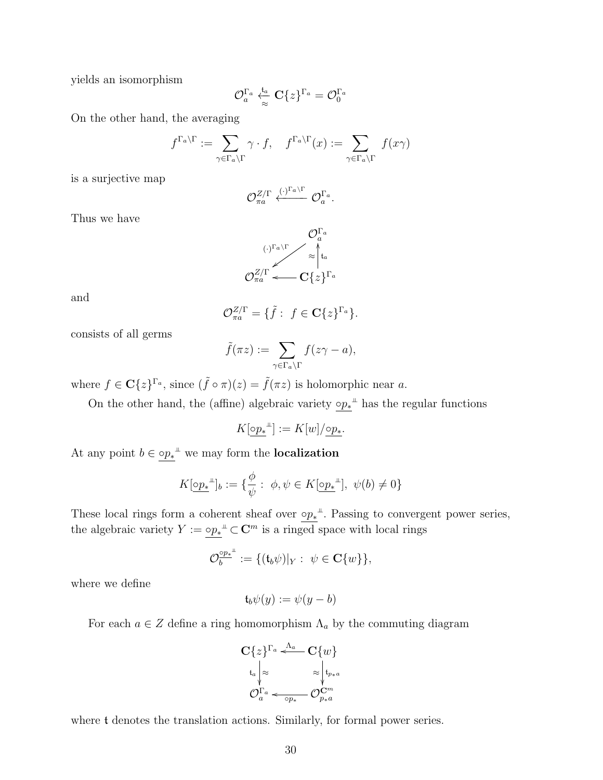yields an isomorphism

$$
\mathcal{O}_a^{\Gamma_a} \overset{\mathfrak{t}_a}{\underset{\approx}{\rightleftarrows}} \mathbf{C} \{z\}^{\Gamma_a} = \mathcal{O}_0^{\Gamma_a}
$$

On the other hand, the averaging

$$
f^{\Gamma_a \setminus \Gamma} := \sum_{\gamma \in \Gamma_a \setminus \Gamma} \gamma \cdot f, \quad f^{\Gamma_a \setminus \Gamma}(x) := \sum_{\gamma \in \Gamma_a \setminus \Gamma} f(x\gamma)
$$

is a surjective map

$$
\mathcal{O}_{\pi a}^{Z/\Gamma} \xleftarrow{(\cdot)^{\Gamma_a \setminus \Gamma}} \mathcal{O}_a^{\Gamma_a}.
$$

Thus we have

$$
\mathcal{O}_a^{\Gamma_a}
$$
  

$$
\mathcal{O}_{\pi_a}^{\mathbb{Z}/\Gamma} \sim \approx \mid \mathfrak{t}_a
$$
  

$$
\mathcal{O}_{\pi_a}^{\mathbb{Z}/\Gamma} \longleftarrow \mathbf{C} \{z\}^{\Gamma_a}
$$

and

$$
\mathcal{O}_{\pi a}^{Z/\Gamma} = \{ \tilde{f} : f \in \mathbf{C} \{z\}^{\Gamma_a} \}.
$$

consists of all germs

$$
\tilde{f}(\pi z) := \sum_{\gamma \in \Gamma_a \backslash \Gamma} f(z\gamma - a),
$$

where  $f \in \mathbf{C}\{z\}^{\Gamma_a}$ , since  $(\tilde{f} \circ \pi)(z) = \tilde{f}(\pi z)$  is holomorphic near a.

On the other hand, the (affine) algebraic variety  $\circ p_*^{\perp}$  has the regular functions

$$
K[\underline{\circ p_*}^{\perp}]:=K[w]/\underline{\circ p_*}.
$$

At any point  $b \in \circ p_*^{\perp}$  we may form the **localization** 

$$
K[\underline{\circ p_{*}}^{\perp} ]_{b} := \{ \frac{\phi}{\psi} : \phi, \psi \in K[\underline{\circ p_{*}}^{\perp} ], \ \psi(b) \neq 0 \}
$$

These local rings form a coherent sheaf over  $\circ p_*$ <sup> $\perp$ </sup>. Passing to convergent power series, the algebraic variety  $Y := \circ p_*^{\perp\!\!\!\perp} \subset \mathbb{C}^m$  is a ringed space with local rings

$$
\mathcal{O}_b^{\circ p_*^{\perp}} := \{(\mathfrak{t}_b \psi)|_Y: \ \psi \in \mathbf{C}\{w\}\},\
$$

where we define

$$
\mathfrak{t}_b \psi(y) := \psi(y - b)
$$

For each  $a \in \mathbb{Z}$  define a ring homomorphism  $\Lambda_a$  by the commuting diagram

$$
\mathbf{C}\lbrace z\rbrace^{\Gamma_a} \stackrel{\Lambda_a}{\longleftarrow} \mathbf{C}\lbrace w\rbrace
$$

$$
\begin{array}{c}\n\downarrow_{t_a} \bigg|_{\approx} \qquad \qquad \approx \bigg| \downarrow_{p*a} \\
\mathcal{O}_a^{\Gamma_a} \longleftarrow \mathcal{O}_{p_*}^{\mathbf{C}^m} \\
\mathcal{O}_{p_*}^{\Gamma_a}\n\end{array}
$$

where t denotes the translation actions. Similarly, for formal power series.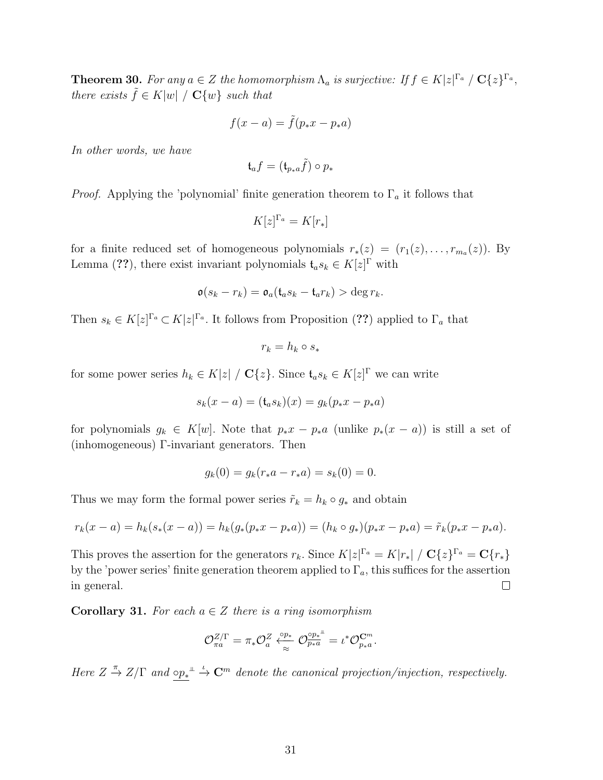**Theorem 30.** For any  $a \in Z$  the homomorphism  $\Lambda_a$  is surjective: If  $f \in K|z|^{\Gamma_a} / \mathbf{C}{\{z\}}^{\Gamma_a}$ , there exists  $\tilde{f} \in K|w| / C\{w\}$  such that

$$
f(x-a) = \tilde{f}(p_*x - p_*a)
$$

In other words, we have

$$
\mathfrak{t}_af=(\mathfrak{t}_{p_*a}\tilde{f})\circ p_*
$$

*Proof.* Applying the 'polynomial' finite generation theorem to  $\Gamma_a$  it follows that

$$
K[z]^{\Gamma_a} = K[r_*]
$$

for a finite reduced set of homogeneous polynomials  $r_*(z) = (r_1(z), \ldots, r_{m_q}(z))$ . By Lemma (??), there exist invariant polynomials  $\mathfrak{t}_a s_k \in K[z]^\Gamma$  with

$$
\mathfrak{o}(s_k - r_k) = \mathfrak{o}_a(\mathfrak{t}_a s_k - \mathfrak{t}_a r_k) > \deg r_k.
$$

Then  $s_k \in K[z]^{r_a} \subset K[z]^{r_a}$ . It follows from Proposition (??) applied to  $\Gamma_a$  that

$$
r_k = h_k \circ s_*
$$

for some power series  $h_k \in K[z] / \mathbf{C}{\{z\}}$ . Since  $\mathfrak{t}_a s_k \in K[z]^\Gamma$  we can write

$$
s_k(x - a) = (\mathfrak{t}_a s_k)(x) = g_k(p_* x - p_* a)
$$

for polynomials  $g_k \in K[w]$ . Note that  $p_*x - p_*a$  (unlike  $p_*(x - a)$ ) is still a set of (inhomogeneous) Γ-invariant generators. Then

$$
g_k(0) = g_k(r_*a - r_*a) = s_k(0) = 0.
$$

Thus we may form the formal power series  $\tilde{r}_k = h_k \circ g_*$  and obtain

$$
r_k(x-a) = h_k(s_*(x-a)) = h_k(g_*(p_*x - p_*a)) = (h_k \circ g_*)(p_*x - p_*a) = \tilde{r}_k(p_*x - p_*a).
$$

This proves the assertion for the generators  $r_k$ . Since  $K|z|^{\Gamma_a} = K|r_*|/C\{z\}^{\Gamma_a} = \mathbb{C}\{r_*\}$ by the 'power series' finite generation theorem applied to  $\Gamma_a$ , this suffices for the assertion in general.  $\Box$ 

**Corollary 31.** For each  $a \in \mathbb{Z}$  there is a ring isomorphism

$$
\mathcal{O}^{Z/\Gamma}_{\pi a} = \pi_* \mathcal{O}^Z_a \overset{\phi p_*}{\underset{\approx}{\sim}} \mathcal{O}^{\frac{\lozenge p_*^\#}{p_* a}} = \iota^* \mathcal{O}^{\mathbf{C}^m}_{p_* a}.
$$

Here  $Z \stackrel{\pi}{\rightarrow} Z/\Gamma$  and  $\circ p_*^{\perp} \stackrel{\iota}{\rightarrow} \mathbb{C}^m$  denote the canonical projection/injection, respectively.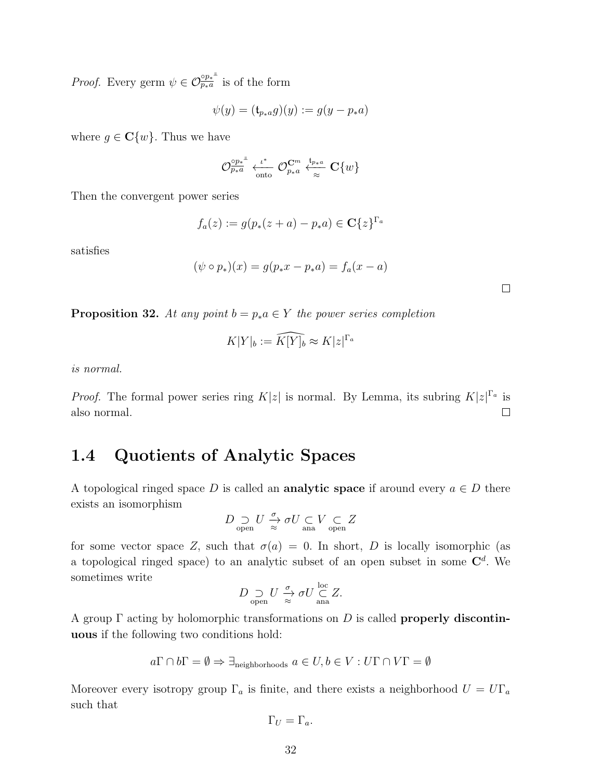*Proof.* Every germ  $\psi \in \mathcal{O}_{p_*a}^{\circ p_*^{\mu}}$  is of the form

$$
\psi(y) = (\mathfrak{t}_{p*a}g)(y) := g(y - p_*a)
$$

where  $g \in \mathbb{C}\{w\}$ . Thus we have

$$
\mathcal{O}_{p_*a}^{\circ p_*^\perp} \xleftarrow[t^*]{\iota^*} \mathcal{O}_{p_*a}^{\mathbf{C}^m} \xleftarrow[t^*_{\approx} \mathbf{C} \{w\}
$$

Then the convergent power series

$$
f_a(z) := g(p_*(z+a) - p_*a) \in \mathbf{C}\{z\}^{\Gamma_a}
$$

satisfies

$$
(\psi \circ p_*)(x) = g(p_*x - p_*a) = f_a(x - a)
$$

**Proposition 32.** At any point  $b = p_*a \in Y$  the power series completion

$$
K|Y|_b := \widehat{K[Y]_b} \approx K|z|^{\Gamma_a}
$$

is normal.

*Proof.* The formal power series ring  $K|z|$  is normal. By Lemma, its subring  $K|z|^{\Gamma_a}$  is also normal.  $\Box$ 

## 1.4 Quotients of Analytic Spaces

A topological ringed space D is called an **analytic space** if around every  $a \in D$  there exists an isomorphism

$$
D \underset{\text{open}}{\supset} U \xrightarrow{\sigma} \sigma U \underset{\text{ana}}{\subset} V \underset{\text{open}}{\subset} Z
$$

for some vector space Z, such that  $\sigma(a) = 0$ . In short, D is locally isomorphic (as a topological ringed space) to an analytic subset of an open subset in some  $\mathbb{C}^d$ . We sometimes write

$$
D \underset{\text{open}}{\supset} U \xrightarrow{\sigma} \sigma U \underset{\text{ana}}{\stackrel{\text{loc}}{\subset}} Z.
$$

A group  $\Gamma$  acting by holomorphic transformations on D is called **properly discontin**uous if the following two conditions hold:

$$
a\Gamma \cap b\Gamma = \emptyset \Rightarrow \exists_{\text{neighborhoods}} \ a \in U, b \in V : U\Gamma \cap V\Gamma = \emptyset
$$

Moreover every isotropy group  $\Gamma_a$  is finite, and there exists a neighborhood  $U = U\Gamma_a$ such that

$$
\Gamma_U = \Gamma_a.
$$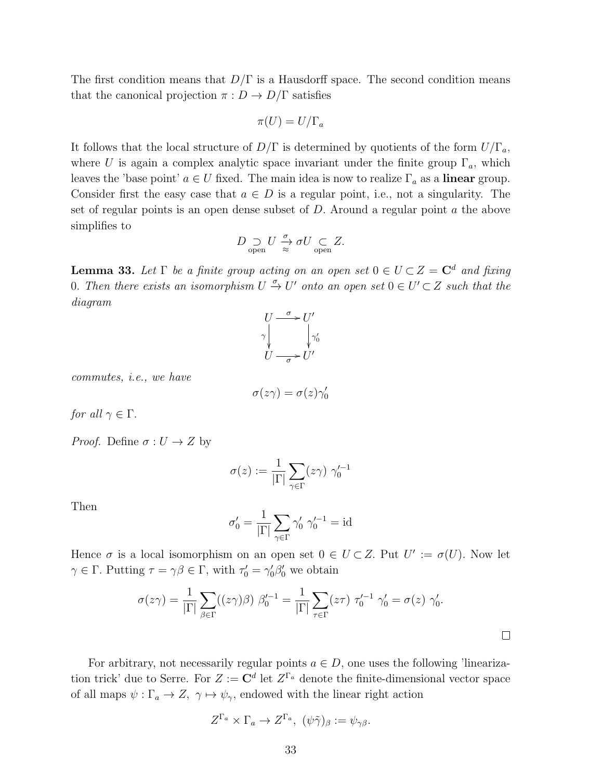The first condition means that  $D/\Gamma$  is a Hausdorff space. The second condition means that the canonical projection  $\pi : D \to D/\Gamma$  satisfies

$$
\pi(U) = U/\Gamma_a
$$

It follows that the local structure of  $D/\Gamma$  is determined by quotients of the form  $U/\Gamma_a$ , where U is again a complex analytic space invariant under the finite group  $\Gamma_a$ , which leaves the 'base point'  $a \in U$  fixed. The main idea is now to realize  $\Gamma_a$  as a **linear** group. Consider first the easy case that  $a \in D$  is a regular point, i.e., not a singularity. The set of regular points is an open dense subset of  $D$ . Around a regular point  $a$  the above simplifies to

$$
D\underset{\mathrm{open}}{\supset} U \xrightarrow[\approx]{\sigma} \sigma U \underset{\mathrm{open}}{\subset} Z.
$$

**Lemma 33.** Let  $\Gamma$  be a finite group acting on an open set  $0 \in U \subset Z = \mathbb{C}^d$  and fixing 0. Then there exists an isomorphism  $U \xrightarrow{\sigma} U'$  onto an open set  $0 \in U' \subset Z$  such that the diagram



commutes, i.e., we have

$$
\sigma(z\gamma) = \sigma(z)\gamma_0'
$$

for all  $\gamma \in \Gamma$ .

*Proof.* Define  $\sigma: U \to Z$  by

$$
\sigma(z) := \frac{1}{|\Gamma|} \sum_{\gamma \in \Gamma} (z\gamma) \gamma_0'^{-1}
$$

Then

$$
\sigma'_0 = \frac{1}{|\Gamma|} \sum_{\gamma \in \Gamma} \gamma'_0 \; \gamma'^{-1}_0 = \mathrm{id}
$$

Hence  $\sigma$  is a local isomorphism on an open set  $0 \in U \subset Z$ . Put  $U' := \sigma(U)$ . Now let  $\gamma \in \Gamma$ . Putting  $\tau = \gamma \beta \in \Gamma$ , with  $\tau'_0 = \gamma'_0 \beta'_0$  we obtain

$$
\sigma(z\gamma) = \frac{1}{|\Gamma|} \sum_{\beta \in \Gamma} ((z\gamma)\beta) \beta_0'^{-1} = \frac{1}{|\Gamma|} \sum_{\tau \in \Gamma} (z\tau) \tau_0'^{-1} \gamma_0' = \sigma(z) \gamma_0'.
$$

For arbitrary, not necessarily regular points  $a \in D$ , one uses the following 'linearization trick' due to Serre. For  $Z := \mathbb{C}^d$  let  $Z^{\Gamma_a}$  denote the finite-dimensional vector space of all maps  $\psi : \Gamma_a \to Z$ ,  $\gamma \mapsto \psi_{\gamma}$ , endowed with the linear right action

$$
Z^{\Gamma_a} \times \Gamma_a \to Z^{\Gamma_a}, \ (\psi \tilde{\gamma})_{\beta} := \psi_{\gamma \beta}.
$$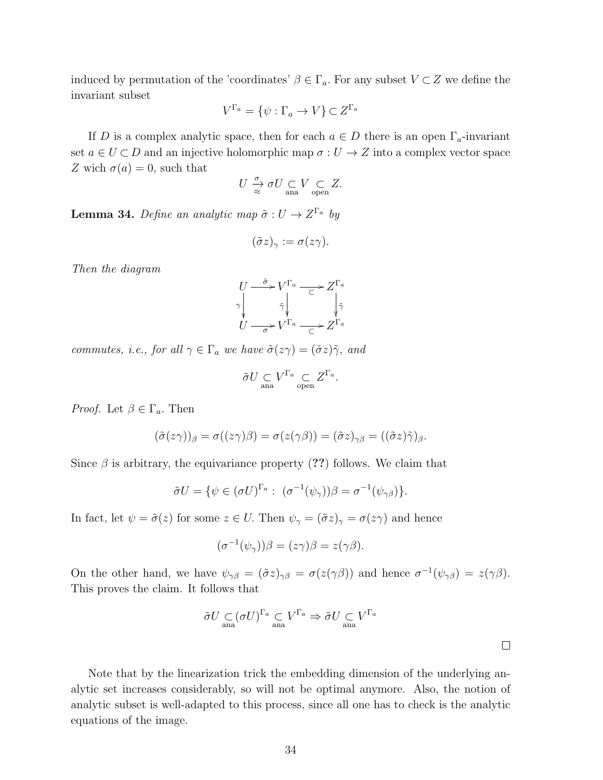induced by permutation of the 'coordinates'  $\beta \in \Gamma_a$ . For any subset  $V \subset Z$  we define the invariant subset

$$
V^{\Gamma_a} = \{ \psi : \Gamma_a \to V \} \subset Z^{\Gamma_a}
$$

If D is a complex analytic space, then for each  $a \in D$  there is an open  $\Gamma_a$ -invariant set  $a \in U \subset D$  and an injective holomorphic map  $\sigma : U \to Z$  into a complex vector space Z wich  $\sigma(a) = 0$ , such that

$$
U \overset{\sigma}{\underset{\approx}{\to}} \sigma U \underset{\text{ana}}{\subset} V \underset{\text{open}}{\subset} Z.
$$

**Lemma 34.** Define an analytic map  $\tilde{\sigma}: U \to Z^{\Gamma_a}$  by

$$
(\tilde{\sigma}z)_{\gamma} := \sigma(z\gamma).
$$

Then the diagram

$$
U \xrightarrow{\tilde{\sigma}} V^{\Gamma_a} \xrightarrow{\subset} Z^{\Gamma_a}
$$
  
\n
$$
\tilde{\gamma} \downarrow \qquad \downarrow \tilde{\gamma}
$$
  
\n
$$
U \xrightarrow{\tilde{\sigma}} V^{\Gamma_a} \xrightarrow{\subset} Z^{\Gamma_a}
$$

commutes, i.e., for all  $\gamma \in \Gamma_a$  we have  $\tilde{\sigma}(z\gamma) = (\tilde{\sigma}z)\tilde{\gamma}$ , and

$$
\tilde{\sigma} U \underset{\text{ana}}{\subset} V^{\Gamma_a} \underset{\text{open}}{\subset} Z^{\Gamma_a}.
$$

*Proof.* Let  $\beta \in \Gamma_a$ . Then

$$
(\tilde{\sigma}(z\gamma))_{\beta} = \sigma((z\gamma)\beta) = \sigma(z(\gamma\beta)) = (\tilde{\sigma}z)_{\gamma\beta} = ((\tilde{\sigma}z)\tilde{\gamma})_{\beta}.
$$

Since  $\beta$  is arbitrary, the equivariance property (??) follows. We claim that

$$
\tilde{\sigma}U = \{ \psi \in (\sigma U)^{\Gamma_a} : \ (\sigma^{-1}(\psi_\gamma))\beta = \sigma^{-1}(\psi_{\gamma\beta}) \}.
$$

In fact, let  $\psi = \tilde{\sigma}(z)$  for some  $z \in U$ . Then  $\psi_{\gamma} = (\tilde{\sigma}z)_{\gamma} = \sigma(z\gamma)$  and hence

$$
(\sigma^{-1}(\psi_\gamma))\beta = (z\gamma)\beta = z(\gamma\beta).
$$

On the other hand, we have  $\psi_{\gamma\beta} = (\tilde{\sigma}z)_{\gamma\beta} = \sigma(z(\gamma\beta))$  and hence  $\sigma^{-1}(\psi_{\gamma\beta}) = z(\gamma\beta)$ . This proves the claim. It follows that

$$
\tilde{\sigma} U \underset{\text{ana}}{\subset} (\sigma U)^{\Gamma_a} \underset{\text{ana}}{\subset} V^{\Gamma_a} \Rightarrow \tilde{\sigma} U \underset{\text{ana}}{\subset} V^{\Gamma_a}
$$

Note that by the linearization trick the embedding dimension of the underlying analytic set increases considerably, so will not be optimal anymore. Also, the notion of analytic subset is well-adapted to this process, since all one has to check is the analytic equations of the image.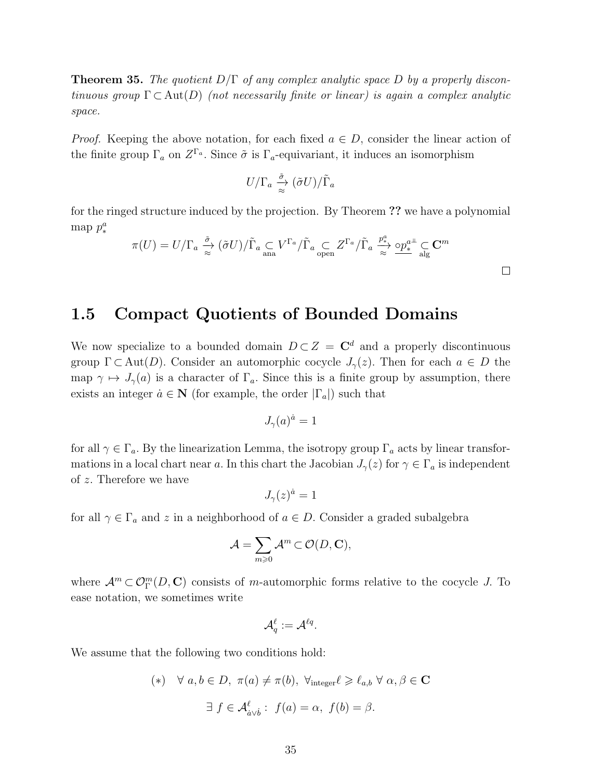**Theorem 35.** The quotient  $D/\Gamma$  of any complex analytic space D by a properly discontinuous group  $\Gamma \subset \text{Aut}(D)$  (not necessarily finite or linear) is again a complex analytic space.

*Proof.* Keeping the above notation, for each fixed  $a \in D$ , consider the linear action of the finite group  $\Gamma_a$  on  $Z^{\Gamma_a}$ . Since  $\tilde{\sigma}$  is  $\Gamma_a$ -equivariant, it induces an isomorphism

$$
U/\Gamma_a \xrightarrow[\approx]{\tilde{\sigma}} (\tilde{\sigma} U)/\tilde{\Gamma}_a
$$

for the ringed structure induced by the projection. By Theorem ?? we have a polynomial map  $p_*^a$ 

$$
\pi(U) = U/\Gamma_a \xrightarrow{\tilde{\sigma}} (\tilde{\sigma}U)/\tilde{\Gamma}_a \subseteq V^{\Gamma_a}/\tilde{\Gamma}_a \subseteq Z^{\Gamma_a}/\tilde{\Gamma}_a \xrightarrow{\mathcal{P}_a^a} \Omega^a_* \subseteq \mathbf{C}^m
$$

 $\Box$ 

### 1.5 Compact Quotients of Bounded Domains

We now specialize to a bounded domain  $D \subset Z = \mathbb{C}^d$  and a properly discontinuous group  $\Gamma \subset \text{Aut}(D)$ . Consider an automorphic cocycle  $J_{\gamma}(z)$ . Then for each  $a \in D$  the map  $\gamma \mapsto J_{\gamma}(a)$  is a character of  $\Gamma_a$ . Since this is a finite group by assumption, there exists an integer  $\alpha \in \mathbb{N}$  (for example, the order  $|\Gamma_a|$ ) such that

$$
J_{\gamma}(a)^{\dot{a}} = 1
$$

for all  $\gamma \in \Gamma_a$ . By the linearization Lemma, the isotropy group  $\Gamma_a$  acts by linear transformations in a local chart near a. In this chart the Jacobian  $J_{\gamma}(z)$  for  $\gamma \in \Gamma_a$  is independent of z. Therefore we have

$$
J_{\gamma}(z)^{\dot{a}} = 1
$$

for all  $\gamma \in \Gamma_a$  and z in a neighborhood of  $a \in D$ . Consider a graded subalgebra

$$
\mathcal{A} = \sum_{m \geqslant 0} \mathcal{A}^m \subset \mathcal{O}(D, \mathbf{C}),
$$

where  $\mathcal{A}^m \subset \mathcal{O}_\Gamma^m(D, \mathbb{C})$  consists of m-automorphic forms relative to the cocycle J. To ease notation, we sometimes write

$$
\mathcal{A}_q^\ell := \mathcal{A}^{\ell q}.
$$

We assume that the following two conditions hold:

$$
(*) \quad \forall \ a, b \in D, \ \pi(a) \neq \pi(b), \ \forall_{\text{integer}} \ell \geq \ell_{a,b} \ \forall \ \alpha, \beta \in C
$$

$$
\exists \ f \in \mathcal{A}_{a \lor b}^{\ell} : \ f(a) = \alpha, \ f(b) = \beta.
$$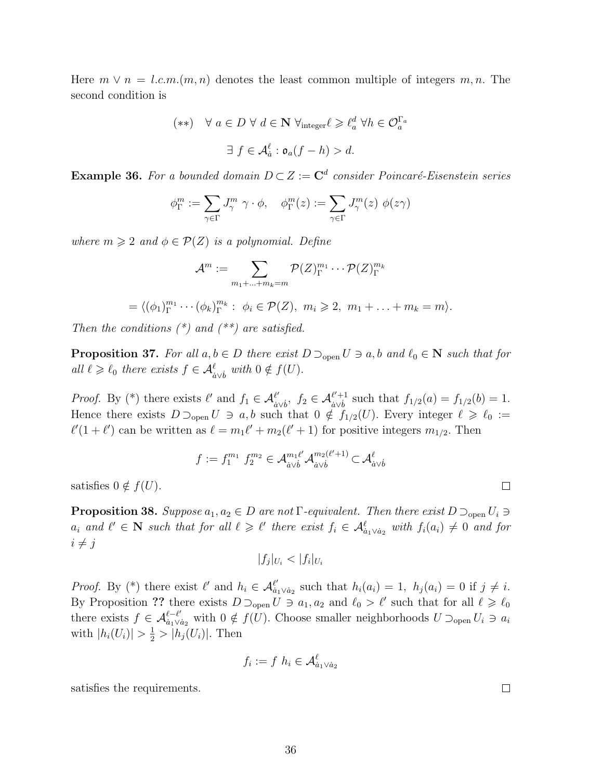Here  $m \vee n = l.c.m.(m, n)$  denotes the least common multiple of integers  $m, n$ . The second condition is

$$
(**) \quad \forall a \in D \,\forall d \in \mathbf{N} \,\forall_{\text{integer}} \ell \geqslant \ell_a^d \,\forall h \in \mathcal{O}_a^{\Gamma_a}
$$

$$
\exists f \in \mathcal{A}_a^{\ell} : \mathfrak{o}_a(f - h) > d.
$$

**Example 36.** For a bounded domain  $D \subset Z := \mathbb{C}^d$  consider Poincaré-Eisenstein series

$$
\phi_{\Gamma}^m:=\sum_{\gamma\in \Gamma} J^m_{\gamma}\ \gamma\cdot \phi, \quad \phi_{\Gamma}^m(z):=\sum_{\gamma\in \Gamma} J^m_{\gamma}(z)\ \phi(z\gamma)
$$

where  $m \geqslant 2$  and  $\phi \in \mathcal{P}(Z)$  is a polynomial. Define

$$
\mathcal{A}^m:=\sum_{m_1+...+m_k=m}\mathcal{P}(Z)_{\Gamma}^{m_1}\cdots\mathcal{P}(Z)_{\Gamma}^{m_k}
$$

$$
= \langle (\phi_1)_\Gamma^{m_1} \cdots (\phi_k)_\Gamma^{m_k} : \phi_i \in \mathcal{P}(Z), m_i \geqslant 2, m_1 + \ldots + m_k = m \rangle.
$$

Then the conditions  $(*)$  and  $(**)$  are satisfied.

**Proposition 37.** For all  $a, b \in D$  there exist  $D \supset_{\text{open}} U \ni a, b$  and  $\ell_0 \in \mathbb{N}$  such that for all  $\ell \geq \ell_0$  there exists  $f \in \mathcal{A}_{\dot{a}\vee\dot{b}}^{\ell}$  with  $0 \notin f(U)$ .

*Proof.* By (\*) there exists  $\ell'$  and  $f_1 \in \mathcal{A}_{\delta'}^{\ell'}$  $\frac{\ell'}{\dot{a}\vee\dot{b}},\;$  f<sub>2</sub> ∈  $\mathcal{A}^{\ell'+1}_{\dot{a}\vee\dot{b}}$  $\int_{a \vee b}^{b'+1}$  such that  $f_{1/2}(a) = f_{1/2}(b) = 1$ . Hence there exists  $D \supset_{\text{open}} U \ni a, b$  such that  $0 \notin f_{1/2}(U)$ . Every integer  $\ell \geq \ell_0 :=$  $\ell'(1 + \ell')$  can be written as  $\ell = m_1 \ell' + m_2(\ell' + 1)$  for positive integers  $m_{1/2}$ . Then

$$
f := f_1^{m_1} f_2^{m_2} \in \mathcal{A}_{\dot{a}\vee\dot{b}}^{m_1\ell'} \mathcal{A}_{\dot{a}\vee\dot{b}}^{m_2(\ell'+1)} \subset \mathcal{A}_{\dot{a}\vee\dot{b}}^{\ell}
$$

satisfies  $0 \notin f(U)$ .

**Proposition 38.** Suppose  $a_1, a_2 \in D$  are not  $\Gamma$ -equivalent. Then there exist  $D \supset_{\text{open}} U_i \ni$  $a_i$  and  $\ell' \in \mathbb{N}$  such that for all  $\ell \geq \ell'$  there exist  $f_i \in \mathcal{A}_{a_1 \vee a_2}^{\ell}$  with  $f_i(a_i) \neq 0$  and for  $i \neq j$ 

$$
|f_j|_{U_i} < |f_i|_{U_i}
$$

*Proof.* By (\*) there exist  $\ell'$  and  $h_i \in \mathcal{A}_{\dot{a}}^{\ell'}$  $a_1^{\ell'} a_2$  such that  $h_i(a_i) = 1$ ,  $h_j(a_i) = 0$  if  $j \neq i$ . By Proposition ?? there exists  $D \supset_{\text{open}} U \ni a_1, a_2 \text{ and } \ell_0 > \ell'$  such that for all  $\ell \geq \ell_0$ there exists  $f \in \mathcal{A}_{\dot{a}_1 \vee \dot{b}_1}^{\ell-\ell'}$  $\frac{\ell-\ell'}{a_1\vee a_2}$  with  $0 \notin f(U)$ . Choose smaller neighborhoods  $U \supset_{\text{open}} U_i \ni a_i$ with  $|h_i(U_i)| > \frac{1}{2} > |h_j(U_i)|$ . Then

$$
f_i := f \, h_i \in \mathcal{A}_{\dot{a}_1 \vee \dot{a}_2}^{\ell}
$$

satisfies the requirements.

 $\Box$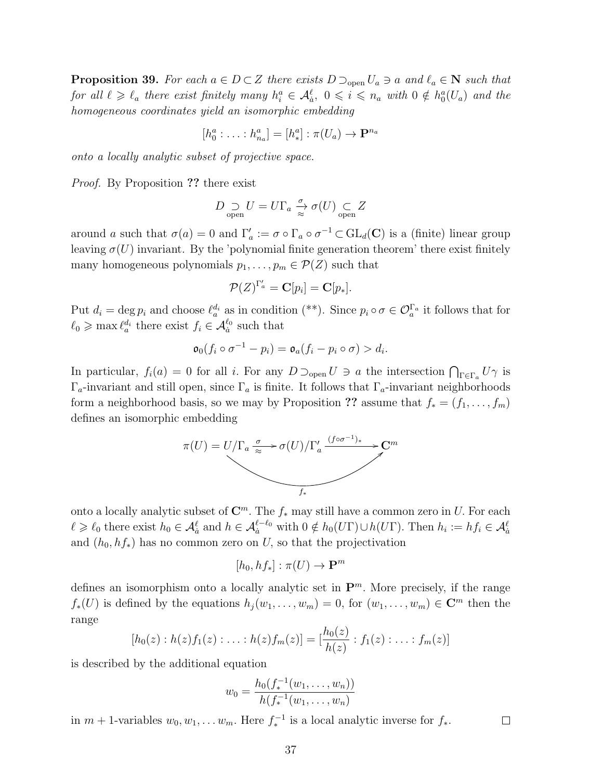**Proposition 39.** For each  $a \in D \subset Z$  there exists  $D \supset_{\text{open}} U_a \ni a$  and  $\ell_a \in \mathbb{N}$  such that for all  $\ell \geq \ell_a$  there exist finitely many  $h_i^a \in \mathcal{A}_{\dot{a}}^{\ell}$ ,  $0 \leqslant i \leqslant n_a$  with  $0 \notin h_0^a(U_a)$  and the homogeneous coordinates yield an isomorphic embedding

$$
[h_0^a : \ldots : h_{n_a}^a] = [h_*^a] : \pi(U_a) \to \mathbf{P}^{n_a}
$$

onto a locally analytic subset of projective space.

Proof. By Proposition ?? there exist

$$
D \underset{\text{open}}{\supset} U = U \Gamma_a \xrightarrow{\sigma} \sigma(U) \underset{\text{open}}{\subset} Z
$$

around a such that  $\sigma(a) = 0$  and  $\Gamma'_a := \sigma \circ \Gamma_a \circ \sigma^{-1} \subset GL_d(\mathbf{C})$  is a (finite) linear group leaving  $\sigma(U)$  invariant. By the 'polynomial finite generation theorem' there exist finitely many homogeneous polynomials  $p_1, \ldots, p_m \in \mathcal{P}(Z)$  such that

$$
\mathcal{P}(Z)^{\Gamma'_a} = \mathbf{C}[p_i] = \mathbf{C}[p_*].
$$

Put  $d_i = \deg p_i$  and choose  $\ell_a^{d_i}$  as in condition (\*\*). Since  $p_i \circ \sigma \in \mathcal{O}_a^{\Gamma_a}$  it follows that for  $\ell_0 \ge \max \ell_a^{d_i}$  there exist  $f_i \in \mathcal{A}_a^{\ell_0}$  such that

$$
\mathfrak{o}_0(f_i \circ \sigma^{-1} - p_i) = \mathfrak{o}_a(f_i - p_i \circ \sigma) > d_i.
$$

In particular,  $f_i(a) = 0$  for all i. For any  $D \supset_{\text{open}} U \ni a$  the intersection  $\bigcap_{\Gamma \in \Gamma_a} U \gamma$  is  $\Gamma_a$ -invariant and still open, since  $\Gamma_a$  is finite. It follows that  $\Gamma_a$ -invariant neighborhoods form a neighborhood basis, so we may by Proposition ?? assume that  $f_* = (f_1, \ldots, f_m)$ defines an isomorphic embedding



onto a locally analytic subset of  $\mathbb{C}^m$ . The  $f_*$  may still have a common zero in U. For each  $\ell \geq \ell_0$  there exist  $h_0 \in \mathcal{A}_a^{\ell}$  and  $h \in \mathcal{A}_a^{\ell-\ell_0}$  with  $0 \notin h_0(U\Gamma) \cup h(U\Gamma)$ . Then  $h_i := hf_i \in \mathcal{A}_a^{\ell}$ and  $(h_0, hf_*)$  has no common zero on U, so that the projectivation

$$
[h_0, hf_*] : \pi(U) \to \mathbf{P}^m
$$

defines an isomorphism onto a locally analytic set in  $\mathbf{P}^m$ . More precisely, if the range  $f_*(U)$  is defined by the equations  $h_j(w_1,\ldots,w_m) = 0$ , for  $(w_1,\ldots,w_m) \in \mathbb{C}^m$  then the range

$$
[h_0(z): h(z)f_1(z): \ldots : h(z)f_m(z)] = [\frac{h_0(z)}{h(z)}: f_1(z): \ldots : f_m(z)]
$$

is described by the additional equation

$$
w_0 = \frac{h_0(f_*^{-1}(w_1, \dots, w_n))}{h(f_*^{-1}(w_1, \dots, w_n))}
$$

in  $m + 1$ -variables  $w_0, w_1, \ldots w_m$ . Here  $f_*^{-1}$  is a local analytic inverse for  $f_*$ .

 $\Box$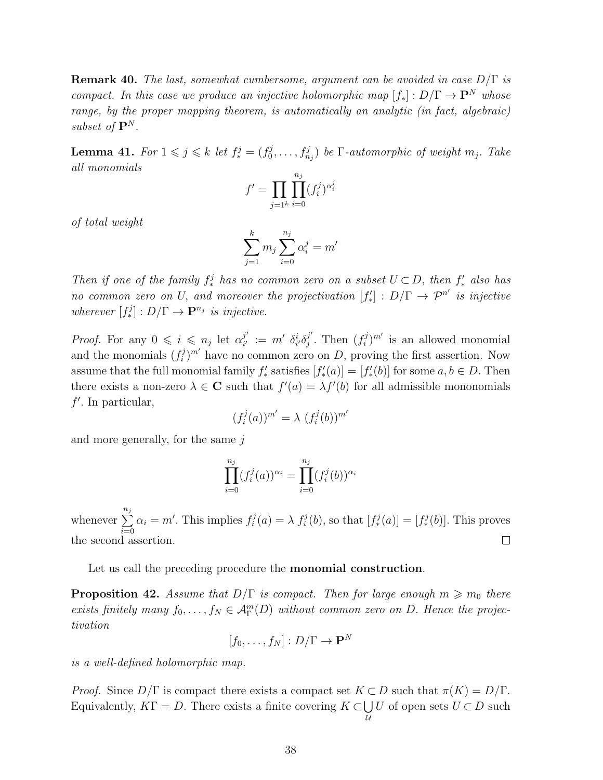**Remark 40.** The last, somewhat cumbersome, argument can be avoided in case  $D/\Gamma$  is compact. In this case we produce an injective holomorphic map  $[f_*]: D/\Gamma \to \mathbf{P}^N$  whose range, by the proper mapping theorem, is automatically an analytic (in fact, algebraic) subset of  $\mathbf{P}^N$ .

**Lemma 41.** For  $1 \leqslant j \leqslant k$  let  $f_*^j = (f_0^j)$  $\{(\mathcal{G}_0^j,\ldots,\mathcal{G}_{n_j}^j)\}$  be  $\Gamma\text{-}automorphic$  of weight  $m_j$ . Take all monomials

$$
f' = \prod_{j=1^k} \prod_{i=0}^{n_j} (f_i^j)^{\alpha_i^j}
$$

of total weight

$$
\sum_{j=1}^{k} m_j \sum_{i=0}^{n_j} \alpha_i^j = m'
$$

Then if one of the family  $f^j_*$  has no common zero on a subset  $U \subset D$ , then  $f'_*$  also has no common zero on U, and moreover the projectivation  $[f'_*]: D/\Gamma \to \mathcal{P}^{n'}$  is injective wherever  $[f^j_*]: D/\Gamma \to \mathbf{P}^{n_j}$  is injective.

*Proof.* For any  $0 \leq i \leq n_j$  let  $\alpha_{i'}^{j'}$  $\delta_{i'}^{j'} \,:=\, m' \,\ \delta_{i'}^i \delta_j^{j'}$  $j'$ . Then  $(f_i^j)$  $(i)$ <sup>n'</sup> is an allowed monomial and the monomials  $(f_i^j)$  $i^{j}$ <sup>n'</sup> have no common zero on D, proving the first assertion. Now assume that the full monomial family  $f'_*$  satisfies  $[f'_*(a)] = [f'_*(b)]$  for some  $a, b \in D$ . Then there exists a non-zero  $\lambda \in \mathbb{C}$  such that  $f'(a) = \lambda f'(b)$  for all admissible mononomials  $f'$ . In particular,

$$
(f_i^j(a))^{m'} = \lambda (f_i^j(b))^{m'}
$$

and more generally, for the same  $i$ 

$$
\prod_{i=0}^{n_j} (f_i^j(a))^{\alpha_i} = \prod_{i=0}^{n_j} (f_i^j(b))^{\alpha_i}
$$

whenever  $\sum_{i=1}^{n_j}$  $\alpha_i = m'$ . This implies  $f_i^j$  $f_i^j(a) = \lambda f_i^j(b)$ , so that  $[f_*^j(a)] = [f_*^j(b)]$ . This proves  $i=0$ the second assertion.  $\Box$ 

Let us call the preceding procedure the **monomial construction**.

**Proposition 42.** Assume that  $D/\Gamma$  is compact. Then for large enough  $m \geq m_0$  there exists finitely many  $f_0, \ldots, f_N \in \mathcal{A}_{\Gamma}^m(D)$  without common zero on D. Hence the projectivation

$$
[f_0,\ldots,f_N]:D/\Gamma\to\mathbf{P}^N
$$

is a well-defined holomorphic map.

*Proof.* Since  $D/\Gamma$  is compact there exists a compact set  $K \subset D$  such that  $\pi(K) = D/\Gamma$ . Equivalently,  $K\Gamma = D$ . There exists a finite covering  $K \subset \bigcup$  $\mathcal{U}$ U of open sets  $U \subset D$  such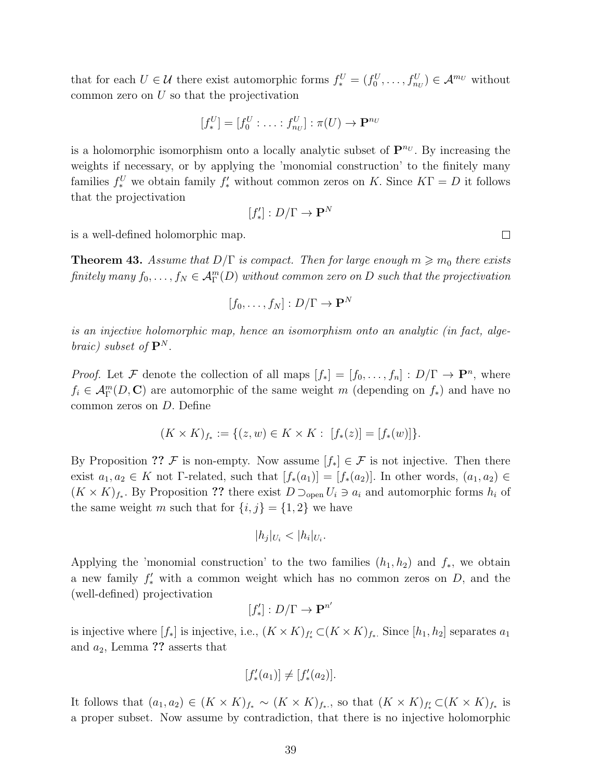that for each  $U \in \mathcal{U}$  there exist automorphic forms  $f_*^U = (f_0^U, \ldots, f_{n_U}^U) \in \mathcal{A}^{m_U}$  without common zero on  $U$  so that the projectivation

$$
[f_*^U] = [f_0^U : \ldots : f_{n_U}^U] : \pi(U) \to \mathbf{P}^{n_U}
$$

is a holomorphic isomorphism onto a locally analytic subset of  $\mathbf{P}^{n_U}$ . By increasing the weights if necessary, or by applying the 'monomial construction' to the finitely many families  $f_*^U$  we obtain family  $f'_*$  without common zeros on K. Since  $K\Gamma = D$  it follows that the projectivation

$$
[f'_*]:D/\Gamma\to\mathbf{P}^N
$$

is a well-defined holomorphic map.

**Theorem 43.** Assume that  $D/\Gamma$  is compact. Then for large enough  $m \ge m_0$  there exists finitely many  $f_0, \ldots, f_N \in \mathcal{A}_{\Gamma}^m(D)$  without common zero on D such that the projectivation

$$
[f_0,\ldots,f_N]:D/\Gamma\to\mathbf{P}^N
$$

is an injective holomorphic map, hence an isomorphism onto an analytic (in fact, algebraic) subset of  $\mathbf{P}^{N}$ .

*Proof.* Let F denote the collection of all maps  $[f_*] = [f_0, \ldots, f_n] : D/\Gamma \to \mathbf{P}^n$ , where  $f_i \in \mathcal{A}_{\Gamma}^m(D, \mathbb{C})$  are automorphic of the same weight m (depending on  $f_*$ ) and have no common zeros on D. Define

$$
(K \times K)_{f_*} := \{(z, w) \in K \times K : [f_*(z)] = [f_*(w)]\}.
$$

By Proposition ?? F is non-empty. Now assume  $[f_*] \in \mathcal{F}$  is not injective. Then there exist  $a_1, a_2 \in K$  not Γ-related, such that  $[f_*(a_1)] = [f_*(a_2)]$ . In other words,  $(a_1, a_2) \in$  $(K \times K)_{f_*}$ . By Proposition ?? there exist  $D \supset_{\text{open}} U_i \ni a_i$  and automorphic forms  $h_i$  of the same weight m such that for  $\{i, j\} = \{1, 2\}$  we have

$$
|h_j|_{U_i} < |h_i|_{U_i}.
$$

Applying the 'monomial construction' to the two families  $(h_1, h_2)$  and  $f_*$ , we obtain a new family  $f'_{*}$  with a common weight which has no common zeros on D, and the (well-defined) projectivation

$$
[f'_*]:D/\Gamma\to{\bf P}^{n'}
$$

is injective where  $[f_*]$  is injective, i.e.,  $(K \times K)_{f_*} \subset (K \times K)_{f_*}$ . Since  $[h_1, h_2]$  separates  $a_1$ and  $a_2$ , Lemma ?? asserts that

$$
[f'_{*}(a_{1})] \neq [f'_{*}(a_{2})].
$$

It follows that  $(a_1, a_2) \in (K \times K)_{f_*} \sim (K \times K)_{f_*}$ , so that  $(K \times K)_{f_*} \subset (K \times K)_{f_*}$  is a proper subset. Now assume by contradiction, that there is no injective holomorphic

 $\Box$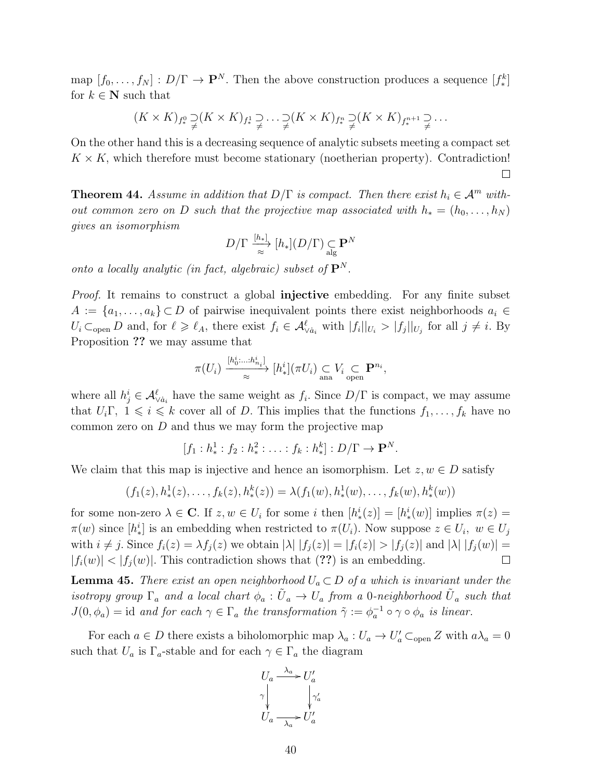map  $[f_0, \ldots, f_N] : D/\Gamma \to \mathbf{P}^N$ . Then the above construction produces a sequence  $[f_*^k]$ for  $k \in {\bf N}$  such that

$$
(K \times K)_{f^0_*} \supsetneq (K \times K)_{f^1_*} \supsetneq \ldots \supsetneq (K \times K)_{f^n_*} \supsetneq (K \times K)_{f^{n+1}_*} \supsetneq \ldots
$$

On the other hand this is a decreasing sequence of analytic subsets meeting a compact set  $K \times K$ , which therefore must become stationary (noetherian property). Contradiction!  $\Box$ 

**Theorem 44.** Assume in addition that  $D/\Gamma$  is compact. Then there exist  $h_i \in \mathcal{A}^m$  without common zero on D such that the projective map associated with  $h_* = (h_0, \ldots, h_N)$ gives an isomorphism

$$
D/\Gamma \xrightarrow[\approx]{[h_*]} [h_*](D/\Gamma) \underset{\text{alg}}{\subset} \mathbf{P}^N
$$

onto a locally analytic (in fact, algebraic) subset of  $\mathbf{P}^{N}$ .

*Proof.* It remains to construct a global **injective** embedding. For any finite subset  $A := \{a_1, \ldots, a_k\} \subset D$  of pairwise inequivalent points there exist neighborhoods  $a_i \in$  $U_i \subset_{\text{open}} D$  and, for  $\ell \geq \ell_A$ , there exist  $f_i \in \mathcal{A}_{\vee a_i}^{\ell}$  with  $|f_i||_{U_i} > |f_j||_{U_j}$  for all  $j \neq i$ . By Proposition ?? we may assume that

$$
\pi(U_i) \xrightarrow[\approx]{[h_0^i, \dots, h_{n_i}^i]} [h_*^i](\pi U_i) \underset{\text{ana}}{\subset} V_i \underset{\text{open}}{\subset} \mathbf{P}^{n_i},
$$

where all  $h_j^i \in \mathcal{A}_{\vee a_i}^{\ell}$  have the same weight as  $f_i$ . Since  $D/\Gamma$  is compact, we may assume that  $U_i\Gamma$ ,  $1 \leq i \leq k$  cover all of D. This implies that the functions  $f_1, \ldots, f_k$  have no common zero on  $D$  and thus we may form the projective map

 $[f_1 : h^1_* : f_2 : h^2_* : \ldots : f_k : h^k_*] : D/\Gamma \to \mathbf{P}^N.$ 

We claim that this map is injective and hence an isomorphism. Let  $z, w \in D$  satisfy

$$
(f_1(z), h_*^1(z), \ldots, f_k(z), h_*^k(z)) = \lambda(f_1(w), h_*^1(w), \ldots, f_k(w), h_*^k(w))
$$

for some non-zero  $\lambda \in \mathbb{C}$ . If  $z, w \in U_i$  for some i then  $[h^i_*(z)] = [h^i_*(w)]$  implies  $\pi(z) =$  $\pi(w)$  since  $[h_*^i]$  is an embedding when restricted to  $\pi(U_i)$ . Now suppose  $z \in U_i$ ,  $w \in U_j$ with  $i \neq j$ . Since  $f_i(z) = \lambda f_j(z)$  we obtain  $|\lambda| |f_j(z)| = |f_i(z)| > |f_j(z)|$  and  $|\lambda| |f_j(w)| =$  $|f_i(w)| < |f_j(w)|$ . This contradiction shows that (??) is an embedding.  $\Box$ 

**Lemma 45.** There exist an open neighborhood  $U_a \subset D$  of a which is invariant under the isotropy group  $\Gamma_a$  and a local chart  $\phi_a : \tilde{U}_a \to U_a$  from a 0-neighborhood  $\tilde{U}_a$  such that  $J(0, \phi_a) = id$  and for each  $\gamma \in \Gamma_a$  the transformation  $\tilde{\gamma} := \phi_a^{-1} \circ \gamma \circ \phi_a$  is linear.

For each  $a \in D$  there exists a biholomorphic map  $\lambda_a: U_a \to U'_a \subset_{\text{open}} Z$  with  $a\lambda_a = 0$ such that  $U_a$  is  $\Gamma_a$ -stable and for each  $\gamma \in \Gamma_a$  the diagram

$$
U_a \xrightarrow{\lambda_a} U'_a
$$
  
\n
$$
\gamma \downarrow \qquad \qquad \gamma'_a
$$
  
\n
$$
U_a \xrightarrow{\lambda_a} U'_a
$$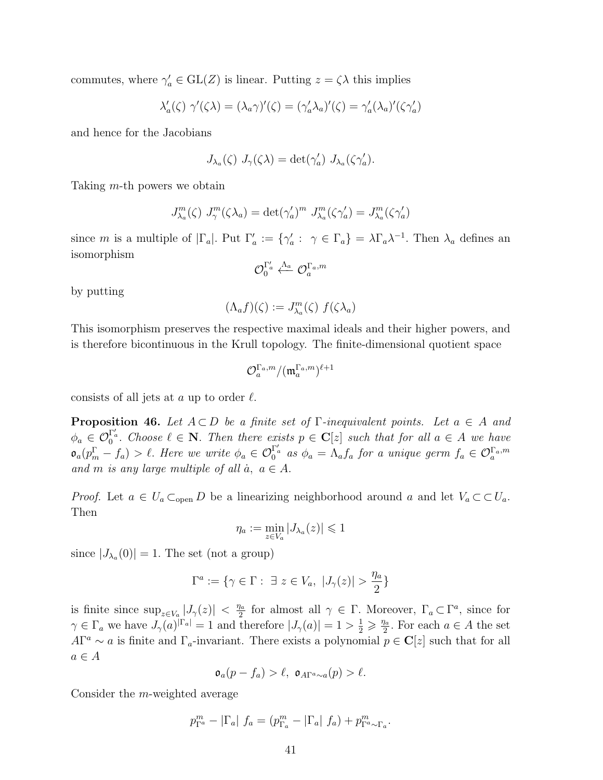commutes, where  $\gamma'_a \in GL(Z)$  is linear. Putting  $z = \zeta \lambda$  this implies

$$
\lambda'_a(\zeta) \ \gamma'(\zeta \lambda) = (\lambda_a \gamma)'(\zeta) = (\gamma'_a \lambda_a)'(\zeta) = \gamma'_a (\lambda_a)'(\zeta \gamma'_a)
$$

and hence for the Jacobians

$$
J_{\lambda_a}(\zeta) J_{\gamma}(\zeta \lambda) = \det(\gamma_a') J_{\lambda_a}(\zeta \gamma_a').
$$

Taking m-th powers we obtain

$$
J_{\lambda_a}^m(\zeta) J_{\gamma}^m(\zeta \lambda_a) = \det(\gamma_a')^m J_{\lambda_a}^m(\zeta \gamma_a') = J_{\lambda_a}^m(\zeta \gamma_a')
$$

since m is a multiple of  $|\Gamma_a|$ . Put  $\Gamma'_a := {\gamma'_a : \gamma \in \Gamma_a} = \lambda \Gamma_a \lambda^{-1}$ . Then  $\lambda_a$  defines an isomorphism

$$
\mathcal{O}^{\Gamma'_a}_0 \stackrel{\Lambda_a}{\longleftarrow} \mathcal{O}^{\Gamma_a , m}_a
$$

by putting

$$
(\Lambda_a f)(\zeta) := J_{\lambda_a}^m(\zeta) f(\zeta \lambda_a)
$$

This isomorphism preserves the respective maximal ideals and their higher powers, and is therefore bicontinuous in the Krull topology. The finite-dimensional quotient space

$$
\mathcal{O}_a^{\Gamma_a,m}/(\mathfrak{m}_a^{\Gamma_a,m})^{\ell+1}
$$

consists of all jets at a up to order  $\ell$ .

**Proposition 46.** Let  $A \subset D$  be a finite set of  $\Gamma$ -inequivalent points. Let  $a \in A$  and  $\phi_a \in \mathcal{O}_0^{\Gamma'_a}$ . Choose  $\ell \in \mathbb{N}$ . Then there exists  $p \in \mathbb{C}[z]$  such that for all  $a \in A$  we have  $\mathfrak{o}_a(p_m^{\Gamma} - f_a) > \ell$ . Here we write  $\phi_a \in \mathcal{O}_0^{\Gamma_a}$  as  $\phi_a = \Lambda_a f_a$  for a unique germ  $f_a \in \mathcal{O}_a^{\Gamma_a,m}$ and m is any large multiple of all  $\dot{a}$ ,  $a \in A$ .

*Proof.* Let  $a \in U_a \subset_{\text{open}} D$  be a linearizing neighborhood around a and let  $V_a \subset \subset U_a$ . Then

$$
\eta_a:=\min_{z\in V_a}|J_{\lambda_a}(z)|\leq 1
$$

since  $|J_{\lambda_a}(0)| = 1$ . The set (not a group)

$$
\Gamma^a := \{ \gamma \in \Gamma : \ \exists \ z \in V_a, \ |J_{\gamma}(z)| > \frac{\eta_a}{2} \}
$$

is finite since  $\sup_{z \in V_a} |J_{\gamma}(z)| < \frac{\eta_a}{2}$  $\frac{a}{2}$  for almost all  $\gamma \in \Gamma$ . Moreover,  $\Gamma_a \subset \Gamma^a$ , since for  $\gamma \in \Gamma_a$  we have  $J_\gamma(a)^{|\Gamma_a|} = 1$  and therefore  $|J_\gamma(a)| = 1 > \frac{1}{2} \geq \frac{\eta_a}{2}$  $\frac{a}{2}$ . For each  $a \in A$  the set  $A\Gamma^a \sim a$  is finite and  $\Gamma_a$ -invariant. There exists a polynomial  $p \in \mathbb{C}[z]$  such that for all  $a \in A$ 

$$
\mathfrak{o}_a(p-f_a) > \ell, \ \mathfrak{o}_{A\Gamma^a \sim a}(p) > \ell.
$$

Consider the m-weighted average

$$
p_{\Gamma^a}^m - |\Gamma_a| f_a = (p_{\Gamma_a}^m - |\Gamma_a| f_a) + p_{\Gamma^a \sim \Gamma_a}^m.
$$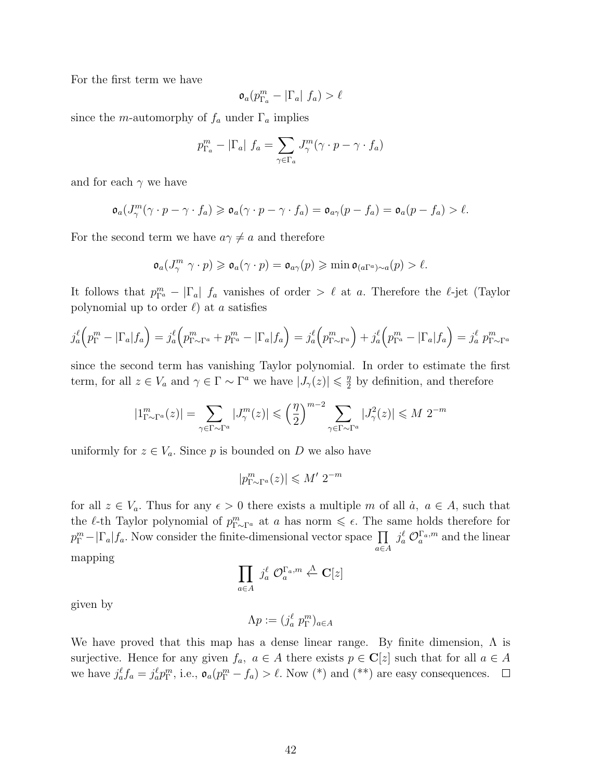For the first term we have

$$
\mathfrak{o}_a(p_{\Gamma_a}^m - |\Gamma_a| f_a) > \ell
$$

since the *m*-automorphy of  $f_a$  under  $\Gamma_a$  implies

$$
p_{\Gamma_a}^m - |\Gamma_a| f_a = \sum_{\gamma \in \Gamma_a} J_{\gamma}^m (\gamma \cdot p - \gamma \cdot f_a)
$$

and for each  $\gamma$  we have

$$
\mathfrak{o}_a(J_\gamma^m(\gamma \cdot p - \gamma \cdot f_a) \geq \mathfrak{o}_a(\gamma \cdot p - \gamma \cdot f_a) = \mathfrak{o}_{a\gamma}(p - f_a) = \mathfrak{o}_a(p - f_a) > \ell.
$$

For the second term we have  $a\gamma \neq a$  and therefore

$$
\mathfrak{o}_a(J_\gamma^m \gamma \cdot p) \geqslant \mathfrak{o}_a(\gamma \cdot p) = \mathfrak{o}_{a\gamma}(p) \geqslant \min \mathfrak{o}_{(a\Gamma^a)\sim a}(p) > \ell.
$$

It follows that  $p_{\Gamma^a}^m - |\Gamma_a| f_a$  vanishes of order  $\geq \ell$  at a. Therefore the  $\ell$ -jet (Taylor polynomial up to order  $\ell$ ) at a satisfies

$$
j_a^{\ell} \left( p_{\Gamma}^m - |\Gamma_a| f_a \right) = j_a^{\ell} \left( p_{\Gamma \sim \Gamma^a}^m + p_{\Gamma^a}^m - |\Gamma_a| f_a \right) = j_a^{\ell} \left( p_{\Gamma \sim \Gamma^a}^m \right) + j_a^{\ell} \left( p_{\Gamma^a}^m - |\Gamma_a| f_a \right) = j_a^{\ell} p_{\Gamma \sim \Gamma^a}^m
$$

since the second term has vanishing Taylor polynomial. In order to estimate the first term, for all  $z \in V_a$  and  $\gamma \in \Gamma \sim \Gamma^a$  we have  $|J_{\gamma}(z)| \leq \frac{\eta}{2}$  $\frac{\eta}{2}$  by definition, and therefore

$$
|1^m_{\Gamma \sim \Gamma^a}(z)| = \sum_{\gamma \in \Gamma \sim \Gamma^a} |J^m_\gamma(z)| \leqslant \left(\frac{\eta}{2}\right)^{m-2} \sum_{\gamma \in \Gamma \sim \Gamma^a} |J^2_\gamma(z)| \leqslant M 2^{-m}
$$

uniformly for  $z \in V_a$ . Since p is bounded on D we also have

$$
|p_{\Gamma \sim \Gamma^a}^m(z)| \leqslant M' \; 2^{-m}
$$

for all  $z \in V_a$ . Thus for any  $\epsilon > 0$  there exists a multiple m of all  $\dot{a}$ ,  $a \in A$ , such that the  $\ell$ -th Taylor polynomial of  $p_{\Gamma \sim \Gamma^a}^m$  at a has norm  $\leq \epsilon$ . The same holds therefore for  $p_{\Gamma}^{m} - |\Gamma_{a}| f_{a}$ . Now consider the finite-dimensional vector space  $\prod_{a \in A}$  $j_a^{\ell} \mathcal{O}_a^{\Gamma_a,m}$  and the linear mapping

$$
\prod_{a\in A} j_a^{\ell} \mathcal{O}_a^{\Gamma_a,m} \overset{\Lambda}{\leftarrow} \mathbf{C}[z]
$$

given by

$$
\Lambda p := (j_a^{\ell} p_{\Gamma}^m)_{a \in A}
$$

We have proved that this map has a dense linear range. By finite dimension,  $\Lambda$  is surjective. Hence for any given  $f_a$ ,  $a \in A$  there exists  $p \in \mathbb{C}[z]$  such that for all  $a \in A$ we have  $j_a^{\ell} f_a = j_a^{\ell} p_{\Gamma}^m$ , i.e.,  $\mathfrak{o}_a(p_{\Gamma}^m - f_a) > \ell$ . Now (\*) and (\*\*) are easy consequences.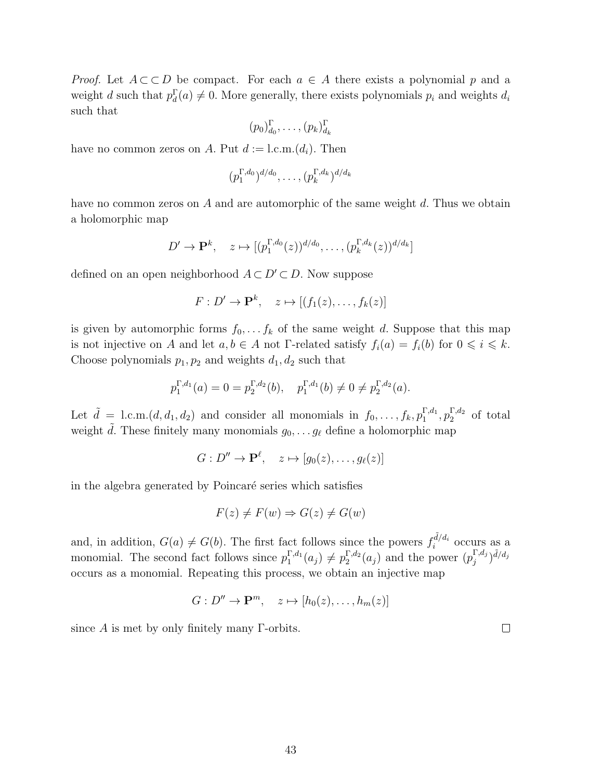*Proof.* Let  $A \subset D$  be compact. For each  $a \in A$  there exists a polynomial p and a weight d such that  $p_d^{\Gamma}(a) \neq 0$ . More generally, there exists polynomials  $p_i$  and weights  $d_i$ such that

$$
(p_0)_{d_0}^{\Gamma}, \ldots, (p_k)_{d_k}^{\Gamma}
$$

have no common zeros on A. Put  $d := 1$ .c.m. $(d_i)$ . Then

$$
(p_1^{\Gamma,d_0})^{d/d_0},\ldots,(p_k^{\Gamma,d_k})^{d/d_k}
$$

have no common zeros on  $A$  and are automorphic of the same weight  $d$ . Thus we obtain a holomorphic map

$$
D' \to \mathbf{P}^k, \quad z \mapsto [(p_1^{\Gamma,d_0}(z))^{d/d_0}, \dots, (p_k^{\Gamma,d_k}(z))^{d/d_k}]
$$

defined on an open neighborhood  $A \subset D' \subset D$ . Now suppose

$$
F: D' \to \mathbf{P}^k, \quad z \mapsto [(f_1(z), \dots, f_k(z))]
$$

is given by automorphic forms  $f_0, \ldots, f_k$  of the same weight d. Suppose that this map is not injective on A and let  $a, b \in A$  not Γ-related satisfy  $f_i(a) = f_i(b)$  for  $0 \leq i \leq k$ . Choose polynomials  $p_1, p_2$  and weights  $d_1, d_2$  such that

$$
p_1^{\Gamma,d_1}(a) = 0 = p_2^{\Gamma,d_2}(b), \quad p_1^{\Gamma,d_1}(b) \neq 0 \neq p_2^{\Gamma,d_2}(a).
$$

Let  $\tilde{d} = 1$ .c.m. $(d, d_1, d_2)$  and consider all monomials in  $f_0, \ldots, f_k, p_1^{\Gamma,d_1}, p_2^{\Gamma,d_2}$  of total weight  $\tilde{d}$ . These finitely many monomials  $g_0, \ldots g_\ell$  define a holomorphic map

 $G: D'' \to \mathbf{P}^\ell, \quad z \mapsto [g_0(z), \ldots, g_\ell(z)]$ 

in the algebra generated by Poincaré series which satisfies

$$
F(z) \neq F(w) \Rightarrow G(z) \neq G(w)
$$

and, in addition,  $G(a) \neq G(b)$ . The first fact follows since the powers  $f_i^{\tilde{d}/d_i}$  occurs as a monomial. The second fact follows since  $p_1^{\Gamma,d_1}(a_j) \neq p_2^{\Gamma,d_2}(a_j)$  and the power  $(p_j^{\Gamma,d_j})$  $\int\limits_j^{\Gamma, d_j} \big)^{\tilde d / d_j}$ occurs as a monomial. Repeating this process, we obtain an injective map

$$
G: D'' \to \mathbf{P}^m, \quad z \mapsto [h_0(z), \dots, h_m(z)]
$$

since  $A$  is met by only finitely many  $\Gamma$ -orbits.

43

 $\Box$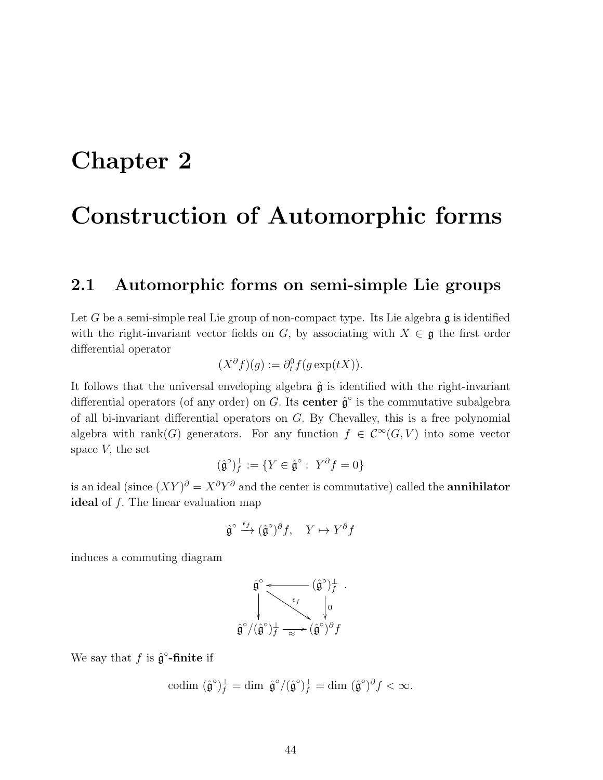## Chapter 2

## Construction of Automorphic forms

### 2.1 Automorphic forms on semi-simple Lie groups

Let G be a semi-simple real Lie group of non-compact type. Its Lie algebra  $\mathfrak g$  is identified with the right-invariant vector fields on G, by associating with  $X \in \mathfrak{g}$  the first order differential operator

$$
(X^{\partial}f)(g) := \partial_t^0 f(g \exp(tX)).
$$

It follows that the universal enveloping algebra  $\hat{\mathfrak{g}}$  is identified with the right-invariant differential operators (of any order) on G. Its center  $\hat{\mathfrak{g}}^{\circ}$  is the commutative subalgebra of all bi-invariant differential operators on  $G$ . By Chevalley, this is a free polynomial algebra with rank(G) generators. For any function  $f \in C^{\infty}(G, V)$  into some vector space  $V$ , the set

$$
(\hat{\mathfrak{g}}^{\circ})^{\perp}_f := \{ Y \in \hat{\mathfrak{g}}^{\circ} : \ Y^{\partial} f = 0 \}
$$

is an ideal (since  $(XY)^{\partial} = X^{\partial}Y^{\partial}$  and the center is commutative) called the **annihilator** ideal of  $f$ . The linear evaluation map

$$
\hat{\mathfrak{g}}^{\circ} \xrightarrow{\epsilon_f} (\hat{\mathfrak{g}}^{\circ})^{\partial} f, \quad Y \mapsto Y^{\partial} f
$$

induces a commuting diagram

$$
\hat{\mathfrak{g}}^{\circ} \longleftarrow (\hat{\mathfrak{g}}^{\circ})^{\perp}_{f} \cdot \left\langle \hat{\mathfrak{g}}^{\circ} \right\rangle_{f} \cdot \left\langle \hat{\mathfrak{g}}^{\circ} \right\rangle_{f} \cdot \left\langle \hat{\mathfrak{g}}^{\circ} \right\rangle_{f} \cdot \left\langle \hat{\mathfrak{g}}^{\circ} \right\rangle_{f} \cdot \left\langle \hat{\mathfrak{g}}^{\circ} \right\rangle_{f} \cdot \left\langle \hat{\mathfrak{g}}^{\circ} \right\rangle_{f} \cdot \left\langle \hat{\mathfrak{g}}^{\circ} \right\rangle_{f} \cdot \left\langle \hat{\mathfrak{g}}^{\circ} \right\rangle_{f} \cdot \left\langle \hat{\mathfrak{g}}^{\circ} \right\rangle_{f} \cdot \left\langle \hat{\mathfrak{g}}^{\circ} \right\rangle_{f} \cdot \left\langle \hat{\mathfrak{g}}^{\circ} \right\rangle_{f} \cdot \left\langle \hat{\mathfrak{g}}^{\circ} \right\rangle_{f} \cdot \left\langle \hat{\mathfrak{g}}^{\circ} \right\rangle_{f} \cdot \left\langle \hat{\mathfrak{g}}^{\circ} \right\rangle_{f} \cdot \left\langle \hat{\mathfrak{g}}^{\circ} \right\rangle_{f} \cdot \left\langle \hat{\mathfrak{g}}^{\circ} \right\rangle_{f} \cdot \left\langle \hat{\mathfrak{g}}^{\circ} \right\rangle_{f} \cdot \left\langle \hat{\mathfrak{g}}^{\circ} \right\rangle_{f} \cdot \left\langle \hat{\mathfrak{g}}^{\circ} \right\rangle_{f} \cdot \left\langle \hat{\mathfrak{g}}^{\circ} \right\rangle_{f} \cdot \left\langle \hat{\mathfrak{g}}^{\circ} \right\rangle_{f} \cdot \left\langle \hat{\mathfrak{g}}^{\circ} \right\rangle_{f} \cdot \left\langle \hat{\mathfrak{g}}^{\circ} \right\rangle_{f} \cdot \left\langle \hat{\mathfrak{g}}^{\circ} \right\rangle_{f} \cdot \left\langle \hat{\mathfrak{g}}^{\circ} \right\rangle_{f} \cdot \left\langle \hat{\mathfrak{g}}^{\circ} \right\rangle_{f} \cdot \left\langle \hat{\mathfrak{g}}^{\circ} \right\rangle_{f} \cdot \left\langle \hat{\mathfrak{g}}^{\circ} \right
$$

We say that  $f$  is  $\hat{\mathfrak{g}}^{\circ}\text{-finite}$  if

$$
\mathrm{codim} \; (\hat{\mathfrak{g}}^{\circ})^{\perp}_f = \mathrm{dim} \; \hat{\mathfrak{g}}^{\circ}/(\hat{\mathfrak{g}}^{\circ})^{\perp}_f = \mathrm{dim} \; (\hat{\mathfrak{g}}^{\circ})^{\partial} f < \infty.
$$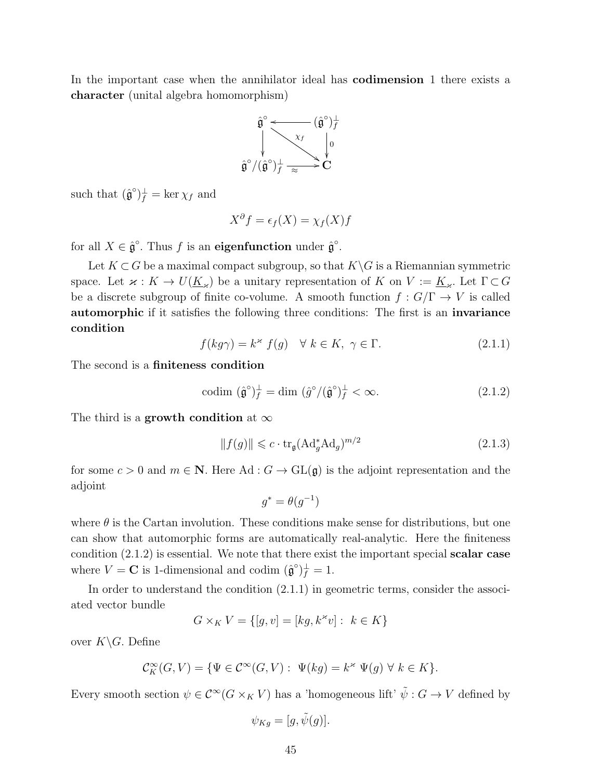In the important case when the annihilator ideal has codimension 1 there exists a character (unital algebra homomorphism)



such that  $(\hat{\mathfrak{g}}^{\circ})_f^{\perp} = \ker \chi_f$  and

$$
X^{\partial} f = \epsilon_f(X) = \chi_f(X)f
$$

for all  $X \in \hat{\mathfrak{g}}^{\circ}$ . Thus f is an eigenfunction under  $\hat{\mathfrak{g}}^{\circ}$ .

Let  $K\subset G$  be a maximal compact subgroup, so that  $K\backslash G$  is a Riemannian symmetric space. Let  $\varkappa : K \to U(\underline{K}_{\varkappa})$  be a unitary representation of K on  $V := \underline{K}_{\varkappa}$ . Let  $\Gamma \subset G$ be a discrete subgroup of finite co-volume. A smooth function  $f: G/\Gamma \to V$  is called automorphic if it satisfies the following three conditions: The first is an invariance condition

$$
f(kg\gamma) = k^{\times} f(g) \quad \forall \ k \in K, \ \gamma \in \Gamma.
$$
 (2.1.1)

The second is a finiteness condition

$$
\text{codim}\ (\hat{\mathfrak{g}}^{\circ})^{\perp}_f = \text{dim}\ (\hat{g}^{\circ}/(\hat{\mathfrak{g}}^{\circ})^{\perp}_f < \infty. \tag{2.1.2}
$$

The third is a growth condition at  $\infty$ 

$$
||f(g)|| \leq c \cdot \text{tr}_{\mathfrak{g}}(\text{Ad}^*_{g}\text{Ad}_{g})^{m/2}
$$
\n(2.1.3)

for some  $c > 0$  and  $m \in \mathbb{N}$ . Here Ad :  $G \to GL(\mathfrak{g})$  is the adjoint representation and the adjoint

$$
g^* = \theta(g^{-1})
$$

where  $\theta$  is the Cartan involution. These conditions make sense for distributions, but one can show that automorphic forms are automatically real-analytic. Here the finiteness condition (2.1.2) is essential. We note that there exist the important special scalar case where  $V = \mathbf{C}$  is 1-dimensional and codim  $(\hat{\mathfrak{g}}^{\circ})_f^{\perp} = 1$ .

In order to understand the condition (2.1.1) in geometric terms, consider the associated vector bundle

$$
G \times_K V = \{ [g, v] = [kg, k^{\ast}v] : k \in K \}
$$

over  $K\backslash G$ . Define

$$
\mathcal{C}_K^{\infty}(G,V)=\{\Psi\in \mathcal{C}^{\infty}(G,V):\ \Psi(kg)=k^{\varkappa}\ \Psi(g)\ \forall\ k\in K\}.
$$

Every smooth section  $\psi \in C^{\infty}(G \times_K V)$  has a 'homogeneous lift'  $\tilde{\psi}: G \to V$  defined by

$$
\psi_{Kg} = [g, \tilde{\psi}(g)].
$$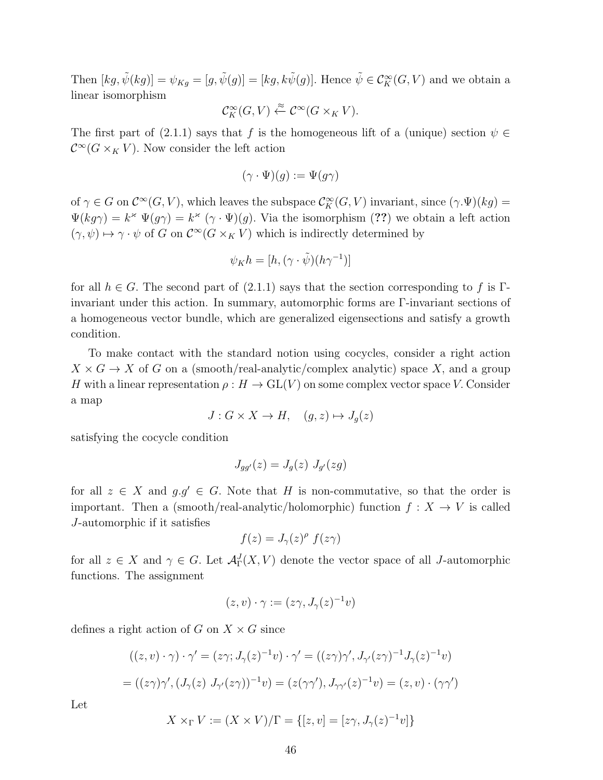Then  $[kg, \tilde{\psi}(kg)] = \psi_{Kg} = [g, \tilde{\psi}(g)] = [kg, k\tilde{\psi}(g)]$ . Hence  $\tilde{\psi} \in C_K^{\infty}(G, V)$  and we obtain a linear isomorphism

$$
\mathcal{C}_K^{\infty}(G,V) \xleftarrow{\approx} \mathcal{C}^{\infty}(G \times_K V).
$$

The first part of (2.1.1) says that f is the homogeneous lift of a (unique) section  $\psi \in$  $\mathcal{C}^{\infty}(G\times_K V)$ . Now consider the left action

$$
(\gamma \cdot \Psi)(g) := \Psi(g\gamma)
$$

of  $\gamma \in G$  on  $\mathcal{C}^{\infty}(G, V)$ , which leaves the subspace  $\mathcal{C}_K^{\infty}(G, V)$  invariant, since  $(\gamma \Psi)(kg) =$  $\Psi(kg\gamma) = k^{\varkappa} \Psi(g\gamma) = k^{\varkappa} (\gamma \cdot \Psi)(g)$ . Via the isomorphism (??) we obtain a left action  $(\gamma, \psi) \mapsto \gamma \cdot \psi$  of G on  $\mathcal{C}^{\infty}(G \times_K V)$  which is indirectly determined by

$$
\psi_K h = [h, (\gamma \cdot \tilde{\psi})(h\gamma^{-1})]
$$

for all  $h \in G$ . The second part of  $(2.1.1)$  says that the section corresponding to f is Γinvariant under this action. In summary, automorphic forms are Γ-invariant sections of a homogeneous vector bundle, which are generalized eigensections and satisfy a growth condition.

To make contact with the standard notion using cocycles, consider a right action  $X \times G \to X$  of G on a (smooth/real-analytic/complex analytic) space X, and a group H with a linear representation  $\rho : H \to GL(V)$  on some complex vector space V. Consider a map

$$
J: G \times X \to H, \quad (g, z) \mapsto J_g(z)
$$

satisfying the cocycle condition

$$
J_{gg'}(z) = J_g(z) J_{g'}(zg)
$$

for all  $z \in X$  and  $g.g' \in G$ . Note that H is non-commutative, so that the order is important. Then a (smooth/real-analytic/holomorphic) function  $f: X \to V$  is called J-automorphic if it satisfies

$$
f(z) = J_{\gamma}(z)^{\rho} f(z\gamma)
$$

for all  $z \in X$  and  $\gamma \in G$ . Let  $\mathcal{A}^J_{\Gamma}(X, V)$  denote the vector space of all J-automorphic functions. The assignment

$$
(z,v)\cdot\gamma:=(z\gamma,J_{\gamma}(z)^{-1}v)
$$

defines a right action of G on  $X \times G$  since

$$
((z,v)\cdot\gamma)\cdot\gamma' = (z\gamma; J_{\gamma}(z)^{-1}v)\cdot\gamma' = ((z\gamma)\gamma', J_{\gamma'}(z\gamma)^{-1}J_{\gamma}(z)^{-1}v)
$$

$$
= ((z\gamma)\gamma', (J_{\gamma}(z) J_{\gamma'}(z\gamma))^{-1}v) = (z(\gamma\gamma'), J_{\gamma\gamma'}(z)^{-1}v) = (z,v)\cdot(\gamma\gamma')
$$

Let

$$
X \times_{\Gamma} V := (X \times V)/\Gamma = \{ [z, v] = [z\gamma, J_{\gamma}(z)^{-1}v] \}
$$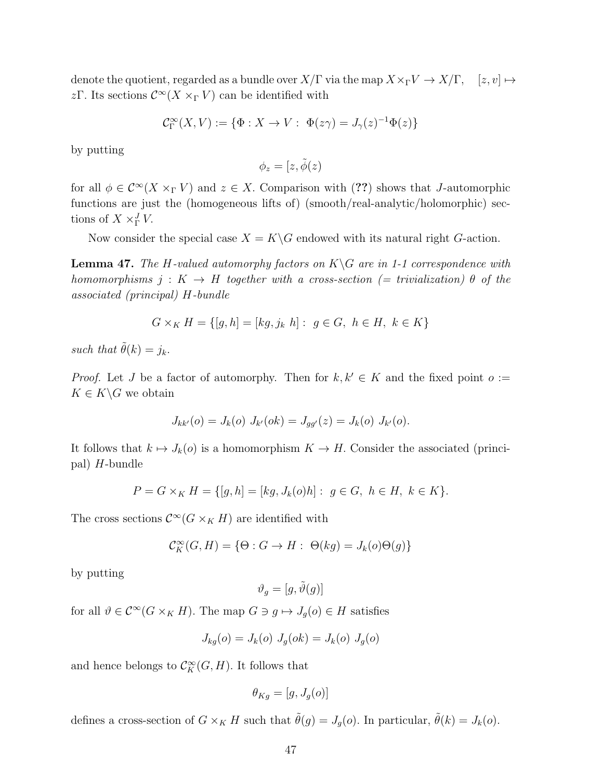denote the quotient, regarded as a bundle over  $X/\Gamma$  via the map  $X\times_{\Gamma} V \to X/\Gamma$ ,  $[z, v] \mapsto$ zΓ. Its sections  $\mathcal{C}^{\infty}(X \times_{\Gamma} V)$  can be identified with

$$
\mathcal{C}^{\infty}_{\Gamma}(X,V) := \{ \Phi : X \to V : \ \Phi(z\gamma) = J_{\gamma}(z)^{-1}\Phi(z) \}
$$

by putting

$$
\phi_z=[z,\tilde{\phi}(z)]
$$

for all  $\phi \in C^{\infty}(X \times_{\Gamma} V)$  and  $z \in X$ . Comparison with (??) shows that *J*-automorphic functions are just the (homogeneous lifts of) (smooth/real-analytic/holomorphic) sections of  $X \times_{\Gamma}^J V$ .

Now consider the special case  $X = K\backslash G$  endowed with its natural right G-action.

**Lemma 47.** The H-valued automorphy factors on  $K\ G$  are in 1-1 correspondence with homomorphisms  $j: K \to H$  together with a cross-section (= trivialization)  $\theta$  of the associated (principal) H-bundle

$$
G \times_K H = \{ [g, h] = [kg, j_k h] : g \in G, h \in H, k \in K \}
$$

such that  $\tilde{\theta}(k) = j_k$ .

*Proof.* Let J be a factor of automorphy. Then for  $k, k' \in K$  and the fixed point  $o :=$  $K \in K \backslash G$  we obtain

$$
J_{kk'}(o) = J_k(o) J_{k'}(ok) = J_{gg'}(z) = J_k(o) J_{k'}(o).
$$

It follows that  $k \mapsto J_k(o)$  is a homomorphism  $K \to H$ . Consider the associated (principal) H-bundle

$$
P = G \times_K H = \{ [g, h] = [kg, J_k(o)h] : g \in G, h \in H, k \in K \}.
$$

The cross sections  $\mathcal{C}^{\infty}(G \times_K H)$  are identified with

$$
\mathcal{C}_K^{\infty}(G, H) = \{ \Theta : G \to H : \Theta(kg) = J_k(o)\Theta(g) \}
$$

by putting

$$
\vartheta_g = [g,\tilde{\vartheta}(g)]
$$

for all  $\vartheta \in C^{\infty}(G \times_K H)$ . The map  $G \ni g \mapsto J_g(o) \in H$  satisfies

$$
J_{kg}(o) = J_{k}(o) \ J_{g}(ok) = J_{k}(o) \ J_{g}(o)
$$

and hence belongs to  $\mathcal{C}_K^{\infty}(G,H)$ . It follows that

$$
\theta_{Kg}=[g,J_g(o)]
$$

defines a cross-section of  $G \times_K H$  such that  $\tilde{\theta}(g) = J_g(o)$ . In particular,  $\tilde{\theta}(k) = J_k(o)$ .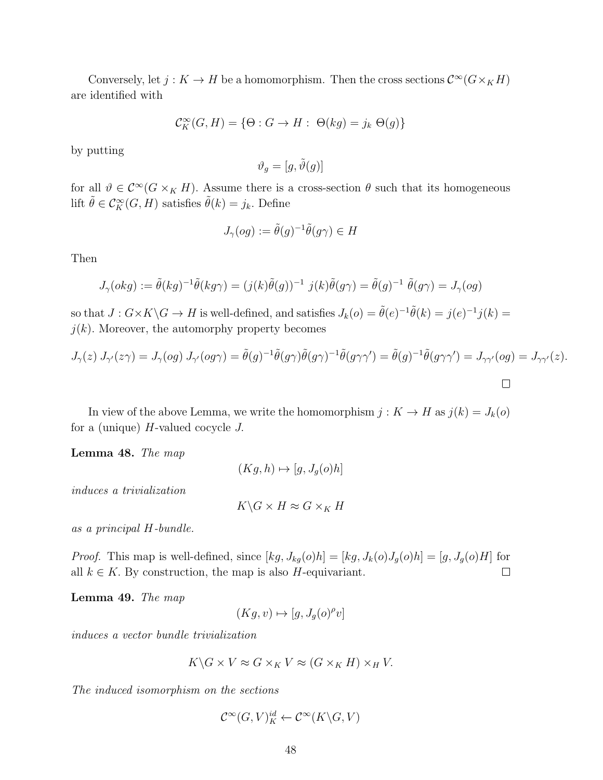Conversely, let  $j: K \to H$  be a homomorphism. Then the cross sections  $\mathcal{C}^{\infty}(G \times_K H)$ are identified with

$$
\mathcal{C}_K^{\infty}(G,H) = \{ \Theta : G \to H : \Theta(kg) = j_k \Theta(g) \}
$$

by putting

$$
\vartheta_g = [g,\tilde{\vartheta}(g)]
$$

for all  $\vartheta \in C^{\infty}(G \times_K H)$ . Assume there is a cross-section  $\theta$  such that its homogeneous lift  $\tilde{\theta} \in \mathcal{C}^{\infty}_K(G, H)$  satisfies  $\tilde{\theta}(k) = j_k$ . Define

$$
J_{\gamma}(og) := \tilde{\theta}(g)^{-1}\tilde{\theta}(g\gamma) \in H
$$

Then

$$
J_{\gamma}(\alpha kg) := \tilde{\theta}(kg)^{-1}\tilde{\theta}(kg\gamma) = (j(k)\tilde{\theta}(g))^{-1} j(k)\tilde{\theta}(g\gamma) = \tilde{\theta}(g)^{-1}\tilde{\theta}(g\gamma) = J_{\gamma}(\alpha g)
$$

so that  $J: G \times K \backslash G \to H$  is well-defined, and satisfies  $J_k(o) = \tilde{\theta}(e)^{-1} \tilde{\theta}(k) = j(e)^{-1} j(k) =$  $j(k)$ . Moreover, the automorphy property becomes

$$
J_{\gamma}(z) J_{\gamma'}(z\gamma) = J_{\gamma}(og) J_{\gamma'}(og\gamma) = \tilde{\theta}(g)^{-1} \tilde{\theta}(g\gamma) \tilde{\theta}(g\gamma)^{-1} \tilde{\theta}(g\gamma\gamma') = \tilde{\theta}(g)^{-1} \tilde{\theta}(g\gamma\gamma') = J_{\gamma\gamma'}(og) = J_{\gamma\gamma'}(z).
$$

In view of the above Lemma, we write the homomorphism  $j: K \to H$  as  $j(k) = J_k(o)$ for a (unique)  $H$ -valued cocycle  $J$ .

Lemma 48. The map

$$
(Kg, h) \mapsto [g, J_g(o)h]
$$

induces a trivialization

$$
K\backslash G\times H\approx G\times_K H
$$

as a principal H-bundle.

*Proof.* This map is well-defined, since  $[kg, J_{kg}(o)h] = [kg, J_k(o)J_g(o)h] = [g, J_g(o)H]$  for all  $k \in K$ . By construction, the map is also H-equivariant.  $\Box$ 

Lemma 49. The map

$$
(Kg, v) \mapsto [g, J_g(o)^{\rho}v]
$$

induces a vector bundle trivialization

$$
K \backslash G \times V \approx G \times_K V \approx (G \times_K H) \times_H V.
$$

The induced isomorphism on the sections

$$
\mathcal{C}^{\infty}(G,V)^{id}_K \leftarrow \mathcal{C}^{\infty}(K\backslash G,V)
$$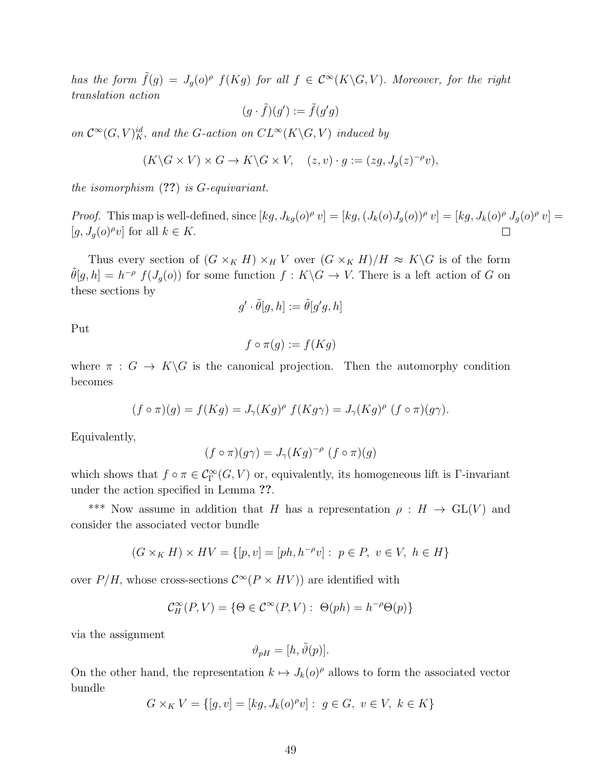has the form  $\tilde{f}(g) = J_g(o)^{\rho} f(Kg)$  for all  $f \in C^{\infty}(K\backslash G, V)$ . Moreover, for the right translation action

$$
(g \cdot \tilde{f})(g') := \tilde{f}(g'g)
$$

on  $\mathcal{C}^{\infty}(G, V)^{id}_{K}$ , and the G-action on  $CL^{\infty}(K\backslash G, V)$  induced by

$$
(K\backslash G\times V)\times G\to K\backslash G\times V, \quad (z,v)\cdot g:=(zg,J_g(z)^{-\rho}v),
$$

the isomorphism  $(?)$  is G-equivariant.

*Proof.* This map is well-defined, since  $[kg, J_{kg}(o)^{\rho} v] = [kg, (J_k(o)J_g(o))^{\rho} v] = [kg, J_k(o)^{\rho} J_g(o)^{\rho} v] =$ [ $g, J_g(o)^\rho v$ ] for all  $k \in K$ .

Thus every section of  $(G \times_K H) \times_H V$  over  $(G \times_K H)/H \approx K\backslash G$  is of the form  $\tilde{\theta}[g,h] = h^{-\rho} f(J_g(o))$  for some function  $f: K \backslash G \to V$ . There is a left action of G on these sections by

$$
g'\cdot \tilde\theta[g,h]:=\tilde\theta[g'g,h]
$$

Put

$$
f \circ \pi(g) := f(Kg)
$$

where  $\pi : G \to K \backslash G$  is the canonical projection. Then the automorphy condition becomes

$$
(f \circ \pi)(g) = f(Kg) = J_{\gamma}(Kg)^{\rho} f(Kg\gamma) = J_{\gamma}(Kg)^{\rho} (f \circ \pi)(g\gamma).
$$

Equivalently,

$$
(f \circ \pi)(g\gamma) = J_{\gamma}(Kg)^{-\rho} (f \circ \pi)(g)
$$

which shows that  $f \circ \pi \in C^{\infty}_{\Gamma}(G, V)$  or, equivalently, its homogeneous lift is  $\Gamma$ -invariant under the action specified in Lemma ??.

\*\*\* Now assume in addition that H has a representation  $\rho : H \to GL(V)$  and consider the associated vector bundle

$$
(G \times_K H) \times HV = \{ [p, v] = [ph, h^{-\rho}v] : p \in P, v \in V, h \in H \}
$$

over  $P/H$ , whose cross-sections  $\mathcal{C}^{\infty}(P \times HV)$  are identified with

$$
\mathcal{C}_H^{\infty}(P,V) = \{ \Theta \in \mathcal{C}^{\infty}(P,V) : \Theta(ph) = h^{-\rho}\Theta(p) \}
$$

via the assignment

$$
\vartheta_{pH} = [h, \tilde{\vartheta}(p)].
$$

On the other hand, the representation  $k \mapsto J_k(o)^\rho$  allows to form the associated vector bundle

$$
G \times_K V = \{ [g, v] = [kg, J_k(o)^{\rho} v] : g \in G, v \in V, k \in K \}
$$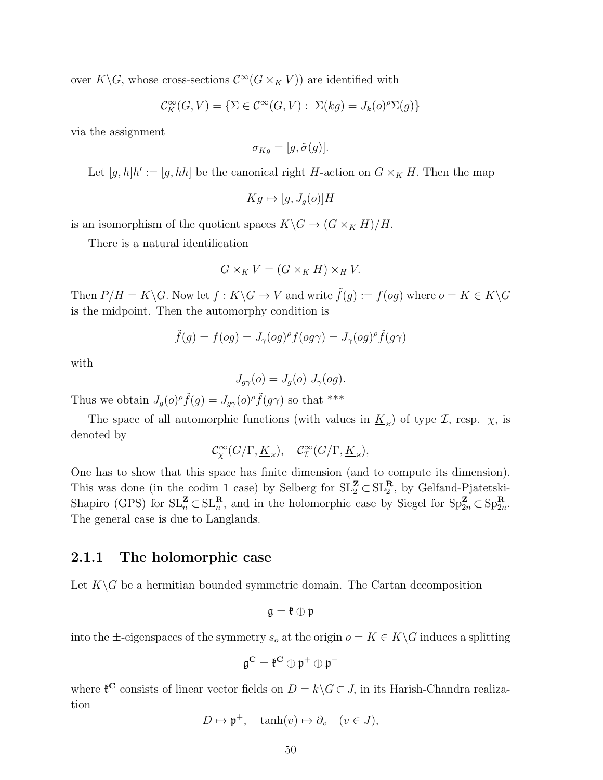over  $K\backslash G$ , whose cross-sections  $\mathcal{C}^{\infty}(G\times_K V)$  are identified with

$$
\mathcal{C}_K^{\infty}(G, V) = \{ \Sigma \in \mathcal{C}^{\infty}(G, V) : \ \Sigma(kg) = J_k(o)^{\rho} \Sigma(g) \}
$$

via the assignment

$$
\sigma_{Kg} = [g, \tilde{\sigma}(g)].
$$

Let  $[g,h]h' := [g,hh]$  be the canonical right H-action on  $G \times_K H$ . Then the map

$$
Kg \mapsto [g, J_g(o)]H
$$

is an isomorphism of the quotient spaces  $K\backslash G \to (G\times_K H)/H$ .

There is a natural identification

$$
G \times_K V = (G \times_K H) \times_H V.
$$

Then  $P/H = K\backslash G$ . Now let  $f : K\backslash G \to V$  and write  $\tilde{f}(g) := f(og)$  where  $o = K \in K\backslash G$ is the midpoint. Then the automorphy condition is

$$
\tilde{f}(g) = f(og) = J_{\gamma}(og)^{\rho} f(g\gamma) = J_{\gamma}(og)^{\rho} \tilde{f}(g\gamma)
$$

with

$$
J_{g\gamma}(o) = J_g(o) J_{\gamma}(og).
$$

Thus we obtain  $J_g(o)^\rho \tilde{f}(g) = J_{g\gamma}(o)^\rho \tilde{f}(g\gamma)$  so that \*\*\*

The space of all automorphic functions (with values in  $\underline{K}_{\varkappa}$ ) of type  $\mathcal{I}$ , resp.  $\chi$ , is denoted by

$$
\mathcal{C}^{\infty}_{\chi}(G/\Gamma, \underline{K}_{\varkappa}), \quad \mathcal{C}^{\infty}_{\mathcal{I}}(G/\Gamma, \underline{K}_{\varkappa}),
$$

One has to show that this space has finite dimension (and to compute its dimension). This was done (in the codim 1 case) by Selberg for  $SL_2^{\mathbf{Z}} \subset SL_2^{\mathbf{R}}$ , by Gelfand-Pjatetski-Shapiro (GPS) for  $SL_n^{\mathbf{Z}} \subset SL_n^{\mathbf{R}}$ , and in the holomorphic case by Siegel for  $Sp_{2n}^{\mathbf{Z}} \subset Sp_{2n}^{\mathbf{R}}$ . The general case is due to Langlands.

#### 2.1.1 The holomorphic case

Let  $K\backslash G$  be a hermitian bounded symmetric domain. The Cartan decomposition

$$
\mathfrak{g}=\mathfrak{k}\oplus\mathfrak{p}
$$

into the  $\pm$ -eigenspaces of the symmetry  $s_o$  at the origin  $o = K \in K \backslash G$  induces a splitting

$$
\mathfrak{g}^{\mathbf{C}}=\mathfrak{k}^{\mathbf{C}}\oplus \mathfrak{p}^+\oplus \mathfrak{p}^-
$$

where  $\mathfrak{k}^{\mathbb{C}}$  consists of linear vector fields on  $D = k \backslash G \subset J$ , in its Harish-Chandra realization

$$
D \mapsto \mathfrak{p}^+, \quad \tanh(v) \mapsto \partial_v \quad (v \in J),
$$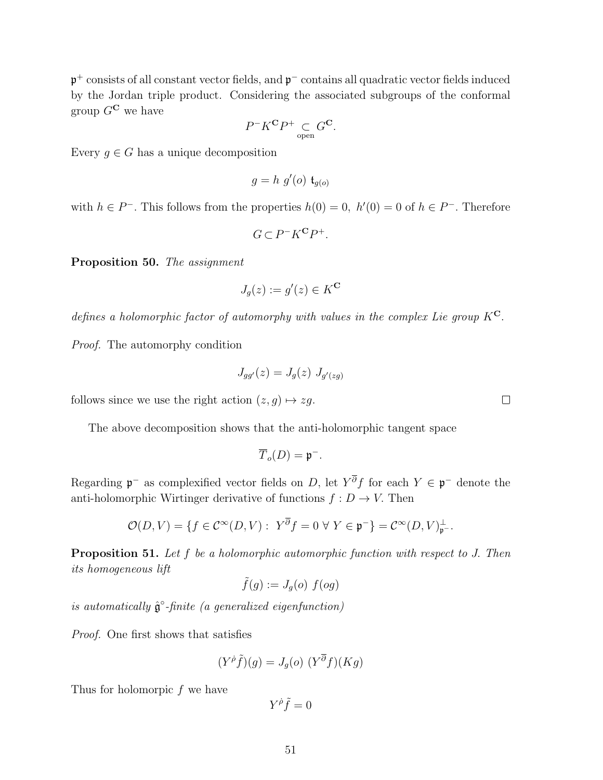p<sup>+</sup> consists of all constant vector fields, and p<sup>−</sup> contains all quadratic vector fields induced by the Jordan triple product. Considering the associated subgroups of the conformal group  $G^{\mathbf{C}}$  we have

$$
P^-K^{\mathbf{C}}P^+\underset{\text{open}}{\subset}G^{\mathbf{C}}.
$$

Every  $g \in G$  has a unique decomposition

$$
g = h \ g'(o) \mathfrak{t}_{g(o)}
$$

with  $h \in P^-$ . This follows from the properties  $h(0) = 0$ ,  $h'(0) = 0$  of  $h \in P^-$ . Therefore

$$
G \subset P^-K^{\bf C}P^+.
$$

Proposition 50. The assignment

$$
J_g(z) := g'(z) \in K^{\mathbf{C}}
$$

defines a holomorphic factor of automorphy with values in the complex Lie group  $K^{C}$ .

Proof. The automorphy condition

$$
J_{gg'}(z) = J_g(z) J_{g'(zg)}
$$

follows since we use the right action  $(z, g) \mapsto zg$ .

The above decomposition shows that the anti-holomorphic tangent space

$$
\overline{T}_o(D) = \mathfrak{p}^-.
$$

Regarding  $\mathfrak{p}^-$  as complexified vector fields on D, let  $Y^{\partial} f$  for each  $Y \in \mathfrak{p}^-$  denote the anti-holomorphic Wirtinger derivative of functions  $f: D \to V$ . Then

$$
\mathcal{O}(D,V) = \{ f \in \mathcal{C}^{\infty}(D,V) : Y^{\overline{\partial}} f = 0 \,\forall \, Y \in \mathfrak{p}^- \} = \mathcal{C}^{\infty}(D,V)_{\mathfrak{p}^-}^{\perp}.
$$

Proposition 51. Let f be a holomorphic automorphic function with respect to J. Then its homogeneous lift

$$
\tilde{f}(g) := J_g(o) \ f(og)
$$

is automatically  $\hat{\mathfrak{g}}^{\circ}$ -finite (a generalized eigenfunction)

Proof. One first shows that satisfies

$$
(Y^{\rho}\tilde{f})(g) = J_g(o) \ (Y^{\overline{\partial}}f)(Kg)
$$

Thus for holomorpic f we have

$$
Y^{\dot \rho} \tilde f = 0
$$

 $\Box$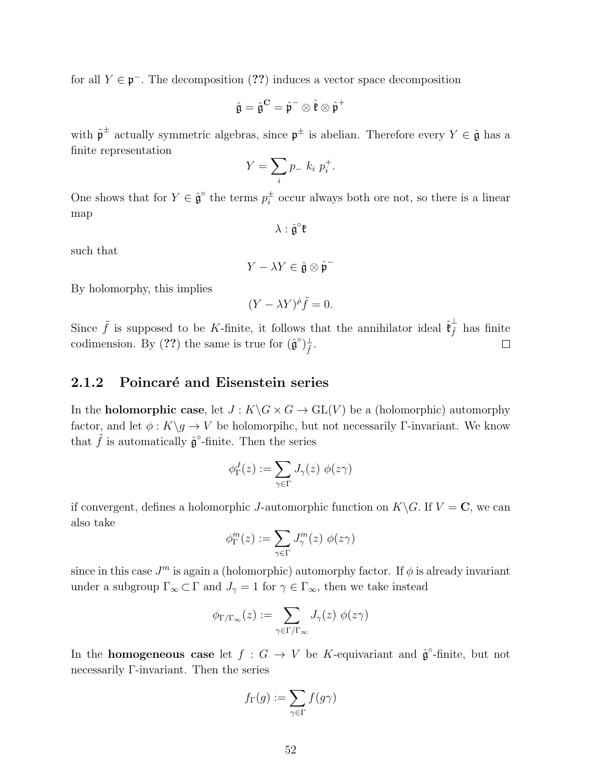for all  $Y \in \mathfrak{p}^-$ . The decomposition (??) induces a vector space decomposition

$$
\hat{\mathfrak{g}} = \hat{\mathfrak{g}}^{\mathbf{C}} = \hat{\mathfrak{p}}^- \otimes \hat{\mathfrak{k}} \otimes \hat{\mathfrak{p}}^+
$$

with  $\hat{\mathfrak{p}}^{\pm}$  actually symmetric algebras, since  $\mathfrak{p}^{\pm}$  is abelian. Therefore every  $Y \in \hat{\mathfrak{g}}$  has a finite representation

$$
Y = \sum_{i} p_{-} k_i p_i^{+}.
$$

One shows that for  $Y \in \hat{\mathfrak{g}}^{\circ}$  the terms  $p_i^{\pm}$  $\frac{1}{i}$  occur always both ore not, so there is a linear map

$$
\lambda:\hat{\mathfrak{g}}^{\circ}\mathfrak{k}
$$

such that

$$
Y - \lambda Y \in \hat{\mathfrak{g}} \otimes \hat{\mathfrak{p}}^-
$$

By holomorphy, this implies

$$
(Y - \lambda Y)^{\dot{\rho}} \tilde{f} = 0.
$$

Since  $\tilde{f}$  is supposed to be K-finite, it follows that the annihilator ideal  $\hat{\mathfrak{k}}_{\tilde{f}}^{\perp}$  has finite codimension. By (??) the same is true for  $(\hat{\mathfrak{g}}^{\circ})_{\tilde{f}}^{\perp}$ .  $\Box$ 

#### 2.1.2 Poincaré and Eisenstein series

In the **holomorphic case**, let  $J: K\backslash G \times G \to GL(V)$  be a (holomorphic) automorphy factor, and let  $\phi: K\backslash g \to V$  be holomorpihc, but not necessarily Γ-invariant. We know that  $\tilde{f}$  is automatically  $\hat{\mathfrak{g}}^{\circ}$ -finite. Then the series

$$
\phi_{\Gamma}^J(z) := \sum_{\gamma \in \Gamma} J_{\gamma}(z) \; \phi(z\gamma)
$$

if convergent, defines a holomorphic J-automorphic function on  $K\backslash G$ . If  $V = \mathbf{C}$ , we can also take

$$
\phi^m_\Gamma(z) := \sum_{\gamma \in \Gamma} J^m_\gamma(z) \; \phi(z\gamma)
$$

since in this case  $J<sup>m</sup>$  is again a (holomorphic) automorphy factor. If  $\phi$  is already invariant under a subgroup  $\Gamma_{\infty} \subset \Gamma$  and  $J_{\gamma} = 1$  for  $\gamma \in \Gamma_{\infty}$ , then we take instead

$$
\phi_{\Gamma/\Gamma_{\infty}}(z) := \sum_{\gamma \in \Gamma/\Gamma_{\infty}} J_{\gamma}(z) \phi(z\gamma)
$$

In the **homogeneous case** let  $f : G \to V$  be K-equivariant and  $\hat{\mathfrak{g}}^{\circ}$ -finite, but not necessarily Γ-invariant. Then the series

$$
f_{\Gamma}(g) := \sum_{\gamma \in \Gamma} f(g\gamma)
$$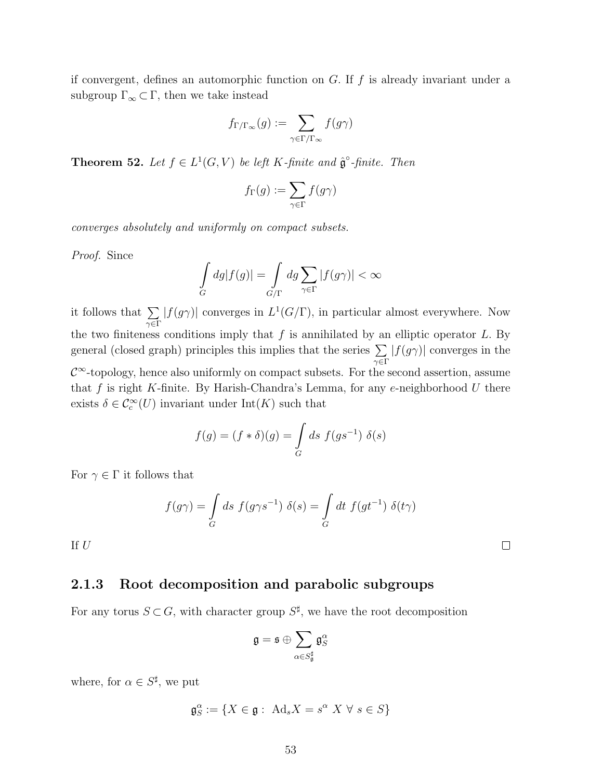if convergent, defines an automorphic function on  $G$ . If  $f$  is already invariant under a subgroup  $\Gamma_{\infty} \subset \Gamma$ , then we take instead

$$
f_{\Gamma/\Gamma_\infty}(g):=\sum_{\gamma\in\Gamma/\Gamma_\infty}f(g\gamma)
$$

**Theorem 52.** Let  $f \in L^1(G, V)$  be left K-finite and  $\hat{\mathfrak{g}}^{\circ}$ -finite. Then

$$
f_{\Gamma}(g):=\sum_{\gamma\in \Gamma}f(g\gamma)
$$

converges absolutely and uniformly on compact subsets.

Proof. Since

$$
\int_{G} dg |f(g)| = \int_{G/\Gamma} dg \sum_{\gamma \in \Gamma} |f(g\gamma)| < \infty
$$

it follows that  $\Sigma$  $γ ∈ Γ$  $|f(g\gamma)|$  converges in  $L^1(G/\Gamma)$ , in particular almost everywhere. Now the two finiteness conditions imply that  $f$  is annihilated by an elliptic operator  $L$ . By general (closed graph) principles this implies that the series  $\Sigma$ γ∈Γ  $|f(g\gamma)|$  converges in the  $\mathcal{C}^{\infty}$ -topology, hence also uniformly on compact subsets. For the second assertion, assume that  $f$  is right K-finite. By Harish-Chandra's Lemma, for any e-neighborhood  $U$  there exists  $\delta \in \mathcal{C}_c^{\infty}(U)$  invariant under  $\mathrm{Int}(K)$  such that

$$
f(g) = (f * \delta)(g) = \int_G ds \ f(gs^{-1}) \ \delta(s)
$$

For  $\gamma \in \Gamma$  it follows that

$$
f(g\gamma) = \int\limits_G ds \ f(g\gamma s^{-1}) \ \delta(s) = \int\limits_G dt \ f(g t^{-1}) \ \delta(t\gamma)
$$

If  $U$ 

#### 2.1.3 Root decomposition and parabolic subgroups

For any torus  $S \subset G$ , with character group  $S^{\sharp}$ , we have the root decomposition

$$
\mathfrak{g}=\mathfrak{s}\oplus\sum_{\alpha\in S_{\mathfrak{g}}^{\sharp}}\mathfrak{g}_S^{\alpha}
$$

where, for  $\alpha \in S^{\sharp}$ , we put

$$
\mathfrak{g}_S^{\alpha} := \{ X \in \mathfrak{g} : \text{Ad}_s X = s^{\alpha} X \ \forall \ s \in S \}
$$

 $\Box$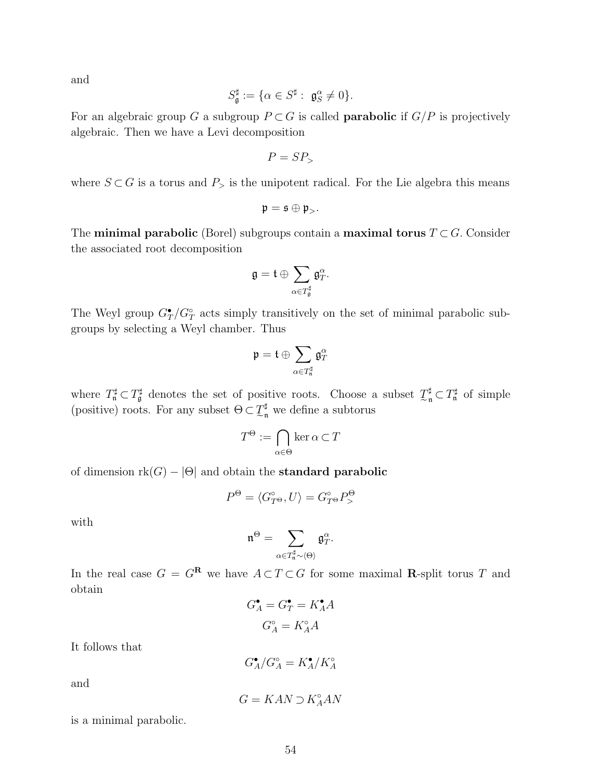and

$$
S_{\mathfrak{g}}^{\sharp} := \{ \alpha \in S^{\sharp} : \ \mathfrak{g}_S^{\alpha} \neq 0 \}.
$$

For an algebraic group G a subgroup  $P \subset G$  is called **parabolic** if  $G/P$  is projectively algebraic. Then we have a Levi decomposition

$$
P=SP_{>}
$$

where  $S \subset G$  is a torus and  $P_{\geq}$  is the unipotent radical. For the Lie algebra this means

$$
\mathfrak{p}=\mathfrak{s}\oplus\mathfrak{p}_{>}.
$$

The **minimal parabolic** (Borel) subgroups contain a **maximal torus**  $T \subset G$ . Consider the associated root decomposition

$$
\mathfrak{g}=\mathfrak{t}\oplus \sum_{\alpha\in T^{\sharp}_{\mathfrak{g}}} \mathfrak{g}^{\alpha}_T.
$$

The Weyl group  $G_T^{\bullet}/G_T^{\circ}$  acts simply transitively on the set of minimal parabolic subgroups by selecting a Weyl chamber. Thus

$$
\mathfrak{p}=\mathfrak{t}\oplus \sum_{\alpha\in T^{\sharp}_{\mathfrak{n}}}\mathfrak{g}^{\alpha}_{T}
$$

where  $T^{\sharp}_{\mathfrak{n}} \subset T^{\sharp}_{\mathfrak{g}}$  denotes the set of positive roots. Choose a subset  $\mathcal{I}^{\sharp}_{\mathfrak{n}} \subset T^{\sharp}_{\mathfrak{n}}$  of simple (positive) roots. For any subset  $\Theta \subset \mathcal{I}_{\mathfrak{m}}^{\sharp}$  $\frac{\pi}{n}$  we define a subtorus

$$
T^{\Theta} := \bigcap_{\alpha \in \Theta} \ker \alpha \subset T
$$

of dimension  $rk(G) - |\Theta|$  and obtain the **standard parabolic** 

$$
P^{\Theta} = \langle G_{T^{\Theta}}^{\circ}, U \rangle = G_{T^{\Theta}}^{\circ} P_{>}^{\Theta}
$$

with

$$
\mathfrak{n}^\Theta=\sum_{\alpha\in T^\sharp_\mathfrak{n}\sim \langle \Theta\rangle}\mathfrak{g}^\alpha_T.
$$

In the real case  $G = G^{\mathbf{R}}$  we have  $A \subset T \subset G$  for some maximal **R**-split torus T and obtain

$$
G_A^{\bullet} = G_T^{\bullet} = K_A^{\bullet} A
$$

$$
G_A^{\circ} = K_A^{\circ} A
$$

It follows that

 $G_A^{\bullet}/G_A^{\circ} = K_A^{\bullet}/K_A^{\circ}$ 

and

$$
G=KAN\supset K_A^\circ AN
$$

is a minimal parabolic.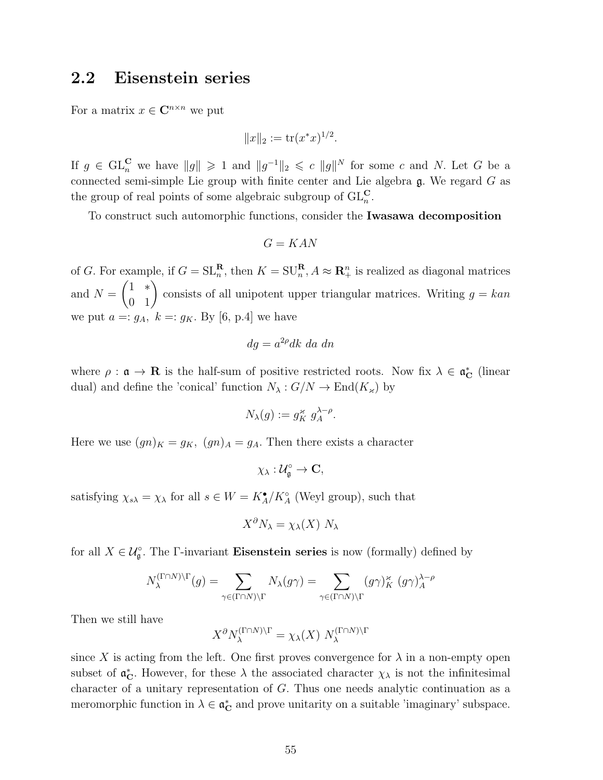### 2.2 Eisenstein series

For a matrix  $x \in \mathbb{C}^{n \times n}$  we put

$$
||x||_2 := \text{tr}(x^*x)^{1/2}.
$$

If  $g \in GL_n^{\mathbf{C}}$  we have  $||g|| \geq 1$  and  $||g^{-1}||_2 \leqslant c ||g||^N$  for some c and N. Let G be a connected semi-simple Lie group with finite center and Lie algebra g. We regard G as the group of real points of some algebraic subgroup of  $\mathrm{GL}_{n}^{\mathbf{C}}$ .

To construct such automorphic functions, consider the Iwasawa decomposition

$$
G = KAN
$$

of G. For example, if  $G = SL_n^{\mathbf{R}}$ , then  $K = SU_n^{\mathbf{R}}, A \approx \mathbf{R}_+^n$  is realized as diagonal matrices and  $N =$  $\begin{pmatrix} 1 & * \\ 0 & 1 \end{pmatrix}$ consists of all unipotent upper triangular matrices. Writing  $g = kan$ we put  $a =: g_A$ ,  $k =: g_K$ . By [6, p.4] we have

$$
dg = a^{2\rho} dk \, da \, dn
$$

where  $\rho : \mathfrak{a} \to \mathbf{R}$  is the half-sum of positive restricted roots. Now fix  $\lambda \in \mathfrak{a}_{\mathbf{C}}^*$  (linear dual) and define the 'conical' function  $N_{\lambda}: G/N \to \text{End}(K_{\kappa})$  by

$$
N_{\lambda}(g) := g_K^{\kappa} g_A^{\lambda - \rho}.
$$

Here we use  $(gn)_K = g_K$ ,  $(gn)_A = g_A$ . Then there exists a character

 $\chi_{\lambda}:\mathcal{U}_{\mathfrak{g}}^{\circ}\to\mathbf{C},$ 

satisfying  $\chi_{s\lambda} = \chi_{\lambda}$  for all  $s \in W = K_A^{\bullet}/K_A^{\circ}$  (Weyl group), such that

$$
X^{\partial} N_{\lambda} = \chi_{\lambda}(X) N_{\lambda}
$$

for all  $X \in \mathcal{U}_{\mathfrak{g}}^{\circ}$ . The  $\Gamma$ -invariant **Eisenstein series** is now (formally) defined by

$$
N_{\lambda}^{(\Gamma \cap N) \setminus \Gamma}(g) = \sum_{\gamma \in (\Gamma \cap N) \setminus \Gamma} N_{\lambda}(g\gamma) = \sum_{\gamma \in (\Gamma \cap N) \setminus \Gamma} (g\gamma)_{K}^{\times} (g\gamma)_{A}^{\lambda - \rho}
$$

Then we still have

$$
X^{\partial} N_{\lambda}^{(\Gamma \cap N) \setminus \Gamma} = \chi_{\lambda}(X) N_{\lambda}^{(\Gamma \cap N) \setminus \Gamma}
$$

since X is acting from the left. One first proves convergence for  $\lambda$  in a non-empty open subset of  $\mathfrak{a}_\mathbb{C}^*$ . However, for these  $\lambda$  the associated character  $\chi_\lambda$  is not the infinitesimal character of a unitary representation of G. Thus one needs analytic continuation as a meromorphic function in  $\lambda \in \mathfrak{a}_\mathbf{C}^*$  and prove unitarity on a suitable 'imaginary' subspace.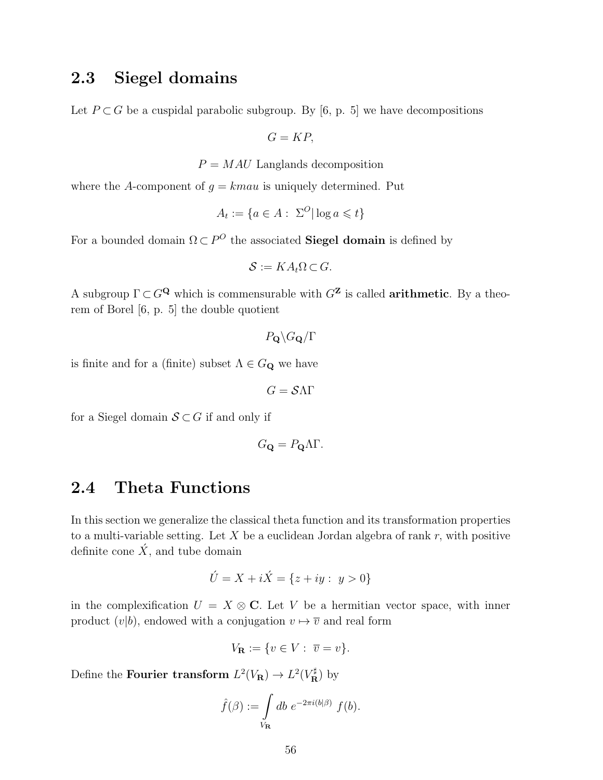## 2.3 Siegel domains

Let  $P \subset G$  be a cuspidal parabolic subgroup. By [6, p. 5] we have decompositions

 $G = KP$ 

 $P = MAU$  Langlands decomposition

where the A-component of  $q = kmau$  is uniquely determined. Put

$$
A_t := \{ a \in A : \ \Sigma^O | \log a \leq t \}
$$

For a bounded domain  $\Omega \subset P^O$  the associated **Siegel domain** is defined by

$$
\mathcal{S} := KA_t \Omega \subset G.
$$

A subgroup  $\Gamma \subset G^{\mathbf{Q}}$  which is commensurable with  $G^{\mathbf{Z}}$  is called **arithmetic**. By a theorem of Borel [6, p. 5] the double quotient

 $P_{\mathbf{Q}}\backslash G_{\mathbf{Q}}/\Gamma$ 

is finite and for a (finite) subset  $\Lambda \in G_{\mathbf{Q}}$  we have

 $G = S\Lambda\Gamma$ 

for a Siegel domain  $S \subset G$  if and only if

$$
G_{\mathbf{Q}} = P_{\mathbf{Q}} \Lambda \Gamma.
$$

### 2.4 Theta Functions

In this section we generalize the classical theta function and its transformation properties to a multi-variable setting. Let  $X$  be a euclidean Jordan algebra of rank  $r$ , with positive definite cone  $\acute{X}$ , and tube domain

$$
\acute{U} = X + i\acute{X} = \{z + iy : y > 0\}
$$

in the complexification  $U = X \otimes \mathbb{C}$ . Let V be a hermitian vector space, with inner product  $(v|b)$ , endowed with a conjugation  $v \mapsto \overline{v}$  and real form

$$
V_{\mathbf{R}} := \{ v \in V : \overline{v} = v \}.
$$

Define the **Fourier transform**  $L^2(V_{\mathbf{R}}) \to L^2(V_{\mathbf{R}}^{\sharp})$  by

$$
\hat{f}(\beta) := \int\limits_{V_{\mathbf{R}}} db \ e^{-2\pi i (b|\beta)} \ f(b).
$$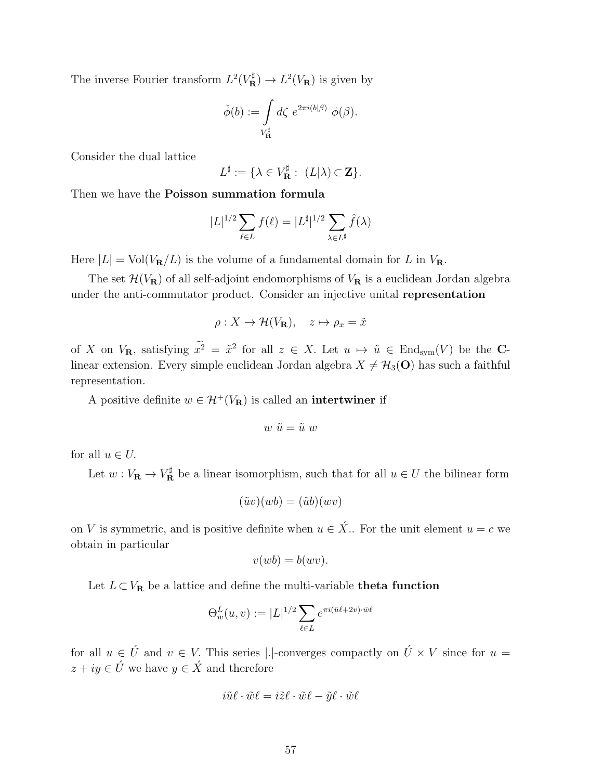The inverse Fourier transform  $L^2(V_{\mathbf{R}}^{\sharp}) \to L^2(V_{\mathbf{R}})$  is given by

$$
\check{\phi}(b) := \int\limits_{V_{\mathbf{R}}^{\sharp}} d\zeta \ e^{2\pi i (b|\beta)} \ \phi(\beta).
$$

Consider the dual lattice

$$
L^{\sharp} := \{ \lambda \in V_{\mathbf{R}}^{\sharp} : (L|\lambda) \subset \mathbf{Z} \}.
$$

Then we have the Poisson summation formula

$$
|L|^{1/2} \sum_{\ell \in L} f(\ell) = |L^{\sharp}|^{1/2} \sum_{\lambda \in L^{\sharp}} \hat{f}(\lambda)
$$

Here  $|L| = Vol(V_{\mathbf{R}}/L)$  is the volume of a fundamental domain for L in  $V_{\mathbf{R}}$ .

The set  $\mathcal{H}(V_{\mathbf{R}})$  of all self-adjoint endomorphisms of  $V_{\mathbf{R}}$  is a euclidean Jordan algebra under the anti-commutator product. Consider an injective unital representation

$$
\rho: X \to \mathcal{H}(V_{\mathbf{R}}), \quad z \mapsto \rho_x = \tilde{x}
$$

of X on  $V_{\mathbf{R}}$ , satisfying  $x^2 = \tilde{x}^2$  for all  $z \in X$ . Let  $u \mapsto \tilde{u} \in \text{End}_{sym}(V)$  be the Clinear extension. Every simple euclidean Jordan algebra  $X \neq H_3(O)$  has such a faithful representation.

A positive definite  $w \in \mathcal{H}^+(V_\mathbf{R})$  is called an **intertwiner** if

$$
w\,\,\tilde u=\tilde u\,\,w
$$

for all  $u \in U$ .

Let  $w: V_{\mathbf{R}} \to V_{\mathbf{R}}^{\sharp}$  be a linear isomorphism, such that for all  $u \in U$  the bilinear form

$$
(\tilde{u}v)(wb) = (\tilde{u}b)(wv)
$$

on V is symmetric, and is positive definite when  $u \in \acute{X}$ . For the unit element  $u = c$  we obtain in particular

$$
v(wb) = b(wv).
$$

Let  $L \subset V_{\mathbf{R}}$  be a lattice and define the multi-variable **theta function** 

$$
\Theta_w^L(u,v) := |L|^{1/2} \sum_{\ell \in L} e^{\pi i (\tilde{u}\ell + 2v) \cdot \tilde{w}\ell}
$$

for all  $u \in \hat{U}$  and  $v \in V$ . This series |.|-converges compactly on  $\hat{U} \times V$  since for  $u =$  $z + iy \in \acute{U}$  we have  $y \in \acute{X}$  and therefore

$$
i\tilde{u}\ell \cdot \tilde{w}\ell = i\tilde{z}\ell \cdot \tilde{w}\ell - \tilde{y}\ell \cdot \tilde{w}\ell
$$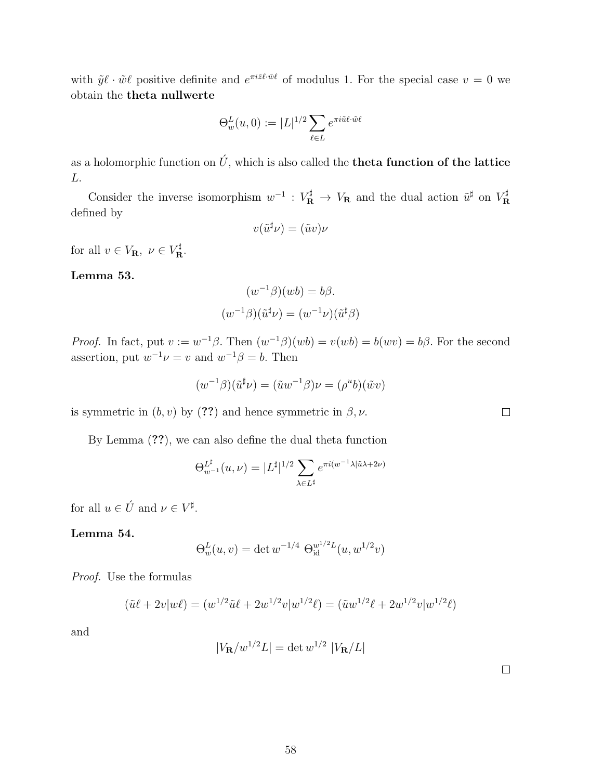with  $\tilde{y}\ell \cdot \tilde{w}\ell$  positive definite and  $e^{\pi i \tilde{z}\ell \cdot \tilde{w}\ell}$  of modulus 1. For the special case  $v = 0$  we obtain the theta nullwerte

$$
\Theta^L_w(u,0):=|L|^{1/2}\sum_{\ell\in L}e^{\pi i\tilde{u}\ell\cdot\tilde{w}\ell}
$$

as a holomorphic function on  $\hat{U}$ , which is also called the **theta function of the lattice** L.

Consider the inverse isomorphism  $w^{-1}: V_{\mathbf{R}}^{\sharp} \to V_{\mathbf{R}}$  and the dual action  $\tilde{u}^{\sharp}$  on  $V_{\mathbf{R}}^{\sharp}$ R defined by

$$
v(\tilde{u}^{\sharp}\nu) = (\tilde{u}v)\nu
$$

for all  $v \in V_{\mathbf{R}}$ ,  $v \in V_{\mathbf{R}}^{\sharp}$ .

#### Lemma 53.

$$
(w^{-1}\beta)(wb) = b\beta.
$$

$$
(w^{-1}\beta)(\tilde{u}^{\sharp}\nu) = (w^{-1}\nu)(\tilde{u}^{\sharp}\beta)
$$

*Proof.* In fact, put  $v := w^{-1}\beta$ . Then  $(w^{-1}\beta)(wb) = v(wb) = b(wv) = b\beta$ . For the second assertion, put  $w^{-1}\nu = v$  and  $w^{-1}\beta = b$ . Then

$$
(w^{-1}\beta)(\tilde{u}^{\sharp}\nu) = (\tilde{u}w^{-1}\beta)\nu = (\rho^u b)(\tilde{w}v)
$$

is symmetric in  $(b, v)$  by (??) and hence symmetric in  $\beta, \nu$ .

By Lemma (??), we can also define the dual theta function

$$
\Theta_{w^{-1}}^{\mathcal{L}^\sharp}(u,\nu) = |L^\sharp|^{1/2} \sum_{\lambda \in L^\sharp} e^{\pi i (w^{-1} \lambda | \tilde{u} \lambda + 2\nu)}
$$

for all  $u \in \acute{U}$  and  $\nu \in V^{\sharp}$ .

Lemma 54.

$$
\Theta_w^L(u, v) = \det w^{-1/4} \Theta_{\text{id}}^{w^{1/2}L}(u, w^{1/2}v)
$$

Proof. Use the formulas

$$
(\tilde{u}\ell + 2v|w\ell) = (w^{1/2}\tilde{u}\ell + 2w^{1/2}v|w^{1/2}\ell) = (\tilde{u}w^{1/2}\ell + 2w^{1/2}v|w^{1/2}\ell)
$$

and

$$
|V_{\mathbf{R}}/w^{1/2}L| = \det w^{1/2} |V_{\mathbf{R}}/L|
$$

 $\Box$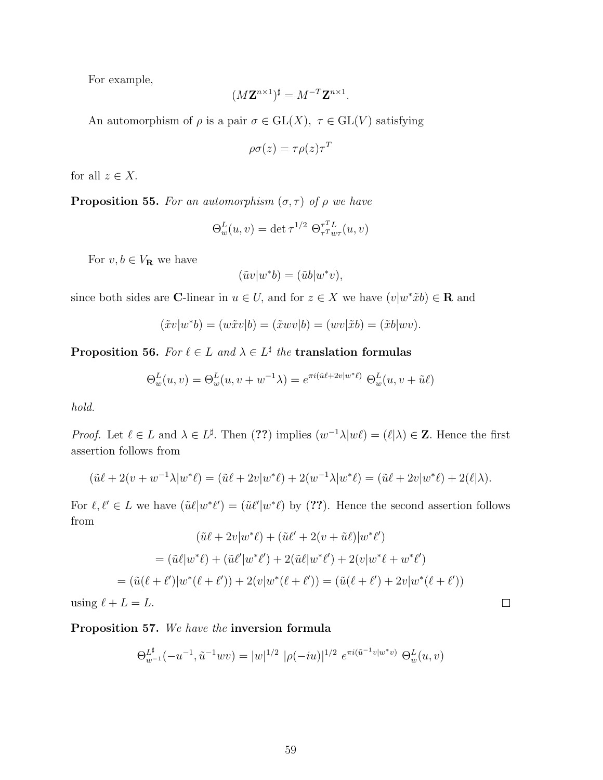For example,

$$
(M\mathbf{Z}^{n\times 1})^{\sharp} = M^{-T}\mathbf{Z}^{n\times 1}.
$$

An automorphism of  $\rho$  is a pair  $\sigma \in GL(X)$ ,  $\tau \in GL(V)$  satisfying

$$
\rho \sigma(z) = \tau \rho(z) \tau^T
$$

for all  $z \in X$ .

**Proposition 55.** For an automorphism  $(\sigma, \tau)$  of  $\rho$  we have

$$
\Theta_w^L(u,v) = \det \tau^{1/2} \ \Theta_{\tau^T w \tau}^{\tau^T L}(u,v)
$$

For  $v, b \in V_{\mathbf{R}}$  we have

$$
(\tilde{u}v|w^*b) = (\tilde{u}b|w^*v),
$$

since both sides are C-linear in  $u \in U$ , and for  $z \in X$  we have  $(v|w^*\tilde{x}b) \in \mathbf{R}$  and

$$
(\tilde{x}v|w^*b) = (w\tilde{x}v|b) = (\tilde{x}wv|b) = (wv|\tilde{x}b) = (\tilde{x}b|wv).
$$

Proposition 56. For  $\ell \in L$  and  $\lambda \in L^{\sharp}$  the translation formulas

$$
\Theta_w^L(u,v) = \Theta_w^L(u,v+w^{-1}\lambda) = e^{\pi i (\tilde{u}\ell + 2v|w^*\ell)} \Theta_w^L(u,v+\tilde{u}\ell)
$$

hold.

*Proof.* Let  $\ell \in L$  and  $\lambda \in L^{\sharp}$ . Then  $(??)$  implies  $(w^{-1}\lambda|w\ell)=(\ell|\lambda) \in \mathbb{Z}$ . Hence the first assertion follows from

$$
(\tilde{u}\ell + 2(v + w^{-1}\lambda|w^*\ell) = (\tilde{u}\ell + 2v|w^*\ell) + 2(w^{-1}\lambda|w^*\ell) = (\tilde{u}\ell + 2v|w^*\ell) + 2(\ell|\lambda).
$$

For  $\ell, \ell' \in L$  we have  $(\tilde{u}\ell|w^*\ell') = (\tilde{u}\ell'|w^*\ell)$  by (??). Hence the second assertion follows from

$$
(\tilde{u}\ell + 2v|w^*\ell) + (\tilde{u}\ell' + 2(v + \tilde{u}\ell)|w^*\ell')
$$
  
=  $(\tilde{u}\ell|w^*\ell) + (\tilde{u}\ell'|w^*\ell') + 2(\tilde{u}\ell|w^*\ell') + 2(v|w^*\ell + w^*\ell')$   
=  $(\tilde{u}(\ell + \ell')|w^*(\ell + \ell')) + 2(v|w^*(\ell + \ell')) = (\tilde{u}(\ell + \ell') + 2v|w^*(\ell + \ell'))$ 

 $\Box$ 

using  $\ell + L = L$ .

#### Proposition 57. We have the inversion formula

$$
\Theta_{w^{-1}}^{\mathbb{L}^{\sharp}}(-u^{-1}, \tilde{u}^{-1}wv) = |w|^{1/2} |\rho(-iu)|^{1/2} e^{\pi i (\tilde{u}^{-1}v|w^*v)} \Theta_w^L(u,v)
$$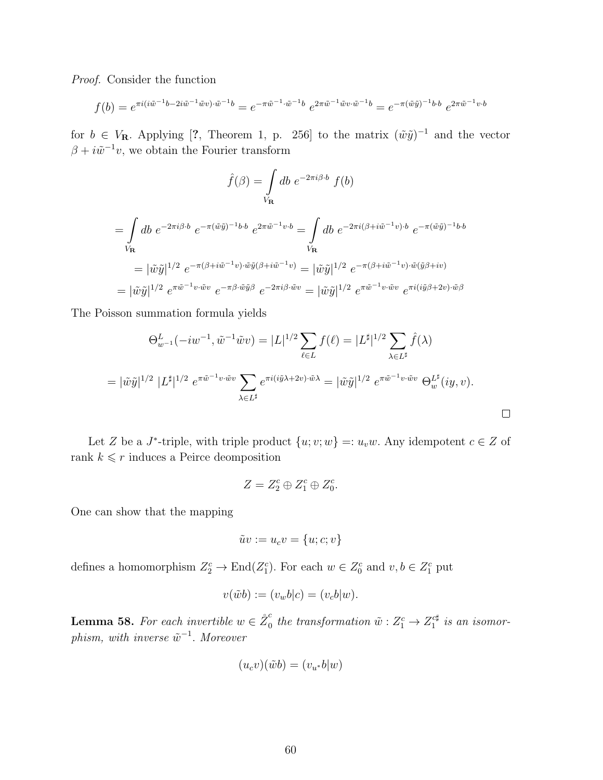Proof. Consider the function

$$
f(b) = e^{\pi i (i\tilde{w}^{-1}b - 2i\tilde{w}^{-1}\tilde{w}v) \cdot \tilde{w}^{-1}b} = e^{-\pi \tilde{w}^{-1}\cdot \tilde{w}^{-1}b} e^{2\pi \tilde{w}^{-1}\tilde{w}v \cdot \tilde{w}^{-1}b} = e^{-\pi (\tilde{w}\tilde{y})^{-1}b \cdot b} e^{2\pi \tilde{w}^{-1}v \cdot b}
$$

for  $b \in V_{\mathbf{R}}$ . Applying [?, Theorem 1, p. 256] to the matrix  $(\tilde{w}\tilde{y})^{-1}$  and the vector  $\beta + i\tilde{w}^{-1}v$ , we obtain the Fourier transform

$$
\hat{f}(\beta) = \int\limits_{V_{\mathbf{R}}} db \ e^{-2\pi i \beta \cdot b} \ f(b)
$$

$$
\begin{split}\n&= \int db \ e^{-2\pi i \beta \cdot b} \ e^{-\pi (\tilde{w}\tilde{y})^{-1}b \cdot b} \ e^{2\pi \tilde{w}^{-1}v \cdot b} = \int db \ e^{-2\pi i (\beta + i\tilde{w}^{-1}v) \cdot b} \ e^{-\pi (\tilde{w}\tilde{y})^{-1}b \cdot b} \\
&= |\tilde{w}\tilde{y}|^{1/2} \ e^{-\pi (\beta + i\tilde{w}^{-1}v) \cdot \tilde{w}\tilde{y}(\beta + i\tilde{w}^{-1}v)} = |\tilde{w}\tilde{y}|^{1/2} \ e^{-\pi (\beta + i\tilde{w}^{-1}v) \cdot \tilde{w}(\tilde{y}\beta + iv)} \\
&= |\tilde{w}\tilde{y}|^{1/2} \ e^{\pi \tilde{w}^{-1}v \cdot \tilde{w}v} \ e^{-\pi \beta \cdot \tilde{w}\tilde{y}\beta} \ e^{-2\pi i \beta \cdot \tilde{w}v} = |\tilde{w}\tilde{y}|^{1/2} \ e^{\pi \tilde{w}^{-1}v \cdot \tilde{w}v} \ e^{\pi i (i\tilde{y}\beta + 2v) \cdot \tilde{w}\beta}\n\end{split}
$$

The Poisson summation formula yields

$$
\Theta_{w^{-1}}^{L}(-iw^{-1}, \tilde{w}^{-1}\tilde{w}v) = |L|^{1/2} \sum_{\ell \in L} f(\ell) = |L^{\sharp}|^{1/2} \sum_{\lambda \in L^{\sharp}} \hat{f}(\lambda)
$$
  
=  $|\tilde{w}\tilde{y}|^{1/2} |L^{\sharp}|^{1/2} e^{\pi \tilde{w}^{-1}v \cdot \tilde{w}v} \sum_{\lambda \in L^{\sharp}} e^{\pi i (i\tilde{y}\lambda + 2v) \cdot \tilde{w}\lambda} = |\tilde{w}\tilde{y}|^{1/2} e^{\pi \tilde{w}^{-1}v \cdot \tilde{w}v} \Theta_{w}^{L^{\sharp}}(iy, v). \square$ 

Let Z be a J<sup>\*</sup>-triple, with triple product  $\{u; v; w\} =: u_v w$ . Any idempotent  $c \in Z$  of rank $k \leqslant r$  induces a Peirce deomposition

$$
Z = Z_2^c \oplus Z_1^c \oplus Z_0^c.
$$

One can show that the mapping

$$
\tilde{u}v := u_c v = \{u; c; v\}
$$

defines a homomorphism  $Z_2^c \to \text{End}(Z_1^c)$ . For each  $w \in Z_0^c$  and  $v, b \in Z_1^c$  put

$$
v(\tilde{w}b) := (v_w b|c) = (v_c b|w).
$$

**Lemma 58.** For each invertible  $w \in \overset{\circ}{Z}_0^c$  $\frac{c}{0}$  the transformation  $\tilde{w}:Z_1^c\rightarrow Z_1^{c\sharp}$  $i<sup>c</sup>$ # is an isomorphism, with inverse  $\tilde{w}^{-1}$ . Moreover

$$
(u_c v)(\tilde{w}b) = (v_{u^*}b|w)
$$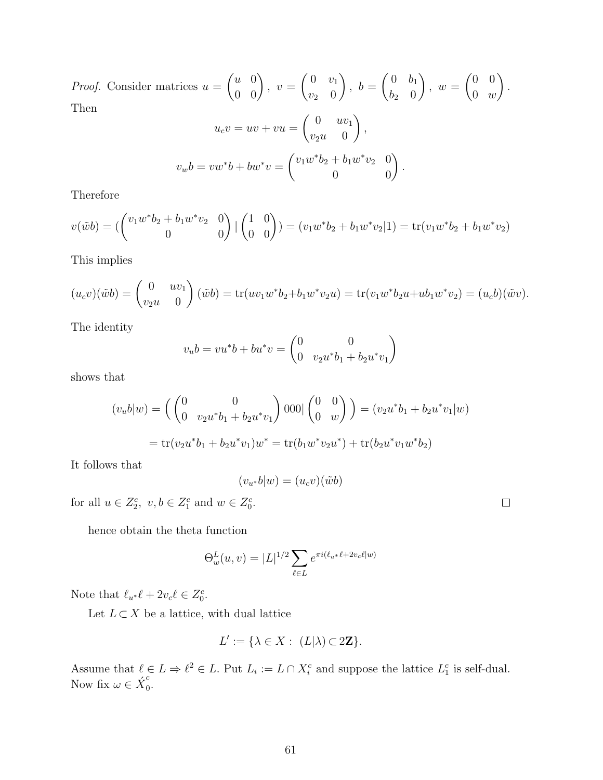*Proof.* Consider matrices  $u =$  $\begin{pmatrix} u & 0 \\ 0 & 0 \end{pmatrix}$  $, v =$  $\begin{pmatrix} 0 & v_1 \end{pmatrix}$  $v_2$  0  $\setminus$  $, b =$  $\begin{pmatrix} 0 & b_1 \end{pmatrix}$  $b_2$  0  $\setminus$  $, w =$  $(0 \ 0)$  $0 \t w$  $\setminus$ . Then  $u_c v = uv + vu =$  $\begin{pmatrix} 0 & uv_1 \end{pmatrix}$  $v_2u=0$  $\setminus$ ,

$$
v_w b = v w^* b + b w^* v = \begin{pmatrix} v_1 w^* b_2 + b_1 w^* v_2 & 0 \\ 0 & 0 \end{pmatrix}.
$$

Therefore

$$
v(\tilde{w}b) = \begin{pmatrix} v_1 w^* b_2 + b_1 w^* v_2 & 0 \\ 0 & 0 \end{pmatrix} \begin{pmatrix} 1 & 0 \\ 0 & 0 \end{pmatrix} = (v_1 w^* b_2 + b_1 w^* v_2 | 1) = \text{tr}(v_1 w^* b_2 + b_1 w^* v_2)
$$

This implies

$$
(u_c v)(\tilde{w}b) = \begin{pmatrix} 0 & uv_1 \\ v_2 u & 0 \end{pmatrix} (\tilde{w}b) = \text{tr}(uv_1 w^* b_2 + b_1 w^* v_2 u) = \text{tr}(v_1 w^* b_2 u + u b_1 w^* v_2) = (u_c b)(\tilde{w}v).
$$

The identity

$$
v_u b = v u^* b + b u^* v = \begin{pmatrix} 0 & 0 \\ 0 & v_2 u^* b_1 + b_2 u^* v_1 \end{pmatrix}
$$

shows that

$$
(v_u b|w) = \left(\begin{pmatrix} 0 & 0 \\ 0 & v_2 u^* b_1 + b_2 u^* v_1 \end{pmatrix} 000 | \begin{pmatrix} 0 & 0 \\ 0 & w \end{pmatrix} \right) = (v_2 u^* b_1 + b_2 u^* v_1 | w)
$$
  
= tr(v<sub>2</sub>u<sup>\*</sup>b<sub>1</sub> + b<sub>2</sub>u<sup>\*</sup>v<sub>1</sub>)w<sup>\*</sup> = tr(b<sub>1</sub>w<sup>\*</sup>v<sub>2</sub>u<sup>\*</sup>) + tr(b<sub>2</sub>u<sup>\*</sup>v<sub>1</sub>w<sup>\*</sup>b<sub>2</sub>)

It follows that

$$
(v_{u^*}b|w) = (u_c v)(\tilde{w}b)
$$

for all  $u \in Z_2^c$ ,  $v, b \in Z_1^c$  and  $w \in Z_0^c$ .

hence obtain the theta function

$$
\Theta_w^L(u, v) = |L|^{1/2} \sum_{\ell \in L} e^{\pi i (\ell_{u^*} \ell + 2v_c \ell | w)}
$$

Note that  $\ell_{u^*}\ell + 2v_c\ell \in Z_0^c$ .

Let  $L \subset X$  be a lattice, with dual lattice

$$
L' := \{ \lambda \in X : (L|\lambda) \subset 2\mathbf{Z} \}.
$$

Assume that  $\ell \in L \Rightarrow \ell^2 \in L$ . Put  $L_i := L \cap X_i^c$  and suppose the lattice  $L_1^c$  is self-dual. Now fix  $\omega \in \acute{X}^c_0$  $\frac{1}{0}$ .

 $\Box$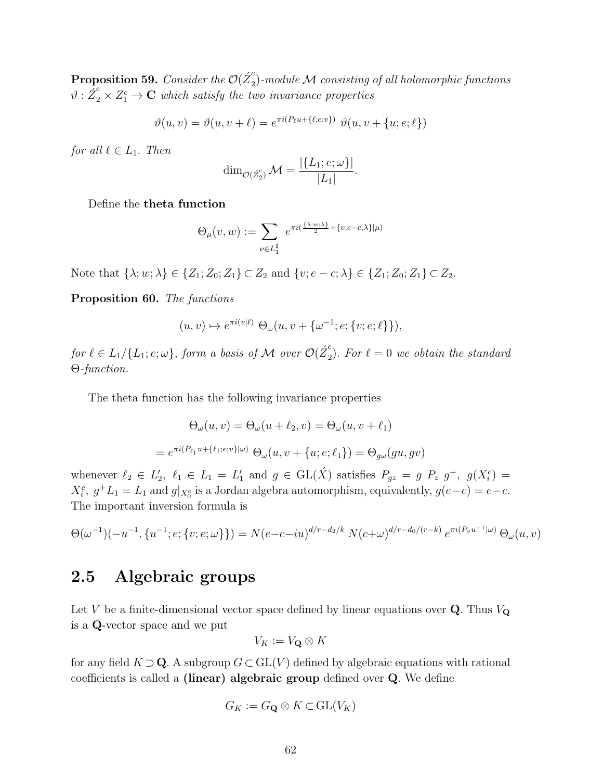$\bf{Proposition~59.}$  Consider the  ${\cal O}({\it Z}_2^c)$  $\mathbb{P}_2^{\text{}}$ )-module  $\mathcal M$  consisting of all holomorphic functions  $\vartheta$ :  $\tilde{Z}_2^c \times Z_1^c \to \mathbf{C}$  which satisfy the two invariance properties

$$
\vartheta(u,v) = \vartheta(u,v+\ell) = e^{\pi i (P_\ell u + \{\ell;e;v\})} \vartheta(u,v + \{u;e;\ell\})
$$

for all  $\ell \in L_1$ . Then

$$
\dim_{\mathcal{O}(\hat{Z}_2^c)} \mathcal{M} = \frac{|\{L_1; e; \omega\}|}{|L_1|}.
$$

Define the theta function

$$
\Theta_{\mu}(v,w) := \sum_{\nu \in L_1^{\sharp}} e^{\pi i \left( \frac{\{\lambda; w; \lambda\}}{2} + \{v; e - c; \lambda\} | \mu \right)}
$$

Note that  $\{\lambda; w; \lambda\} \in \{Z_1; Z_0; Z_1\} \subset Z_2$  and  $\{v; e - c; \lambda\} \in \{Z_1; Z_0; Z_1\} \subset Z_2$ .

Proposition 60. The functions

$$
(u, v) \mapsto e^{\pi i (v|\ell)} \Theta_{\omega}(u, v + \{\omega^{-1}; e; \{v; e; \ell\}\}),
$$

for  $\ell \in L_1/\{L_1;e;\omega\}$ , form a basis of M over  $\mathcal{O}( \acute{Z}_2^c$  $\sum_{2}^{\infty}$ ). For  $\ell = 0$  we obtain the standard Θ-function.

The theta function has the following invariance properties

$$
\Theta_{\omega}(u,v) = \Theta_{\omega}(u + \ell_2, v) = \Theta_{\omega}(u, v + \ell_1)
$$

$$
= e^{\pi i (P_{\ell_1} u + {\ell_1}; e; v) | \omega} \Theta_{\omega}(u, v + \{u; e; \ell_1\}) = \Theta_{g\omega}(gu, gv)
$$

whenever  $\ell_2 \in L'_2$ ,  $\ell_1 \in L_1 = L'_1$  and  $g \in GL(\check{X})$  satisfies  $P_{gz} = g P_z g^+, g(X_i^c) =$  $X_i^c$ ,  $g^+L_1 = L_1$  and  $g|_{X_0^c}$  is a Jordan algebra automorphism, equivalently,  $g(e-c) = e-c$ . The important inversion formula is

$$
\Theta(\omega^{-1})(-u^{-1}, \{u^{-1};e;\{v;e;\omega\}\}) = N(e-c-iu)^{d/r-d_2/k} N(c+\omega)^{d/r-d_0/(r-k)} e^{\pi i (P_v u^{-1}|\omega)} \Theta_\omega(u,v)
$$

## 2.5 Algebraic groups

Let V be a finite-dimensional vector space defined by linear equations over  $Q$ . Thus  $V_Q$ is a Q-vector space and we put

$$
V_K:=V_{\mathbf{Q}}\otimes K
$$

for any field  $K \supset \mathbf{Q}$ . A subgroup  $G \subset GL(V)$  defined by algebraic equations with rational coefficients is called a (linear) algebraic group defined over Q. We define

$$
G_K := G_{\mathbf{Q}} \otimes K \subset \mathrm{GL}(V_K)
$$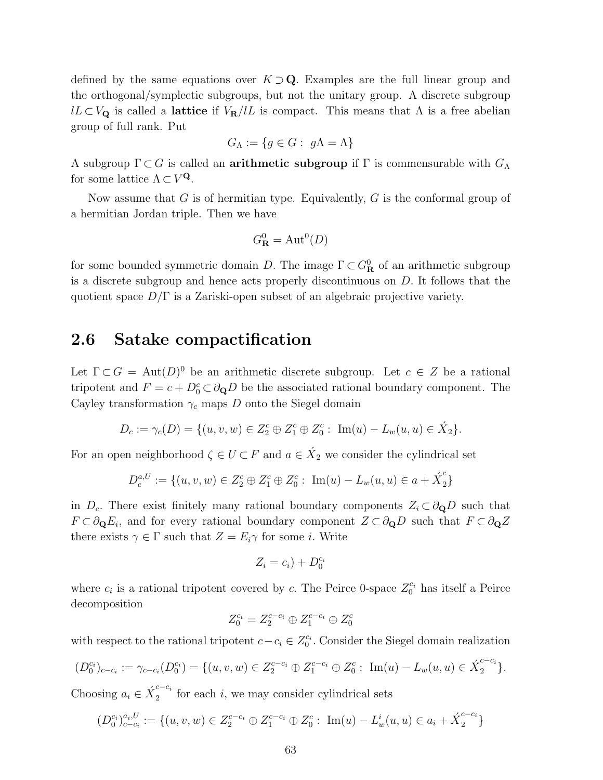defined by the same equations over  $K \supset \mathbf{Q}$ . Examples are the full linear group and the orthogonal/symplectic subgroups, but not the unitary group. A discrete subgroup  $lL \subset V_{\mathbf{Q}}$  is called a lattice if  $V_{\mathbf{R}}/lL$  is compact. This means that  $\Lambda$  is a free abelian group of full rank. Put

$$
G_{\Lambda} := \{ g \in G : g\Lambda = \Lambda \}
$$

A subgroup  $\Gamma \subset G$  is called an **arithmetic subgroup** if  $\Gamma$  is commensurable with  $G_{\Lambda}$ for some lattice  $\Lambda \subset V^{\mathbf{Q}}$ .

Now assume that  $G$  is of hermitian type. Equivalently,  $G$  is the conformal group of a hermitian Jordan triple. Then we have

$$
G^0_{\mathbf{R}} = \mathrm{Aut}^0(D)
$$

for some bounded symmetric domain D. The image  $\Gamma \subset G^0_{\mathbf{R}}$  of an arithmetic subgroup is a discrete subgroup and hence acts properly discontinuous on D. It follows that the quotient space  $D/\Gamma$  is a Zariski-open subset of an algebraic projective variety.

### 2.6 Satake compactification

Let  $\Gamma \subset G = \text{Aut}(D)^0$  be an arithmetic discrete subgroup. Let  $c \in Z$  be a rational tripotent and  $F = c + D_0^c \subset \partial_{\mathbf{Q}} D$  be the associated rational boundary component. The Cayley transformation  $\gamma_c$  maps D onto the Siegel domain

$$
D_c := \gamma_c(D) = \{ (u, v, w) \in Z_2^c \oplus Z_1^c \oplus Z_0^c : \operatorname{Im}(u) - L_w(u, u) \in \acute{X}_2 \}.
$$

For an open neighborhood  $\zeta \in U \subset F$  and  $a \in \acute{X}_2$  we consider the cylindrical set

$$
D_c^{a,U} := \{ (u,v,w) \in Z_2^c \oplus Z_1^c \oplus Z_0^c : \ \mathrm{Im}(u) - L_w(u,u) \in a + \acute{X}_2^c \}
$$

in  $D_c$ . There exist finitely many rational boundary components  $Z_i \subset \partial_{\mathbf{Q}} D$  such that  $F \subset \partial_{\mathbf{Q}} E_i$ , and for every rational boundary component  $Z \subset \partial_{\mathbf{Q}} D$  such that  $F \subset \partial_{\mathbf{Q}} Z$ there exists  $\gamma \in \Gamma$  such that  $Z = E_i \gamma$  for some *i*. Write

$$
Z_i = c_i) + D_0^{c_i}
$$

where  $c_i$  is a rational tripotent covered by c. The Peirce 0-space  $Z_0^{c_i}$  has itself a Peirce decomposition

$$
Z_0^{c_i} = Z_2^{c-c_i} \oplus Z_1^{c-c_i} \oplus Z_0^c
$$

with respect to the rational tripotent  $c - c_i \in Z_0^{c_i}$ . Consider the Siegel domain realization

$$
(D_0^{c_i})_{c-c_i} := \gamma_{c-c_i}(D_0^{c_i}) = \{ (u, v, w) \in Z_2^{c-c_i} \oplus Z_1^{c-c_i} \oplus Z_0^c : \operatorname{Im}(u) - L_w(u, u) \in \acute{X}_2^{c-c_i} \}.
$$

Choosing  $a_i \in \acute{X}_2^{c-c_i}$  $\frac{c}{2}$  for each i, we may consider cylindrical sets

$$
(D_0^{c_i})_{c-c_i}^{a_i,U} := \{ (u,v,w) \in Z_2^{c-c_i} \oplus Z_1^{c-c_i} \oplus Z_0^c : \operatorname{Im}(u) - L_w^i(u,u) \in a_i + \acute{X}_2^{c-c_i} \}
$$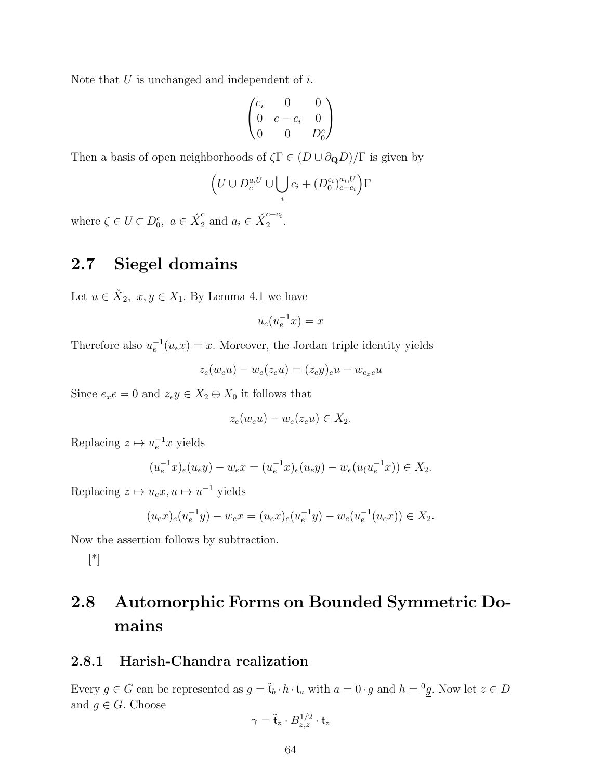Note that  $U$  is unchanged and independent of  $i$ .

$$
\begin{pmatrix} c_i & 0 & 0 \\ 0 & c - c_i & 0 \\ 0 & 0 & D_0^c \end{pmatrix}
$$

Then a basis of open neighborhoods of  $\zeta \Gamma \in (D \cup \partial_{\mathbf{Q}}D)/\Gamma$  is given by

$$
\left(U \cup D_c^{a,U} \cup \bigcup_i c_i + (D_0^{c_i})_{c-c_i}^{a_i,U}\right)\Gamma
$$

where  $\zeta \in U \subset D_0^c$ ,  $a \in \acute{X}_2^c$  $a_i^c$  and  $a_i \in \acute{X}_2^{c-c_i}$  $\frac{1}{2}$ 

## 2.7 Siegel domains

Let  $u \in \mathring{X}_2$ ,  $x, y \in X_1$ . By Lemma 4.1 we have

$$
u_e(u_e^{-1}x) = x
$$

Therefore also  $u_e^{-1}(u_e x) = x$ . Moreover, the Jordan triple identity yields

$$
z_e(w_e u) - w_e(z_e u) = (z_e y)_e u - w_{e_x e} u
$$

Since  $e_x e = 0$  and  $z_e y \in X_2 \oplus X_0$  it follows that

$$
z_e(w_e u) - w_e(z_e u) \in X_2.
$$

Replacing  $z \mapsto u_e^{-1}x$  yields

$$
(u_e^{-1}x)_e(u_e y) - w_e x = (u_e^{-1}x)_e(u_e y) - w_e(u_e(u_e^{-1}x)) \in X_2.
$$

Replacing  $z \mapsto u_e x, u \mapsto u^{-1}$  yields

$$
(u_e x)_e (u_e^{-1} y) - w_e x = (u_e x)_e (u_e^{-1} y) - w_e (u_e^{-1} (u_e x)) \in X_2.
$$

Now the assertion follows by subtraction.

[\*]

## 2.8 Automorphic Forms on Bounded Symmetric Domains

#### 2.8.1 Harish-Chandra realization

Every  $g \in G$  can be represented as  $g = \tilde{t}_b \cdot h \cdot t_a$  with  $a = 0 \cdot g$  and  $h = {}^0 g$ . Now let  $z \in D$ and  $g \in G$ . Choose

$$
\gamma = \tilde{\mathfrak{t}}_z \cdot B_{z,z}^{1/2} \cdot \mathfrak{t}_z
$$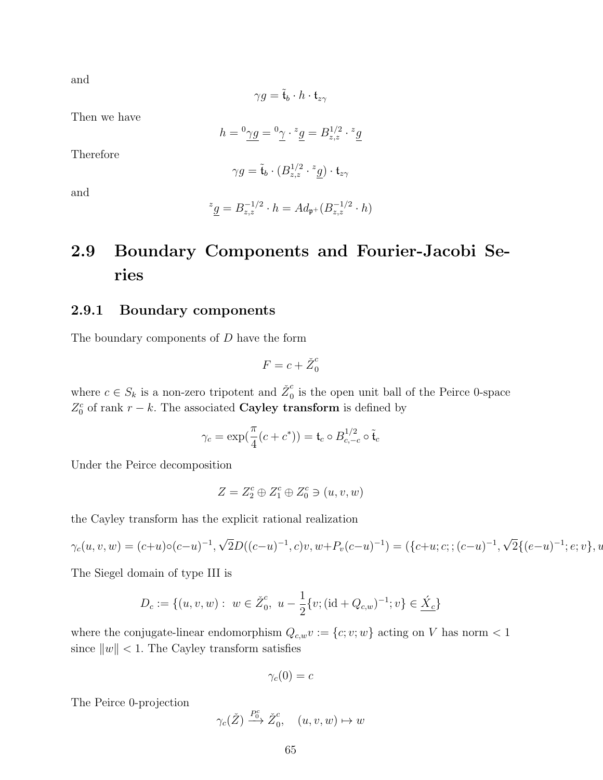and

$$
\gamma g = \tilde{\mathfrak{t}}_b \cdot h \cdot \mathfrak{t}_{z\gamma}
$$

Then we have

$$
h = {}^{0}\underline{\gamma g} = {}^{0}\underline{\gamma} \cdot {}^{z}\underline{g} = B_{z,z}^{1/2} \cdot {}^{z}\underline{g}
$$

Therefore

$$
\gamma g = \tilde{\mathfrak{t}}_b \cdot (B_{z,z}^{1/2} \cdot {}^z \underline{g}) \cdot \mathfrak{t}_{z\gamma}
$$

and

$$
z_{\underline{g}} = B_{z,z}^{-1/2} \cdot h = Ad_{\mathfrak{p}^+}(B_{z,z}^{-1/2} \cdot h)
$$

## 2.9 Boundary Components and Fourier-Jacobi Series

#### 2.9.1 Boundary components

The boundary components of D have the form

$$
F = c + \check{Z}_0^c
$$

where  $c \in S_k$  is a non-zero tripotent and  $\check{Z}_0^c$  $\frac{c}{0}$  is the open unit ball of the Peirce 0-space  $Z_0^c$  of rank  $r - k$ . The associated **Cayley transform** is defined by

$$
\gamma_c = \exp(\frac{\pi}{4}(c+c^*)) = \mathfrak{t}_c \circ B_{c,-c}^{1/2} \circ \tilde{\mathfrak{t}}_c
$$

Under the Peirce decomposition

$$
Z = Z_2^c \oplus Z_1^c \oplus Z_0^c \ni (u, v, w)
$$

the Cayley transform has the explicit rational realization

$$
\gamma_c(u,v,w) = (c+u)\circ (c-u)^{-1}, \sqrt{2}D((c-u)^{-1},c)v, w + P_v(c-u)^{-1}) = (\{c+u;c; (c-u)^{-1}, \sqrt{2}\{(e-u)^{-1}; e; v\}, w + P_v(c-u)^{-1}\})
$$

The Siegel domain of type III is

$$
D_c := \{ (u, v, w) : w \in \check{Z}_0^c, u - \frac{1}{2} \{ v; (\mathrm{id} + Q_{c,w})^{-1}; v \} \in \underline{\acute{X}_c} \}
$$

where the conjugate-linear endomorphism  $Q_{c,w}v := \{c; v; w\}$  acting on V has norm < 1 since  $\|w\| < 1$ . The Cayley transform satisfies

$$
\gamma_c(0)=c
$$

The Peirce 0-projection

$$
\gamma_c(\check{Z}) \xrightarrow{P_0^c} \check{Z}_0^c, \quad (u, v, w) \mapsto w
$$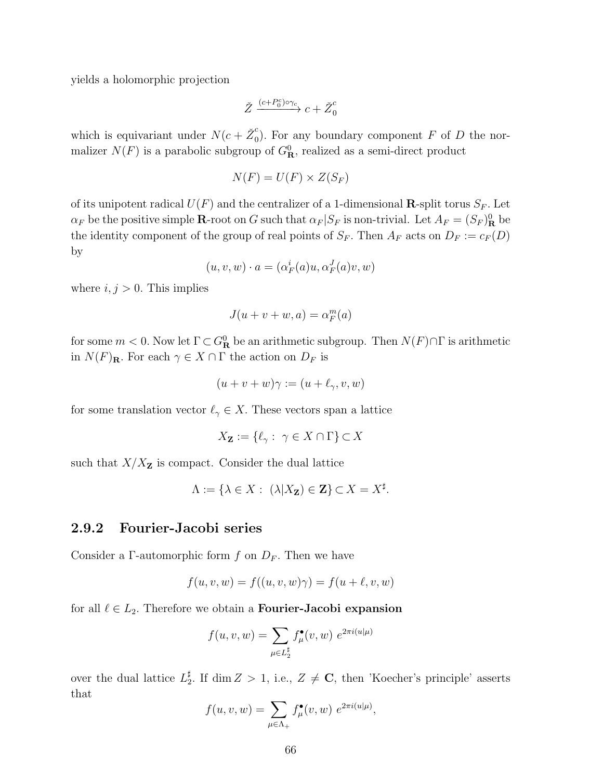yields a holomorphic projection

$$
\check Z \xrightarrow{(c+P_0^c)\circ \gamma_c} c + \check Z_0^c
$$

which is equivariant under  $N(c + \check{Z}_0^c)$  $\int_0^b$ . For any boundary component F of D the normalizer  $N(F)$  is a parabolic subgroup of  $G^0_{\mathbf{R}}$ , realized as a semi-direct product

$$
N(F) = U(F) \times Z(S_F)
$$

of its unipotent radical  $U(F)$  and the centralizer of a 1-dimensional **R**-split torus  $S_F$ . Let  $\alpha_F$  be the positive simple **R**-root on G such that  $\alpha_F|S_F$  is non-trivial. Let  $A_F = (S_F)^0_{\mathbf{R}}$  be the identity component of the group of real points of  $S_F$ . Then  $A_F$  acts on  $D_F := c_F(D)$ by

$$
(u, v, w) \cdot a = (\alpha_F^i(a)u, \alpha_F^J(a)v, w)
$$

where  $i, j > 0$ . This implies

$$
J(u+v+w,a)=\alpha_F^m(a)
$$

for some  $m < 0$ . Now let  $\Gamma \subset G^0_{\mathbf{R}}$  be an arithmetic subgroup. Then  $N(F) \cap \Gamma$  is arithmetic in  $N(F)_{\mathbf{R}}$ . For each  $\gamma \in X \cap \Gamma$  the action on  $D_F$  is

$$
(u+v+w)\gamma := (u+\ell_\gamma,v,w)
$$

for some translation vector  $\ell_{\gamma} \in X$ . These vectors span a lattice

$$
X_{\mathbf{Z}} := \{ \ell_{\gamma} : \ \gamma \in X \cap \Gamma \} \subset X
$$

such that  $X/X_{\mathbf{Z}}$  is compact. Consider the dual lattice

$$
\Lambda := \{ \lambda \in X : \ (\lambda | X_{\mathbf{Z}}) \in \mathbf{Z} \} \subset X = X^{\sharp}.
$$

#### 2.9.2 Fourier-Jacobi series

Consider a Γ-automorphic form f on  $D_F$ . Then we have

$$
f(u, v, w) = f((u, v, w)\gamma) = f(u + \ell, v, w)
$$

for all  $\ell \in L_2$ . Therefore we obtain a **Fourier-Jacobi expansion** 

$$
f(u, v, w) = \sum_{\mu \in L_2^{\sharp}} f_{\mu}^{\bullet}(v, w) e^{2\pi i (u|\mu)}
$$

over the dual lattice  $L_2^{\sharp}$  $\frac{1}{2}$ . If dim  $Z > 1$ , i.e.,  $Z \neq \mathbb{C}$ , then 'Koecher's principle' asserts that

$$
f(u, v, w) = \sum_{\mu \in \Lambda_+} f_{\mu}^{\bullet}(v, w) e^{2\pi i (u|\mu)},
$$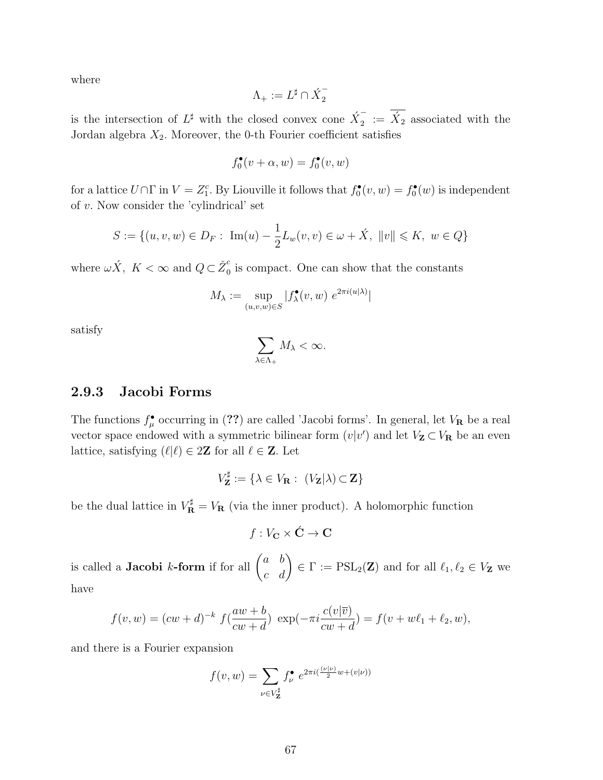where

$$
\Lambda_+:=L^\sharp\cap \acute{X}^-_2
$$

is the intersection of  $L^{\sharp}$  with the closed convex cone  $\hat{X}_2^ \bar{X}_2$  i =  $\acute{X}_2$  associated with the Jordan algebra  $X_2$ . Moreover, the 0-th Fourier coefficient satisfies

$$
f_0^\bullet(v+\alpha,w)=f_0^\bullet(v,w)
$$

for a lattice  $U \cap \Gamma$  in  $V = Z_1^c$ . By Liouville it follows that  $f_0^{\bullet}(v, w) = f_0^{\bullet}(w)$  is independent of  $v$ . Now consider the 'cylindrical' set

$$
S := \{(u, v, w) \in D_F : \ \text{Im}(u) - \frac{1}{2}L_w(v, v) \in \omega + \acute{X}, \ \|v\| \leq K, \ w \in Q\}
$$

where  $\omega \acute{X}$ ,  $K < \infty$  and  $Q \subset \check{Z}_{0}^{c}$  $\frac{c}{0}$  is compact. One can show that the constants

$$
M_{\lambda} := \sup_{(u,v,w) \in S} |f_{\lambda}^{\bullet}(v,w)| e^{2\pi i (u|\lambda)}|
$$

satisfy

$$
\sum_{\lambda\in\Lambda_+}M_{\lambda}<\infty.
$$

#### 2.9.3 Jacobi Forms

The functions  $f^{\bullet}_{\mu}$  occurring in (??) are called 'Jacobi forms'. In general, let  $V_{\mathbf{R}}$  be a real vector space endowed with a symmetric bilinear form  $(v|v')$  and let  $V_{\mathbf{Z}} \subset V_{\mathbf{R}}$  be an even lattice, satisfying  $(\ell|\ell) \in 2\mathbb{Z}$  for all  $\ell \in \mathbb{Z}$ . Let

$$
V_{\mathbf{Z}}^{\sharp} := \{ \lambda \in V_{\mathbf{R}} : (V_{\mathbf{Z}}|\lambda) \subset \mathbf{Z} \}
$$

be the dual lattice in  $V_{\mathbf{R}}^{\sharp} = V_{\mathbf{R}}$  (via the inner product). A holomorphic function

$$
f:V_{\mathbf{C}}\times\acute{\mathbf{C}}\rightarrow\mathbf{C}
$$

is called a **Jacobi** k-form if for all  $\begin{pmatrix} a & b \\ c & d \end{pmatrix} \in \Gamma := \text{PSL}_2(\mathbf{Z})$  and for all  $\ell_1, \ell_2 \in V_{\mathbf{Z}}$  we have

$$
f(v, w) = (cw + d)^{-k} f(\frac{aw + b}{cw + d}) \exp(-\pi i \frac{c(v|\overline{v})}{cw + d}) = f(v + w\ell_1 + \ell_2, w),
$$

and there is a Fourier expansion

$$
f(v, w) = \sum_{\nu \in V_{\mathbf{Z}}^{\sharp}} f_{\nu}^{\bullet} e^{2\pi i \left(\frac{(\nu|\nu)}{2}w + (v|\nu)\right)}
$$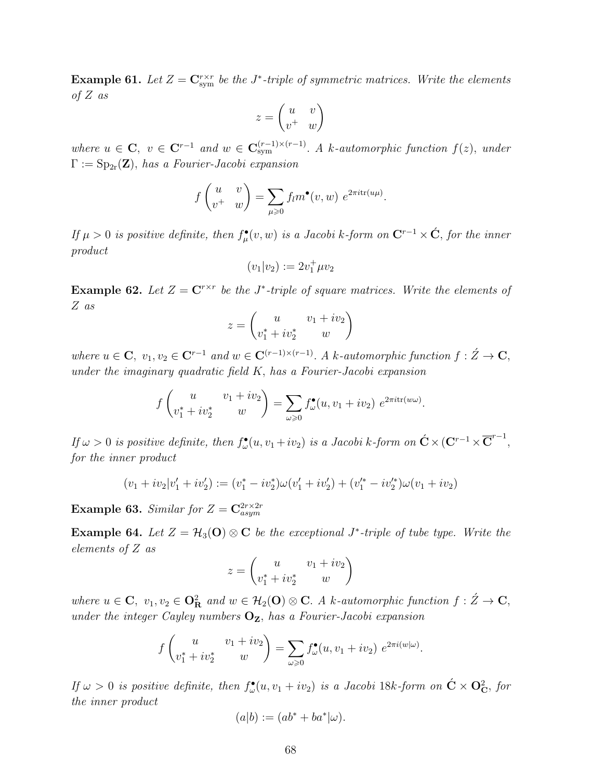**Example 61.** Let  $Z = \mathbf{C}_{sym}^{r \times r}$  be the J<sup>\*</sup>-triple of symmetric matrices. Write the elements of  $Z$  as

$$
z = \begin{pmatrix} u & v \\ v^+ & w \end{pmatrix}
$$

where  $u \in \mathbf{C}$ ,  $v \in \mathbf{C}^{r-1}$  and  $w \in \mathbf{C}_{sym}^{(r-1)\times(r-1)}$ . A k-automorphic function  $f(z)$ , under  $\Gamma := \mathrm{Sp}_{2r}(\mathbf{Z})$ , has a Fourier-Jacobi expansion

$$
f\begin{pmatrix} u & v \\ v^+ & w \end{pmatrix} = \sum_{\mu \geq 0} f_l m^{\bullet}(v, w) e^{2\pi i \text{tr}(u\mu)}.
$$

If  $\mu > 0$  is positive definite, then  $f^{\bullet}_{\mu}(v, w)$  is a Jacobi k-form on  $\mathbf{C}^{r-1} \times \acute{\mathbf{C}}$ , for the inner product

$$
(v_1|v_2) := 2v_1^+ \mu v_2
$$

**Example 62.** Let  $Z = \mathbb{C}^{r \times r}$  be the J<sup>\*</sup>-triple of square matrices. Write the elements of Z as

$$
z = \begin{pmatrix} u & v_1 + iv_2 \\ v_1^* + iv_2^* & w \end{pmatrix}
$$

where  $u \in \mathbf{C}, v_1, v_2 \in \mathbf{C}^{r-1}$  and  $w \in \mathbf{C}^{(r-1)\times(r-1)}$ . A k-automorphic function  $f : \check{Z} \to \mathbf{C}$ , under the imaginary quadratic field  $K$ , has a Fourier-Jacobi expansion

$$
f\begin{pmatrix} u & v_1 + iv_2 \ v_1^* + iv_2^* & w \end{pmatrix} = \sum_{\omega \geq 0} f_{\omega}^{\bullet}(u, v_1 + iv_2) e^{2\pi i \text{tr}(w\omega)}.
$$

If  $\omega > 0$  is positive definite, then  $f_{\omega}^{\bullet}(u, v_1 + iv_2)$  is a Jacobi k-form on  $\acute{\mathbf{C}} \times (\mathbf{C}^{r-1} \times \overline{\mathbf{C}}^{r-1},$ for the inner product

$$
(v_1 + iv_2|v'_1 + iv'_2) := (v_1^* - iv_2^*)\omega(v'_1 + iv'_2) + (v_1'^* - iv_2'^*)\omega(v_1 + iv_2)
$$

**Example 63.** Similar for  $Z = \mathbf{C}_{asym}^{2r \times 2r}$ 

**Example 64.** Let  $Z = H_3(O) \otimes C$  be the exceptional J<sup>\*</sup>-triple of tube type. Write the elements of Z as

$$
z = \begin{pmatrix} u & v_1 + iv_2 \\ v_1^* + iv_2^* & w \end{pmatrix}
$$

where  $u \in \mathbf{C}$ ,  $v_1, v_2 \in \mathbf{O}_\mathbf{R}^2$  and  $w \in \mathcal{H}_2(\mathbf{O}) \otimes \mathbf{C}$ . A k-automorphic function  $f : \check{Z} \to \mathbf{C}$ , under the integer Cayley numbers  $O_{Z}$ , has a Fourier-Jacobi expansion

$$
f\begin{pmatrix} u & v_1 + iv_2 \ v_1^* + iv_2^* & w \end{pmatrix} = \sum_{\omega \geq 0} f_{\omega}^{\bullet}(u, v_1 + iv_2) e^{2\pi i (w|\omega)}.
$$

If  $\omega > 0$  is positive definite, then  $f_{\omega}^{\bullet}(u, v_1 + iv_2)$  is a Jacobi 18k-form on  $\dot{\mathbf{C}} \times \mathbf{O}_{\mathbf{C}}^2$ , for the inner product

$$
(a|b) := (ab^* + ba^*|\omega).
$$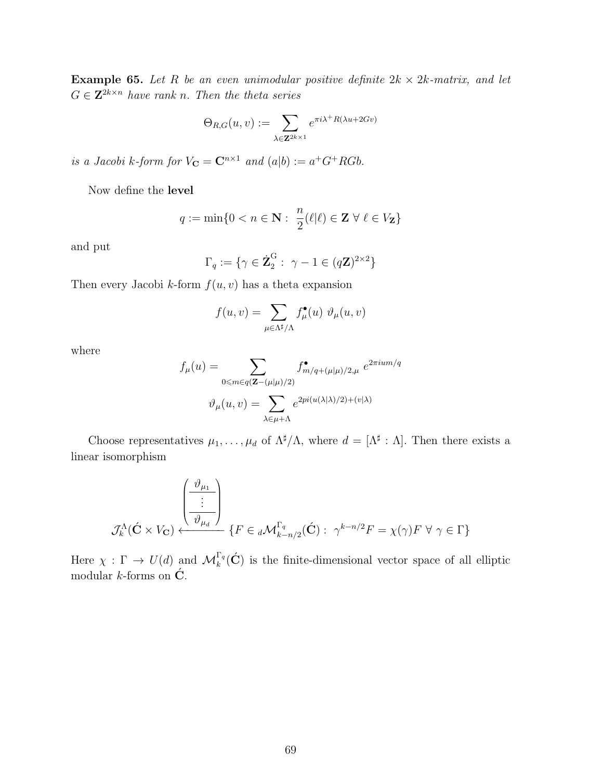**Example 65.** Let R be an even unimodular positive definite  $2k \times 2k$ -matrix, and let  $G \in \mathbf{Z}^{2k \times n}$  have rank n. Then the theta series

$$
\Theta_{R,G}(u,v) := \sum_{\lambda \in \mathbf{Z}^{2k \times 1}} e^{\pi i \lambda^+ R(\lambda u + 2Gv)}
$$

is a Jacobi k-form for  $V_{\mathbf{C}} = \mathbf{C}^{n \times 1}$  and  $(a|b) := a^+G^+RGb$ .

Now define the level

$$
q:=\min\{0
$$

and put

$$
\Gamma_q := \{ \gamma \in \dot{\mathbf{Z}}_2^{\mathrm{G}} : \ \gamma - 1 \in (q\mathbf{Z})^{2 \times 2} \}
$$

Then every Jacobi k-form  $f(u, v)$  has a theta expansion

$$
f(u,v) = \sum_{\mu \in \Lambda^\sharp/\Lambda} f_\mu^\bullet(u) \ \vartheta_\mu(u,v)
$$

where

$$
f_{\mu}(u) = \sum_{0 \le m \in q(\mathbf{Z} - (\mu|\mu)/2)} f_{m/q + (\mu|\mu)/2, \mu}^{\bullet} e^{2\pi i u m/q}
$$

$$
\vartheta_{\mu}(u, v) = \sum_{\lambda \in \mu + \Lambda} e^{2\pi i (u(\lambda|\lambda)/2) + (v|\lambda)}
$$

Choose representatives  $\mu_1, \ldots, \mu_d$  of  $\Lambda^{\sharp}/\Lambda$ , where  $d = [\Lambda^{\sharp} : \Lambda]$ . Then there exists a linear isomorphism

$$
\mathcal{J}_k^{\Lambda}(\acute{\mathbf{C}} \times V_{\mathbf{C}}) \xleftarrow{\begin{pmatrix} \frac{\vartheta_{\mu_1}}{2} \\ \vdots \\ \frac{\vartheta_{\mu_d}}{2} \end{pmatrix}} \{F \in {}_d\mathcal{M}_{k-n/2}^{\Gamma_q}(\acute{\mathbf{C}}): \ \gamma^{k-n/2}F = \chi(\gamma)F \ \forall \ \gamma \in \Gamma\}
$$

Here  $\chi : \Gamma \to U(d)$  and  $\mathcal{M}_k^{\Gamma_q}(\acute{C})$  is the finite-dimensional vector space of all elliptic modular *k*-forms on  $\acute{\mathbf{C}}$ .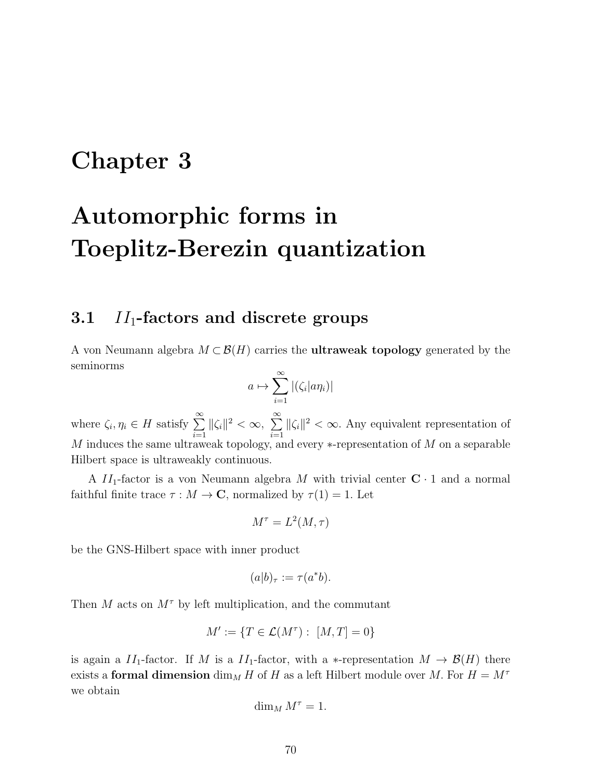## Chapter 3

# Automorphic forms in Toeplitz-Berezin quantization

## 3.1  $II_1$ -factors and discrete groups

A von Neumann algebra  $M \subset \mathcal{B}(H)$  carries the **ultraweak topology** generated by the seminorms

$$
a \mapsto \sum_{i=1}^{\infty} |(\zeta_i| a \eta_i)|
$$

where  $\zeta_i, \eta_i \in H$  satisfy  $\sum_{i=1}^{\infty}$  $i=1$  $\|\zeta_i\|^2 < \infty, \sum_{i=1}^{\infty}$  $i=1$  $\|\zeta_i\|^2 < \infty$ . Any equivalent representation of M induces the same ultraweak topology, and every  $*$ -representation of M on a separable Hilbert space is ultraweakly continuous.

A  $II_1$ -factor is a von Neumann algebra M with trivial center  $C \cdot 1$  and a normal faithful finite trace  $\tau : M \to \mathbb{C}$ , normalized by  $\tau(1) = 1$ . Let

$$
M^{\tau} = L^2(M, \tau)
$$

be the GNS-Hilbert space with inner product

$$
(a|b)_{\tau} := \tau(a^*b).
$$

Then M acts on  $M^{\tau}$  by left multiplication, and the commutant

$$
M' := \{ T \in \mathcal{L}(M^{\tau}) : [M, T] = 0 \}
$$

is again a  $II_1$ -factor. If M is a  $II_1$ -factor, with a \*-representation  $M \to \mathcal{B}(H)$  there exists a formal dimension  $\dim_M H$  of H as a left Hilbert module over M. For  $H = M^{\tau}$ we obtain

$$
\dim_M M^\tau=1.
$$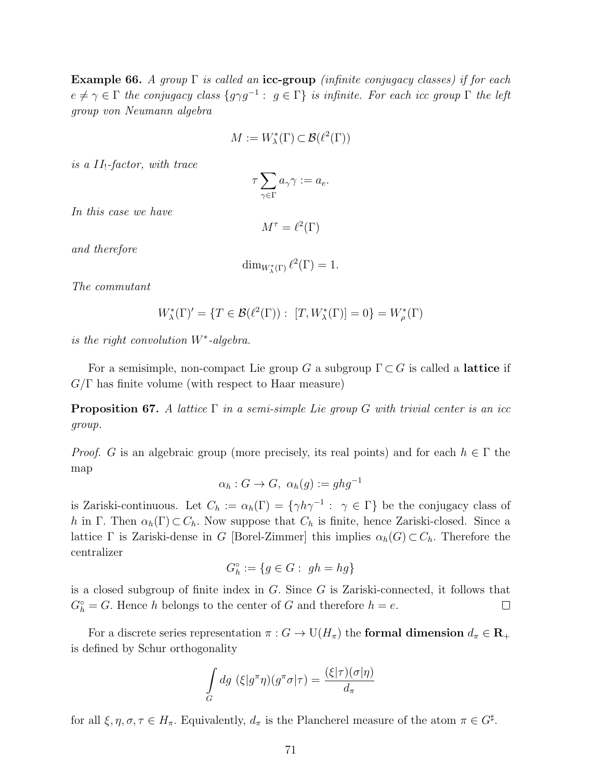**Example 66.** A group  $\Gamma$  is called an icc-group (infinite conjugacy classes) if for each  $e \neq \gamma \in \Gamma$  the conjugacy class  $\{g \gamma g^{-1} : g \in \Gamma\}$  is infinite. For each icc group  $\Gamma$  the left group von Neumann algebra

$$
M := W_{\lambda}^*(\Gamma) \subset \mathcal{B}(\ell^2(\Gamma))
$$

is a  $II_!$ -factor, with trace

$$
\tau \sum_{\gamma \in \Gamma} a_\gamma \gamma := a_e.
$$

In this case we have

 $M^{\tau} = \ell^2(\Gamma)$ 

and therefore

$$
\dim_{W_{\lambda}^*(\Gamma)} \ell^2(\Gamma) = 1.
$$

The commutant

$$
W_{\lambda}^*(\Gamma)' = \{ T \in \mathcal{B}(\ell^2(\Gamma)) : [T, W_{\lambda}^*(\Gamma)] = 0 \} = W_{\rho}^*(\Gamma)
$$

is the right convolution W<sup>∗</sup> -algebra.

For a semisimple, non-compact Lie group G a subgroup  $\Gamma \subset G$  is called a **lattice** if  $G/\Gamma$  has finite volume (with respect to Haar measure)

**Proposition 67.** A lattice  $\Gamma$  in a semi-simple Lie group G with trivial center is an icc group.

*Proof.* G is an algebraic group (more precisely, its real points) and for each  $h \in \Gamma$  the map

$$
\alpha_h: G \to G, \ \alpha_h(g) := ghg^{-1}
$$

is Zariski-continuous. Let  $C_h := \alpha_h(\Gamma) = \{ \gamma h \gamma^{-1} : \gamma \in \Gamma \}$  be the conjugacy class of h in Γ. Then  $\alpha_h(\Gamma) \subset C_h$ . Now suppose that  $C_h$  is finite, hence Zariski-closed. Since a lattice Γ is Zariski-dense in G [Borel-Zimmer] this implies  $\alpha_h(G) \subset C_h$ . Therefore the centralizer

$$
G_h^\circ:=\{g\in G:\ gh=hg\}
$$

is a closed subgroup of finite index in  $G$ . Since  $G$  is Zariski-connected, it follows that  $G_h^{\circ} = G$ . Hence h belongs to the center of G and therefore  $h = e$ .  $\Box$ 

For a discrete series representation  $\pi: G \to \mathrm{U}(H_\pi)$  the formal dimension  $d_\pi \in \mathbb{R}_+$ is defined by Schur orthogonality

$$
\int_{G} dg \ (\xi | g^{\pi} \eta)(g^{\pi} \sigma | \tau) = \frac{(\xi | \tau)(\sigma | \eta)}{d_{\pi}}
$$

for all  $\xi, \eta, \sigma, \tau \in H_{\pi}$ . Equivalently,  $d_{\pi}$  is the Plancherel measure of the atom  $\pi \in G^{\sharp}$ .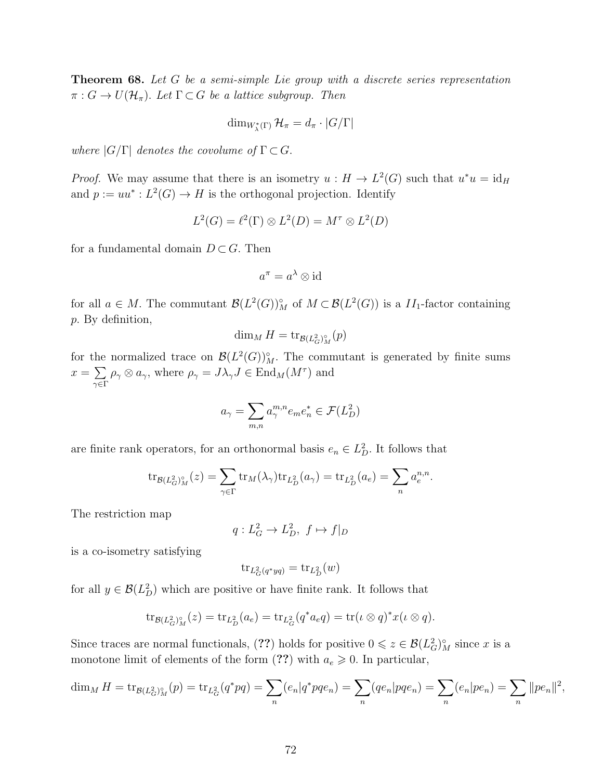**Theorem 68.** Let  $G$  be a semi-simple Lie group with a discrete series representation  $\pi: G \to U(\mathcal{H}_{\pi})$ . Let  $\Gamma \subset G$  be a lattice subgroup. Then

$$
\dim_{W_{\lambda}^{*}(\Gamma)}\mathcal{H}_{\pi}=d_{\pi}\cdot |G/\Gamma|
$$

where  $|G/\Gamma|$  denotes the covolume of  $\Gamma \subset G$ .

*Proof.* We may assume that there is an isometry  $u : H \to L^2(G)$  such that  $u^*u = id_H$ and  $p := uu^* : L^2(G) \to H$  is the orthogonal projection. Identify

$$
L^2(G) = \ell^2(\Gamma) \otimes L^2(D) = M^{\tau} \otimes L^2(D)
$$

for a fundamental domain  $D \subset G$ . Then

$$
a^{\pi} = a^{\lambda} \otimes \text{id}
$$

for all  $a \in M$ . The commutant  $\mathcal{B}(L^2(G))_M^{\circ}$  of  $M \subset \mathcal{B}(L^2(G))$  is a  $II_1$ -factor containing p. By definition,

$$
\dim_M H = \text{tr}_{\mathcal{B}(L_G^2)^\circ_M}(p)
$$

for the normalized trace on  $\mathcal{B}(L^2(G))_M^{\circ}$ . The commutant is generated by finite sums  $x = \sum$ γ∈Γ  $\rho_{\gamma} \otimes a_{\gamma}$ , where  $\rho_{\gamma} = J \lambda_{\gamma} J \in \text{End}_{M}(M^{\tau})$  and

$$
a_{\gamma} = \sum_{m,n} a_{\gamma}^{m,n} e_m e_n^* \in \mathcal{F}(L_D^2)
$$

are finite rank operators, for an orthonormal basis  $e_n \in L_D^2$ . It follows that

$$
\operatorname{tr}_{\mathcal{B}(L_G^2)^\circ_M}(z) = \sum_{\gamma \in \Gamma} \operatorname{tr}_M(\lambda_\gamma) \operatorname{tr}_{L_D^2}(a_\gamma) = \operatorname{tr}_{L_D^2}(a_e) = \sum_n a_e^{n,n}.
$$

The restriction map

$$
q: L_G^2 \to L_D^2, \ f \mapsto f|_D
$$

is a co-isometry satisfying

$$
\operatorname{tr}_{L^2_G(q^*yq)} = \operatorname{tr}_{L^2_D}(w)
$$

for all  $y \in \mathcal{B}(L^2_D)$  which are positive or have finite rank. It follows that

$$
\mathrm{tr}_{\mathcal{B}(L_G^2)_{M}^{\circ}}(z) = \mathrm{tr}_{L_D^2}(a_e) = \mathrm{tr}_{L_G^2}(q^*a_e q) = \mathrm{tr}(\iota \otimes q)^* x(\iota \otimes q).
$$

Since traces are normal functionals, (??) holds for positive  $0 \leq z \in \mathcal{B}(L_G^2)_M^{\circ}$  since x is a monotone limit of elements of the form  $(??)$  with  $a_e \geq 0$ . In particular,

$$
\dim_M H = \text{tr}_{\mathcal{B}(L_G^2)^\circ_M}(p) = \text{tr}_{L_G^2}(q^*pq) = \sum_n (e_n|q^*pqe_n) = \sum_n (qe_n|pqe_n) = \sum_n (e_n|pe_n) = \sum_n ||pe_n||^2
$$

,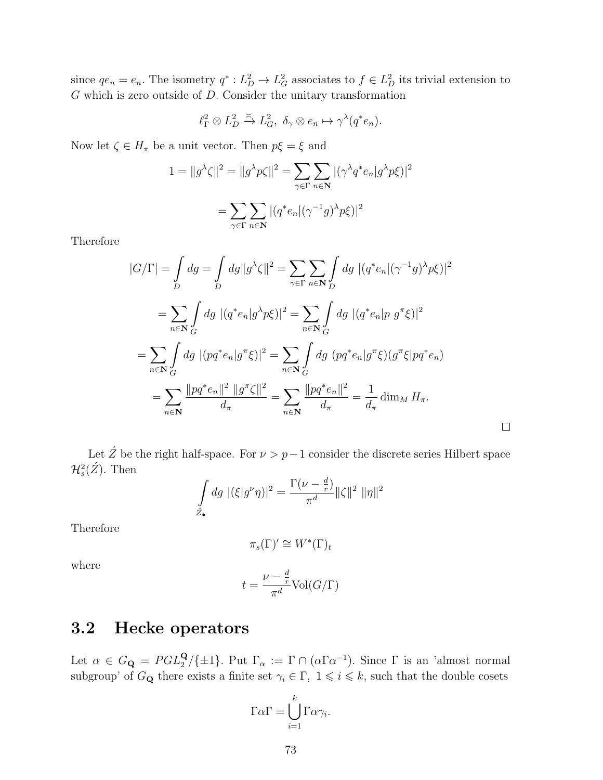since  $qe_n = e_n$ . The isometry  $q^* : L_D^2 \to L_G^2$  associates to  $f \in L_D^2$  its trivial extension to G which is zero outside of D. Consider the unitary transformation

$$
\ell_{\Gamma}^2 \otimes L_D^2 \xrightarrow{\simeq} L_G^2, \ \delta_{\gamma} \otimes e_n \mapsto \gamma^{\lambda}(q^*e_n).
$$

Now let  $\zeta \in H_{\pi}$  be a unit vector. Then  $p\xi = \xi$  and

$$
1 = ||g^{\lambda}\zeta||^2 = ||g^{\lambda}p\zeta||^2 = \sum_{\gamma \in \Gamma} \sum_{n \in \mathbb{N}} |(\gamma^{\lambda}q^*e_n|g^{\lambda}p\zeta)|^2
$$

$$
= \sum_{\gamma \in \Gamma} \sum_{n \in \mathbb{N}} |(q^*e_n|(\gamma^{-1}g)^{\lambda}p\zeta)|^2
$$

Therefore

$$
|G/\Gamma| = \int_{D} dg = \int_{D} dg ||g^{\lambda}\zeta||^{2} = \sum_{\gamma \in \Gamma} \sum_{n \in \mathbb{N}} \int_{D} dg |(q^{*}e_{n}|(\gamma^{-1}g)^{\lambda}p\xi)|^{2}
$$
  
\n
$$
= \sum_{n \in \mathbb{N}} \int_{G} dg |(q^{*}e_{n}|g^{\lambda}p\xi)|^{2} = \sum_{n \in \mathbb{N}} \int_{G} dg |(q^{*}e_{n}|p g^{\pi}\xi)|^{2}
$$
  
\n
$$
= \sum_{n \in \mathbb{N}} \int_{G} dg |(pq^{*}e_{n}|g^{\pi}\xi)|^{2} = \sum_{n \in \mathbb{N}} \int_{G} dg (pq^{*}e_{n}|g^{\pi}\xi)(g^{\pi}\xi|pq^{*}e_{n})
$$
  
\n
$$
= \sum_{n \in \mathbb{N}} \frac{||pq^{*}e_{n}||^{2} ||g^{\pi}\zeta||^{2}}{d_{\pi}} = \sum_{n \in \mathbb{N}} \frac{||pq^{*}e_{n}||^{2}}{d_{\pi}} = \frac{1}{d_{\pi}} \dim_{M} H_{\pi}.
$$

Let  $\acute{Z}$  be the right half-space. For  $\nu > p-1$  consider the discrete series Hilbert space  $\mathcal{H}_s^2(\acute{Z})$ . Then

$$
\int_{\mathcal{Z}_{\bullet}} dg \, |(\xi|g^{\nu}\eta)|^2 = \frac{\Gamma(\nu - \frac{d}{r})}{\pi^d} ||\zeta||^2 \, ||\eta||^2
$$

Therefore

$$
\pi_s(\Gamma)' \cong W^*(\Gamma)_t
$$

where

$$
t = \frac{\nu - \frac{d}{r}}{\pi^d} \text{Vol}(G/\Gamma)
$$

# 3.2 Hecke operators

Let  $\alpha \in G_{\bf Q} = PGL_2^{\bf Q}/\{\pm 1\}$ . Put  $\Gamma_\alpha := \Gamma \cap (\alpha \Gamma \alpha^{-1})$ . Since  $\Gamma$  is an 'almost normal subgroup' of  $G_{\mathbf{Q}}$  there exists a finite set  $\gamma_i \in \Gamma$ ,  $1 \leq i \leq k$ , such that the double cosets

$$
\Gamma \alpha \Gamma = \bigcup_{i=1}^{k} \Gamma \alpha \gamma_{i}.
$$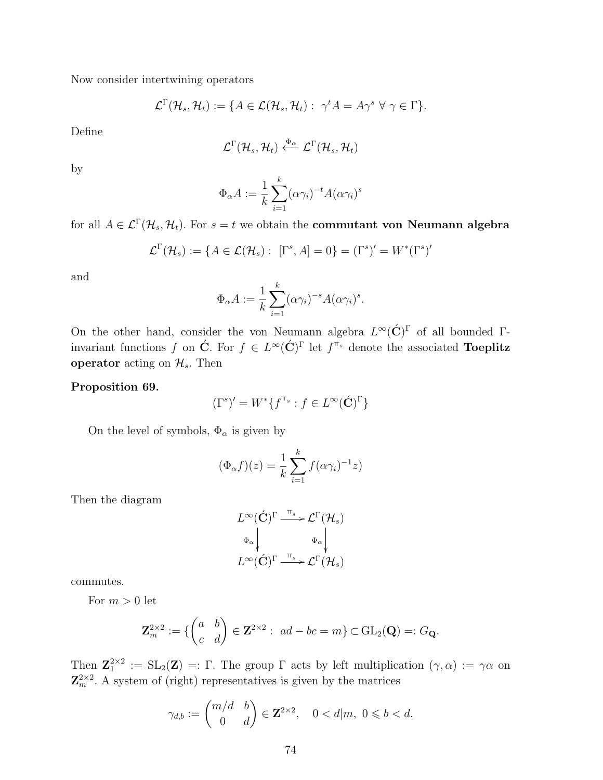Now consider intertwining operators

$$
\mathcal{L}^{\Gamma}(\mathcal{H}_s, \mathcal{H}_t) := \{ A \in \mathcal{L}(\mathcal{H}_s, \mathcal{H}_t) : \gamma^t A = A \gamma^s \ \forall \ \gamma \in \Gamma \}.
$$

Define

$$
\mathcal{L}^{\Gamma}(\mathcal{H}_s, \mathcal{H}_t) \xleftarrow{\Phi_{\alpha}} \mathcal{L}^{\Gamma}(\mathcal{H}_s, \mathcal{H}_t)
$$

by

$$
\Phi_{\alpha} A := \frac{1}{k} \sum_{i=1}^{k} (\alpha \gamma_i)^{-t} A(\alpha \gamma_i)^s
$$

for all  $A\in\mathcal{L}^{\Gamma}(\mathcal{H}_s,\mathcal{H}_t)$ . For  $s=t$  we obtain the **commutant von Neumann algebra** 

$$
\mathcal{L}^{\Gamma}(\mathcal{H}_s) := \{ A \in \mathcal{L}(\mathcal{H}_s) : [\Gamma^s, A] = 0 \} = (\Gamma^s)' = W^*(\Gamma^s)'
$$

and

$$
\Phi_{\alpha} A := \frac{1}{k} \sum_{i=1}^{k} (\alpha \gamma_i)^{-s} A (\alpha \gamma_i)^s.
$$

On the other hand, consider the von Neumann algebra  $L^{\infty}(\check{C})^{\Gamma}$  of all bounded  $\Gamma$ invariant functions f on  $\acute{C}$ . For  $f \in L^{\infty}(\acute{C})^{\Gamma}$  let  $f^{\pi_s}$  denote the associated **Toeplitz** operator acting on  $\mathcal{H}_s$ . Then

#### Proposition 69.

$$
(\Gamma^s)' = W^* \{ f^{\mathbb{T}_s} : f \in L^\infty(\acute{\mathbf{C}})^{\Gamma} \}
$$

On the level of symbols,  $\Phi_{\alpha}$  is given by

$$
(\Phi_{\alpha}f)(z) = \frac{1}{k} \sum_{i=1}^{k} f(\alpha \gamma_i)^{-1} z)
$$

Then the diagram

$$
L^{\infty}(\acute{C})^{\Gamma} \xrightarrow{\pi_{s}} \mathcal{L}^{\Gamma}(\mathcal{H}_{s})
$$

$$
\Phi_{\alpha} \downarrow \qquad \Phi_{\alpha} \downarrow
$$

$$
L^{\infty}(\acute{C})^{\Gamma} \xrightarrow{\pi_{s}} \mathcal{L}^{\Gamma}(\mathcal{H}_{s})
$$

commutes.

For  $m > 0$  let

$$
\mathbf{Z}_m^{2\times 2}:=\{\begin{pmatrix} a & b \\ c & d \end{pmatrix}\in \mathbf{Z}^{2\times 2}:\ ad-bc=m\}\subset \mathrm{GL}_2(\mathbf{Q})=:G_{\mathbf{Q}}.
$$

Then  $\mathbf{Z}_1^{2\times 2} := SL_2(\mathbf{Z}) =: \Gamma$ . The group  $\Gamma$  acts by left multiplication  $(\gamma, \alpha) := \gamma \alpha$  on  $\mathbf{Z}_{m}^{2\times2}$ . A system of (right) representatives is given by the matrices

$$
\gamma_{d,b} := \begin{pmatrix} m/d & b \\ 0 & d \end{pmatrix} \in \mathbf{Z}^{2 \times 2}, \quad 0 < d \mid m, \ 0 \leqslant b < d.
$$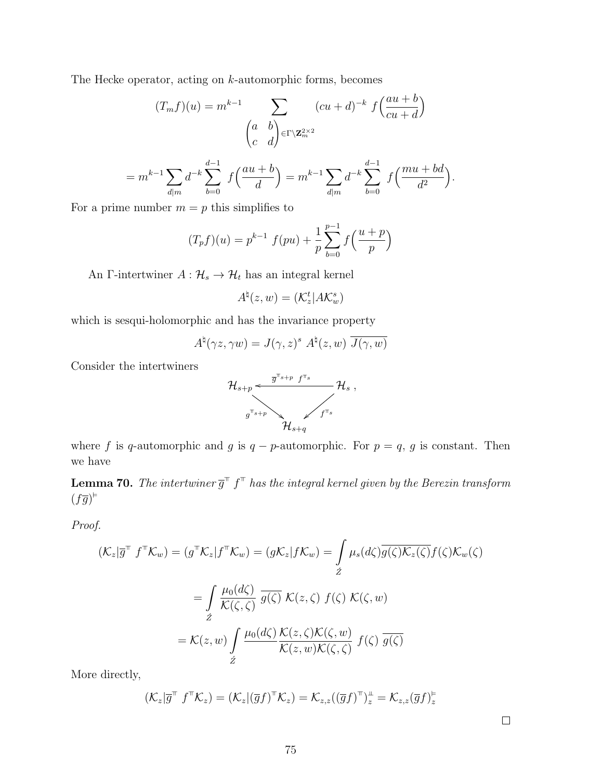The Hecke operator, acting on k-automorphic forms, becomes

$$
(T_m f)(u) = m^{k-1} \sum_{\begin{pmatrix} a & b \\ c & d \end{pmatrix} \in \Gamma \backslash \mathbf{Z}_m^{2 \times 2}} (cu + d)^{-k} f\left(\frac{au + b}{cu + d}\right)
$$

$$
= m^{k-1} \sum_{d|m} d^{-k} \sum_{b=0}^{d-1} f\left(\frac{au+b}{d}\right) = m^{k-1} \sum_{d|m} d^{-k} \sum_{b=0}^{d-1} f\left(\frac{mu+bd}{d^2}\right).
$$

For a prime number  $m = p$  this simplifies to

$$
(T_p f)(u) = p^{k-1} f(pu) + \frac{1}{p} \sum_{b=0}^{p-1} f\left(\frac{u+p}{p}\right)
$$

An Γ-intertwiner  $A: \mathcal{H}_s \to \mathcal{H}_t$  has an integral kernel

$$
A^{\natural}(z,w) = (\mathcal{K}_z^t | A \mathcal{K}_w^s)
$$

which is sesqui-holomorphic and has the invariance property

$$
A^{\natural}(\gamma z, \gamma w) = J(\gamma, z)^{s} A^{\natural}(z, w) \overline{J(\gamma, w)}
$$

Consider the intertwiners



where f is q-automorphic and g is  $q - p$ -automorphic. For  $p = q$ , g is constant. Then we have

**Lemma 70.** The intertwiner  $\overline{g}^{\pi}$   $f^{\pi}$  has the integral kernel given by the Berezin transform  $(f\overline{g})^{\varepsilon}$ 

Proof.

$$
(\mathcal{K}_z|\overline{g}^{\top} f^{\top}\mathcal{K}_w) = (g^{\top}\mathcal{K}_z|f^{\top}\mathcal{K}_w) = (g\mathcal{K}_z|f\mathcal{K}_w) = \int_{\tilde{Z}} \mu_s(d\zeta) \overline{g(\zeta)\mathcal{K}_z(\zeta)} f(\zeta) \mathcal{K}_w(\zeta)
$$

$$
= \int_{\tilde{Z}} \frac{\mu_0(d\zeta)}{\mathcal{K}(\zeta,\zeta)} \overline{g(\zeta)} \ \mathcal{K}(z,\zeta) \ f(\zeta) \ \mathcal{K}(\zeta,w)
$$

$$
= \mathcal{K}(z,w) \int_{\tilde{Z}} \frac{\mu_0(d\zeta)}{\mathcal{K}(z,w)\mathcal{K}(\zeta,\zeta)} f(\zeta) \ \overline{g(\zeta)}
$$

More directly,

$$
(\mathcal{K}_z|\overline{g}^{\mathsf{T}} f^{\mathsf{T}} \mathcal{K}_z) = (\mathcal{K}_z|(\overline{g}f)^{\mathsf{T}} \mathcal{K}_z) = \mathcal{K}_{z,z}((\overline{g}f)^{\mathsf{T}})_z^{\mathsf{T}} = \mathcal{K}_{z,z}(\overline{g}f)^{\mathsf{F}}_z
$$

 $\Box$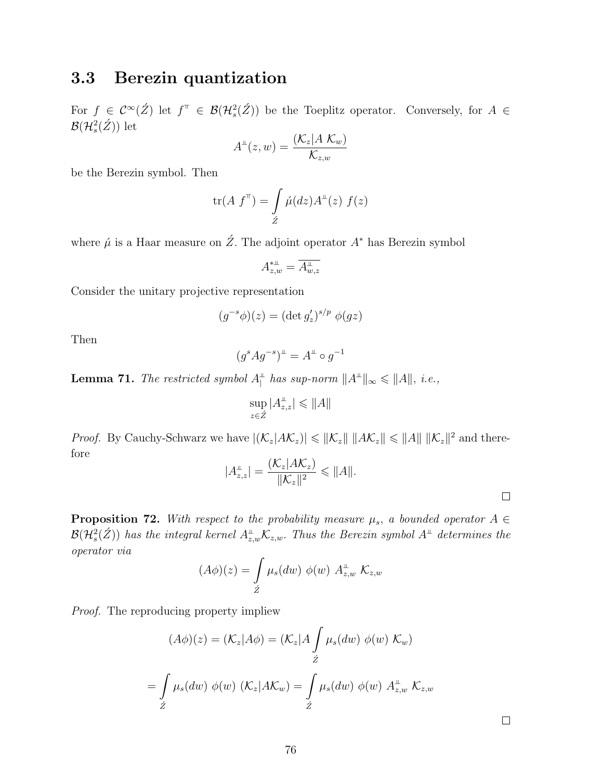## 3.3 Berezin quantization

For  $f \in C^{\infty}(\check{Z})$  let  $f^{\top} \in \mathcal{B}(\mathcal{H}_s^2(\check{Z}))$  be the Toeplitz operator. Conversely, for  $A \in$  $\mathcal{B}(\mathcal{H}^2_s(\acute{Z}))$  let

$$
A^{\perp}(z,w) = \frac{(\mathcal{K}_z | A \mathcal{K}_w)}{\mathcal{K}_{z,w}}
$$

be the Berezin symbol. Then

$$
\text{tr}(A \ f^{\top}) = \int \limits_{\hat{Z}} \dot{\mu}(dz) A^{\perp}(z) \ f(z)
$$

where  $\hat{\mu}$  is a Haar measure on  $\hat{Z}$ . The adjoint operator  $A^*$  has Berezin symbol

$$
A^{\ast\perp}_{z,w}=\overline{A^{\perp}_{w,z}}
$$

Consider the unitary projective representation

$$
(g^{-s}\phi)(z) = (\det g'_z)^{s/p} \phi(gz)
$$

Then

$$
(g^s A g^{-s})^{\perp} = A^{\perp} \circ g^{-1}
$$

**Lemma 71.** The restricted symbol  $A_{\parallel}^{\perp}$  has sup-norm  $||A^{\perp}||_{\infty} \le ||A||$ , i.e.,

$$
\sup_{z\in\mathring{Z}}|A_{z,z}^{\perp}|\leqslant\|A\|
$$

*Proof.* By Cauchy-Schwarz we have  $|(\mathcal{K}_z|A\mathcal{K}_z)| \leq ||\mathcal{K}_z|| \, ||A\mathcal{K}_z|| \leq ||A|| \, ||\mathcal{K}_z||^2$  and therefore  $(12|142)$ 

$$
|A_{z,z}^{\perp}| = \frac{(\mathcal{K}_z | AK_z)}{\|\mathcal{K}_z\|^2} \leq \|A\|.
$$

**Proposition 72.** With respect to the probability measure  $\mu_s$ , a bounded operator  $A \in$  ${\cal B}({\cal H}^2_s(\acute{Z}))$  has the integral kernel  $A_{z,w}^{\mathbb{L}}{\cal K}_{z,w}.$  Thus the Berezin symbol  $A^{\mathbb{L}}$  determines the operator via

$$
(A\phi)(z) = \int\limits_{\acute{Z}} \mu_s(dw) \phi(w) A^{\perp}_{z,w} \mathcal{K}_{z,w}
$$

Proof. The reproducing property impliew

$$
(A\phi)(z) = (\mathcal{K}_z | A\phi) = (\mathcal{K}_z | A \int \mu_s(dw) \phi(w) \mathcal{K}_w)
$$
  
= 
$$
\int \mu_s(dw) \phi(w) (\mathcal{K}_z | A\mathcal{K}_w) = \int \mu_s(dw) \phi(w) A_{z,w}^{\perp} \mathcal{K}_{z,w}
$$
  

$$
\hat{Z}
$$

 $\Box$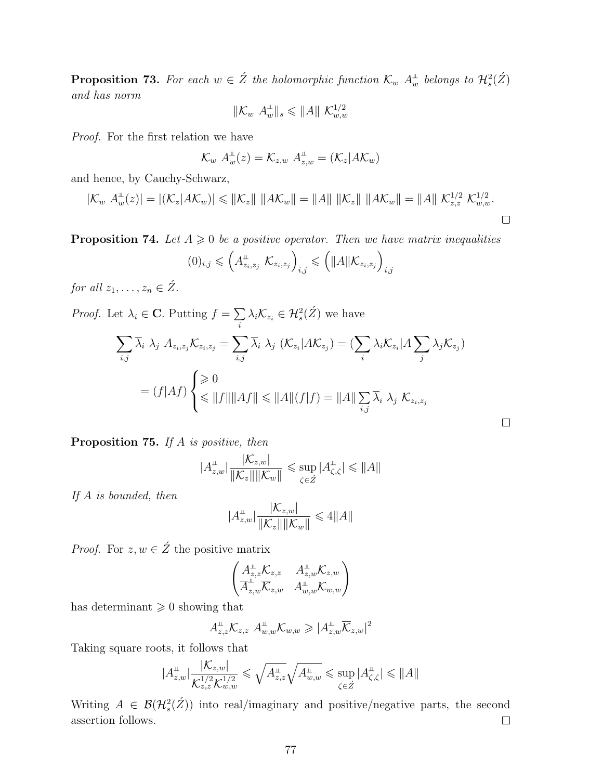**Proposition 73.** For each  $w \in \hat{Z}$  the holomorphic function  $\mathcal{K}_w$   $A_w^{\perp}$  belongs to  $\mathcal{H}_s^2(\hat{Z})$ and has norm

$$
\|\mathcal{K}_w\ A_w^{\perp}\|_s\leqslant \|A\|\ \mathcal{K}_{w,w}^{1/2}
$$

Proof. For the first relation we have

$$
\mathcal{K}_w A_w^{\perp}(z) = \mathcal{K}_{z,w} A_{z,w}^{\perp} = (\mathcal{K}_z | A \mathcal{K}_w)
$$

and hence, by Cauchy-Schwarz,

$$
|\mathcal{K}_w A_w^{\perp}(z)| = |(\mathcal{K}_z | A \mathcal{K}_w)| \leq ||\mathcal{K}_z|| \, ||A \mathcal{K}_w|| = ||A|| \, ||\mathcal{K}_z|| \, ||A \mathcal{K}_w|| = ||A|| \, \mathcal{K}_{z,z}^{1/2} \, \mathcal{K}_{w,w}^{1/2}.
$$

**Proposition 74.** Let  $A \ge 0$  be a positive operator. Then we have matrix inequalities

$$
(0)_{i,j} \leqslant \left(A_{z_i,z_j}^\perp \mathcal{K}_{z_i,z_j}\right)_{i,j} \leqslant \left(\|A\|\mathcal{K}_{z_i,z_j}\right)_{i,j}
$$

for all  $z_1, \ldots, z_n \in \hat{Z}$ .

*Proof.* Let  $\lambda_i \in \mathbf{C}$ . Putting  $f = \sum$  $\sum_i \lambda_i \mathcal{K}_{z_i} \in \mathcal{H}_s^2(\acute{Z})$  we have

$$
\sum_{i,j} \overline{\lambda}_i \lambda_j A_{z_i, z_j} \mathcal{K}_{z_i, z_j} = \sum_{i,j} \overline{\lambda}_i \lambda_j (\mathcal{K}_{z_i} | A \mathcal{K}_{z_j}) = (\sum_i \lambda_i \mathcal{K}_{z_i} | A \sum_j \lambda_j \mathcal{K}_{z_j})
$$

$$
= (f|Af) \begin{cases} \geqslant 0 \\ \leqslant \|f\| \|Af\| \leqslant \|A\| (f|f) = \|A\| \sum_{i,j} \overline{\lambda}_i \lambda_j \mathcal{K}_{z_i, z_j} \end{cases}
$$

**Proposition 75.** If A is positive, then

$$
|A_{z,w}^{\perp}| \frac{|{\mathcal K}_{z,w}|}{\|{\mathcal K}_z\| \|{\mathcal K}_w\|} \leqslant \sup_{\zeta \in \acute{Z}} |A_{\zeta,\zeta}^{\perp}| \leqslant \|A\|
$$

 $\Box$ 

If A is bounded, then

$$
|A_{z,w}^{\perp}| \frac{|\mathcal{K}_{z,w}|}{\|\mathcal{K}_z\| \|\mathcal{K}_w\|} \leq 4 ||A||
$$

*Proof.* For  $z, w \in \hat{Z}$  the positive matrix

$$
\begin{pmatrix} A_{z,z}^{\perp} \mathcal{K}_{z,z} & A_{z,w}^{\perp} \mathcal{K}_{z,w} \\ \overline{A}_{z,w}^{\perp} \overline{\mathcal{K}}_{z,w} & A_{w,w}^{\perp} \mathcal{K}_{w,w} \end{pmatrix}
$$

has determinant  $\geqslant 0$  showing that

$$
A_{z,z}^{\perp} \mathcal{K}_{z,z} \ A_{w,w}^{\perp} \mathcal{K}_{w,w} \geqslant |A_{z,w}^{\perp} \overline{\mathcal{K}}_{z,w}|^2
$$

Taking square roots, it follows that

$$
|A_{z,w}^{\perp}| \frac{|\mathcal{K}_{z,w}|}{\mathcal{K}_{z,z}^{1/2} \mathcal{K}_{w,w}^{1/2}} \leq \sqrt{A_{z,z}^{\perp}} \sqrt{A_{w,w}^{\perp}} \leq \sup_{\zeta \in \mathcal{Z}} |A_{\zeta,\zeta}^{\perp}| \leq \|A\|
$$

Writing  $A \in \mathcal{B}(\mathcal{H}^2_s(\tilde{Z}))$  into real/imaginary and positive/negative parts, the second assertion follows.  $\Box$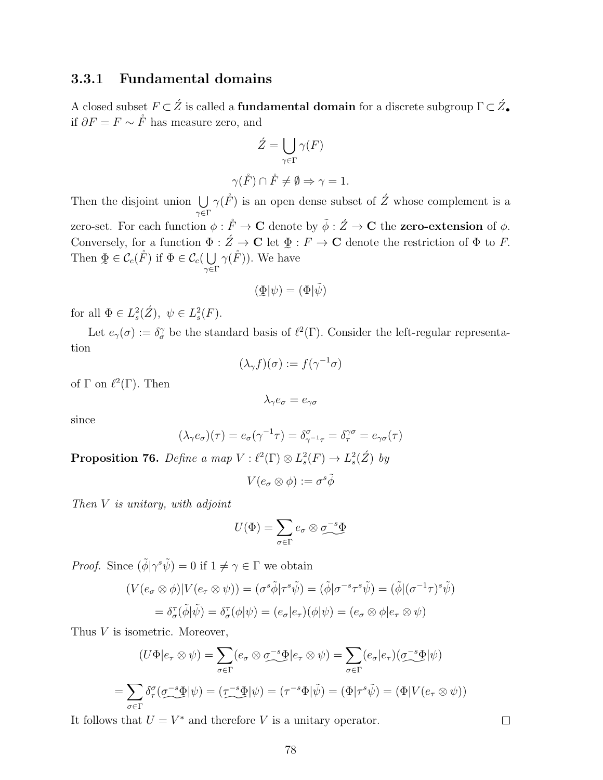#### 3.3.1 Fundamental domains

A closed subset  $F\subset\acute{Z}$  is called a **fundamental domain** for a discrete subgroup  $\Gamma\subset\acute{Z}_{\bullet}$ if  $\partial F = F \sim \mathring{F}$  has measure zero, and

$$
\dot{Z} = \bigcup_{\gamma \in \Gamma} \gamma(F)
$$

$$
\gamma(\mathring{F}) \cap \mathring{F} \neq \emptyset \Rightarrow \gamma = 1.
$$

Then the disjoint union  $\bigcup$  $\gamma {\in} \Gamma$  $\gamma(\r{F})$  is an open dense subset of  $\acute{Z}$  whose complement is a zero-set. For each function  $\phi : \mathring{F} \to \mathbf{C}$  denote by  $\tilde{\phi} : \mathring{Z} \to \mathbf{C}$  the **zero-extension** of  $\phi$ . Conversely, for a function  $\Phi : \check{Z} \to \mathbf{C}$  let  $\Phi : F \to \mathbf{C}$  denote the restriction of  $\Phi$  to F. Then  $\Phi \in \mathcal{C}_c(F)$  if  $\Phi \in \mathcal{C}_c(\bigcup \gamma(F))$ . We have  $\in \mathcal{C}_c(\mathring{F})$  if  $\Phi \in \mathcal{C}_c(\bigcup$  $\gamma {\in} \Gamma$  $\gamma(\r{F})$ ). We have

$$
(\underline{\Phi}|\psi) = (\Phi|\tilde{\psi})
$$

for all  $\Phi \in L^2_s(\dot{Z}), \ \psi \in L^2_s(F)$ .

Let  $e_\gamma(\sigma) := \delta_\sigma^\gamma$  be the standard basis of  $\ell^2(\Gamma)$ . Consider the left-regular representation

$$
(\lambda_{\gamma}f)(\sigma) := f(\gamma^{-1}\sigma)
$$

of  $\Gamma$  on  $\ell^2(\Gamma)$ . Then

$$
\lambda_\gamma e_\sigma = e_{\gamma\sigma}
$$

since

$$
(\lambda_{\gamma}e_{\sigma})(\tau) = e_{\sigma}(\gamma^{-1}\tau) = \delta_{\gamma^{-1}\tau}^{\sigma} = \delta_{\tau}^{\gamma\sigma} = e_{\gamma\sigma}(\tau)
$$

**Proposition 76.** Define a map  $V : \ell^2(\Gamma) \otimes L^2_s(F) \to L^2_s(\mathcal{Z})$  by

$$
V(e_{\sigma}\otimes\phi):=\sigma^s\tilde{\phi}
$$

Then V is unitary, with adjoint

$$
U(\Phi) = \sum_{\sigma \in \Gamma} e_{\sigma} \otimes \sigma^{-s} \Phi
$$

*Proof.* Since  $(\tilde{\phi}|\gamma^s\tilde{\psi})=0$  if  $1 \neq \gamma \in \Gamma$  we obtain

$$
(V(e_{\sigma} \otimes \phi)|V(e_{\tau} \otimes \psi)) = (\sigma^{s}\tilde{\phi}|\tau^{s}\tilde{\psi}) = (\tilde{\phi}|\sigma^{-s}\tau^{s}\tilde{\psi}) = (\tilde{\phi}|(\sigma^{-1}\tau)^{s}\tilde{\psi})
$$

$$
= \delta_{\sigma}^{\tau}(\tilde{\phi}|\tilde{\psi}) = \delta_{\sigma}^{\tau}(\phi|\psi) = (e_{\sigma}|e_{\tau})(\phi|\psi) = (e_{\sigma} \otimes \phi|e_{\tau} \otimes \psi)
$$

Thus *V* is isometric. Moreover,

$$
(U\Phi|e_{\tau}\otimes\psi) = \sum_{\sigma\in\Gamma}(e_{\sigma}\otimes\sigma^{-s}\Phi|e_{\tau}\otimes\psi) = \sum_{\sigma\in\Gamma}(e_{\sigma}|e_{\tau})(\sigma^{-s}\Phi|\psi)
$$

$$
= \sum_{\sigma\in\Gamma}\delta^{\sigma}_{\tau}(\sigma^{-s}\Phi|\psi) = (\tau^{-s}\Phi|\psi) = (\tau^{-s}\Phi|\tilde{\psi}) = (\Phi|\tau^{s}\tilde{\psi}) = (\Phi|V(e_{\tau}\otimes\psi))
$$

It follows that  $U = V^*$  and therefore V is a unitary operator.

 $\Box$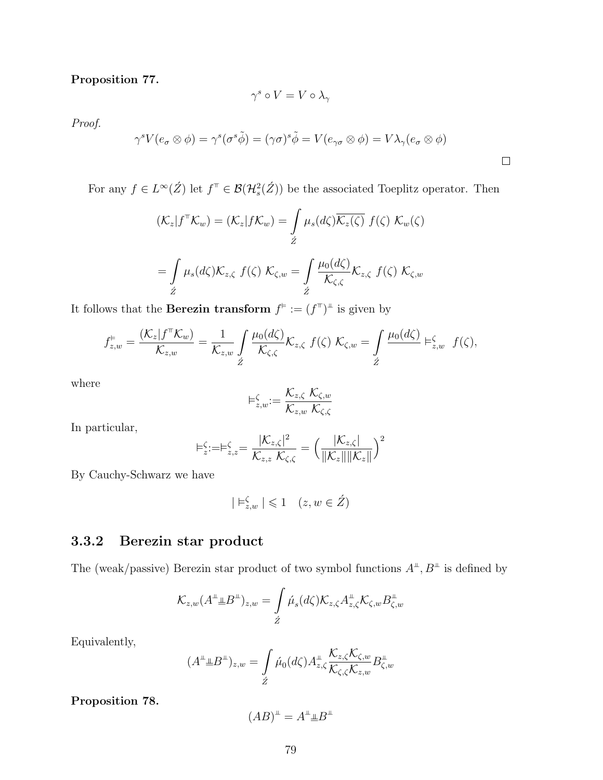#### Proposition 77.

$$
\gamma^s \circ V = V \circ \lambda_\gamma
$$

Proof.

$$
\gamma^s V(e_{\sigma} \otimes \phi) = \gamma^s (\sigma^s \tilde{\phi}) = (\gamma \sigma)^s \tilde{\phi} = V(e_{\gamma \sigma} \otimes \phi) = V \lambda_{\gamma}(e_{\sigma} \otimes \phi)
$$

 $\Box$ 

For any  $f \in L^{\infty}(\hat{Z})$  let  $f^{\top} \in \mathcal{B}(\mathcal{H}^2_s(\hat{Z}))$  be the associated Toeplitz operator. Then

$$
(\mathcal{K}_z | f^{\top} \mathcal{K}_w) = (\mathcal{K}_z | f \mathcal{K}_w) = \int_{\tilde{Z}} \mu_s(d\zeta) \overline{\mathcal{K}_z(\zeta)} f(\zeta) \mathcal{K}_w(\zeta)
$$

$$
= \int_{\tilde{Z}} \mu_s(d\zeta) \mathcal{K}_{z,\zeta} f(\zeta) \mathcal{K}_{\zeta,w} = \int_{\tilde{Z}} \frac{\mu_0(d\zeta)}{\mathcal{K}_{\zeta,\zeta}} \mathcal{K}_{z,\zeta} f(\zeta) \mathcal{K}_{\zeta,w}
$$

It follows that the **Berezin transform**  $f^{\dagger} := (f^{\dagger})^{\perp}$  is given by

$$
f_{z,w}^{\varepsilon} = \frac{(\mathcal{K}_z | f^{\top} \mathcal{K}_w)}{\mathcal{K}_{z,w}} = \frac{1}{\mathcal{K}_{z,w}} \int \frac{\mu_0(d\zeta)}{\mathcal{K}_{\zeta,\zeta}} \mathcal{K}_{z,\zeta} f(\zeta) \; \mathcal{K}_{\zeta,w} = \int \frac{\mu_0(d\zeta)}{\zeta} \; \varepsilon_{z,w} f(\zeta),
$$

where

$$
\vDash^{\zeta}_{z,w}:=\frac{\mathcal{K}_{z,\zeta}\;\mathcal{K}_{\zeta,w}}{\mathcal{K}_{z,w}\;\mathcal{K}_{\zeta,\zeta}}
$$

In particular,

$$
\models_z^{\zeta}:=\models_{z,z}^{\zeta}=\frac{|\mathcal{K}_{z,\zeta}|^2}{\mathcal{K}_{z,z}\,\mathcal{K}_{\zeta,\zeta}}=\left(\frac{|\mathcal{K}_{z,\zeta}|}{\|\mathcal{K}_z\|\|\mathcal{K}_z\|}\right)^2
$$

By Cauchy-Schwarz we have

$$
|\vDash^{\zeta}_{z,w}|\leqslant 1\quad (z,w\in\acute{Z})
$$

## 3.3.2 Berezin star product

The (weak/passive) Berezin star product of two symbol functions  $A^{\perp}, B^{\perp}$  is defined by

Kz,w(A (B )z,w = Z Z´ µ´s (dζ)Kz,ζA z,ζKζ,wB ζ,w

Equivalently,

$$
(A^{\perp \perp} \underline{B}^{\perp})_{z,w} = \int\limits_{\acute{Z}} \acute{\mu}_0(d\zeta) A^{\perp}_{z,\zeta} \frac{\mathcal{K}_{z,\zeta} \mathcal{K}_{\zeta,w}}{\mathcal{K}_{\zeta,\zeta} \mathcal{K}_{z,w}} B^{\perp}_{\zeta,w}
$$

Proposition 78.

$$
(AB)^{\perp} = A^{\perp} \perp B^{\perp}
$$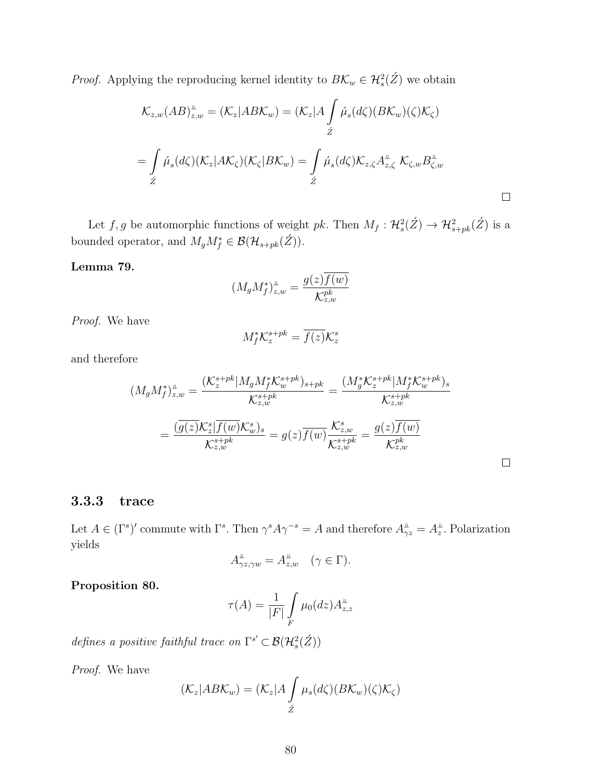*Proof.* Applying the reproducing kernel identity to  $B\mathcal{K}_w \in \mathcal{H}_s^2(\mathcal{Z})$  we obtain

$$
\mathcal{K}_{z,w}(AB)_{z,w}^{\perp} = (\mathcal{K}_z | AB\mathcal{K}_w) = (\mathcal{K}_z | A \int \hat{\mu}_s(d\zeta) (B\mathcal{K}_w)(\zeta) \mathcal{K}_\zeta)
$$
  

$$
= \int \hat{\mu}_s(d\zeta) (\mathcal{K}_z | A\mathcal{K}_\zeta) (\mathcal{K}_\zeta | B\mathcal{K}_w) = \int \hat{\mu}_s(d\zeta) \mathcal{K}_{z,\zeta} A_{z,\zeta}^{\perp} \mathcal{K}_{\zeta,w} B_{\zeta,w}^{\perp}
$$
  

$$
\stackrel{\circ}{z}
$$

Let  $f, g$  be automorphic functions of weight pk. Then  $M_f: \mathcal{H}_s^2(\hat{Z}) \to \mathcal{H}_{s+pk}^2(\hat{Z})$  is a bounded operator, and  $M_g M_f^* \in \mathcal{B}(\mathcal{H}_{s+pk}(\hat{Z})).$ 

#### Lemma 79.

$$
(M_gM_f^*)_{z,w}^{\scriptscriptstyle\#}=\frac{g(z)\overline{f(w)}}{\mathcal{K}_{z,w}^{pk}}
$$

Proof. We have

$$
M_f^* \mathcal{K}_z^{s+pk} = \overline{f(z)} \mathcal{K}_z^s
$$

and therefore

$$
(M_g M_f^*)_{z,w}^{\perp} = \frac{(\mathcal{K}_z^{s+pk}|M_g M_f^* \mathcal{K}_w^{s+pk})_{s+pk}}{\mathcal{K}_{z,w}^{s+pk}} = \frac{(M_g^* \mathcal{K}_z^{s+pk}|M_f^* \mathcal{K}_w^{s+pk})_s}{\mathcal{K}_{z,w}^{s+pk}}
$$

$$
= \frac{(\overline{g(z)}\mathcal{K}_z^s|\overline{f(w)}\mathcal{K}_w^s)}{\mathcal{K}_{z,w}^{s+pk}} = g(z)\overline{f(w)}\frac{\mathcal{K}_{z,w}^s}{\mathcal{K}_{z,w}^{s+pk}} = \frac{g(z)\overline{f(w)}}{\mathcal{K}_{z,w}^{pk}}
$$

 $\Box$ 

## 3.3.3 trace

Let  $A \in (\Gamma^s)'$  commute with  $\Gamma^s$ . Then  $\gamma^s A \gamma^{-s} = A$  and therefore  $A_{\gamma z}^{\perp} = A_z^{\perp}$ . Polarization yields

$$
A_{\gamma z, \gamma w}^{\perp} = A_{z, w}^{\perp} \quad (\gamma \in \Gamma).
$$

#### Proposition 80.

$$
\tau(A) = \frac{1}{|F|} \int\limits_F \mu_0(dz) A_{z,z}^\perp
$$

defines a positive faithful trace on  $\Gamma^{s'} \subset \mathcal{B}(\mathcal{H}_s^2(\hat{Z}))$ 

Proof. We have

$$
(\mathcal{K}_z|AB\mathcal{K}_w) = (\mathcal{K}_z|A\int\limits_{\acute{Z}}\mu_s(d\zeta)(B\mathcal{K}_w)(\zeta)\mathcal{K}_\zeta)
$$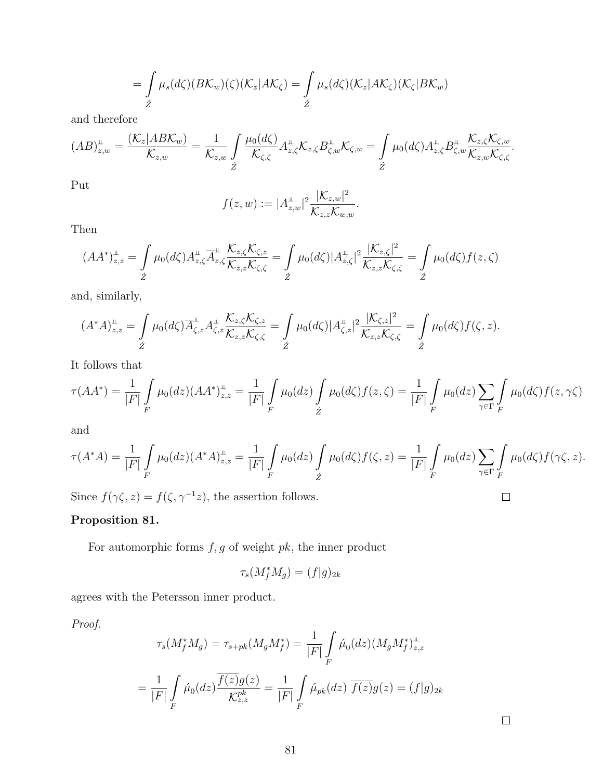$$
= \int_{\check{Z}} \mu_s(d\zeta)(B\mathcal{K}_w)(\zeta)(\mathcal{K}_z|A\mathcal{K}_\zeta) = \int_{\check{Z}} \mu_s(d\zeta)(\mathcal{K}_z|A\mathcal{K}_\zeta)(\mathcal{K}_\zeta|B\mathcal{K}_w)
$$

and therefore

$$
(AB)_{z,w}^{\perp} = \frac{(\mathcal{K}_z | AB\mathcal{K}_w)}{\mathcal{K}_{z,w}} = \frac{1}{\mathcal{K}_{z,w}} \int\limits_{\hat{Z}} \frac{\mu_0(d\zeta)}{\mathcal{K}_{\zeta,\zeta}} A_{z,\zeta}^{\perp} \mathcal{K}_{z,\zeta} B_{\zeta,w}^{\perp} \mathcal{K}_{\zeta,w} = \int\limits_{\hat{Z}} \mu_0(d\zeta) A_{z,\zeta}^{\perp} B_{\zeta,w}^{\perp} \frac{\mathcal{K}_{z,\zeta} \mathcal{K}_{\zeta,w}}{\mathcal{K}_{z,w} \mathcal{K}_{\zeta,\zeta}}.
$$

Put

$$
f(z, w) := |A_{z,w}^{\perp}|^2 \frac{|\mathcal{K}_{z,w}|^2}{\mathcal{K}_{z,z} \mathcal{K}_{w,w}}.
$$

Then

$$
(AA^*)_{z,z}^{\perp} = \int\limits_{\tilde{Z}} \mu_0(d\zeta) A_{z,\zeta}^{\perp} \overline{A}_{z,\zeta}^{\perp} \overline{K_{z,\zeta} K_{\zeta,\zeta}} = \int\limits_{\tilde{Z}} \mu_0(d\zeta) |A_{z,\zeta}^{\perp}|^2 \frac{|K_{z,\zeta}|^2}{K_{z,z} K_{\zeta,\zeta}} = \int\limits_{\tilde{Z}} \mu_0(d\zeta) f(z,\zeta)
$$

and, similarly,

$$
(A^*A)_{z,z}^{\perp} = \int\limits_{\tilde{Z}} \mu_0(d\zeta) \overline{A}_{\zeta,z}^{\perp} A_{\zeta,z}^{\perp} \frac{\mathcal{K}_{z,\zeta} \mathcal{K}_{\zeta,z}}{\mathcal{K}_{z,z} \mathcal{K}_{\zeta,\zeta}} = \int\limits_{\tilde{Z}} \mu_0(d\zeta) |A_{\zeta,z}^{\perp}|^2 \frac{|\mathcal{K}_{\zeta,z}|^2}{\mathcal{K}_{z,z} \mathcal{K}_{\zeta,\zeta}} = \int\limits_{\tilde{Z}} \mu_0(d\zeta) f(\zeta,z).
$$

It follows that

$$
\tau(AA^*) = \frac{1}{|F|} \int\limits_F \mu_0(dz) (AA^*)^{\perp}_{z,z} = \frac{1}{|F|} \int\limits_F \mu_0(dz) \int\limits_{\dot{Z}} \mu_0(d\zeta) f(z,\zeta) = \frac{1}{|F|} \int\limits_F \mu_0(dz) \sum\limits_{\gamma \in \Gamma} \int\limits_F \mu_0(d\zeta) f(z,\gamma \zeta)
$$

and

$$
\tau(A^*A) = \frac{1}{|F|} \int\limits_F \mu_0(dz) (A^*A)_{z,z}^{\perp} = \frac{1}{|F|} \int\limits_F \mu_0(dz) \int\limits_{\acute{Z}} \mu_0(d\zeta) f(\zeta, z) = \frac{1}{|F|} \int\limits_F \mu_0(dz) \sum\limits_{\gamma \in \Gamma} \int\limits_F \mu_0(d\zeta) f(\gamma \zeta, z).
$$

Since  $f(\gamma \zeta, z) = f(\zeta, \gamma^{-1} z)$ , the assertion follows.

## Proposition 81.

For automorphic forms  $f,g$  of weight  $pk,$  the inner product

$$
\tau_s(M_f^* M_g) = (f|g)_{2k}
$$

agrees with the Petersson inner product.

Proof.

$$
\tau_s(M_f^* M_g) = \tau_{s+pk}(M_g M_f^*) = \frac{1}{|F|} \int\limits_F \hat{\mu}_0(dz) (M_g M_f^*)_{z,z}^{\perp}
$$

$$
= \frac{1}{|F|} \int\limits_F \hat{\mu}_0(dz) \frac{\overline{f(z)}g(z)}{K_{z,z}^{pk}} = \frac{1}{|F|} \int\limits_F \hat{\mu}_{pk}(dz) \overline{f(z)}g(z) = (f|g)_{2k}
$$

 $\Box$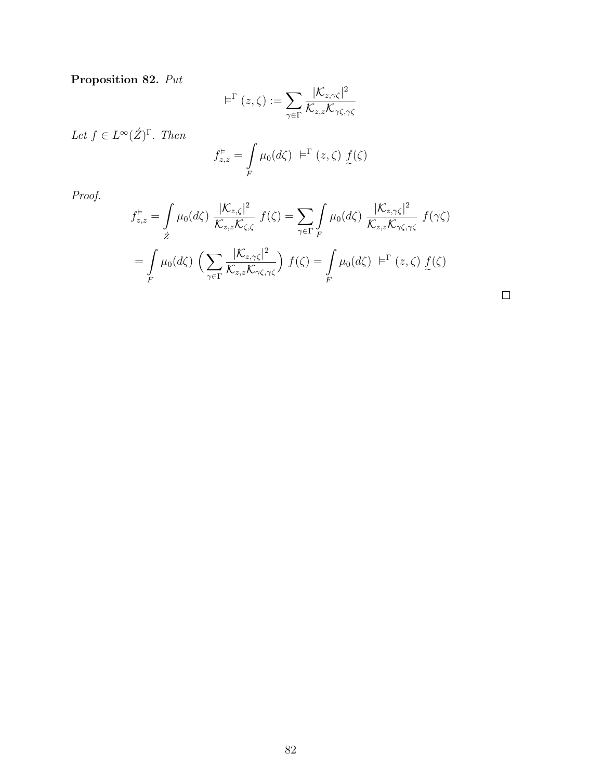# Proposition 82. Put

$$
\vDash^{\Gamma}(z,\zeta):=\sum_{\gamma\in\Gamma}\frac{|\mathcal{K}_{z,\gamma\zeta}|^{2}}{\mathcal{K}_{z,z}\mathcal{K}_{\gamma\zeta,\gamma\zeta}}
$$

Let  $f \in L^{\infty}(\acute{Z})^{\Gamma}$ . Then

$$
f_{z,z}^{\varepsilon} = \int\limits_F \mu_0(d\zeta) \varepsilon^{\Gamma}(z,\zeta) \underline{f}(\zeta)
$$

Proof.

$$
f_{z,z}^{\varepsilon} = \int\limits_{\mathcal{Z}} \mu_0(d\zeta) \frac{|\mathcal{K}_{z,\zeta}|^2}{\mathcal{K}_{z,z}\mathcal{K}_{\zeta,\zeta}} f(\zeta) = \sum_{\gamma \in \Gamma} \int\limits_{F} \mu_0(d\zeta) \frac{|\mathcal{K}_{z,\gamma\zeta}|^2}{\mathcal{K}_{z,z}\mathcal{K}_{\gamma\zeta,\gamma\zeta}} f(\gamma\zeta)
$$

$$
= \int\limits_{F} \mu_0(d\zeta) \left(\sum_{\gamma \in \Gamma} \frac{|\mathcal{K}_{z,\gamma\zeta}|^2}{\mathcal{K}_{z,z}\mathcal{K}_{\gamma\zeta,\gamma\zeta}}\right) f(\zeta) = \int\limits_{F} \mu_0(d\zeta) \varepsilon^{\Gamma}(z,\zeta) f(\zeta)
$$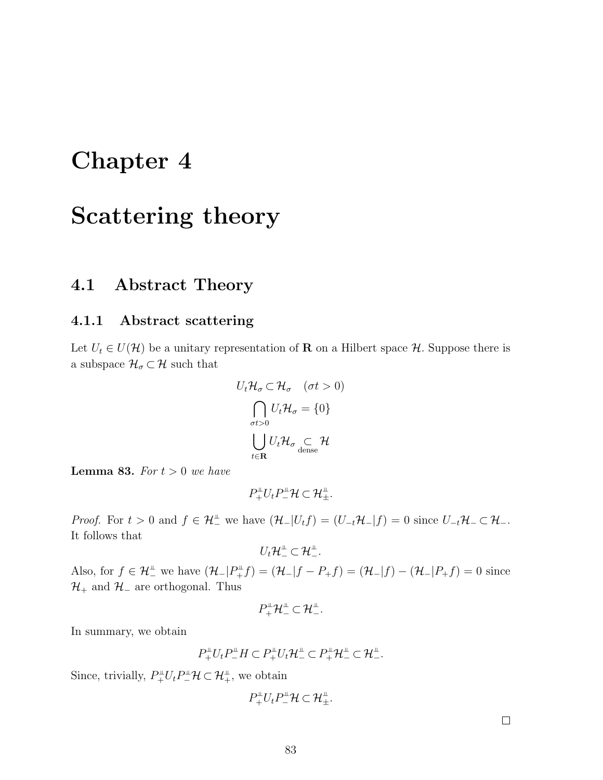# Chapter 4

# Scattering theory

## 4.1 Abstract Theory

## 4.1.1 Abstract scattering

Let  $U_t \in U(\mathcal{H})$  be a unitary representation of **R** on a Hilbert space  $\mathcal{H}$ . Suppose there is a subspace  $\mathcal{H}_{\sigma} \subset \mathcal{H}$  such that

$$
U_t \mathcal{H}_{\sigma} \subset \mathcal{H}_{\sigma} \quad (\sigma t > 0)
$$

$$
\bigcap_{\sigma t > 0} U_t \mathcal{H}_{\sigma} = \{0\}
$$

$$
\bigcup_{t \in \mathbf{R}} U_t \mathcal{H}_{\sigma} \subseteq \mathcal{H}
$$

**Lemma 83.** For  $t > 0$  we have

 $P^{\perp}_{+}U_{t}P^{\perp}_{-}\mathcal{H}\subset\mathcal{H}^{\perp}_{\pm}.$ 

*Proof.* For  $t > 0$  and  $f \in \mathcal{H}_-^{\perp}$  we have  $(\mathcal{H}_-|U_t f) = (U_{-t}\mathcal{H}_-|f) = 0$  since  $U_{-t}\mathcal{H}_- \subset \mathcal{H}_-$ . It follows that

$$
U_t\mathcal{H}_-^{\perp}\subset\mathcal{H}_-^{\perp}.
$$

Also, for  $f \in \mathcal{H}_{-}^{\perp}$  we have  $(\mathcal{H}_{-}|P_{+}^{\perp}f) = (\mathcal{H}_{-}|f - P_{+}f) = (\mathcal{H}_{-}|f) - (\mathcal{H}_{-}|P_{+}f) = 0$  since  $\mathcal{H}_+$  and  $\mathcal{H}_-$  are orthogonal. Thus

$$
P_+^{\mathbb{L}}\mathcal{H}_-^{\mathbb{L}}\subset \mathcal{H}_-^{\mathbb{L}}.
$$

In summary, we obtain

$$
P_+^{\perp}U_tP_-^{\perp}H \subset P_+^{\perp}U_t\mathcal{H}_-^{\perp} \subset P_+^{\perp}\mathcal{H}_-^{\perp} \subset \mathcal{H}_-^{\perp}.
$$

Since, trivially,  $P^{\perp}_{+}U_t P^{\perp}_{-} \mathcal{H} \subset \mathcal{H}^{\perp}_{+}$ , we obtain

$$
P_+^{\perp}U_tP_-^{\perp}\mathcal{H}\subset\mathcal{H}_{\pm}^{\perp}.
$$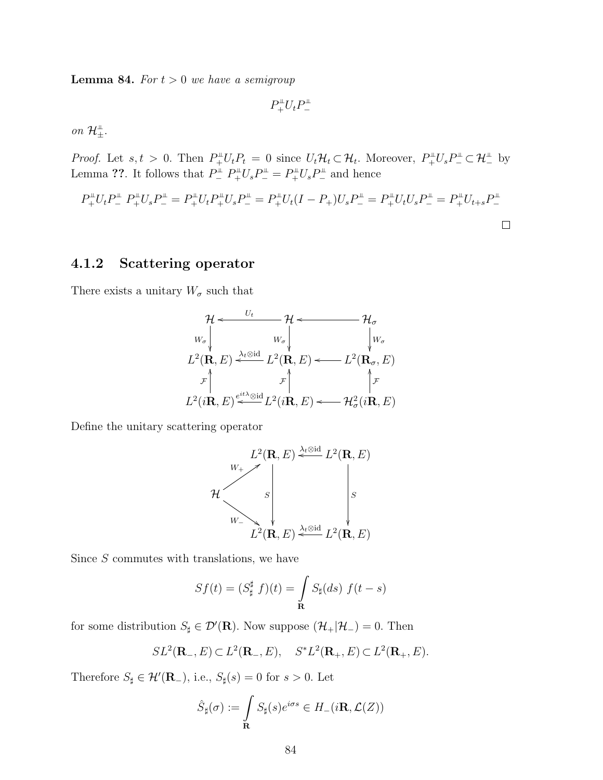**Lemma 84.** For  $t > 0$  we have a semigroup

 $P_{+}^{\mu}U_{t}P_{-}^{\mu}$ 

on  $\mathcal{H}^{\perp}_{\pm}$ .

*Proof.* Let  $s, t > 0$ . Then  $P_+^{\perp}U_tP_t = 0$  since  $U_t\mathcal{H}_t \subset \mathcal{H}_t$ . Moreover,  $P_+^{\perp}U_sP_-^{\perp} \subset \mathcal{H}_-^{\perp}$  by Lemma ??. It follows that  $P_{-}^{\perp}P_{+}^{\perp}U_{s}P_{-}^{\perp}=P_{+}^{\perp}U_{s}P_{-}^{\perp}$  and hence

$$
P_{+}^{\perp}U_{t}P_{-}^{\perp}P_{+}^{\perp}U_{s}P_{-}^{\perp} = P_{+}^{\perp}U_{t}P_{+}^{\perp}U_{s}P_{-}^{\perp} = P_{+}^{\perp}U_{t}(I - P_{+})U_{s}P_{-}^{\perp} = P_{+}^{\perp}U_{t}U_{s}P_{-}^{\perp} = P_{+}^{\perp}U_{t+s}P_{-}^{\perp}
$$

### 4.1.2 Scattering operator

There exists a unitary  $W_{\sigma}$  such that

$$
\mathcal{H} \leftarrow \begin{array}{c}\n\mathcal{H} \leftarrow \mathcal{H} \leftarrow \mathcal{H}_{\sigma} \\
W_{\sigma} \left| \begin{array}{cc} W_{\sigma} \left| \begin{array}{c} W_{\sigma} \end{array} \right| & \mathcal{H}_{\sigma} \\
W_{\sigma} \end{array} \right| \\
L^{2}(\mathbf{R}, E) \xleftarrow{\lambda_{t} \otimes id} L^{2}(\mathbf{R}, E) \longleftarrow L^{2}(\mathbf{R}_{\sigma}, E) \\
\downarrow \mathcal{F} \left| \begin{array}{cc} \mathcal{F} \left| \begin{array}{c} \mathcal{F} \end{array} \right| & \mathcal{F} \\
L^{2}(i\mathbf{R}, E) \longleftarrow \mathcal{H}_{\sigma}^{2}(i\mathbf{R}, E)\n\end{array}\right|\n\end{array}
$$

Define the unitary scattering operator

$$
\mathcal{H} \begin{bmatrix} L^2(\mathbf{R}, E) \stackrel{\lambda_t \otimes \text{id}}{\leftarrow} L^2(\mathbf{R}, E) \\ \downarrow^2 \downarrow^2 \\ \downarrow^2 \downarrow^2 \\ L^2(\mathbf{R}, E) \stackrel{\lambda_t \otimes \text{id}}{\leftarrow} L^2(\mathbf{R}, E) \end{bmatrix}
$$

Since S commutes with translations, we have

$$
Sf(t) = (S_{\sharp}^{\sharp} f)(t) = \int_{\mathbf{R}} S_{\sharp}(ds) f(t - s)
$$

for some distribution  $S_{\sharp} \in \mathcal{D}'(\mathbf{R})$ . Now suppose  $(\mathcal{H}_+|\mathcal{H}_-) = 0$ . Then

$$
SL^2(\mathbf{R}_-, E) \subset L^2(\mathbf{R}_-, E), \quad S^*L^2(\mathbf{R}_+, E) \subset L^2(\mathbf{R}_+, E).
$$

Therefore  $S_{\sharp} \in \mathcal{H}'(\mathbf{R}_{-}),$  i.e.,  $S_{\sharp}(s) = 0$  for  $s > 0$ . Let

$$
\hat{S}_{\sharp}(\sigma) := \int_{\mathbf{R}} S_{\sharp}(s) e^{i\sigma s} \in H_{-}(i\mathbf{R}, \mathcal{L}(Z))
$$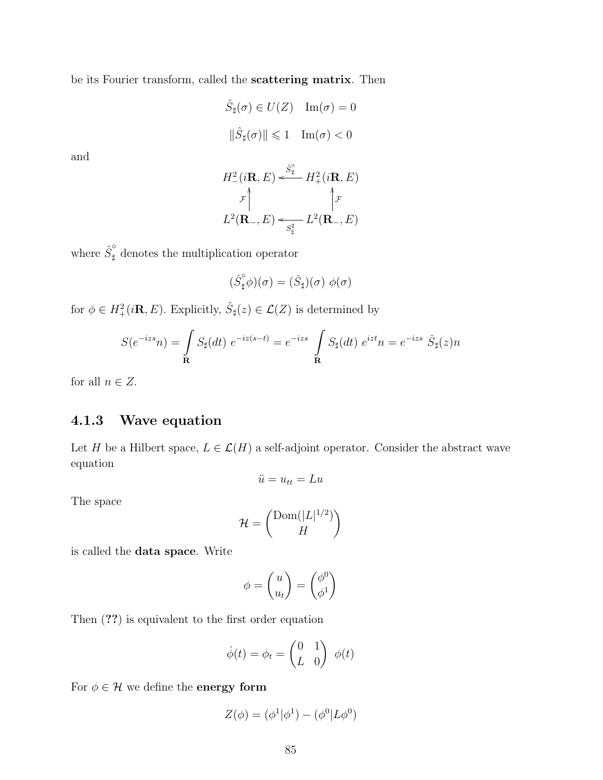be its Fourier transform, called the scattering matrix. Then

$$
\hat{S}_{\sharp}(\sigma) \in U(Z) \quad \text{Im}(\sigma) = 0
$$

$$
\|\hat{S}_{\sharp}(\sigma)\| \leq 1 \quad \text{Im}(\sigma) < 0
$$

and

$$
H_{-}^{2}(i\mathbf{R}, E) \xleftarrow{\hat{S}_{\sharp}^{\circ}} H_{+}^{2}(i\mathbf{R}, E)
$$

$$
\downarrow_{\mathcal{F}} \uparrow \qquad \qquad \uparrow_{\mathcal{F}}
$$

$$
L^{2}(\mathbf{R}_{-}, E) \xleftarrow{\hat{S}_{\sharp}^{\sharp}} L^{2}(\mathbf{R}_{-}, E)
$$

where  $\hat{S}_{\sharp}^{\circ}$  denotes the multiplication operator

$$
(\hat{S}_{\sharp}^{\circ}\phi)(\sigma)=(\hat{S}_{\sharp})(\sigma)\,\,\phi(\sigma)
$$

for  $\phi \in H^2_+(i\mathbf{R}, E)$ . Explicitly,  $\hat{S}_{\sharp}(z) \in \mathcal{L}(Z)$  is determined by

$$
S(e^{-izs}n) = \int_{\mathbf{R}} S_{\sharp}(dt) e^{-iz(s-t)} = e^{-izs} \int_{\mathbf{R}} S_{\sharp}(dt) e^{izt}n = e^{-izs} \hat{S}_{\sharp}(z)n
$$

for all  $n \in Z$ .

## 4.1.3 Wave equation

Let H be a Hilbert space,  $L \in \mathcal{L}(H)$  a self-adjoint operator. Consider the abstract wave equation

$$
\ddot{u} = u_{tt} = Lu
$$

The space

$$
\mathcal{H} = \begin{pmatrix} \text{Dom}(|L|^{1/2}) \\ H \end{pmatrix}
$$

is called the data space. Write

$$
\phi = \begin{pmatrix} u \\ u_t \end{pmatrix} = \begin{pmatrix} \phi^0 \\ \phi^1 \end{pmatrix}
$$

Then (??) is equivalent to the first order equation

$$
\dot{\phi}(t) = \phi_t = \begin{pmatrix} 0 & 1 \\ L & 0 \end{pmatrix} \phi(t)
$$

For  $\phi \in \mathcal{H}$  we define the  $\mathbf{energy}$  form

$$
Z(\phi) = (\phi^1 | \phi^1) - (\phi^0 | L\phi^0)
$$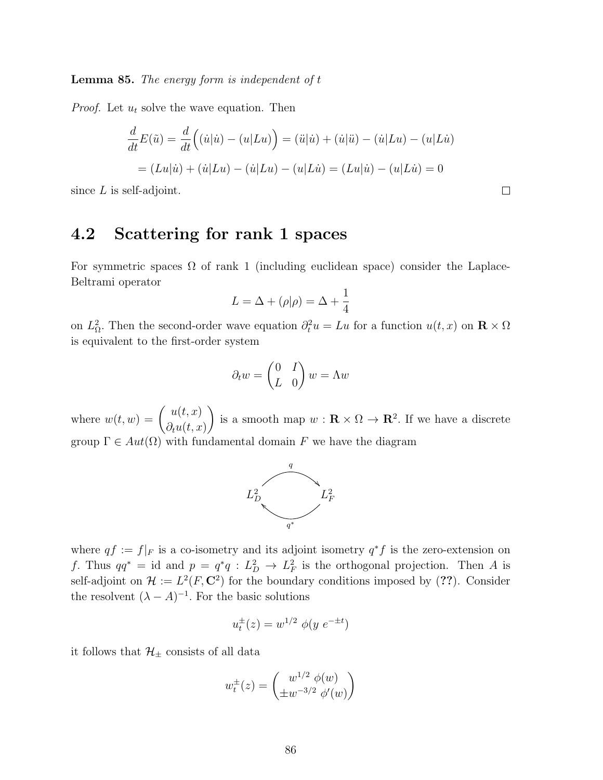**Lemma 85.** The energy form is independent of  $t$ 

*Proof.* Let  $u_t$  solve the wave equation. Then

$$
\frac{d}{dt}E(\tilde{u}) = \frac{d}{dt}((\dot{u}|\dot{u}) - (u|Lu)) = (\ddot{u}|\dot{u}) + (\dot{u}|\ddot{u}) - (\dot{u}|Lu) - (u|L\dot{u})
$$

$$
= (Lu|\dot{u}) + (\dot{u}|Lu) - (\dot{u}|Lu) - (u|L\dot{u}) = (Lu|\dot{u}) - (u|L\dot{u}) = 0
$$

since  $L$  is self-adjoint.

## 4.2 Scattering for rank 1 spaces

For symmetric spaces  $\Omega$  of rank 1 (including euclidean space) consider the Laplace-Beltrami operator

$$
L = \Delta + (\rho|\rho) = \Delta + \frac{1}{4}
$$

on  $L^2_{\Omega}$ . Then the second-order wave equation  $\partial_t^2 u = Lu$  for a function  $u(t, x)$  on  $\mathbf{R} \times \Omega$ is equivalent to the first-order system

$$
\partial_t w = \begin{pmatrix} 0 & I \\ L & 0 \end{pmatrix} w = \Lambda w
$$

where  $w(t, w) = \begin{pmatrix} u(t, x) \\ 0 & 0 \end{pmatrix}$  $\partial_t u(t,x)$ is a smooth map  $w : \mathbf{R} \times \Omega \to \mathbf{R}^2$ . If we have a discrete group  $\Gamma \in Aut(\Omega)$  with fundamental domain F we have the diagram



where  $qf := f|_F$  is a co-isometry and its adjoint isometry  $q^*f$  is the zero-extension on f. Thus  $qq^* = id$  and  $p = q^*q : L_D^2 \to L_F^2$  is the orthogonal projection. Then A is self-adjoint on  $\mathcal{H} := L^2(F, \mathbb{C}^2)$  for the boundary conditions imposed by (??). Consider the resolvent  $(\lambda - A)^{-1}$ . For the basic solutions

$$
u_t^{\pm}(z) = w^{1/2} \phi(y \ e^{-\pm t})
$$

it follows that  $\mathcal{H}_{\pm}$  consists of all data

$$
w_t^{\pm}(z) = \begin{pmatrix} w^{1/2} \phi(w) \\ \pm w^{-3/2} \phi'(w) \end{pmatrix}
$$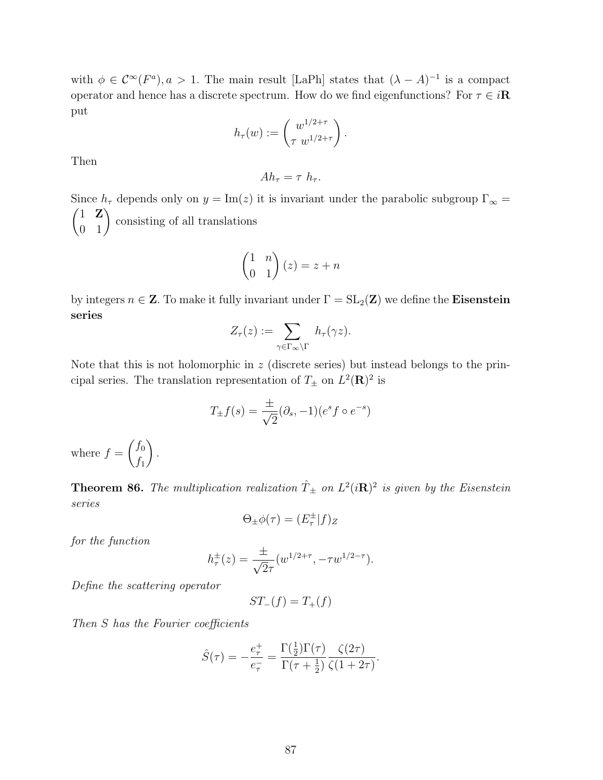with  $\phi \in C^{\infty}(F^a)$ ,  $a > 1$ . The main result [LaPh] states that  $(\lambda - A)^{-1}$  is a compact operator and hence has a discrete spectrum. How do we find eigenfunctions? For  $\tau \in i\mathbb{R}$ put

$$
h_{\tau}(w) := \begin{pmatrix} w^{1/2+\tau} \\ \tau w^{1/2+\tau} \end{pmatrix}.
$$

Then

$$
Ah_{\tau} = \tau h_{\tau}.
$$

Since  $h_{\tau}$  depends only on  $y = \text{Im}(z)$  it is invariant under the parabolic subgroup  $\Gamma_{\infty} =$  $\begin{pmatrix} 1 & \mathbf{Z} \\ 0 & 1 \end{pmatrix}$ consisting of all translations

$$
\begin{pmatrix} 1 & n \\ 0 & 1 \end{pmatrix} (z) = z + n
$$

by integers  $n \in \mathbb{Z}$ . To make it fully invariant under  $\Gamma = SL_2(\mathbb{Z})$  we define the Eisenstein series

$$
Z_{\tau}(z) := \sum_{\gamma \in \Gamma_{\infty} \backslash \Gamma} h_{\tau}(\gamma z).
$$

Note that this is not holomorphic in  $z$  (discrete series) but instead belongs to the principal series. The translation representation of  $T_{\pm}$  on  $L^2(\mathbf{R})^2$  is

$$
T_{\pm}f(s) = \frac{\pm}{\sqrt{2}}(\partial_s, -1)(e^s f \circ e^{-s})
$$

where  $f =$  $\int f_0$  $f_1$  $\setminus$ .

**Theorem 86.** The multiplication realization  $\hat{T}_{\pm}$  on  $L^2(i\mathbf{R})^2$  is given by the Eisenstein series

$$
\Theta_{\pm}\phi(\tau) = (E_{\tau}^{\pm}|f)_{Z}
$$

for the function

$$
h_{\tau}^{\pm}(z) = \frac{\pm}{\sqrt{2}\tau} (w^{1/2+\tau}, -\tau w^{1/2-\tau}).
$$

Define the scattering operator

$$
ST_{-}(f) = T_{+}(f)
$$

Then S has the Fourier coefficients

$$
\hat{S}(\tau) = -\frac{e_{\tau}^{+}}{e_{\tau}^{-}} = \frac{\Gamma(\frac{1}{2})\Gamma(\tau)}{\Gamma(\tau + \frac{1}{2})} \frac{\zeta(2\tau)}{\zeta(1 + 2\tau)}.
$$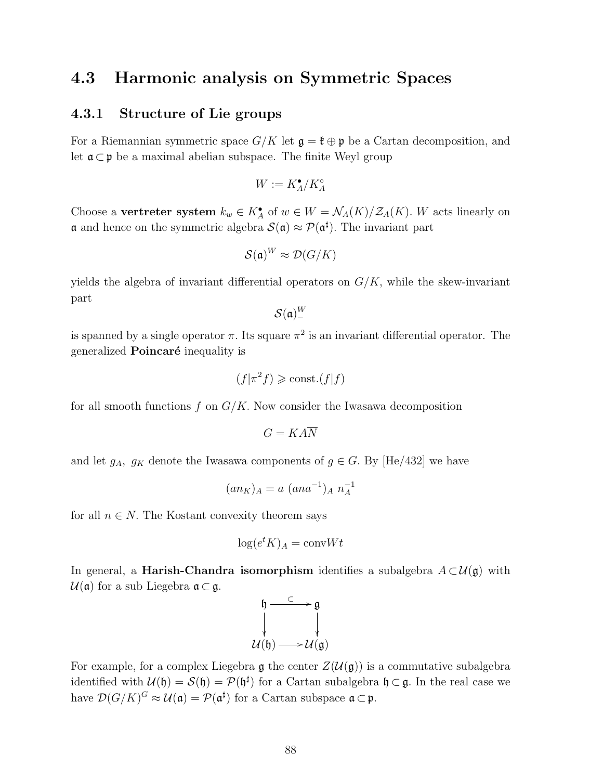## 4.3 Harmonic analysis on Symmetric Spaces

## 4.3.1 Structure of Lie groups

For a Riemannian symmetric space  $G/K$  let  $\mathfrak{g} = \mathfrak{k} \oplus \mathfrak{p}$  be a Cartan decomposition, and let  $\mathfrak{a} \subset \mathfrak{p}$  be a maximal abelian subspace. The finite Weyl group

$$
W:=K_A^\bullet/K_A^\circ
$$

Choose a vertreter system  $k_w \in K_A^{\bullet}$  of  $w \in W = \mathcal{N}_A(K)/\mathcal{Z}_A(K)$ . W acts linearly on **a** and hence on the symmetric algebra  $\mathcal{S}(\mathfrak{a}) \approx \mathcal{P}(\mathfrak{a}^{\sharp})$ . The invariant part

$$
\mathcal{S}(\mathfrak{a})^W \approx \mathcal{D}(G/K)
$$

yields the algebra of invariant differential operators on  $G/K$ , while the skew-invariant part

$$
\mathcal{S}(\mathfrak{a})^W_-
$$

is spanned by a single operator  $\pi$ . Its square  $\pi^2$  is an invariant differential operator. The generalized **Poincaré** inequality is

$$
(f|\pi^2 f) \geq \text{const.} (f|f)
$$

for all smooth functions f on  $G/K$ . Now consider the Iwasawa decomposition

$$
G=KA\overline{N}
$$

and let  $g_A$ ,  $g_K$  denote the Iwasawa components of  $g \in G$ . By [He/432] we have

$$
(an_K)_A = a \ (ana^{-1})_A \ n_A^{-1}
$$

for all  $n \in N$ . The Kostant convexity theorem says

$$
\log(e^t K)_A = \text{conv} W t
$$

In general, a **Harish-Chandra isomorphism** identifies a subalgebra  $A \subset \mathcal{U}(\mathfrak{g})$  with  $U(\mathfrak{a})$  for a sub Liegebra  $\mathfrak{a} \subset \mathfrak{g}$ .

$$
\begin{array}{ccc}\n\mathfrak{h} & \xrightarrow{\subset} & \mathfrak{g} \\
\downarrow & & \downarrow \\
\mathcal{U}(\mathfrak{h}) & \longrightarrow \mathcal{U}(\mathfrak{g})\n\end{array}
$$

For example, for a complex Liegebra g the center  $Z(\mathcal{U}(\mathfrak{g}))$  is a commutative subalgebra identified with  $\mathcal{U}(\mathfrak{h}) = \mathcal{S}(\mathfrak{h}) = \mathcal{P}(\mathfrak{h}^{\sharp})$  for a Cartan subalgebra  $\mathfrak{h} \subset \mathfrak{g}$ . In the real case we have  $\mathcal{D}(G/K)^G \approx \mathcal{U}(\mathfrak{a}) = \mathcal{P}(\mathfrak{a}^{\sharp})$  for a Cartan subspace  $\mathfrak{a} \subset \mathfrak{p}$ .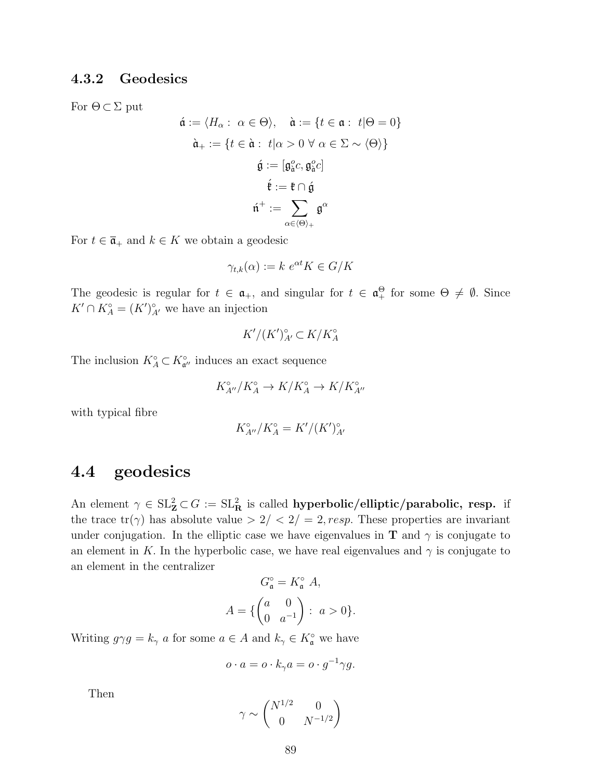## 4.3.2 Geodesics

For  $\Theta \subset \Sigma$  put

$$
\hat{\mathfrak{a}} := \langle H_{\alpha} : \ \alpha \in \Theta \rangle, \quad \hat{\mathfrak{a}} := \{ t \in \mathfrak{a} : \ t | \Theta = 0 \}
$$
\n
$$
\hat{\mathfrak{a}}_{+} := \{ t \in \hat{\mathfrak{a}} : \ t | \alpha > 0 \ \forall \ \alpha \in \Sigma \sim \langle \Theta \rangle \}
$$
\n
$$
\hat{\mathfrak{g}} := [\mathfrak{g}_{\hat{\mathfrak{a}}}^{o} \circ, \mathfrak{g}_{\hat{\mathfrak{a}}}^{o} \circ]
$$
\n
$$
\hat{\mathfrak{k}} := \mathfrak{k} \cap \hat{\mathfrak{g}}
$$
\n
$$
\hat{\mathfrak{n}}^{+} := \sum_{\alpha \in \langle \Theta \rangle_{+}} \mathfrak{g}^{\alpha}
$$

For  $t \in \overline{\mathfrak{a}}_+$  and  $k \in K$  we obtain a geodesic

$$
\gamma_{t,k}(\alpha) := k \, e^{\alpha t} K \in G/K
$$

The geodesic is regular for  $t \in \mathfrak{a}_+$ , and singular for  $t \in \mathfrak{a}_+^{\Theta}$  for some  $\Theta \neq \emptyset$ . Since  $K' \cap K_A^{\circ} = (K')^{\circ}_{A'}$  we have an injection

$$
K'/(K')^\circ_{A'}\subset K/K^\circ_A
$$

The inclusion  $K^{\circ}_A \subset K^{\circ}_{\mathfrak{a}''}$  induces an exact sequence

$$
K_{A''}^{\circ}/K_A^{\circ} \to K/K_A^{\circ} \to K/K_{A''}^{\circ}
$$

with typical fibre

$$
K_{A''}^\circ/K_A^\circ=K'/(K')_{A'}^\circ
$$

## 4.4 geodesics

An element  $\gamma \in SL^2_Z \subset G := SL^2_R$  is called hyperbolic/elliptic/parabolic, resp. if the trace  $tr(\gamma)$  has absolute value  $> 2/<sup>2</sup>$ ,  $= 2$ ,  $resp.$  These properties are invariant under conjugation. In the elliptic case we have eigenvalues in **T** and  $\gamma$  is conjugate to an element in K. In the hyperbolic case, we have real eigenvalues and  $\gamma$  is conjugate to an element in the centralizer

$$
G_{\mathfrak{a}}^{\circ} = K_{\mathfrak{a}}^{\circ} A,
$$
  

$$
A = \{ \begin{pmatrix} a & 0 \\ 0 & a^{-1} \end{pmatrix} : a > 0 \}.
$$

Writing  $g\gamma g = k_{\gamma}$  a for some  $a \in A$  and  $k_{\gamma} \in K^{\circ}_{\mathfrak{a}}$  we have

$$
o \cdot a = o \cdot k_{\gamma} a = o \cdot g^{-1} \gamma g.
$$

Then

$$
\gamma \sim \begin{pmatrix} N^{1/2} & 0 \\ 0 & N^{-1/2} \end{pmatrix}
$$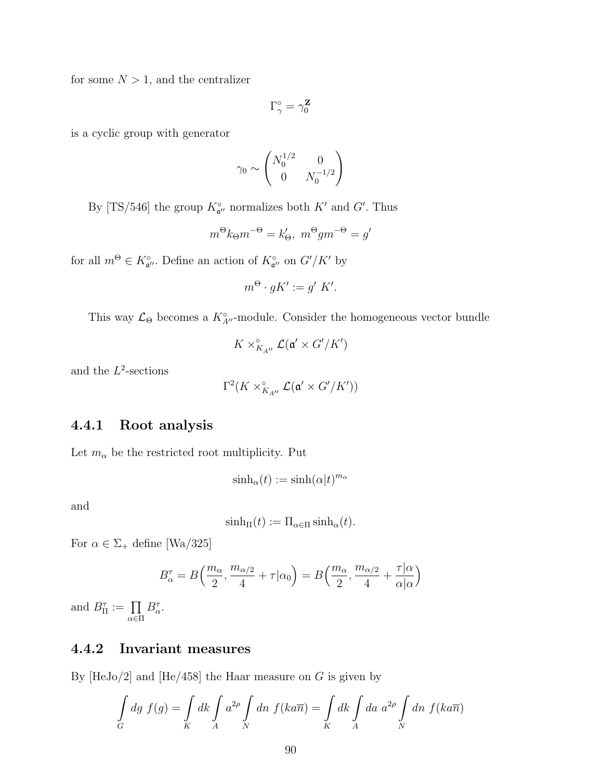for some  $N > 1$ , and the centralizer

$$
\Gamma_{\gamma}^{\circ}=\gamma_0^{\mathbf{Z}}
$$

is a cyclic group with generator

$$
\gamma_0 \sim \begin{pmatrix} N_0^{1/2} & 0 \\ 0 & N_0^{-1/2} \end{pmatrix}
$$

By [TS/546] the group  $K^{\circ}_{\mathfrak{a}''}$  normalizes both  $K'$  and  $G'$ . Thus

$$
m^{\Theta}k_{\Theta}m^{-\Theta} = k'_{\Theta}, \; m^{\Theta}gm^{-\Theta} = g'
$$

for all  $m^{\Theta} \in K^{\circ}_{\mathfrak{a}''}$ . Define an action of  $K^{\circ}_{\mathfrak{a}''}$  on  $G'/K'$  by

$$
m^{\Theta} \cdot gK' := g' K'.
$$

This way  $\mathcal{L}_{\Theta}$  becomes a  $K^{\circ}_{A''}$ -module. Consider the homogeneous vector bundle

$$
K \times_{K_{A''}}^{\circ} \mathcal{L}(\mathfrak{a}' \times G'/K')
$$

and the  $L^2$ -sections

$$
\Gamma^2(K\times_{K_{A''}}^\circ{\mathcal L}(\mathfrak a'\times G'/K'))
$$

## 4.4.1 Root analysis

Let  $m_{\alpha}$  be the restricted root multiplicity. Put

$$
\sinh_{\alpha}(t) := \sinh(\alpha|t)^{m_{\alpha}}
$$

and

$$
\sinh_{\Pi}(t) := \Pi_{\alpha \in \Pi} \sinh_{\alpha}(t).
$$

For  $\alpha \in \Sigma_+$  define [Wa/325]

$$
B_{\alpha}^{\tau} = B\left(\frac{m_{\alpha}}{2}, \frac{m_{\alpha/2}}{4} + \tau | \alpha_0\right) = B\left(\frac{m_{\alpha}}{2}, \frac{m_{\alpha/2}}{4} + \frac{\tau | \alpha}{\alpha | \alpha}\right)
$$

and  $B_{\Pi}^{\tau} := \prod_{\alpha \in \Pi}$  $B^{\tau}_{\alpha}$ .

## 4.4.2 Invariant measures

By  $[HeJo/2]$  and  $[He/458]$  the Haar measure on G is given by

$$
\int\limits_G dg \ f(g) = \int\limits_K dk \int\limits_A a^{2\rho} \int\limits_N dn \ f(k a \overline{n}) = \int\limits_K dk \int\limits_A da \ a^{2\rho} \int\limits_N dn \ f(k a \overline{n})
$$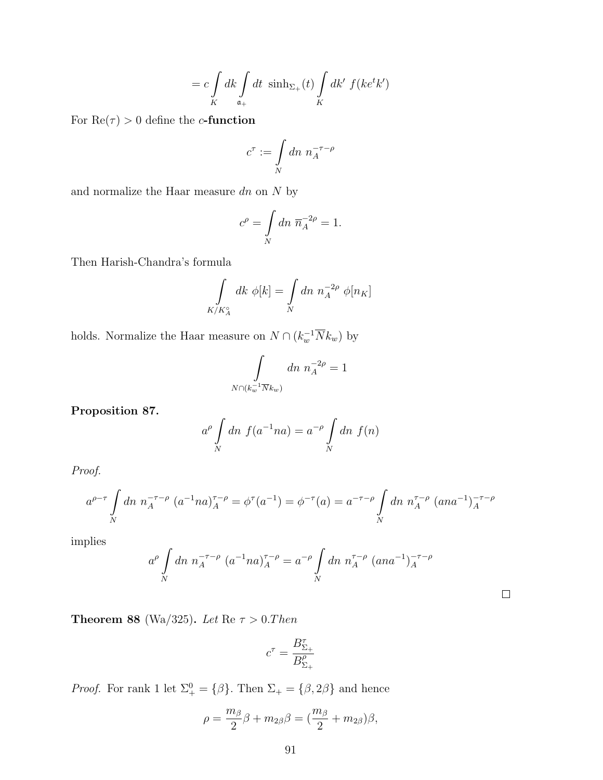$$
= c \int\limits_K dk \int\limits_{\mathfrak{a}_+} dt \ \sinh \Delta_{+}(t) \int\limits_K dk' \ f(ke^t k')
$$

For  $Re(\tau) > 0$  define the *c*-function

$$
c^\tau := \int\limits_N dn\ n_A^{-\tau-\rho}
$$

and normalize the Haar measure  $dn$  on  ${\cal N}$  by

$$
c^{\rho} = \int\limits_N dn \; \overline{n}_A^{-2\rho} = 1.
$$

Then Harish-Chandra's formula

$$
\int\limits_{K/K_A^{\circ}}dk\ \phi[k]=\int\limits_Ndn\ n_A^{-2\rho}\ \phi[n_K]
$$

holds. Normalize the Haar measure on  $N \cap (k_w^{-1} \overline{N} k_w)$  by

$$
\int\limits_{N \cap (k_w^{-1} \overline{N} k_w)} dn \; n_A^{-2\rho} = 1
$$

Proposition 87.

$$
a^{\rho} \int\limits_N dn \ f(a^{-1}na) = a^{-\rho} \int\limits_N dn \ f(n)
$$

Proof.

$$
a^{\rho-\tau} \int\limits_N dn \; n_A^{-\tau-\rho} \left( a^{-1}na \right)_A^{\tau-\rho} = \phi^{\tau}(a^{-1}) = \phi^{-\tau}(a) = a^{-\tau-\rho} \int\limits_N dn \; n_A^{\tau-\rho} \left( ana^{-1} \right)_A^{-\tau-\rho}
$$

implies

$$
a^{\rho} \int\limits_N dn \; n_A^{-\tau-\rho} \; (a^{-1}na)^{\tau-\rho}_A = a^{-\rho} \int\limits_N dn \; n_A^{\tau-\rho} \; (ana^{-1})^{-\tau-\rho}_A
$$

 $\Box$ 

Theorem 88 (Wa/325). Let  $\text{Re } \tau > 0$ . Then

$$
c^{\tau} = \frac{B_{\Sigma_+}^{\tau}}{B_{\Sigma_+}^{\rho}}
$$

*Proof.* For rank 1 let  $\Sigma^0_+ = {\{\beta\}}$ . Then  $\Sigma_+ = {\{\beta, 2\beta\}}$  and hence

$$
\rho = \frac{m_{\beta}}{2}\beta + m_{2\beta}\beta = (\frac{m_{\beta}}{2} + m_{2\beta})\beta,
$$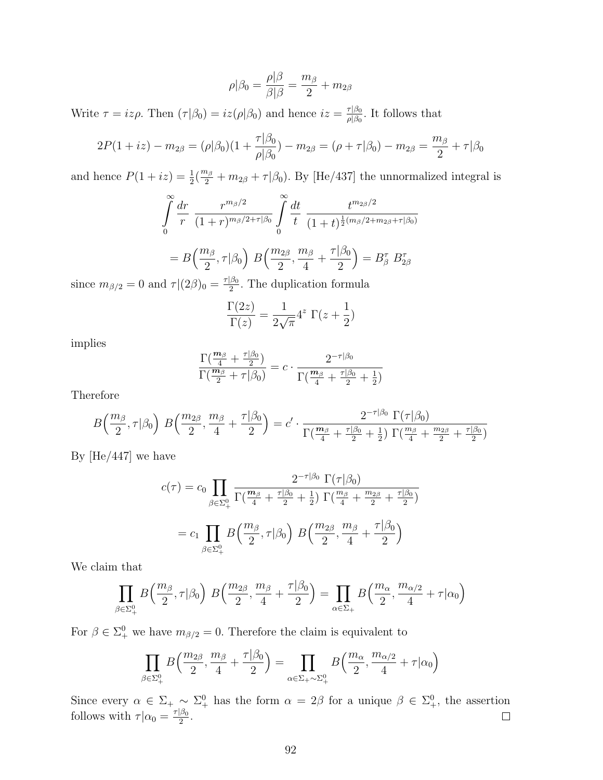$$
\rho|\beta_0=\frac{\rho|\beta}{\beta|\beta}=\frac{m_\beta}{2}+m_{2\beta}
$$

Write  $\tau = iz\rho$ . Then  $(\tau|\beta_0) = iz(\rho|\beta_0)$  and hence  $iz = \frac{\tau|\beta_0}{\rho|\beta_0}$  $\frac{\tau|\beta_0}{\rho|\beta_0}$ . It follows that

$$
2P(1+iz) - m_{2\beta} = (\rho|\beta_0)(1+\frac{\tau|\beta_0}{\rho|\beta_0}) - m_{2\beta} = (\rho + \tau|\beta_0) - m_{2\beta} = \frac{m_{\beta}}{2} + \tau|\beta_0
$$

and hence  $P(1 + iz) = \frac{1}{2}(\frac{m_\beta}{2} + m_{2\beta} + \tau | \beta_0)$ . By [He/437] the unnormalized integral is

$$
\int_{0}^{\infty} \frac{dr}{r} \frac{r^{m_{\beta}/2}}{(1+r)^{m_{\beta}/2+\tau|\beta_0}} \int_{0}^{\infty} \frac{dt}{t} \frac{t^{m_{2\beta}/2}}{(1+t)^{\frac{1}{2}(m_{\beta}/2+m_{2\beta}+\tau|\beta_0)}}
$$

$$
= B\left(\frac{m_{\beta}}{2}, \tau|\beta_0\right) B\left(\frac{m_{2\beta}}{2}, \frac{m_{\beta}}{4} + \frac{\tau|\beta_0}{2}\right) = B_{\beta}^{\tau} B_{2\beta}^{\tau}
$$

since  $m_{\beta/2} = 0$  and  $\tau |(2\beta)_0 = \frac{\tau |\beta_0}{2}$  $\frac{\beta_0}{2}$ . The duplication formula

$$
\frac{\Gamma(2z)}{\Gamma(z)} = \frac{1}{2\sqrt{\pi}} 4^z \Gamma(z + \frac{1}{2})
$$

implies

$$
\frac{\Gamma(\frac{\mathbf{m}_{\beta}}{4} + \frac{\tau|\beta_0}{2})}{\Gamma(\frac{\mathbf{m}_{\beta}}{2} + \tau|\beta_0)} = c \cdot \frac{2^{-\tau|\beta_0}}{\Gamma(\frac{\mathbf{m}_{\beta}}{4} + \frac{\tau|\beta_0}{2} + \frac{1}{2})}
$$

Therefore

$$
B\left(\frac{m_{\beta}}{2},\tau|\beta_{0}\right) B\left(\frac{m_{2\beta}}{2},\frac{m_{\beta}}{4}+\frac{\tau|\beta_{0}}{2}\right)=c'\cdot \frac{2^{-\tau|\beta_{0}}\Gamma(\tau|\beta_{0})}{\Gamma(\frac{m_{\beta}}{4}+\frac{\tau|\beta_{0}}{2}+\frac{1}{2})\Gamma(\frac{m_{\beta}}{4}+\frac{m_{2\beta}}{2}+\frac{\tau|\beta_{0}}{2})}
$$

By [He/447] we have

$$
c(\tau) = c_0 \prod_{\beta \in \Sigma_+^0} \frac{2^{-\tau|\beta_0|} \Gamma(\tau|\beta_0)}{\Gamma(\frac{m_\beta}{4} + \frac{\tau|\beta_0}{2} + \frac{1}{2}) \Gamma(\frac{m_\beta}{4} + \frac{m_{2\beta}}{2} + \frac{\tau|\beta_0}{2})}
$$

$$
= c_1 \prod_{\beta \in \Sigma_+^0} B\left(\frac{m_\beta}{2}, \tau|\beta_0\right) B\left(\frac{m_{2\beta}}{2}, \frac{m_\beta}{4} + \frac{\tau|\beta_0}{2}\right)
$$

We claim that

$$
\prod_{\beta \in \Sigma^0_+} B\left(\frac{m_\beta}{2}, \tau | \beta_0\right) B\left(\frac{m_{2\beta}}{2}, \frac{m_\beta}{4} + \frac{\tau | \beta_0}{2}\right) = \prod_{\alpha \in \Sigma_+} B\left(\frac{m_\alpha}{2}, \frac{m_{\alpha/2}}{4} + \tau | \alpha_0\right)
$$

For  $\beta \in \Sigma^0_+$  we have  $m_{\beta/2} = 0$ . Therefore the claim is equivalent to

$$
\prod_{\beta \in \Sigma^0_+} B\left(\frac{m_{2\beta}}{2}, \frac{m_{\beta}}{4} + \frac{\tau|\beta_0}{2}\right) = \prod_{\alpha \in \Sigma_+ \sim \Sigma^0_+} B\left(\frac{m_{\alpha}}{2}, \frac{m_{\alpha/2}}{4} + \tau|\alpha_0\right)
$$

Since every  $\alpha \in \Sigma_+ \sim \Sigma_+^0$  has the form  $\alpha = 2\beta$  for a unique  $\beta \in \Sigma_+^0$ , the assertion follows with  $\tau | \alpha_0 = \frac{\tau | \beta_0}{2}$  $\frac{\beta_0}{2}$ .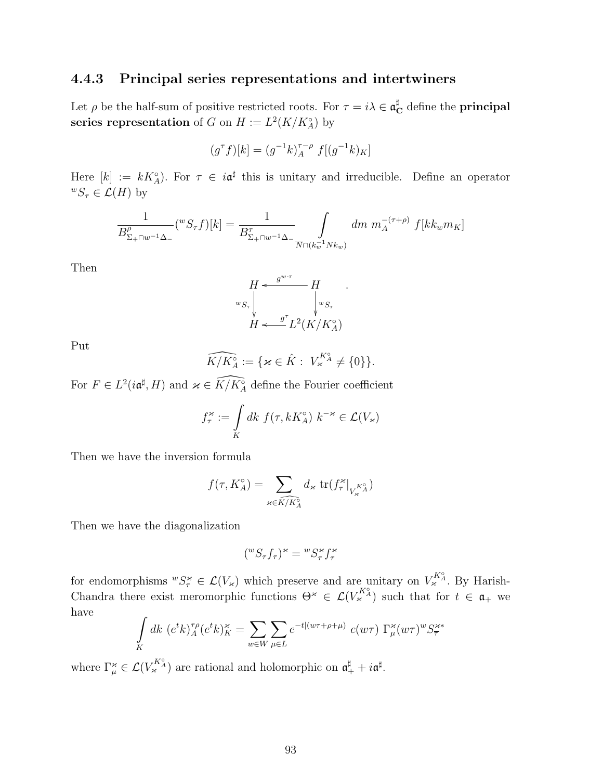#### 4.4.3 Principal series representations and intertwiners

Let  $\rho$  be the half-sum of positive restricted roots. For  $\tau = i\lambda \in \mathfrak{a}_\mathbf{C}^{\sharp}$  define the **principal** series representation of G on  $H := L^2(K/K_A^{\circ})$  by

$$
(g^{\tau}f)[k] = (g^{-1}k)_{A}^{\tau-\rho} f[(g^{-1}k)_{K}]
$$

Here  $[k] := kK_A^{\circ}$ . For  $\tau \in i\mathfrak{a}^{\sharp}$  this is unitary and irreducible. Define an operator  ${}^wS_\tau \in \mathcal{L}(H)$  by

$$
\frac{1}{B_{\Sigma_+\cap w^{-1}\Delta_-}^{\rho}}(^wS_{\tau}f)[k] = \frac{1}{B_{\Sigma_+\cap w^{-1}\Delta_-}^{\tau}} \int_{\overline{N}\cap(k_w^{-1}Nk_w)} dm \; m_A^{-(\tau+\rho)} \; f[kk_w m_K]
$$

Then

$$
H \xleftarrow{g^{w\tau}} H
$$
  
\n
$$
w_{S_{\tau}} \downarrow \qquad \qquad \downarrow w_{S_{\tau}}
$$
  
\n
$$
H \xleftarrow{g^{\tau}} L^{2}(K/K_{A}^{\circ})
$$

Put

$$
\widehat{K/K_A^\circ} := \{ \varkappa \in \hat{K} : \ V_\varkappa^{K_A^\circ} \neq \{0\} \}.
$$

For  $F \in L^2(i\mathfrak{a}^{\sharp}, H)$  and  $\varkappa \in \widehat{K/K_A^{\circ}}$  define the Fourier coefficient

$$
f_{\tau}^{\varkappa} := \int\limits_K dk \ f(\tau, kK_A^{\circ}) \ k^{-\varkappa} \in \mathcal{L}(V_{\varkappa})
$$

Then we have the inversion formula

$$
f(\tau, K_A^\circ) = \sum_{\varkappa \in \widehat{K}/K_A^\circ} d_\varkappa \operatorname{tr}(f_\tau^\varkappa|_{V_\varkappa^{K_A^\circ}})
$$

Then we have the diagonalization

$$
({}^wS_{\tau}f_{\tau})^{\varkappa} = {}^wS_{\tau}^{\varkappa}f_{\tau}^{\varkappa}
$$

for endomorphisms  ${}^wS^{\varkappa}_{\tau} \in \mathcal{L}(V_{\varkappa})$  which preserve and are unitary on  $V^{K^{\alpha}}_{\varkappa}$ . By Harish-Chandra there exist meromorphic functions  $\Theta^* \in \mathcal{L}(V_{\varkappa}^{K_A^{\circ}})$  such that for  $t \in \mathfrak{a}_+$  we have

$$
\int_{K} dk \ (e^t k)_A^{\tau \rho} (e^t k)_K^{\varkappa} = \sum_{w \in W} \sum_{\mu \in L} e^{-t|(w\tau + \rho + \mu)} \ c(w\tau) \ \Gamma_\mu^{\varkappa} (w\tau)^w S_{\overline{\tau}}^{\varkappa*}
$$

where  $\Gamma_{\mu}^{\varkappa} \in \mathcal{L}(V_{\varkappa}^{K_{A}^{\circ}})$  are rational and holomorphic on  $\mathfrak{a}_{+}^{\sharp} + i\mathfrak{a}^{\sharp}$ .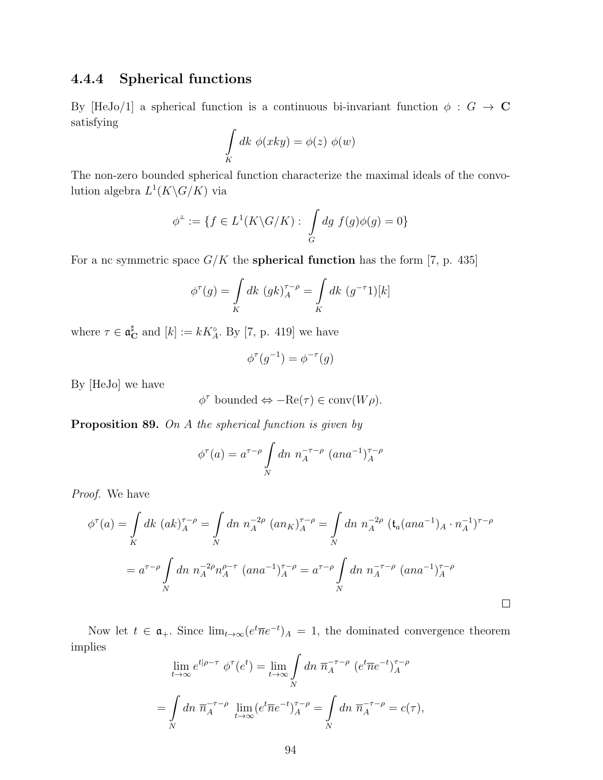## 4.4.4 Spherical functions

By [HeJo/1] a spherical function is a continuous bi-invariant function  $\phi : G \to \mathbb{C}$ satisfying

$$
\int\limits_K dk \; \phi(xky) = \phi(z) \; \phi(w)
$$

The non-zero bounded spherical function characterize the maximal ideals of the convolution algebra  $L^1(K\backslash G/K)$  via

$$
\phi^{\perp} := \{ f \in L^1(K \backslash G/K) : \int_G dg \ f(g)\phi(g) = 0 \}
$$

For a nc symmetric space  $G/K$  the **spherical function** has the form [7, p. 435]

$$
\phi^{\tau}(g) = \int\limits_K dk \ (gk)_{A}^{\tau-\rho} = \int\limits_K dk \ (g^{-\tau}1)[k]
$$

where  $\tau \in \mathfrak{a}_{\mathbf{C}}^{\sharp}$  and  $[k] := kK^{\circ}_{A}$ . By [7, p. 419] we have

$$
\phi^{\tau}(g^{-1}) = \phi^{-\tau}(g)
$$

By [HeJo] we have

$$
\phi^{\tau} \text{ bounded} \Leftrightarrow -\text{Re}(\tau) \in \text{conv}(W\rho).
$$

Proposition 89. On A the spherical function is given by

$$
\phi^{\tau}(a) = a^{\tau-\rho} \int\limits_N dn \; n_A^{-\tau-\rho} \; (ana^{-1})_A^{\tau-\rho}
$$

Proof. We have

$$
\phi^{\tau}(a) = \int_{K} dk \ (ak)_{A}^{\tau-\rho} = \int_{N} dn \ n_{A}^{-2\rho} (an_{K})_{A}^{\tau-\rho} = \int_{N} dn \ n_{A}^{-2\rho} (t_{a}(ana^{-1})_{A} \cdot n_{A}^{-1})^{\tau-\rho}
$$

$$
= a^{\tau-\rho} \int_{N} dn \ n_{A}^{-2\rho} n_{A}^{\rho-\tau} (ana^{-1})_{A}^{\tau-\rho} = a^{\tau-\rho} \int_{N} dn \ n_{A}^{-\tau-\rho} (ana^{-1})_{A}^{\tau-\rho}
$$

Now let  $t \in \mathfrak{a}_+$ . Since  $\lim_{t\to\infty} (e^t \overline{n} e^{-t})_A = 1$ , the dominated convergence theorem implies

$$
\lim_{t \to \infty} e^{t|\rho - \tau} \phi^{\tau}(e^t) = \lim_{t \to \infty} \int_{N} dn \ \overline{n}_A^{-\tau - \rho} \ (e^t \overline{n} e^{-t})_A^{\tau - \rho}
$$

$$
= \int_{N} dn \ \overline{n}_A^{-\tau - \rho} \lim_{t \to \infty} (e^t \overline{n} e^{-t})_A^{\tau - \rho} = \int_{N} dn \ \overline{n}_A^{-\tau - \rho} = c(\tau),
$$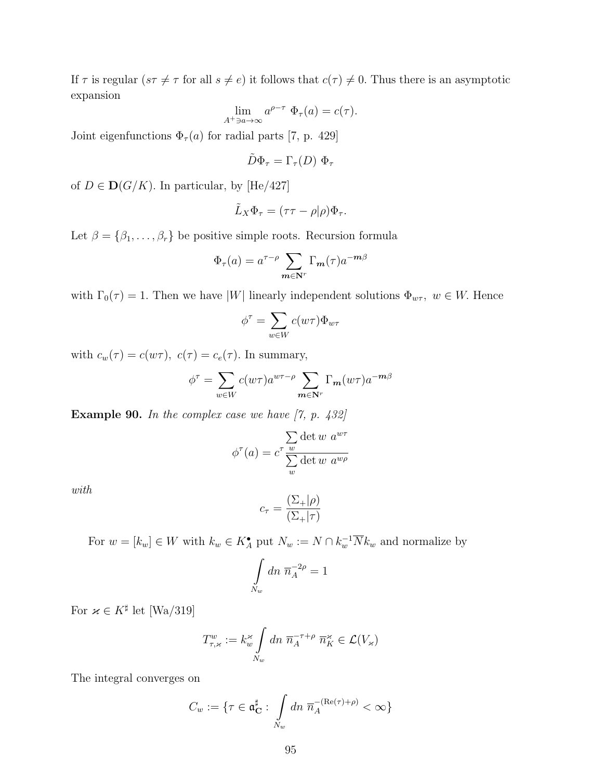If  $\tau$  is regular  $(s\tau \neq \tau$  for all  $s \neq e)$  it follows that  $c(\tau) \neq 0$ . Thus there is an asymptotic expansion

$$
\lim_{A^+ \ni a \to \infty} a^{\rho - \tau} \Phi_\tau(a) = c(\tau).
$$

Joint eigenfunctions  $\Phi_{\tau}(a)$  for radial parts [7, p. 429]

$$
\tilde{D}\Phi_\tau=\Gamma_\tau(D)\;\Phi_\tau
$$

of  $D \in \mathbf{D}(G/K)$ . In particular, by [He/427]

$$
\tilde{L}_X \Phi_\tau = (\tau \tau - \rho | \rho) \Phi_\tau.
$$

Let  $\beta = {\beta_1, \ldots, \beta_r}$  be positive simple roots. Recursion formula

$$
\Phi_{\tau}(a) = a^{\tau-\rho} \sum_{\mathbf{m} \in \mathbf{N}^r} \Gamma_{\mathbf{m}}(\tau) a^{-\mathbf{m}\beta}
$$

with  $\Gamma_0(\tau) = 1$ . Then we have |W| linearly independent solutions  $\Phi_{w\tau}$ ,  $w \in W$ . Hence

$$
\phi^\tau = \sum_{w \in W} c(w\tau) \Phi_{w\tau}
$$

with  $c_w(\tau) = c(w\tau)$ ,  $c(\tau) = c_e(\tau)$ . In summary,

$$
\phi^{\tau} = \sum_{w \in W} c(w\tau) a^{w\tau - \rho} \sum_{m \in \mathbf{N}^r} \Gamma_m(w\tau) a^{-m\beta}
$$

**Example 90.** In the complex case we have  $[7, p. 432]$ 

$$
\phi^{\tau}(a) = c^{\tau} \frac{\sum_{w} \det w \ a^{w\tau}}{\sum_{w} \det w \ a^{w\rho}}
$$

with

$$
c_{\tau} = \frac{(\Sigma_{+}|\rho)}{(\Sigma_{+}|\tau)}
$$

For  $w = [k_w] \in W$  with  $k_w \in K_A^{\bullet}$  put  $N_w := N \cap k_w^{-1} \overline{N} k_w$  and normalize by

$$
\int\limits_{N_w} dn\ \overline{n}_A^{-2\rho}=1
$$

For  $\varkappa \in K^{\sharp}$  let [Wa/319]

$$
T_{\tau,\varkappa}^w := k_w^{\varkappa} \int\limits_{N_w} dn \; \overline{n}_A^{-\tau+\rho} \; \overline{n}_K^{\varkappa} \in \mathcal{L}(V_{\varkappa})
$$

The integral converges on

$$
C_w := \{ \tau \in \mathfrak{a}_\mathbf{C}^\sharp : \int_{N_w} dn \; \overline{n}_A^{-(\text{Re}(\tau) + \rho)} < \infty \}
$$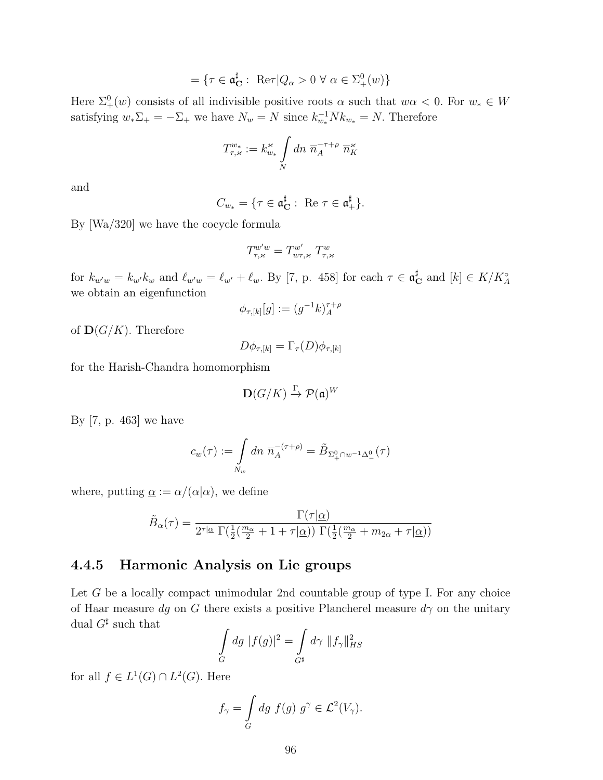$$
= \{ \tau \in \mathfrak{a}^\sharp_{\mathbf{C}} : \ \text{Re}\tau | Q_\alpha > 0 \ \forall \ \alpha \in \Sigma^0_+(w) \}
$$

Here  $\Sigma^0_+(w)$  consists of all indivisible positive roots  $\alpha$  such that  $w\alpha < 0$ . For  $w_* \in W$ satisfying  $w_*\Sigma_+ = -\Sigma_+$  we have  $N_w = N$  since  $k_{w_*}^{-1} \overline{N} k_{w_*} = N$ . Therefore

$$
T^{w*}_{\tau,\varkappa} := k^{\varkappa}_{w*} \int\limits_N dn \; \overline{n}_A^{-\tau+\rho} \; \overline{n}_K^{\varkappa}
$$

and

$$
C_{w_*} = \{ \tau \in \mathfrak{a}_\mathbf{C}^\sharp : \text{ Re } \tau \in \mathfrak{a}_+^\sharp \}.
$$

By [Wa/320] we have the cocycle formula

$$
T^{w'w}_{\tau,\varkappa}=T^{w'}_{w\tau,\varkappa}\;T^w_{\tau,\varkappa}
$$

for  $k_{w^{\prime}w} = k_{w^{\prime}}k_{w}$  and  $\ell_{w^{\prime}w} = \ell_{w^{\prime}} + \ell_{w}$ . By [7, p. 458] for each  $\tau \in \mathfrak{a}_{\mathbf{C}}^{\sharp}$  and  $[k] \in K/K_A^{\circ}$ we obtain an eigenfunction

$$
\phi_{\tau,[k]}[g] := (g^{-1}k)_{A}^{\tau+\rho}
$$

of  $\mathbf{D}(G/K)$ . Therefore

$$
D\phi_{\tau,[k]} = \Gamma_{\tau}(D)\phi_{\tau,[k]}
$$

for the Harish-Chandra homomorphism

$$
\mathbf{D}(G/K) \xrightarrow{\Gamma} \mathcal{P}(\mathfrak{a})^W
$$

By [7, p. 463] we have

$$
c_w(\tau) := \int\limits_{N_w} dn \; \overline{n}_A^{-(\tau+\rho)} = \tilde{B}_{\Sigma^0_+\cap w^{-1}\Delta^0_-}(\tau)
$$

where, putting  $\alpha := \alpha/(\alpha|\alpha)$ , we define

$$
\tilde{B}_{\alpha}(\tau)=\frac{\Gamma(\tau|\underline{\alpha})}{2^{\tau|\underline{\alpha}}\ \Gamma(\frac{1}{2}(\frac{m_{\alpha}}{2}+1+\tau|\underline{\alpha}))\ \Gamma(\frac{1}{2}(\frac{m_{\alpha}}{2}+m_{2\alpha}+\tau|\underline{\alpha}))}
$$

## 4.4.5 Harmonic Analysis on Lie groups

Let G be a locally compact unimodular 2nd countable group of type I. For any choice of Haar measure dg on G there exists a positive Plancherel measure  $d\gamma$  on the unitary dual  $G^{\sharp}$  such that

$$
\int_{G} dg \; |f(g)|^2 = \int_{G^\sharp} d\gamma \; \|f_\gamma\|_{HS}^2
$$

for all  $f \in L^1(G) \cap L^2(G)$ . Here

$$
f_{\gamma} = \int\limits_G dg \ f(g) \ g^{\gamma} \in \mathcal{L}^2(V_{\gamma}).
$$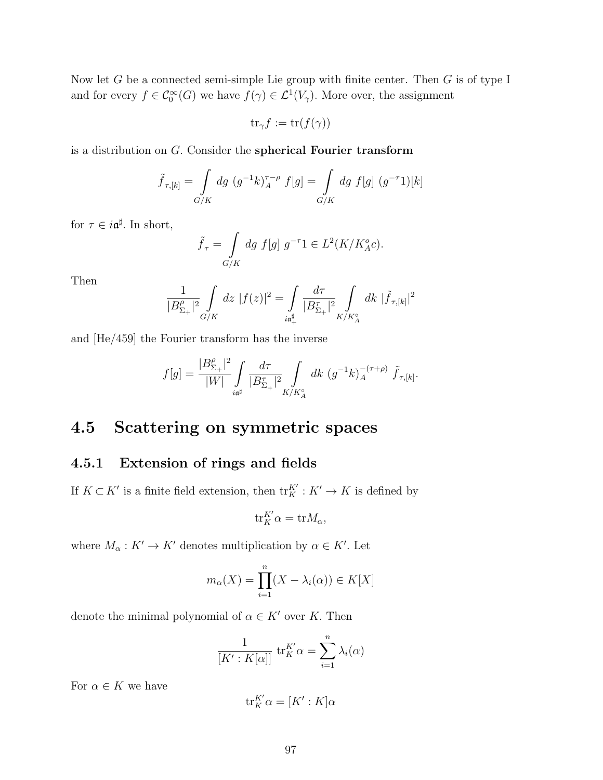Now let G be a connected semi-simple Lie group with finite center. Then  $G$  is of type I and for every  $f \in \mathcal{C}_0^{\infty}(G)$  we have  $f(\gamma) \in \mathcal{L}^1(V_\gamma)$ . More over, the assignment

 $\operatorname{tr}_{\gamma} f := \operatorname{tr}(f(\gamma))$ 

is a distribution on G. Consider the spherical Fourier transform

$$
\tilde{f}_{\tau,[k]} = \int\limits_{G/K} dg \ (g^{-1}k)_{A}^{\tau-\rho} f[g] = \int\limits_{G/K} dg \ f[g] \ (g^{-\tau}1)[k]
$$

for  $\tau \in i\mathfrak{a}^{\sharp}$ . In short,

$$
\tilde{f}_{\tau} = \int\limits_{G/K} dg f[g] g^{-\tau}1 \in L^2(K/K_A^o c).
$$

Then

$$
\frac{1}{|B_{\Sigma_+}^{\rho}|^2} \int\limits_{G/K} dz \; |f(z)|^2 = \int\limits_{i\mathfrak{a}^{\sharp}_+} \frac{d\tau}{|B_{\Sigma_+}^{\tau}|^2} \int\limits_{K/K_A^{\circ}} dk \; |\tilde{f}_{\tau,[k]}|^2
$$

and [He/459] the Fourier transform has the inverse

$$
f[g] = \frac{|B_{\Sigma_+}^{\rho}|^2}{|W|} \int\limits_{i\mathfrak{a}^{\sharp}} \frac{d\tau}{|B_{\Sigma_+}^{\tau}|^2} \int\limits_{K/K_A^{\circ}} dk \ (g^{-1}k)_{A}^{-(\tau+\rho)} \ \tilde{f}_{\tau,[k]}.
$$

## 4.5 Scattering on symmetric spaces

## 4.5.1 Extension of rings and fields

If  $K \subset K'$  is a finite field extension, then  ${\rm tr}^{K'}_K : K' \to K$  is defined by

$$
\text{tr}_{K}^{K'}\alpha = \text{tr}M_{\alpha},
$$

where  $M_{\alpha}: K' \to K'$  denotes multiplication by  $\alpha \in K'$ . Let

$$
m_{\alpha}(X) = \prod_{i=1}^{n} (X - \lambda_i(\alpha)) \in K[X]
$$

denote the minimal polynomial of  $\alpha \in K'$  over K. Then

$$
\frac{1}{[K':K[\alpha]]} \operatorname{tr}_K^{K'} \alpha = \sum_{i=1}^n \lambda_i(\alpha)
$$

For  $\alpha \in K$  we have

$$
\operatorname{tr}_K^{K'} \alpha = [K':K] \alpha
$$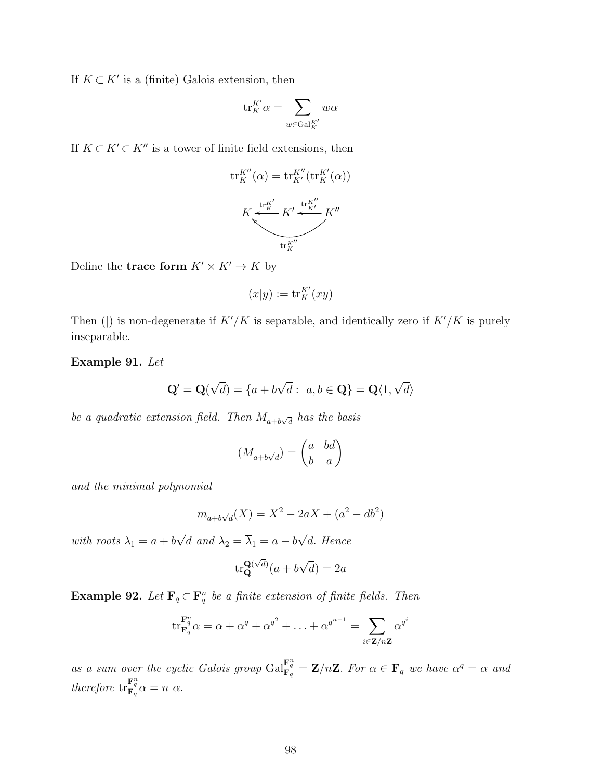If  $K \subset K'$  is a (finite) Galois extension, then

$$
\mathrm{tr}_K^{K'}\alpha=\sum_{w\in\mathrm{Gal}_K^{K'}}w\alpha
$$

If  $K \subset K' \subset K''$  is a tower of finite field extensions, then

$$
\operatorname{tr}_{K}^{K''}(\alpha) = \operatorname{tr}_{K'}^{K''}(\operatorname{tr}_{K}^{K'}(\alpha))
$$

$$
K \stackrel{\operatorname{tr}_{K}^{K'}}{\underset{\operatorname{tr}_{K}^{K'}}{\leftarrow}} K' \stackrel{\operatorname{tr}_{K}^{K''}}{\underset{\operatorname{tr}_{K}^{K''}}{\leftarrow}} K''
$$

Define the trace form  $K' \times K' \to K$  by

$$
(x|y):=\mathrm{tr}_K^{K'}(xy)
$$

Then (|) is non-degenerate if  $K'/K$  is separable, and identically zero if  $K'/K$  is purely inseparable.

Example 91. Let

$$
\mathbf{Q}' = \mathbf{Q}(\sqrt{d}) = \{a + b\sqrt{d} : a, b \in \mathbf{Q}\} = \mathbf{Q}\langle 1, \sqrt{d} \rangle
$$

be a quadratic extension field. Then  $M_{a+b\sqrt{d}}$  has the basis

$$
(M_{a+b\sqrt{d}}) = \begin{pmatrix} a & bd \\ b & a \end{pmatrix}
$$

and the minimal polynomial

$$
m_{a+b\sqrt{d}}(X) = X^2 - 2aX + (a^2 - db^2)
$$

with roots  $\lambda_1 = a + b$ √ d and  $\lambda_2 = \lambda_1 = a - b$ √ d. Hence

$$
\text{tr}_{\mathbf{Q}}^{\mathbf{Q}(\sqrt{d})}(a+b\sqrt{d})=2a
$$

**Example 92.** Let  $\mathbf{F}_q \subset \mathbf{F}_q^n$  be a finite extension of finite fields. Then

$$
\operatorname{tr}_{\mathbf{F}_q}^{\mathbf{F}_q^n} \alpha = \alpha + \alpha^q + \alpha^{q^2} + \ldots + \alpha^{q^{n-1}} = \sum_{i \in \mathbf{Z}/n\mathbf{Z}} \alpha^{q^i}
$$

as a sum over the cyclic Galois group  $\text{Gal}_{\mathbf{F}_q}^{\mathbf{F}_q^n} = \mathbf{Z}/n\mathbf{Z}$ . For  $\alpha \in \mathbf{F}_q$  we have  $\alpha^q = \alpha$  and therefore  $\operatorname{tr}_{\mathbf{F}_q}^{\mathbf{F}_q^n} \alpha = n \alpha$ .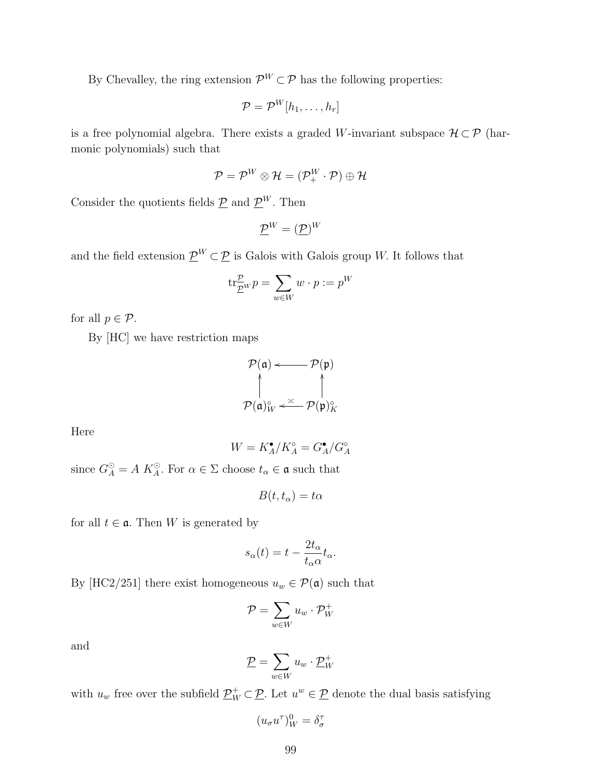By Chevalley, the ring extension  $\mathcal{P}^W \subset \mathcal{P}$  has the following properties:

$$
\mathcal{P} = \mathcal{P}^W[h_1, \ldots, h_r]
$$

is a free polynomial algebra. There exists a graded W-invariant subspace  $\mathcal{H} \subset \mathcal{P}$  (harmonic polynomials) such that

$$
\mathcal{P} = \mathcal{P}^W \otimes \mathcal{H} = (\mathcal{P}_+^W \cdot \mathcal{P}) \oplus \mathcal{H}
$$

Consider the quotients fields  $\underline{\mathcal{P}}$  and  $\underline{\mathcal{P}}^W$ . Then

$$
\underline{\mathcal{P}}^W=(\underline{\mathcal{P}})^W
$$

and the field extension  $\underline{\mathcal{P}}^W \subset \underline{\mathcal{P}}$  is Galois with Galois group W. It follows that

$$
\mathrm{tr}^{\mathcal{P}}_{\underline{\mathcal{P}}} w \, p = \sum_{w \in W} w \cdot p := p^W
$$

for all  $p \in \mathcal{P}$ .

By [HC] we have restriction maps

$$
\mathcal{P}(\mathfrak{a}) \longleftarrow \mathcal{P}(\mathfrak{p})
$$
\n
$$
\uparrow \qquad \qquad \uparrow
$$
\n
$$
\mathcal{P}(\mathfrak{a})_{W}^{\circ} \longleftarrow \mathcal{P}(\mathfrak{p})_{K}^{\circ}
$$

Here

$$
W=K_A^\bullet/K_A^\circ=G_A^\bullet/G_A^\circ
$$

since  $G_A^{\odot} = A K_A^{\odot}$ . For  $\alpha \in \Sigma$  choose  $t_{\alpha} \in \mathfrak{a}$  such that

$$
B(t,t_\alpha)=t\alpha
$$

for all  $t \in \mathfrak{a}$ . Then W is generated by

$$
s_{\alpha}(t) = t - \frac{2t_{\alpha}}{t_{\alpha}\alpha}t_{\alpha}.
$$

By [HC2/251] there exist homogeneous  $u_w \in \mathcal{P}(\mathfrak{a})$  such that

$$
\mathcal{P} = \sum_{w \in W} u_w \cdot \mathcal{P}_W^+
$$

and

$$
\underline{\mathcal{P}} = \sum_{w \in W} u_w \cdot \underline{\mathcal{P}}_W^+
$$

with  $u_w$  free over the subfield  $\underline{\mathcal{P}}_W^+ \subset \underline{\mathcal{P}}$ . Let  $u^w \in \underline{\mathcal{P}}$  denote the dual basis satisfying

$$
(u_{\sigma}u^{\tau})_{W}^{0}=\delta_{\sigma}^{\tau}
$$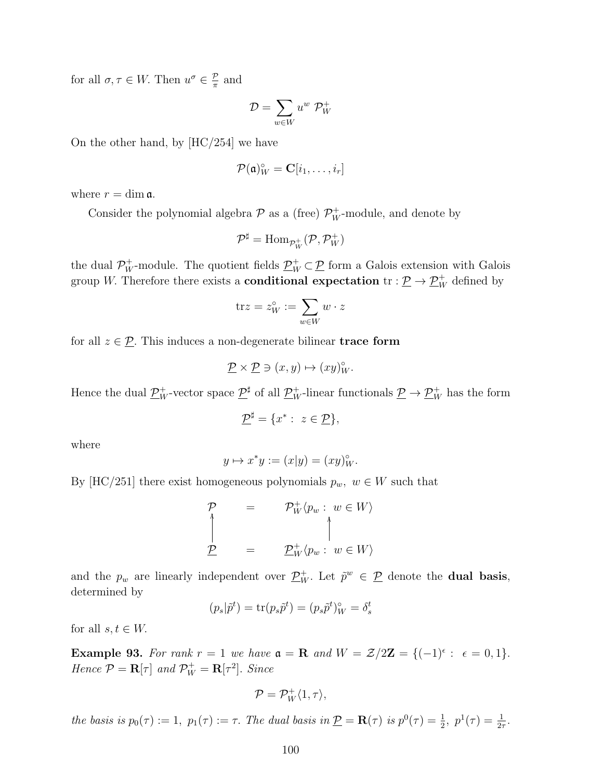for all  $\sigma, \tau \in W$ . Then  $u^{\sigma} \in \frac{\mathcal{P}}{\pi}$  $\frac{p}{\pi}$  and

$$
\mathcal{D} = \sum_{w \in W} u^w \; \mathcal{P}_W^+
$$

On the other hand, by [HC/254] we have

$$
\mathcal{P}(\mathfrak{a})_W^{\circ} = \mathbf{C}[i_1,\ldots,i_r]
$$

where  $r = \dim \mathfrak{a}$ .

Consider the polynomial algebra  $P$  as a (free)  $P_W^+$ -module, and denote by

$$
\mathcal{P}^\sharp=\mathrm{Hom}_{\mathcal{P}^+_W}(\mathcal{P},\mathcal{P}^+_W)
$$

the dual  $\mathcal{P}_W^+$ -module. The quotient fields  $\underline{\mathcal{P}}_W^+ \subset \underline{\mathcal{P}}$  form a Galois extension with Galois group W. Therefore there exists a **conditional expectation**  $\text{tr} : \underline{\mathcal{P}} \to \underline{\mathcal{P}}_W^+$  defined by

$$
\mathrm{tr} z = z_W^\circ := \sum_{w \in W} w \cdot z
$$

for all  $z \in \mathcal{D}$ . This induces a non-degenerate bilinear **trace form** 

$$
\underline{\mathcal{P}} \times \underline{\mathcal{P}} \ni (x, y) \mapsto (xy)_{W}^{\circ}.
$$

Hence the dual  $\underline{\mathcal{P}}_W^+$ -vector space  $\underline{\mathcal{P}}^\sharp$  of all  $\underline{\mathcal{P}}_W^+$ -linear functionals  $\underline{\mathcal{P}} \to \underline{\mathcal{P}}_W^+$  has the form

$$
\underline{\mathcal{P}}^{\sharp} = \{x^* : z \in \underline{\mathcal{P}}\},\
$$

where

$$
y \mapsto x^*y := (x|y) = (xy)_W^{\circ}.
$$

By [HC/251] there exist homogeneous polynomials  $p_w, w \in W$  such that

$$
\begin{array}{ccc}\n\mathcal{P} & = & \mathcal{P}_W^+ \langle p_w : w \in W \rangle \\
\uparrow & & \uparrow \\
\mathcal{P} & = & \mathcal{P}_W^+ \langle p_w : w \in W \rangle\n\end{array}
$$

and the  $p_w$  are linearly independent over  $\underline{\mathcal{P}}_W^+$ . Let  $\tilde{p}^w \in \underline{\mathcal{P}}$  denote the **dual basis**, determined by

$$
(p_s|\tilde{p}^t) = \text{tr}(p_s\tilde{p}^t) = (p_s\tilde{p}^t)_W^\circ = \delta_s^t
$$

for all  $s, t \in W$ .

Example 93. For rank  $r = 1$  we have  $\mathfrak{a} = \mathbf{R}$  and  $W = \mathcal{Z}/2\mathbf{Z} = \{(-1)^{\epsilon} : \epsilon = 0, 1\}.$ Hence  $\mathcal{P} = \mathbf{R}[\tau]$  and  $\mathcal{P}_{W}^{+} = \mathbf{R}[\tau^{2}]$ . Since

$$
\mathcal{P}=\mathcal{P}^+_W\langle 1,\tau\rangle,
$$

the basis is  $p_0(\tau) := 1$ ,  $p_1(\tau) := \tau$ . The dual basis in  $\underline{\mathcal{P}} = \mathbf{R}(\tau)$  is  $p^0(\tau) = \frac{1}{2}$ ,  $p^1(\tau) = \frac{1}{2\tau}$ .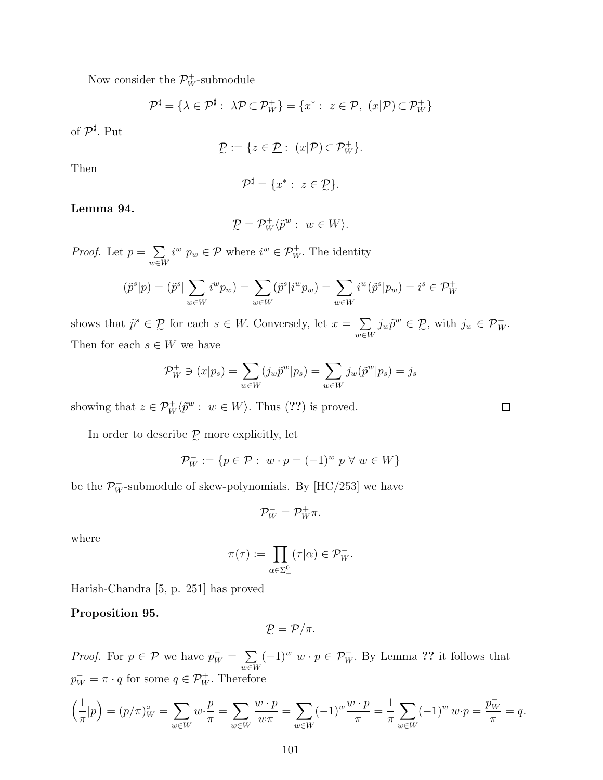Now consider the  $\mathcal{P}_W^+$ -submodule

$$
\mathcal{P}^{\sharp} = \{ \lambda \in \mathcal{P}^{\sharp} : \ \lambda \mathcal{P} \subset \mathcal{P}^+_W \} = \{ x^* : \ z \in \mathcal{P}, \ (x|\mathcal{P}) \subset \mathcal{P}^+_W \}
$$

of  $\underline{\mathcal{P}}^\sharp$ . Put

$$
\mathcal{D} := \{ z \in \mathcal{D} : (x|\mathcal{P}) \subset \mathcal{P}_W^+ \}.
$$

Then

$$
\mathcal{P}^{\sharp} = \{x^* : z \in \mathcal{D}\}.
$$

Lemma 94.

$$
\mathcal{D} = \mathcal{P}_W^+ \langle \tilde{p}^w : w \in W \rangle.
$$

e *Proof.* Let  $p = \sum$ w∈W  $i^w p_w \in \mathcal{P}$  where  $i^w \in \mathcal{P}_W^+$ . The identity

$$
(\tilde{p}^s|p)=(\tilde{p}^s|\sum_{w\in W}i^w p_w)=\sum_{w\in W}(\tilde{p}^s|i^w p_w)=\sum_{w\in W}i^w(\tilde{p}^s|p_w)=i^s\in\mathcal{P}_W^+
$$

shows that  $\tilde{p}^s \in \mathcal{P}$  for each  $s \in W$ . Conversely, let  $x = \sum$ Then for each  $s \in W$  we have w∈W  $j_w\tilde{p}^w \in \mathcal{P}$ , with  $j_w \in \underline{\mathcal{P}}_W^+$ .

$$
\mathcal{P}_W^+ \ni (x|p_s) = \sum_{w \in W} (j_w \tilde{p}^w | p_s) = \sum_{w \in W} j_w(\tilde{p}^w | p_s) = j_s
$$

showing that  $z \in \mathcal{P}_W^+ \langle \tilde{p}^w : w \in W \rangle$ . Thus (??) is proved.

In order to describe  $\mathcal{P}$  more explicitly, let

$$
\mathcal{P}_W^- := \{ p \in \mathcal{P} : \ w \cdot p = (-1)^w \ p \ \forall \ w \in W \}
$$

be the  $\mathcal{P}_W^+$ -submodule of skew-polynomials. By [HC/253] we have

$$
\mathcal{P}_W^- = \mathcal{P}_W^+ \pi.
$$

where

$$
\pi(\tau) := \prod_{\alpha \in \Sigma^0_+} (\tau | \alpha) \in \mathcal{P}_W^-.
$$

Harish-Chandra [5, p. 251] has proved

Proposition 95.

$$
\mathcal{D}_{\mathcal{L}}=\mathcal{P}/\pi.
$$

*Proof.* For  $p \in \mathcal{P}$  we have  $p_W^- = \sum$ w∈W  $(-1)^w w \cdot p \in \mathcal{P}_W^-$ . By Lemma ?? it follows that  $p_W^- = \pi \cdot q$  for some  $q \in \mathcal{P}_W^+$ . Therefore

$$
\left(\frac{1}{\pi}|p\right) = (p/\pi)^{\circ}_{W} = \sum_{w \in W} w \cdot \frac{p}{\pi} = \sum_{w \in W} \frac{w \cdot p}{w\pi} = \sum_{w \in W} (-1)^{w} \frac{w \cdot p}{\pi} = \frac{1}{\pi} \sum_{w \in W} (-1)^{w} w \cdot p = \frac{p_{W}^{-}}{\pi} = q.
$$

 $\Box$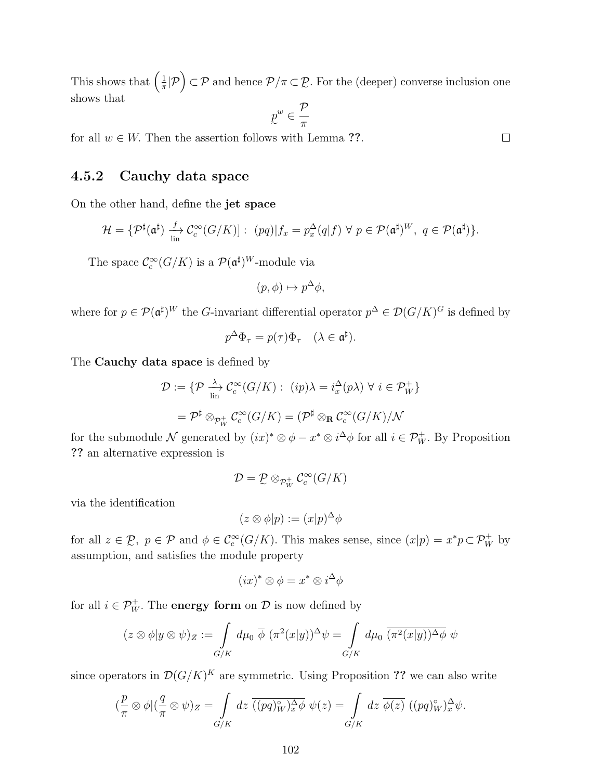This shows that  $\left(\frac{1}{\pi}\right)$  $\frac{1}{\pi}|\mathcal{P}(\mathcal{P})| \subset \mathcal{P}$  and hence  $\mathcal{P}/\pi \subset \mathcal{P}$ . For the (deeper) converse inclusion one  $\overline{ }$ shows that

$$
\underline{p}^w \in \frac{\mathcal{P}}{\pi}
$$

for all  $w \in W$ . Then the assertion follows with Lemma ??.

## 4.5.2 Cauchy data space

On the other hand, define the jet space

$$
\mathcal{H} = \{ \mathcal{P}^{\sharp}(\mathfrak{a}^{\sharp}) \xrightarrow[\text{lin}]{f} \mathcal{C}_{c}^{\infty}(G/K)]: (pq)|f_{x} = p_{x}^{\Delta}(q|f) \ \forall \ p \in \mathcal{P}(\mathfrak{a}^{\sharp})^{W}, \ q \in \mathcal{P}(\mathfrak{a}^{\sharp}) \}.
$$

The space  $\mathcal{C}_c^{\infty}(G/K)$  is a  $\mathcal{P}(\mathfrak{a}^{\sharp})^W$ -module via

$$
(p, \phi) \mapsto p^{\Delta} \phi,
$$

where for  $p \in \mathcal{P}(\mathfrak{a}^{\sharp})^W$  the G-invariant differential operator  $p^{\Delta} \in \mathcal{D}(G/K)^G$  is defined by

$$
p^{\Delta}\Phi_{\tau} = p(\tau)\Phi_{\tau} \quad (\lambda \in \mathfrak{a}^{\sharp}).
$$

The Cauchy data space is defined by

$$
\mathcal{D} := \{ \mathcal{P} \xrightarrow[\text{lin}]{\lambda} \mathcal{C}_c^{\infty}(G/K) : (ip)\lambda = i_x^{\Delta}(p\lambda) \,\forall \, i \in \mathcal{P}_W^+ \}
$$

$$
= \mathcal{P}^{\sharp} \otimes_{\mathcal{P}_W^+} \mathcal{C}_c^{\infty}(G/K) = (\mathcal{P}^{\sharp} \otimes_{\mathbf{R}} \mathcal{C}_c^{\infty}(G/K) / \mathcal{N}
$$

for the submodule N generated by  $(ix)^* \otimes \phi - x^* \otimes i^{\Delta} \phi$  for all  $i \in \mathcal{P}_W^+$ . By Proposition ?? an alternative expression is

$$
\mathcal{D}=\mathcal{D}\otimes_{\mathcal{P}^+_W}\mathcal{C}^\infty_c(G/K)
$$

via the identification

$$
(z \otimes \phi | p) := (x | p)^{\Delta} \phi
$$

for all  $z \in \mathcal{D}$ ,  $p \in \mathcal{P}$  and  $\phi \in C_c^{\infty}(G/K)$ . This makes sense, since  $(x|p) = x^*p \subset \mathcal{P}_W^+$  by assumption, and satisfies the module property

$$
(ix)^* \otimes \phi = x^* \otimes i^{\Delta} \phi
$$

for all  $i \in \mathcal{P}_W^+$ . The **energy form** on  $\mathcal{D}$  is now defined by

$$
(z \otimes \phi|y \otimes \psi)_{Z} := \int\limits_{G/K} d\mu_0 \, \overline{\phi} \, (\pi^2(x|y))^{\Delta} \psi = \int\limits_{G/K} d\mu_0 \, \overline{(\pi^2(x|y))^{\Delta} \phi} \, \psi
$$

since operators in  $\mathcal{D}(G/K)^K$  are symmetric. Using Proposition ?? we can also write

$$
(\frac{p}{\pi} \otimes \phi)(\frac{q}{\pi} \otimes \psi)_Z = \int_{G/K} dz \; \overline{((pq)_W^{\circ})_x^{\Delta}\phi} \; \psi(z) = \int_{G/K} dz \; \overline{\phi(z)} \; ((pq)_W^{\circ})_x^{\Delta}\psi.
$$

 $\Box$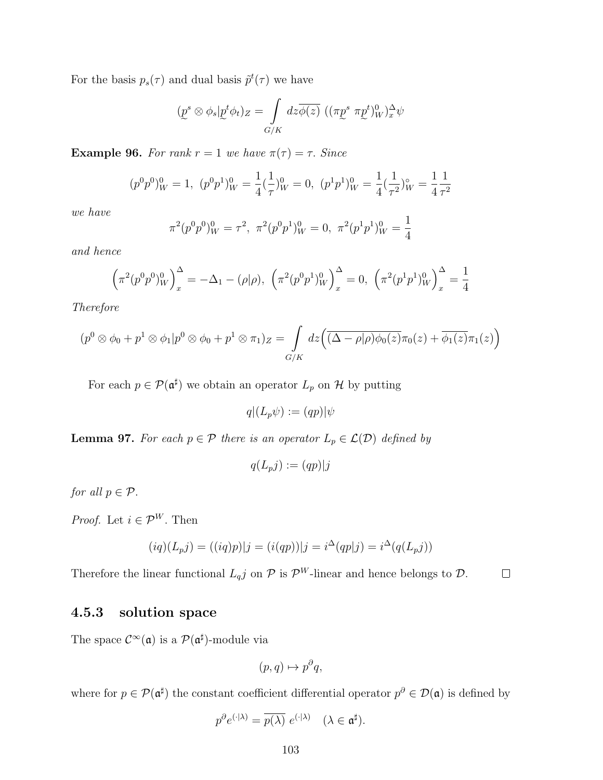For the basis  $p_s(\tau)$  and dual basis  $\tilde{p}^t(\tau)$  we have

$$
(\underline{p}^s \otimes \phi_s | \underline{p}^t \phi_t)_Z = \int\limits_{G/K} dz \overline{\phi(z)} \ ((\pi \underline{p}^s \ \pi \underline{p}^t)_W^0)_x^{\Delta} \psi
$$

Example 96. For rank  $r = 1$  we have  $\pi(\tau) = \tau$ . Since

$$
(p^{0}p^{0})_{W}^{0} = 1, \ (p^{0}p^{1})_{W}^{0} = \frac{1}{4}(\frac{1}{\tau})_{W}^{0} = 0, \ (p^{1}p^{1})_{W}^{0} = \frac{1}{4}(\frac{1}{\tau^{2}})_{W}^{\circ} = \frac{1}{4}\frac{1}{\tau^{2}}
$$

we have

$$
\pi^2(p^0p^0)_W^0 = \tau^2, \ \pi^2(p^0p^1)_W^0 = 0, \ \pi^2(p^1p^1)_W^0 = \frac{1}{4}
$$

and hence

$$
\left(\pi^2(p^0p^0)_W^0\right)_x^\Delta = -\Delta_1 - (\rho|\rho), \left(\pi^2(p^0p^1)_W^0\right)_x^\Delta = 0, \left(\pi^2(p^1p^1)_W^0\right)_x^\Delta = \frac{1}{4}
$$

Therefore

$$
(p^{0} \otimes \phi_{0} + p^{1} \otimes \phi_{1} | p^{0} \otimes \phi_{0} + p^{1} \otimes \pi_{1})_{Z} = \int_{G/K} dz \Big( \overline{(\Delta - \rho | \rho) \phi_{0}(z)} \pi_{0}(z) + \overline{\phi_{1}(z)} \pi_{1}(z) \Big)
$$

For each  $p \in \mathcal{P}(\mathfrak{a}^{\sharp})$  we obtain an operator  $L_p$  on  $\mathcal{H}$  by putting

 $q|(L_p\psi) := (qp)|\psi$ 

**Lemma 97.** For each  $p \in \mathcal{P}$  there is an operator  $L_p \in \mathcal{L}(\mathcal{D})$  defined by

$$
q(L_p j) := (qp)|j
$$

for all  $p \in \mathcal{P}$ .

*Proof.* Let  $i \in \mathcal{P}^W$ . Then

$$
(iq)(L_p j) = ((iq)p)|j = (i(qp))|j = i^{\Delta}(qp|j) = i^{\Delta}(q(L_p j))
$$

Therefore the linear functional  $L_q j$  on  $\mathcal P$  is  $\mathcal P^W$ -linear and hence belongs to  $\mathcal D$ .  $\Box$ 

#### 4.5.3 solution space

The space  $\mathcal{C}^{\infty}(\mathfrak{a})$  is a  $\mathcal{P}(\mathfrak{a}^{\sharp})$ -module via

$$
(p,q)\mapsto p^{\partial}q,
$$

where for  $p \in \mathcal{P}(\mathfrak{a}^{\sharp})$  the constant coefficient differential operator  $p^{\partial} \in \mathcal{D}(\mathfrak{a})$  is defined by

$$
p^{\partial}e^{(\cdot|\lambda)} = \overline{p(\lambda)} e^{(\cdot|\lambda)} \quad (\lambda \in \mathfrak{a}^{\sharp}).
$$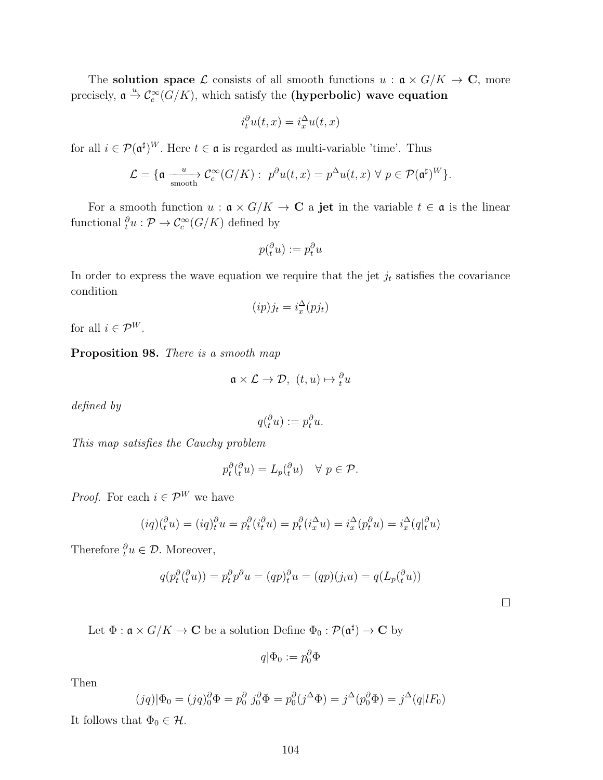The **solution space**  $\mathcal{L}$  consists of all smooth functions  $u : \mathfrak{a} \times G/K \to \mathbb{C}$ , more precisely,  $\mathfrak{a} \stackrel{u}{\rightarrow} \mathcal{C}_c^{\infty}(G/K)$ , which satisfy the (hyperbolic) wave equation

$$
i_t^{\partial} u(t, x) = i_x^{\Delta} u(t, x)
$$

for all  $i \in \mathcal{P}(\mathfrak{a}^{\sharp})^W$ . Here  $t \in \mathfrak{a}$  is regarded as multi-variable 'time'. Thus

$$
\mathcal{L} = \{ \mathfrak{a} \xrightarrow{\text{uncoth}} \mathcal{C}_c^{\infty}(G/K) : p^{\partial}u(t,x) = p^{\Delta}u(t,x) \ \forall \ p \in \mathcal{P}(\mathfrak{a}^\sharp)^W \}.
$$

For a smooth function  $u : \mathfrak{a} \times G/K \to \mathbb{C}$  a jet in the variable  $t \in \mathfrak{a}$  is the linear functional  ${}_{t}^{\partial}u: \mathcal{P} \to \mathcal{C}_{c}^{\infty}(G/K)$  defined by

$$
p(\tfrac{\partial}{\partial u}) := p_t^{\partial} u
$$

In order to express the wave equation we require that the jet  $j_t$  satisfies the covariance condition

$$
(ip)j_t = i_x^{\Delta}(pj_t)
$$

for all  $i \in \mathcal{P}^W$ .

Proposition 98. There is a smooth map

$$
\mathfrak{a} \times \mathcal{L} \to \mathcal{D}, \ (t, u) \mapsto \_t^{\partial} u
$$

defined by

$$
q(\tfrac{\partial}{\partial u}) := p_t^{\partial} u.
$$

This map satisfies the Cauchy problem

$$
p_t^{\partial}(\_t^{\partial} u) = L_p(\_t^{\partial} u) \quad \forall \ p \in \mathcal{P}.
$$

*Proof.* For each  $i \in \mathcal{P}^W$  we have

$$
(iq)(_t^{\partial} u) = (iq)_t^{\partial} u = p_t^{\partial} (i_t^{\partial} u) = p_t^{\partial} (i_x^{\Delta} u) = i_x^{\Delta} (p_t^{\partial} u) = i_x^{\Delta} (q_t^{\partial} u)
$$

Therefore  $\partial_t u \in \mathcal{D}$ . Moreover,

$$
q(p_t^{\partial}(\stackrel{\partial}{t}u)) = p_t^{\partial}p^{\partial}u = (qp)_t^{\partial}u = (qp)(j_tu) = q(L_p(\stackrel{\partial}{t}u))
$$

Let  $\Phi : \mathfrak{a} \times G/K \to \mathbf{C}$  be a solution Define  $\Phi_0 : \mathcal{P}(\mathfrak{a}^{\sharp}) \to \mathbf{C}$  by

$$
q|\Phi_0:=p_0^{\partial}\Phi
$$

Then

$$
(jq)|\Phi_0 = (jq)_0^{\partial} \Phi = p_0^{\partial} j_0^{\partial} \Phi = p_0^{\partial} (j^{\Delta} \Phi) = j^{\Delta} (p_0^{\partial} \Phi) = j^{\Delta} (q|lF_0)
$$

It follows that  $\Phi_0 \in \mathcal{H}$ .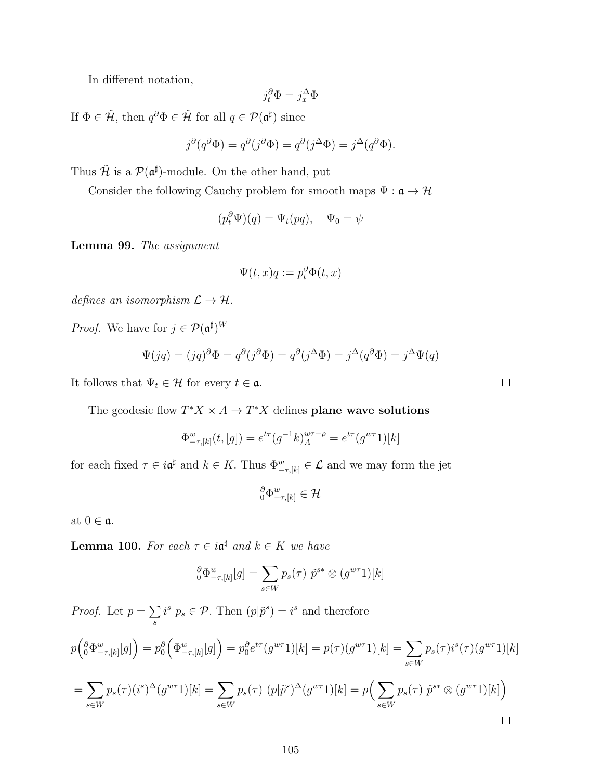In different notation,

$$
j_t^{\partial} \Phi = j_x^{\Delta} \Phi
$$

If  $\Phi \in \tilde{\mathcal{H}}$ , then  $q^{\partial} \Phi \in \tilde{\mathcal{H}}$  for all  $q \in \mathcal{P}(\mathfrak{a}^{\sharp})$  since

$$
j^{\partial}(q^{\partial}\Phi) = q^{\partial}(j^{\partial}\Phi) = q^{\partial}(j^{\Delta}\Phi) = j^{\Delta}(q^{\partial}\Phi).
$$

Thus  $\mathcal{H}$  is a  $\mathcal{P}(\mathfrak{a}^{\sharp})$ -module. On the other hand, put

Consider the following Cauchy problem for smooth maps  $\Psi: \mathfrak{a} \rightarrow \mathcal{H}$ 

$$
(p_t^{\partial} \Psi)(q) = \Psi_t(pq), \quad \Psi_0 = \psi
$$

Lemma 99. The assignment

$$
\Psi(t,x)q := p_t^{\partial} \Phi(t,x)
$$

defines an isomorphism  $\mathcal{L} \to \mathcal{H}$ .

*Proof.* We have for  $j \in \mathcal{P}(\mathfrak{a}^{\sharp})^W$ 

$$
\Psi(jq) = (jq)^{\partial} \Phi = q^{\partial} (j^{\partial} \Phi) = q^{\partial} (j^{\Delta} \Phi) = j^{\Delta} (q^{\partial} \Phi) = j^{\Delta} \Psi(q)
$$

It follows that  $\Psi_t \in \mathcal{H}$  for every  $t \in \mathfrak{a}$ .

The geodesic flow  $T^*X \times A \to T^*X$  defines plane wave solutions

$$
\Phi^w_{-\tau,[k]}(t,[g]) = e^{t\tau}(g^{-1}k)_{A}^{w\tau-\rho} = e^{t\tau}(g^{w\tau}1)[k]
$$

for each fixed  $\tau \in i\mathfrak{a}^{\sharp}$  and  $k \in K$ . Thus  $\Phi^w_{-\tau,[k]} \in \mathcal{L}$  and we may form the jet

$$
{}_0^\partial \Phi^w_{-\tau,[k]} \in \mathcal{H}
$$

at  $0 \in \mathfrak{a}$ .

**Lemma 100.** For each  $\tau \in i\mathfrak{a}^{\sharp}$  and  $k \in K$  we have

$$
\underset{0}{\partial} \Phi_{-\tau,[k]}^{w}[g] = \sum_{s \in W} p_s(\tau) \; \tilde{p}^{s*} \otimes (g^{w\tau}1)[k]
$$

*Proof.* Let  $p = \sum$ s  $i^s p_s \in \mathcal{P}$ . Then  $(p|\tilde{p}^s) = i^s$  and therefore

$$
p\left(\substack{\partial \\ \partial \Phi_{-\tau,[k]}^w[g]\right) = p_0^{\partial} \left(\Phi_{-\tau,[k]}^w[g]\right) = p_0^{\partial} e^{t\tau} (g^{w\tau}1)[k] = p(\tau)(g^{w\tau}1)[k] = \sum_{s \in W} p_s(\tau) i^s(\tau) (g^{w\tau}1)[k]
$$

$$
= \sum_{s \in W} p_s(\tau) (i^s)^{\Delta} (g^{w\tau}1)[k] = \sum_{s \in W} p_s(\tau) (p|\tilde{p}^s)^{\Delta} (g^{w\tau}1)[k] = p\Big(\sum_{s \in W} p_s(\tau) \tilde{p}^{s*} \otimes (g^{w\tau}1)[k]\Big)
$$

 $\Box$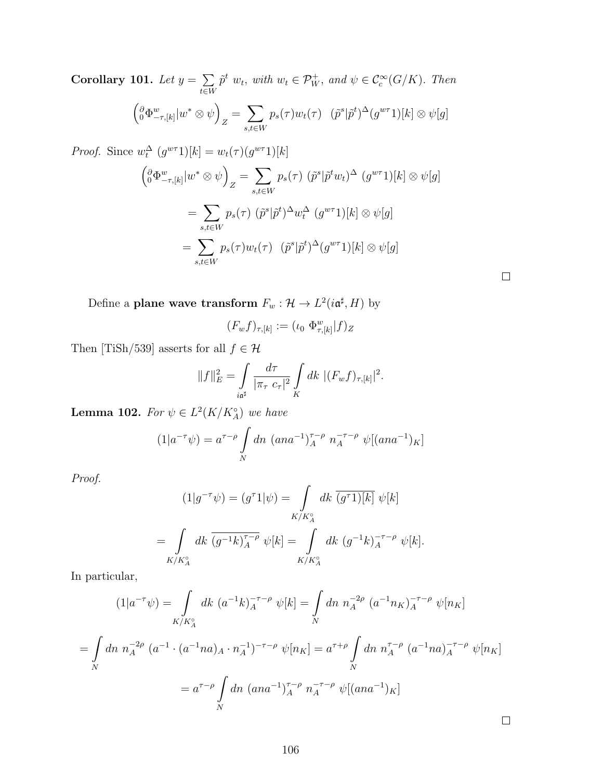Corollary 101. Let  $y = \sum$ t∈W  $\tilde{p}^t$   $w_t$ , with  $w_t \in \mathcal{P}_W^+$ , and  $\psi \in \mathcal{C}_c^{\infty}(G/K)$ . Then  $\left(\begin{array}{l}\partial\Phi_{-\tau,[k]}^w|w^*\otimes\psi\end{array}\right)$  $Z = \sum_{i=1}^{n}$ s,t∈W  $p_s(\tau)w_t(\tau)$   $(\tilde{p}^s | \tilde{p}^t)^{\Delta}(g^{w\tau}\mathbb{1})[k] \otimes \psi[g]$ *Proof.* Since  $w_t^{\Delta}$   $(g^{w\tau}1)[k] = w_t(\tau)(g^{w\tau}1)[k]$  $\left(\begin{matrix} \partial \Phi^w_{-\tau,[k]} | w^* \otimes \psi \end{matrix}\right)$  $Z = \sum_{i=1}^{n}$ s,t∈W  $p_s(\tau)$   $(\tilde{p}^s | \tilde{p}^t w_t)^{\Delta}$   $(g^{w\tau}1)[k] \otimes \psi[g]$  $=$   $\sum$ s,t∈W  $p_s(\tau)$   $(\tilde{p}^s | \tilde{p}^t)^{\Delta} w_t^{\Delta}$   $(g^{w\tau}1)[k] \otimes \psi[g]$  $=$   $\sum$  $p_s(\tau)w_t(\tau)$   $(\tilde{p}^s | \tilde{p}^t)^{\Delta}(g^{w\tau}\mathbb{1})[k] \otimes \psi[g]$ 

Define a plane wave transform  $F_w : \mathcal{H} \to L^2(i\mathfrak{a}^{\sharp}, H)$  by

 $_{s,t\in W}$ 

$$
(F_w f)_{\tau,[k]} := (\iota_0 \ \Phi^w_{\tau,[k]} | f)_Z
$$

 $\Box$ 

Then [TiSh/539] asserts for all  $f \in \mathcal{H}$ 

$$
||f||_{E}^{2} = \int \frac{d\tau}{|\pi_{\tau} c_{\tau}|^{2}} \int \limits_{K} dk \ |(F_{w}f)_{\tau,[k]}|^{2}.
$$

**Lemma 102.** For  $\psi \in L^2(K/K_A^{\circ})$  we have

$$
(1|a^{-\tau}\psi) = a^{\tau-\rho} \int_{N} dn \ (ana^{-1})_A^{\tau-\rho} n_A^{-\tau-\rho} \ \psi[(ana^{-1})_K]
$$

Proof.

$$
(1|g^{-\tau}\psi) = (g^{\tau}1|\psi) = \int_{K/K_A^{\circ}} dk \, \overline{(g^{\tau}1)[k]} \, \psi[k]
$$

$$
= \int_{K/K_A^{\circ}} dk \, \overline{(g^{-1}k)_{A}^{\tau-\rho}} \, \psi[k] = \int_{K/K_A^{\circ}} dk \, (g^{-1}k)_{A}^{-\tau-\rho} \, \psi[k].
$$

In particular,

$$
(1|a^{-\tau}\psi) = \int_{K/K_A^{\circ}} dk \ (a^{-1}k)_A^{-\tau-\rho} \ \psi[k] = \int_N dn \ n_A^{-2\rho} \ (a^{-1}n_K)_A^{-\tau-\rho} \ \psi[n_K]
$$
  
= 
$$
\int_{N} dn \ n_A^{-2\rho} \ (a^{-1} \cdot (a^{-1}na)_A \cdot n_A^{-1})^{-\tau-\rho} \ \psi[n_K] = a^{\tau+\rho} \int_{N} dn \ n_A^{\tau-\rho} \ (a^{-1}na)_A^{-\tau-\rho} \ \psi[n_K]
$$
  
= 
$$
a^{\tau-\rho} \int_{N} dn \ (ana^{-1})_A^{\tau-\rho} \ n_A^{-\tau-\rho} \ \psi[(ana^{-1})_K]
$$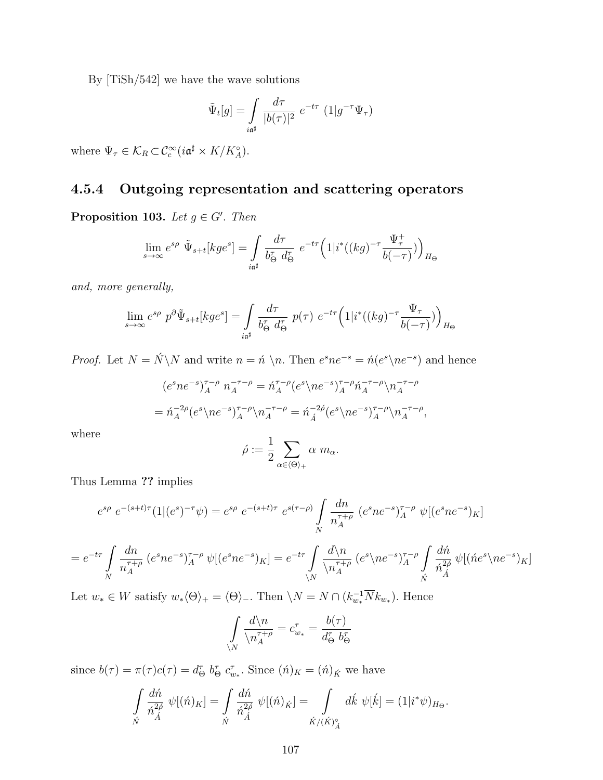By [TiSh/542] we have the wave solutions

$$
\tilde{\Psi}_t[g] = \int\limits_{i\mathfrak{a}^\sharp} \frac{d\tau}{|b(\tau)|^2} e^{-t\tau} (1|g^{-\tau}\Psi_\tau)
$$

where  $\Psi_{\tau} \in \mathcal{K}_R \subset \mathcal{C}_c^{\infty}(i\mathfrak{a}^{\sharp} \times K/K_A^{\circ}).$ 

## 4.5.4 Outgoing representation and scattering operators

**Proposition 103.** Let  $g \in G'$ . Then

$$
\lim_{s\to\infty}e^{s\rho}~\tilde\Psi_{s+t}[kge^s]=\int\limits_{i\mathfrak a^{\sharp}}\frac{d\tau}{b_{\Theta}^{\tau}~d_{\Theta}^{\tau}}~e^{-t\tau}\Big(1|i^*((kg)^{-\tau}\frac{\Psi_{\tau}^{+}}{b(-\tau)})\Big)_{H_{\Theta}}
$$

and, more generally,

$$
\lim_{s \to \infty} e^{s\rho} p^{\partial} \tilde{\Psi}_{s+t}[kge^s] = \int_{i\mathfrak{a}^\sharp} \frac{d\tau}{b_\Theta^\tau d_\Theta^\tau} p(\tau) e^{-t\tau} \Big(1|i^*((kg)^{-\tau} \frac{\Psi_\tau}{b(-\tau)})\Big)_{H_\Theta}
$$

*Proof.* Let  $N = N \ N$  and write  $n = \hat{n} \ n$ . Then  $e^s n e^{-s} = \hat{n}(e^s \neq e^{-s})$  and hence

$$
(e^{s}ne^{-s})_{A}^{\tau-\rho} n_{A}^{-\tau-\rho} = \tilde{n}_{A}^{\tau-\rho}(e^{s}\langle ne^{-s}\rangle_{A}^{\tau-\rho}\tilde{n}_{A}^{-\tau-\rho}\langle n_{A}^{-\tau-\rho} \rangle)
$$

$$
= \tilde{n}_{A}^{-2\rho}(e^{s}\langle ne^{-s}\rangle_{A}^{\tau-\rho}\langle n_{A}^{-\tau-\rho} = \tilde{n}_{\tilde{A}}^{-2\rho}(e^{s}\langle ne^{-s}\rangle_{A}^{\tau-\rho}\langle n_{A}^{-\tau-\rho},
$$

where

$$
\hat{\rho} := \frac{1}{2} \sum_{\alpha \in \langle \Theta \rangle_+} \alpha \, m_{\alpha}.
$$

Thus Lemma ?? implies

$$
e^{s\rho} e^{-(s+t)\tau} (1|(e^s)^{-\tau}\psi) = e^{s\rho} e^{-(s+t)\tau} e^{s(\tau-\rho)} \int\limits_N \frac{dn}{n_A^{\tau+\rho}} (e^s n e^{-s})_A^{\tau-\rho} \psi [(e^s n e^{-s})_K]
$$

$$
= e^{-t\tau} \int\limits_N \frac{dn}{n_A^{\tau+\rho}} \left( e^s n e^{-s} \right)_A^{\tau-\rho} \psi \left[ \left( e^s n e^{-s} \right)_K \right] = e^{-t\tau} \int\limits_N \frac{d\langle n \rangle_n}{\langle n_A^{\tau+\rho}} \left( e^s \langle n e^{-s} \rangle_A^{\tau-\rho} \int\limits_M \frac{d\hat{n}}{\hat{n}_A^{2\hat{\rho}}} \psi \left[ \left( \hat{n} e^s \langle n e^{-s} \rangle_K \right)_K \right] \right) d\hat{n} \psi
$$

Let  $w_* \in W$  satisfy  $w_*(\Theta)_+ = \langle \Theta \rangle$ . Then  $\setminus N = N \cap (k_{w_*}^{-1} \overline{N} k_{w_*}).$  Hence

$$
\int\limits_N \frac{d\langle n \atop n_A^{\tau+\rho}}{e^{\tau+\rho}} = c^{\tau}_{w_*} = \frac{b(\tau)}{d^{\tau}_{\Theta} b^{\tau}_{\Theta}}
$$

since  $b(\tau) = \pi(\tau)c(\tau) = d_{\Theta}^{\tau} b_{\Theta}^{\tau} c_{w_{*}}^{\tau}$ . Since  $(\acute{n})_{K} = (\acute{n})_{\acute{K}}$  we have

 $\lambda$ 

$$
\int_{\acute{N}} \frac{d\acute{n}}{\acute{n}_{\acute{A}}^{2\acute{\rho}}} \psi[(\acute{n})_K] = \int_{\acute{N}} \frac{d\acute{n}}{\acute{n}_{\acute{A}}^{2\acute{\rho}}} \psi[(\acute{n})_{\acute{K}}] = \int_{\acute{K}/(\acute{K})^{\circ}_{\acute{A}}} d\acute{k} \ \psi[\acute{k}] = (1|i^*\psi)_{H_{\Theta}}.
$$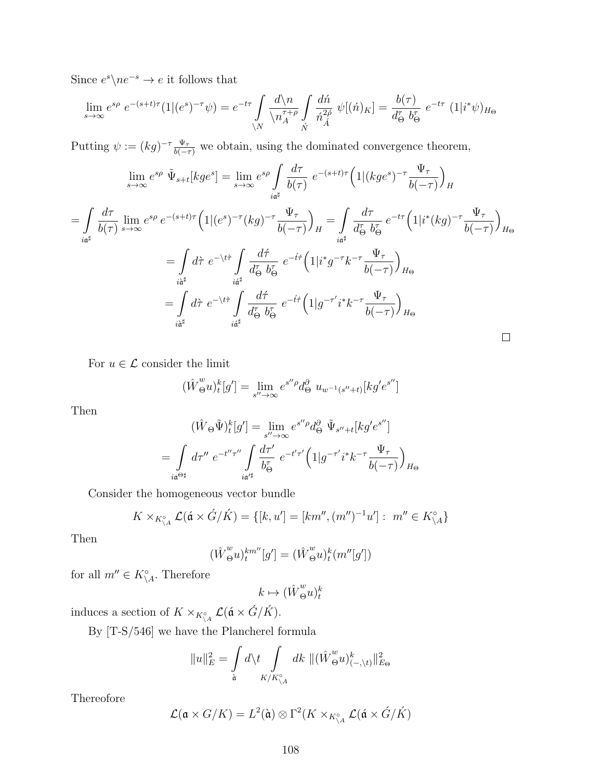Since  $e^s \backslash ne^{-s} \to e$  it follows that

$$
\lim_{s \to \infty} e^{s\rho} e^{-(s+t)\tau} (1|(e^s)^{-\tau} \psi) = e^{-t\tau} \int_{N} \frac{d\langle n \rangle}{\langle n_A^{\tau+\rho} \int_{\dot{M}} \frac{d\acute{n}}{\acute{n}_A^{\prime\beta}}} \psi[(\acute{n})_K] = \frac{b(\tau)}{d_\Theta^{\tau}} e^{-t\tau} (1|i^*\psi)_{H_\Theta}
$$

Putting  $\psi := (kg)^{-\tau} \frac{\Psi_{\tau}}{b(-\tau)}$  we obtain, using the dominated convergence theorem,

$$
\lim_{s \to \infty} e^{s\rho} \tilde{\Psi}_{s+t}[kge^s] = \lim_{s \to \infty} e^{s\rho} \int_{i\mathfrak{a}^\sharp} \frac{d\tau}{b(\tau)} e^{-(s+t)\tau} \Big(1|(kge^s)^{-\tau} \frac{\Psi_\tau}{b(-\tau)}\Big)_H
$$
\n
$$
= \int_{i\mathfrak{a}^\sharp} \frac{d\tau}{b(\tau)} \lim_{s \to \infty} e^{s\rho} e^{-(s+t)\tau} \Big(1|(e^s)^{-\tau}(kg)^{-\tau} \frac{\Psi_\tau}{b(-\tau)}\Big)_H = \int_{i\mathfrak{a}^\sharp} \frac{d\tau}{d_\Theta^{\tau}} \frac{e^{-t\tau} \Big(1|i^*(kg)^{-\tau} \frac{\Psi_\tau}{b(-\tau)}\Big)_{H_\Theta}
$$
\n
$$
= \int_{i\mathfrak{a}^\sharp} d\tau \ e^{-\tau/4} \int_{i\mathfrak{a}^\sharp} \frac{d\tau}{d_\Theta^{\tau}} \frac{e^{-t\tau} \Big(1|i^*g^{-\tau}k^{-\tau} \frac{\Psi_\tau}{b(-\tau)}\Big)_{H_\Theta}
$$
\n
$$
= \int_{i\mathfrak{a}^\sharp} d\tau \ e^{-\tau/4} \int_{i\mathfrak{a}^\sharp} \frac{d\tau}{d_\Theta^{\tau}} \frac{e^{-t\tau} \Big(1|g^{-\tau'}i^*k^{-\tau} \frac{\Psi_\tau}{b(-\tau)}\Big)_{H_\Theta}
$$

For  $u \in \mathcal{L}$  consider the limit

$$
(\hat{W}_{\Theta}^{w}u)^{k}_{t}[g'] = \lim_{s'' \to \infty} e^{s''\rho} d_{\Theta}^{\partial} u_{w^{-1}(s''+t)}[kg'e^{s''}]
$$

Then

$$
(\hat{W}_{\Theta}\tilde{\Psi})_{t}^{k}[g'] = \lim_{s'' \to \infty} e^{s''\rho} d_{\Theta}^{\partial} \tilde{\Psi}_{s''+t}[kg'e^{s''}]
$$

$$
= \int_{i\mathfrak{a}^{\Theta\sharp}} d\tau'' e^{-t''\tau''} \int_{i\mathfrak{a}^{\prime\sharp}} d\tau' e^{-t'\tau'} \Big(1|g^{-\tau'}i^{*}k^{-\tau} \frac{\Psi_{\tau}}{b(-\tau)}\Big)_{H_{\Theta}}
$$

Consider the homogeneous vector bundle

$$
K \times_{K^{\circ}_{\backslash A}} \mathcal{L}(\land \times \acute{G}/\acute{K}) = \{ [k, u'] = [km'', (m'')^{-1}u'] : m'' \in K^{\circ}_{\backslash A} \}
$$

Then

$$
(\hat{W}_{\Theta}^{w}u)_{t}^{km''}[g'] = (\hat{W}_{\Theta}^{w}u)_{t}^{k}(m''[g'])
$$

for all  $m'' \in K_{\backslash A}^{\circ}$ . Therefore

$$
k\mapsto (\hat W_\Theta^w u)_t^k
$$

induces a section of  $K \times_{K^\circ_{\setminus A}} \mathcal{L}(\mathfrak{a} \times \mathring{G}/\mathring{K}).$ 

By [T-S/546] we have the Plancherel formula

$$
||u||_E^2 = \int_{\mathfrak{a}} d\lambda t \int_{K/K_{\backslash A}^{\circ}} dk \ ||(\hat{W}_{\Theta}^w u)_{(-,\backslash t)}^k||_{E_{\Theta}}^2
$$

Thereofore

$$
\mathcal{L}(\mathfrak{a} \times G/K) = L^{2}(\mathfrak{\dot{a}}) \otimes \Gamma^{2}(K \times_{K^{\circ}_{\setminus A}} \mathcal{L}(\mathfrak{\dot{a}} \times \mathring{G}/\mathring{K})
$$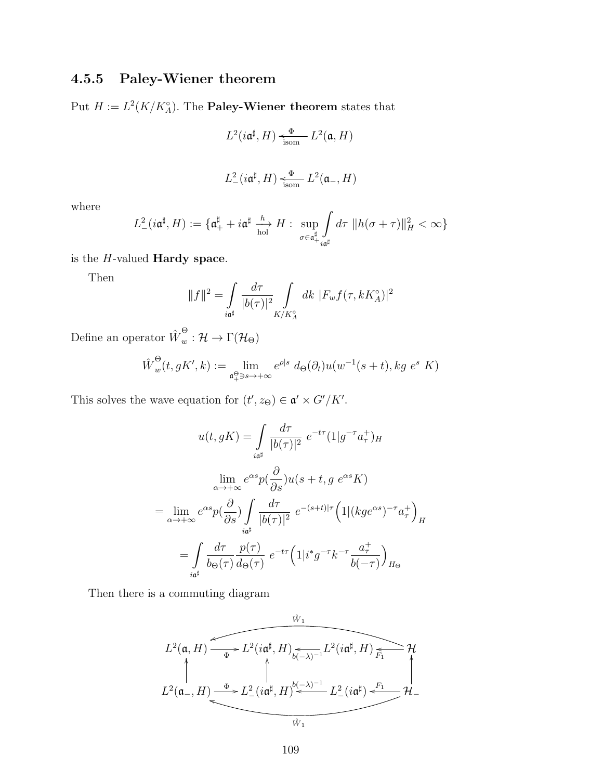## 4.5.5 Paley-Wiener theorem

Put  $H := L^2(K/K_A^{\circ})$ . The **Paley-Wiener theorem** states that

$$
L^2(i\mathfrak{a}^\sharp, H) \xleftarrow{\Phi} L^2(\mathfrak{a}, H)
$$

$$
L^2_-(i\mathfrak{a}^\sharp,H)\xleftarrow[\text{isom}]{\Phi} L^2(\mathfrak{a}_-,H)
$$

where

$$
L_{-}^{2}(i\mathfrak{a}^{\sharp},H):=\{\mathfrak{a}^{\sharp}_{+}+i\mathfrak{a}^{\sharp}\xrightarrow[\text{hol}]{h}H:\sup_{\sigma\in\mathfrak{a}^{\sharp}_{+}}\int_{i\mathfrak{a}^{\sharp}}d\tau\,\|h(\sigma+\tau)\|_{H}^{2}<\infty\}
$$

is the  $H$ -valued **Hardy space**.

Then

$$
||f||^2 = \int_{i\mathfrak{a}^\sharp} \frac{d\tau}{|b(\tau)|^2} \int_{K/K_A^\circ} dk \ |F_w f(\tau, kK_A^\circ)|^2
$$

Define an operator  $\hat{W}^{\Theta}_{w} : \mathcal{H} \to \Gamma(\mathcal{H}_{\Theta})$ 

$$
\hat{W}_w^{\Theta}(t,gK',k) := \lim_{\substack{\mathfrak{a}_+^{\Theta} \ni s \to +\infty}} e^{\rho|s} d_{\Theta}(\partial_t) u(w^{-1}(s+t),kg \ e^s \ K)
$$

This solves the wave equation for  $(t', z_{\Theta}) \in \mathfrak{a}' \times G'/K'$ .

$$
u(t,gK) = \int_{\substack{i\atop \alpha \to +\infty}} \frac{d\tau}{|b(\tau)|^2} e^{-t\tau} (1|g^{-\tau}a_{\tau}^+)_{H}
$$

$$
\lim_{\alpha \to +\infty} e^{\alpha s} p(\frac{\partial}{\partial s}) u(s+t, g e^{\alpha s} K)
$$

$$
= \lim_{\alpha \to +\infty} e^{\alpha s} p(\frac{\partial}{\partial s}) \int_{\substack{i\atop \alpha \neq}} \frac{d\tau}{|b(\tau)|^2} e^{-(s+t)|\tau} (1|(kge^{\alpha s})^{-\tau}a_{\tau}^+)_{H}
$$

$$
= \int_{\substack{i\atop \alpha \neq}} \frac{d\tau}{b_{\Theta}(\tau)} \frac{p(\tau)}{d_{\Theta}(\tau)} e^{-t\tau} (1|i^*g^{-\tau}k^{-\tau}\frac{a_{\tau}^+}{b(-\tau)})_{H_{\Theta}}
$$

Then there is a commuting diagram

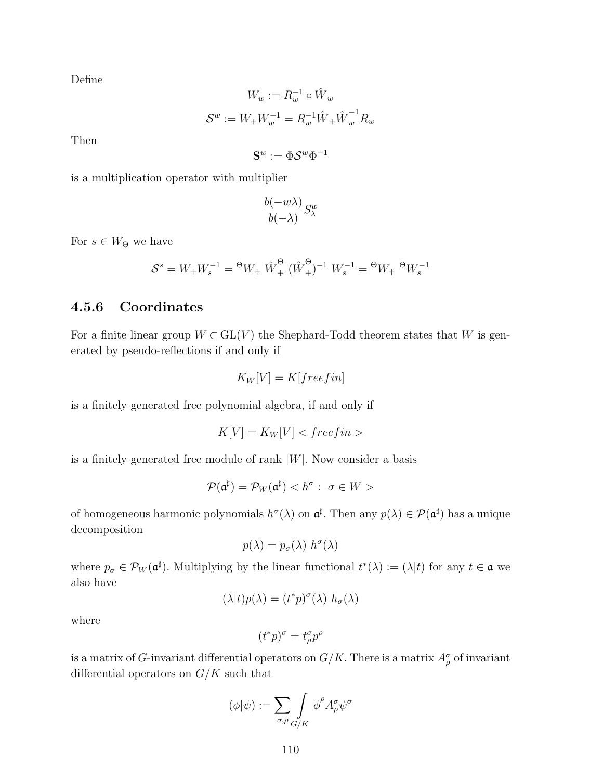Define

$$
W_w := R_w^{-1} \circ \hat{W}_w
$$
  

$$
\mathcal{S}^w := W_+ W_w^{-1} = R_w^{-1} \hat{W}_+ \hat{W}_w^{-1} R_w
$$

Then

$$
\mathbf{S}^w:=\Phi\mathcal{S}^w\Phi^{-1}
$$

is a multiplication operator with multiplier

$$
\frac{b(-w\lambda)}{b(-\lambda)}S_\lambda^w
$$

For  $s \in W_{\Theta}$  we have

$$
\mathcal{S}^s = W_+ W_s^{-1} = {}^{\Theta} W_+ \,\, \hat{W}^{\Theta}_+ \,\, (\hat{W}^{\Theta}_+)^{-1} \,\, W_s^{-1} = {}^{\Theta} W_+ \,\, {}^{\Theta} W_s^{-1}
$$

## 4.5.6 Coordinates

For a finite linear group  $W \subset GL(V)$  the Shephard-Todd theorem states that W is generated by pseudo-reflections if and only if

$$
K_W[V] = K[freefin]
$$

is a finitely generated free polynomial algebra, if and only if

$$
K[V] = K_W[V] < free fin > \quad
$$

is a finitely generated free module of rank  $|W|$ . Now consider a basis

$$
\mathcal{P}(\mathfrak{a}^\sharp) = \mathcal{P}_W(\mathfrak{a}^\sharp) < h^\sigma: \ \sigma \in W >
$$

of homogeneous harmonic polynomials  $h^{\sigma}(\lambda)$  on  $\mathfrak{a}^{\sharp}$ . Then any  $p(\lambda) \in \mathcal{P}(\mathfrak{a}^{\sharp})$  has a unique decomposition

$$
p(\lambda) = p_{\sigma}(\lambda) h^{\sigma}(\lambda)
$$

where  $p_{\sigma} \in \mathcal{P}_W(\mathfrak{a}^{\sharp})$ . Multiplying by the linear functional  $t^*(\lambda) := (\lambda | t)$  for any  $t \in \mathfrak{a}$  we also have

$$
(\lambda |t)p(\lambda) = (t^*p)^\sigma(\lambda) h_\sigma(\lambda)
$$

where

$$
(t^*p)^\sigma=t^\sigma_\rho p^\rho
$$

is a matrix of G-invariant differential operators on  $G/K$ . There is a matrix  $A_{\rho}^{\sigma}$  of invariant differential operators on  $G/K$  such that

$$
(\phi|\psi) := \sum_{\sigma,\rho} \int_{G/K} \overline{\phi}^{\rho} A^{\sigma}_{\rho} \psi^{\sigma}
$$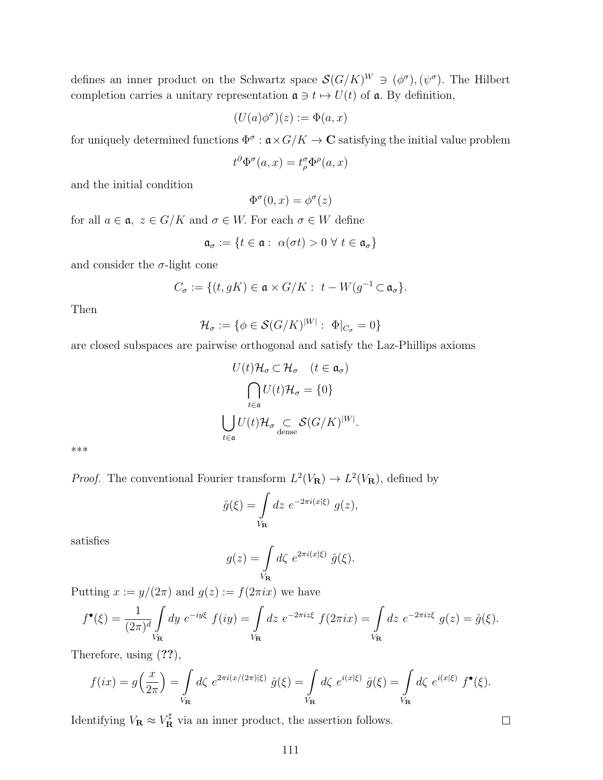defines an inner product on the Schwartz space  $\mathcal{S}(G/K)^W \ni (\phi^{\sigma}), (\psi^{\sigma})$ . The Hilbert completion carries a unitary representation  $\mathfrak{a} \ni t \mapsto U(t)$  of  $\mathfrak{a}$ . By definition,

$$
(U(a)\phi^\sigma)(z):=\Phi(a,x)
$$

for uniquely determined functions  $\Phi^{\sigma} : \mathfrak{a} \times G/K \to \mathbb{C}$  satisfying the initial value problem

$$
t^{\partial} \Phi^{\sigma}(a, x) = t^{\sigma}_{\rho} \Phi^{\rho}(a, x)
$$

and the initial condition

 $\Phi^{\sigma}(0,x) = \phi^{\sigma}(z)$ 

for all  $a\in \mathfrak{a},\ z\in G/K$  and  $\sigma\in W.$  For each  $\sigma\in W$  define

$$
\mathfrak{a}_{\sigma} := \{ t \in \mathfrak{a} : \ \alpha(\sigma t) > 0 \ \forall \ t \in \mathfrak{a}_{\sigma} \}
$$

and consider the  $\sigma$ -light cone

$$
C_{\sigma} := \{ (t, gK) \in \mathfrak{a} \times G/K : t - W(g^{-1} \subset \mathfrak{a}_{\sigma}) \}.
$$

Then

$$
\mathcal{H}_{\sigma} := \{ \phi \in \mathcal{S}(G/K)^{|W|} : \Phi|_{C_{\sigma}} = 0 \}
$$

are closed subspaces are pairwise orthogonal and satisfy the Laz-Phillips axioms

$$
U(t)\mathcal{H}_{\sigma} \subset \mathcal{H}_{\sigma} \quad (t \in \mathfrak{a}_{\sigma})
$$

$$
\bigcap_{t \in \mathfrak{a}} U(t)\mathcal{H}_{\sigma} = \{0\}
$$

$$
\bigcup_{t \in \mathfrak{a}} U(t)\mathcal{H}_{\sigma} \subset_{\text{dense}} \mathcal{S}(G/K)^{|W|}.
$$

\*\*\*

*Proof.* The conventional Fourier transform  $L^2(V_{\mathbf{R}}) \to L^2(V_{\mathbf{R}})$ , defined by

$$
\hat{g}(\xi) = \int\limits_{V_{\mathbf{R}}} dz \ e^{-2\pi i (x|\xi)} \ g(z),
$$

satisfies

$$
g(z) = \int\limits_{V_{\mathbf{R}}} d\zeta \ e^{2\pi i (x|\xi)} \ \hat{g}(\xi).
$$

Putting  $x := y/(2\pi)$  and  $g(z) := f(2\pi ix)$  we have

$$
f^{\bullet}(\xi) = \frac{1}{(2\pi)^d} \int\limits_{V_{\mathbf{R}}} dy \ e^{-iy\xi} \ f(iy) = \int\limits_{V_{\mathbf{R}}} dz \ e^{-2\pi iz\xi} \ f(2\pi ix) = \int\limits_{V_{\mathbf{R}}} dz \ e^{-2\pi iz\xi} \ g(z) = \hat{g}(\xi).
$$

Therefore, using (??),

$$
f(ix) = g\left(\frac{x}{2\pi}\right) = \int\limits_{V_{\mathbf{R}}} d\zeta \ e^{2\pi i (x/(2\pi)|\xi)} \ \hat{g}(\xi) = \int\limits_{V_{\mathbf{R}}} d\zeta \ e^{i(x|\xi)} \ \hat{g}(\xi) = \int\limits_{V_{\mathbf{R}}} d\zeta \ e^{i(x|\xi)} \ f^{\bullet}(\xi).
$$

Identifying  $V_{\mathbf{R}} \approx V_{\mathbf{R}}^{\sharp}$  via an inner product, the assertion follows.

 $\Box$